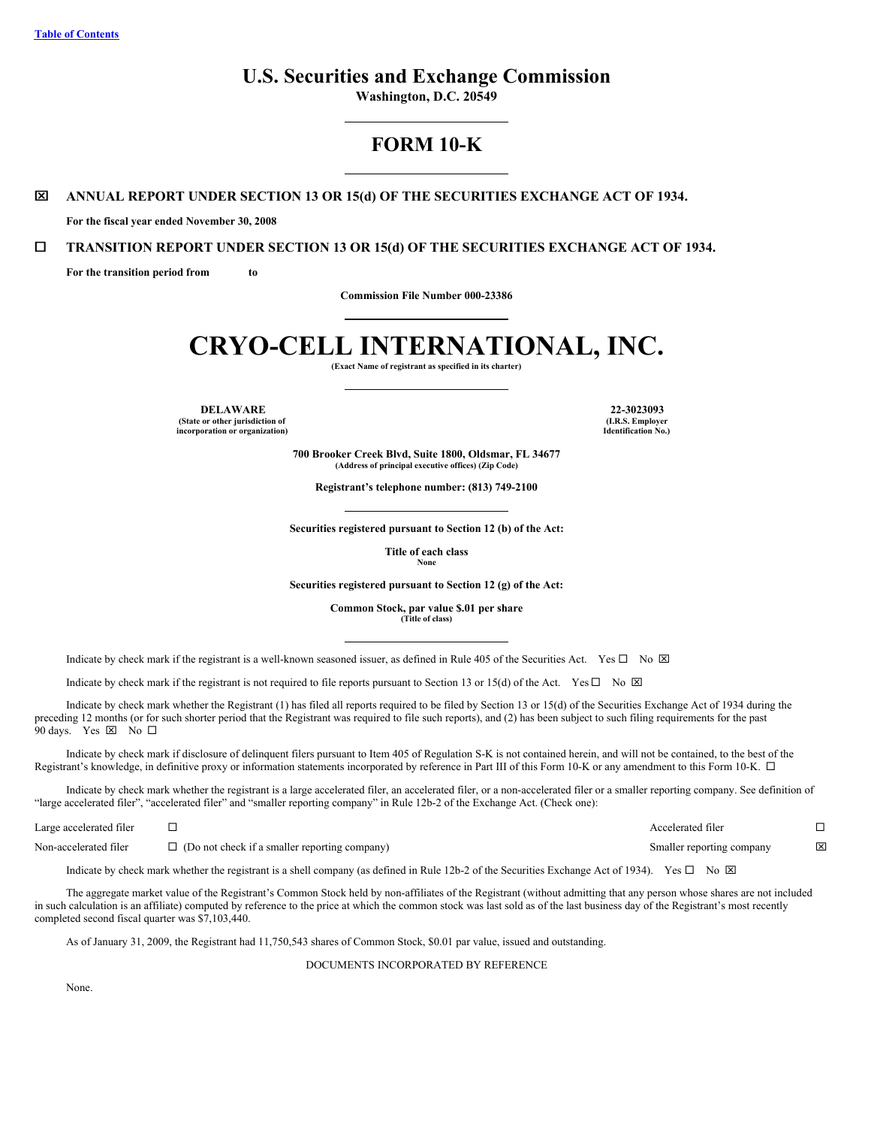# **U.S. Securities and Exchange Commission**

**Washington, D.C. 20549**

# **FORM 10-K**

## x **ANNUAL REPORT UNDER SECTION 13 OR 15(d) OF THE SECURITIES EXCHANGE ACT OF 1934.**

**For the fiscal year ended November 30, 2008**

## ¨ **TRANSITION REPORT UNDER SECTION 13 OR 15(d) OF THE SECURITIES EXCHANGE ACT OF 1934.**

**For the transition period from to**

**Commission File Number 000-23386**

# **CRYO-CELL INTERNATIONAL, INC.**

**(Exact Name of registrant as specified in its charter)**

**DELAWARE 22-3023093 (State or other jurisdiction of incorporation or organization)**

**(I.R.S. Employer Identification No.)**

**700 Brooker Creek Blvd, Suite 1800, Oldsmar, FL 34677 (Address of principal executive offices) (Zip Code)**

**Registrant's telephone number: (813) 749-2100**

**Securities registered pursuant to Section 12 (b) of the Act:**

**Title of each class None**

**Securities registered pursuant to Section 12 (g) of the Act:**

**Common Stock, par value \$.01 per share (Title of class)**

Indicate by check mark if the registrant is a well-known seasoned issuer, as defined in Rule 405 of the Securities Act. Yes  $\Box$  No  $\boxtimes$ 

Indicate by check mark if the registrant is not required to file reports pursuant to Section 13 or 15(d) of the Act. Yes  $\Box$  No  $\boxtimes$ 

Indicate by check mark whether the Registrant (1) has filed all reports required to be filed by Section 13 or 15(d) of the Securities Exchange Act of 1934 during the preceding 12 months (or for such shorter period that the Registrant was required to file such reports), and (2) has been subject to such filing requirements for the past 90 days. Yes  $\boxtimes$  No  $\square$ 

Indicate by check mark if disclosure of delinquent filers pursuant to Item 405 of Regulation S-K is not contained herein, and will not be contained, to the best of the Registrant's knowledge, in definitive proxy or information statements incorporated by reference in Part III of this Form 10-K or any amendment to this Form 10-K.  $\Box$ 

Indicate by check mark whether the registrant is a large accelerated filer, an accelerated filer, or a non-accelerated filer or a smaller reporting company. See definition of "large accelerated filer", "accelerated filer" and "smaller reporting company" in Rule 12b-2 of the Exchange Act. (Check one):

Large accelerated filer  $\Box$ 

Non-accelerated filer  $\square$  (Do not check if a smaller reporting company) Smaller reporting company  $\square$ 

Indicate by check mark whether the registrant is a shell company (as defined in Rule 12b-2 of the Securities Exchange Act of 1934). Yes  $\square$  No  $\boxtimes$ 

The aggregate market value of the Registrant's Common Stock held by non-affiliates of the Registrant (without admitting that any person whose shares are not included in such calculation is an affiliate) computed by reference to the price at which the common stock was last sold as of the last business day of the Registrant's most recently completed second fiscal quarter was \$7,103,440.

As of January 31, 2009, the Registrant had 11,750,543 shares of Common Stock, \$0.01 par value, issued and outstanding.

DOCUMENTS INCORPORATED BY REFERENCE

None.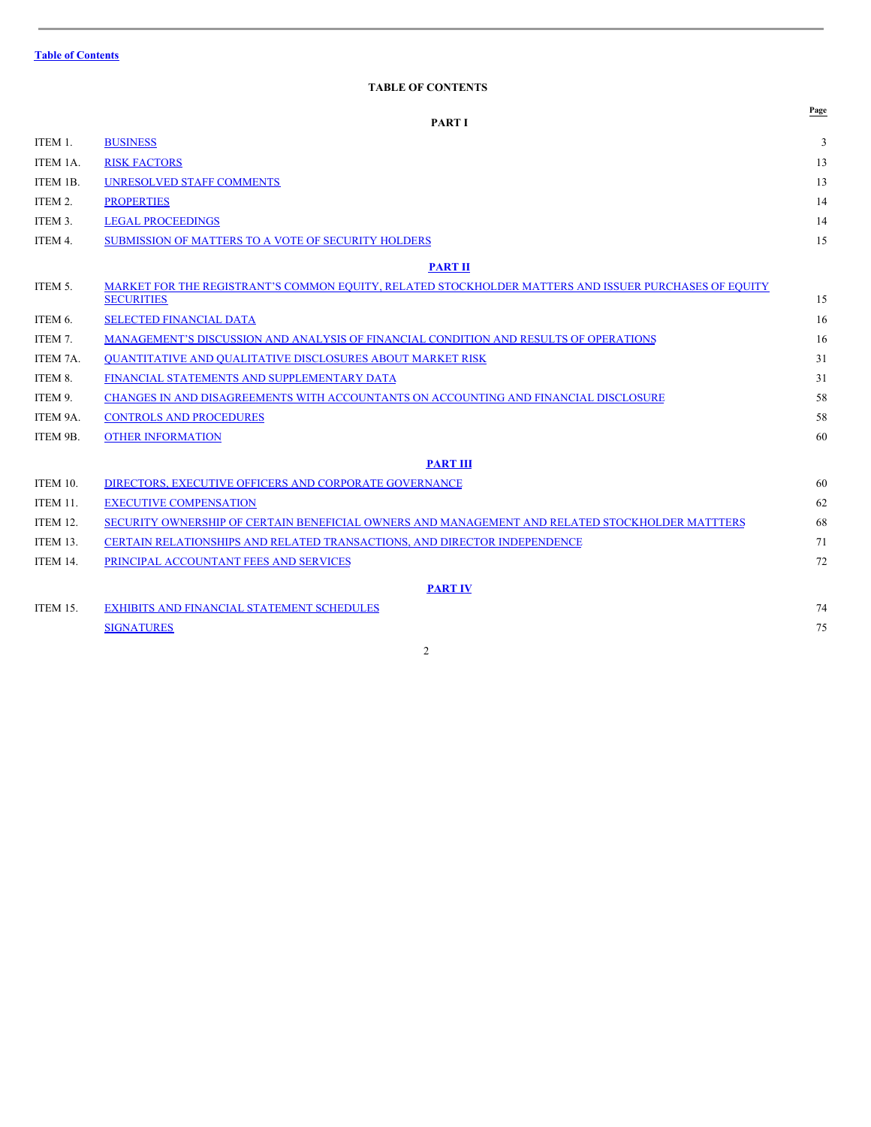<span id="page-1-0"></span>**TABLE OF CONTENTS**

|                 | <b>PART I</b>                                                                                                              | Page           |
|-----------------|----------------------------------------------------------------------------------------------------------------------------|----------------|
| ITEM 1.         | <b>BUSINESS</b>                                                                                                            | $\overline{3}$ |
| ITEM 1A.        | <b>RISK FACTORS</b>                                                                                                        | 13             |
| ITEM 1B.        | <b>UNRESOLVED STAFF COMMENTS</b>                                                                                           | 13             |
| ITEM 2.         | <b>PROPERTIES</b>                                                                                                          | 14             |
| ITEM 3.         | <b>LEGAL PROCEEDINGS</b>                                                                                                   | 14             |
| ITEM 4.         | SUBMISSION OF MATTERS TO A VOTE OF SECURITY HOLDERS                                                                        | 15             |
|                 | <b>PART II</b>                                                                                                             |                |
| ITEM 5.         | MARKET FOR THE REGISTRANT'S COMMON EQUITY, RELATED STOCKHOLDER MATTERS AND ISSUER PURCHASES OF EQUITY<br><b>SECURITIES</b> | 15             |
| ITEM 6.         | <b>SELECTED FINANCIAL DATA</b>                                                                                             | 16             |
| ITEM 7.         | MANAGEMENT'S DISCUSSION AND ANALYSIS OF FINANCIAL CONDITION AND RESULTS OF OPERATIONS                                      | 16             |
| ITEM 7A.        | <b>OUANTITATIVE AND QUALITATIVE DISCLOSURES ABOUT MARKET RISK</b>                                                          | 31             |
| ITEM 8.         | FINANCIAL STATEMENTS AND SUPPLEMENTARY DATA                                                                                | 31             |
| ITEM 9.         | CHANGES IN AND DISAGREEMENTS WITH ACCOUNTANTS ON ACCOUNTING AND FINANCIAL DISCLOSURE                                       | 58             |
| ITEM 9A.        | <b>CONTROLS AND PROCEDURES</b>                                                                                             | 58             |
| ITEM 9B.        | <b>OTHER INFORMATION</b>                                                                                                   | 60             |
|                 | <b>PART III</b>                                                                                                            |                |
| <b>ITEM 10.</b> | DIRECTORS, EXECUTIVE OFFICERS AND CORPORATE GOVERNANCE                                                                     | 60             |
| ITEM 11.        | <b>EXECUTIVE COMPENSATION</b>                                                                                              | 62             |
| <b>ITEM 12.</b> | SECURITY OWNERSHIP OF CERTAIN BENEFICIAL OWNERS AND MANAGEMENT AND RELATED STOCKHOLDER MATTTERS                            | 68             |
| ITEM 13.        | CERTAIN RELATIONSHIPS AND RELATED TRANSACTIONS, AND DIRECTOR INDEPENDENCE                                                  | 71             |
| ITEM 14.        | PRINCIPAL ACCOUNTANT FEES AND SERVICES                                                                                     | 72             |
|                 | <b>PART IV</b>                                                                                                             |                |
| ITEM 15.        | <b>EXHIBITS AND FINANCIAL STATEMENT SCHEDULES</b>                                                                          | 74             |
|                 | <b>SIGNATURES</b>                                                                                                          | 75             |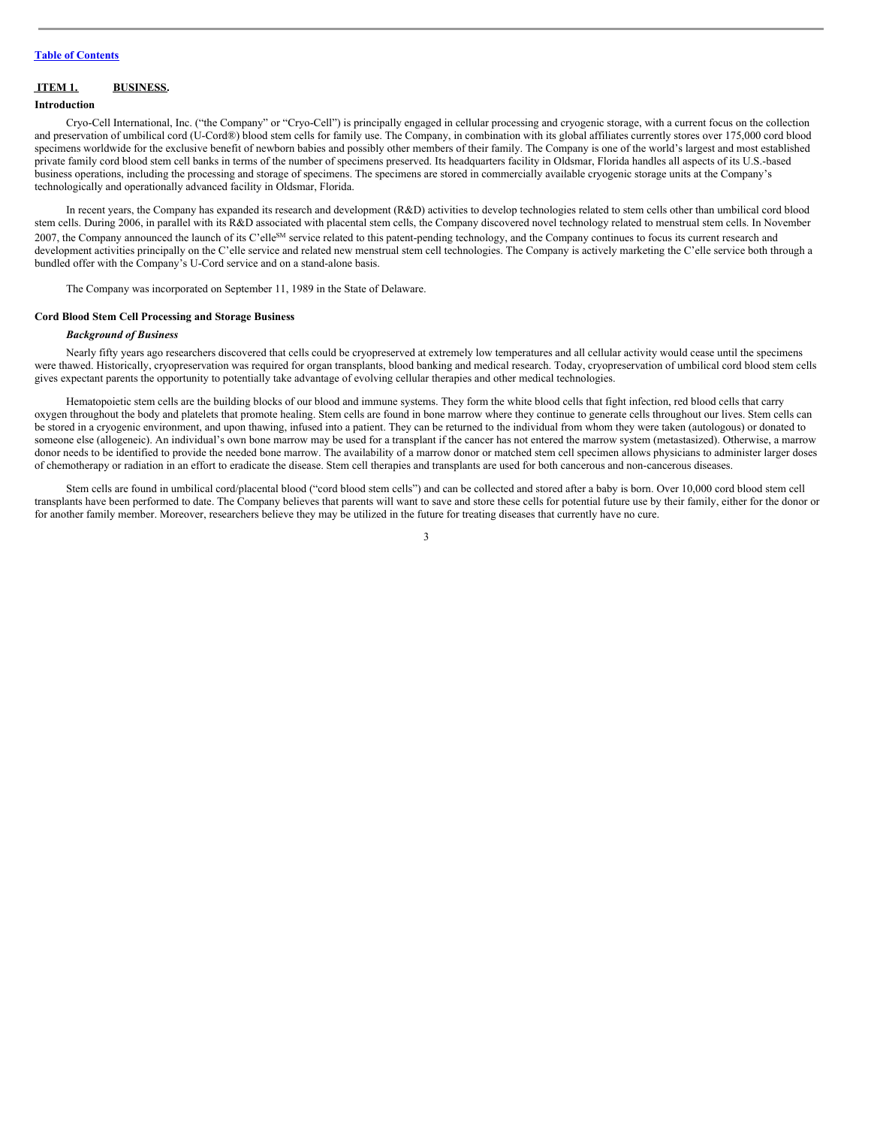## <span id="page-2-0"></span>**ITEM 1. BUSINESS.**

## **Introduction**

Cryo-Cell International, Inc. ("the Company" or "Cryo-Cell") is principally engaged in cellular processing and cryogenic storage, with a current focus on the collection and preservation of umbilical cord (U-Cord®) blood stem cells for family use. The Company, in combination with its global affiliates currently stores over 175,000 cord blood specimens worldwide for the exclusive benefit of newborn babies and possibly other members of their family. The Company is one of the world's largest and most established private family cord blood stem cell banks in terms of the number of specimens preserved. Its headquarters facility in Oldsmar, Florida handles all aspects of its U.S.-based business operations, including the processing and storage of specimens. The specimens are stored in commercially available cryogenic storage units at the Company's technologically and operationally advanced facility in Oldsmar, Florida.

In recent years, the Company has expanded its research and development (R&D) activities to develop technologies related to stem cells other than umbilical cord blood stem cells. During 2006, in parallel with its R&D associated with placental stem cells, the Company discovered novel technology related to menstrual stem cells. In November 2007, the Company announced the launch of its C'elle<sup>sM</sup> service related to this patent-pending technology, and the Company continues to focus its current research and development activities principally on the C'elle service and related new menstrual stem cell technologies. The Company is actively marketing the C'elle service both through a bundled offer with the Company's U-Cord service and on a stand-alone basis.

The Company was incorporated on September 11, 1989 in the State of Delaware.

#### **Cord Blood Stem Cell Processing and Storage Business**

## *Background of Business*

Nearly fifty years ago researchers discovered that cells could be cryopreserved at extremely low temperatures and all cellular activity would cease until the specimens were thawed. Historically, cryopreservation was required for organ transplants, blood banking and medical research. Today, cryopreservation of umbilical cord blood stem cells gives expectant parents the opportunity to potentially take advantage of evolving cellular therapies and other medical technologies.

Hematopoietic stem cells are the building blocks of our blood and immune systems. They form the white blood cells that fight infection, red blood cells that carry oxygen throughout the body and platelets that promote healing. Stem cells are found in bone marrow where they continue to generate cells throughout our lives. Stem cells can be stored in a cryogenic environment, and upon thawing, infused into a patient. They can be returned to the individual from whom they were taken (autologous) or donated to someone else (allogeneic). An individual's own bone marrow may be used for a transplant if the cancer has not entered the marrow system (metastasized). Otherwise, a marrow donor needs to be identified to provide the needed bone marrow. The availability of a marrow donor or matched stem cell specimen allows physicians to administer larger doses of chemotherapy or radiation in an effort to eradicate the disease. Stem cell therapies and transplants are used for both cancerous and non-cancerous diseases.

Stem cells are found in umbilical cord/placental blood ("cord blood stem cells") and can be collected and stored after a baby is born. Over 10,000 cord blood stem cell transplants have been performed to date. The Company believes that parents will want to save and store these cells for potential future use by their family, either for the donor or for another family member. Moreover, researchers believe they may be utilized in the future for treating diseases that currently have no cure.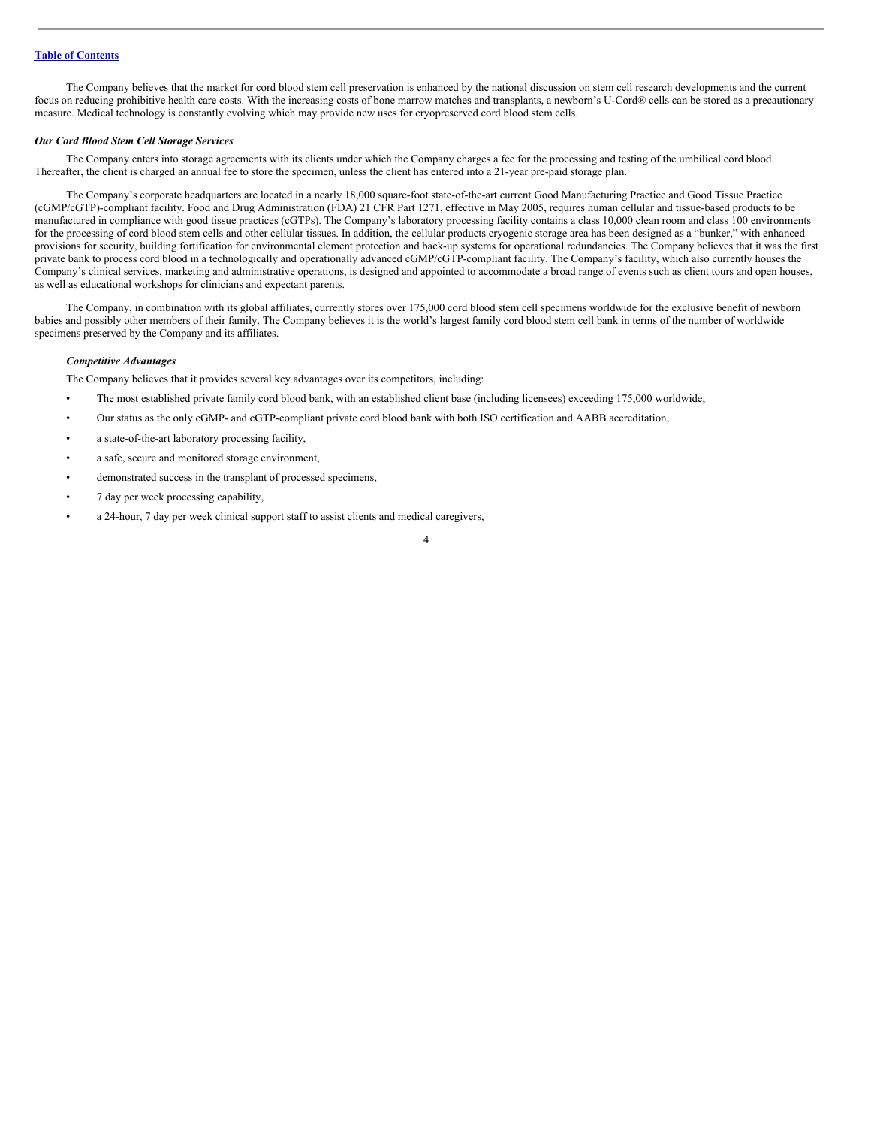The Company believes that the market for cord blood stem cell preservation is enhanced by the national discussion on stem cell research developments and the current focus on reducing prohibitive health care costs. With the increasing costs of bone marrow matches and transplants, a newborn's U-Cord® cells can be stored as a precautionary measure. Medical technology is constantly evolving which may provide new uses for cryopreserved cord blood stem cells.

#### *Our Cord Blood Stem Cell Storage Services*

The Company enters into storage agreements with its clients under which the Company charges a fee for the processing and testing of the umbilical cord blood. Thereafter, the client is charged an annual fee to store the specimen, unless the client has entered into a 21-year pre-paid storage plan.

The Company's corporate headquarters are located in a nearly 18,000 square-foot state-of-the-art current Good Manufacturing Practice and Good Tissue Practice (cGMP/cGTP)-compliant facility. Food and Drug Administration (FDA) 21 CFR Part 1271, effective in May 2005, requires human cellular and tissue-based products to be manufactured in compliance with good tissue practices (cGTPs). The Company's laboratory processing facility contains a class 10,000 clean room and class 100 environments for the processing of cord blood stem cells and other cellular tissues. In addition, the cellular products cryogenic storage area has been designed as a "bunker," with enhanced provisions for security, building fortification for environmental element protection and back-up systems for operational redundancies. The Company believes that it was the first private bank to process cord blood in a technologically and operationally advanced cGMP/cGTP-compliant facility. The Company's facility, which also currently houses the Company's clinical services, marketing and administrative operations, is designed and appointed to accommodate a broad range of events such as client tours and open houses, as well as educational workshops for clinicians and expectant parents.

The Company, in combination with its global affiliates, currently stores over 175,000 cord blood stem cell specimens worldwide for the exclusive benefit of newborn babies and possibly other members of their family. The Company believes it is the world's largest family cord blood stem cell bank in terms of the number of worldwide specimens preserved by the Company and its affiliates.

## *Competitive Advantages*

The Company believes that it provides several key advantages over its competitors, including:

- The most established private family cord blood bank, with an established client base (including licensees) exceeding 175,000 worldwide,
- Our status as the only cGMP- and cGTP-compliant private cord blood bank with both ISO certification and AABB accreditation,
- a state-of-the-art laboratory processing facility,
- a safe, secure and monitored storage environment,
- demonstrated success in the transplant of processed specimens,
- 7 day per week processing capability,
- a 24-hour, 7 day per week clinical support staff to assist clients and medical caregivers,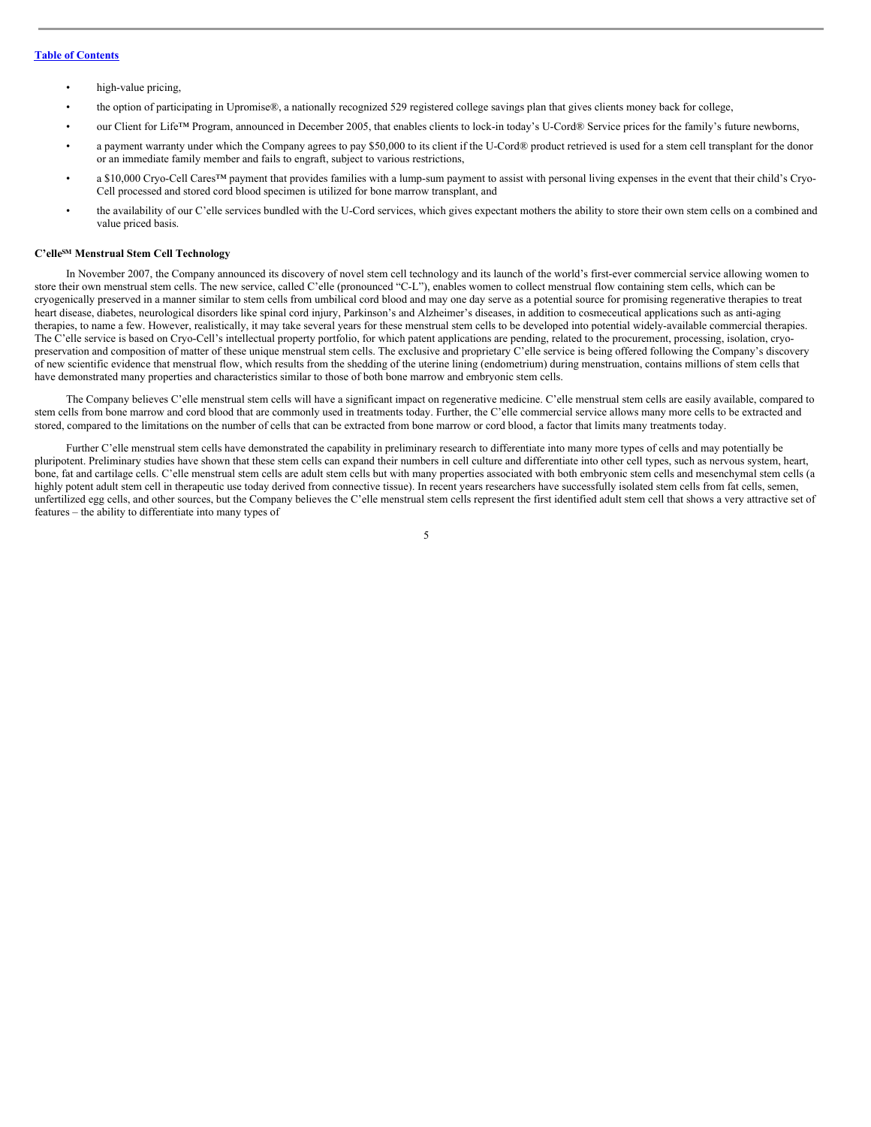- high-value pricing,
- the option of participating in Upromise®, a nationally recognized 529 registered college savings plan that gives clients money back for college,
- our Client for Life™ Program, announced in December 2005, that enables clients to lock-in today's U-Cord® Service prices for the family's future newborns,
- a payment warranty under which the Company agrees to pay \$50,000 to its client if the U-Cord® product retrieved is used for a stem cell transplant for the donor or an immediate family member and fails to engraft, subject to various restrictions,
- a \$10,000 Cryo-Cell Cares™ payment that provides families with a lump-sum payment to assist with personal living expenses in the event that their child's Cryo-Cell processed and stored cord blood specimen is utilized for bone marrow transplant, and
- the availability of our C'elle services bundled with the U-Cord services, which gives expectant mothers the ability to store their own stem cells on a combined and value priced basis.

#### **C'elle SM Menstrual Stem Cell Technology**

In November 2007, the Company announced its discovery of novel stem cell technology and its launch of the world's first-ever commercial service allowing women to store their own menstrual stem cells. The new service, called C'elle (pronounced "C-L"), enables women to collect menstrual flow containing stem cells, which can be cryogenically preserved in a manner similar to stem cells from umbilical cord blood and may one day serve as a potential source for promising regenerative therapies to treat heart disease, diabetes, neurological disorders like spinal cord injury, Parkinson's and Alzheimer's diseases, in addition to cosmeceutical applications such as anti-aging therapies, to name a few. However, realistically, it may take several years for these menstrual stem cells to be developed into potential widely-available commercial therapies. The C'elle service is based on Cryo-Cell's intellectual property portfolio, for which patent applications are pending, related to the procurement, processing, isolation, cryopreservation and composition of matter of these unique menstrual stem cells. The exclusive and proprietary C'elle service is being offered following the Company's discovery of new scientific evidence that menstrual flow, which results from the shedding of the uterine lining (endometrium) during menstruation, contains millions of stem cells that have demonstrated many properties and characteristics similar to those of both bone marrow and embryonic stem cells.

The Company believes C'elle menstrual stem cells will have a significant impact on regenerative medicine. C'elle menstrual stem cells are easily available, compared to stem cells from bone marrow and cord blood that are commonly used in treatments today. Further, the C'elle commercial service allows many more cells to be extracted and stored, compared to the limitations on the number of cells that can be extracted from bone marrow or cord blood, a factor that limits many treatments today.

Further C'elle menstrual stem cells have demonstrated the capability in preliminary research to differentiate into many more types of cells and may potentially be pluripotent. Preliminary studies have shown that these stem cells can expand their numbers in cell culture and differentiate into other cell types, such as nervous system, heart, bone, fat and cartilage cells. C'elle menstrual stem cells are adult stem cells but with many properties associated with both embryonic stem cells and mesenchymal stem cells (a highly potent adult stem cell in therapeutic use today derived from connective tissue). In recent years researchers have successfully isolated stem cells from fat cells, semen, unfertilized egg cells, and other sources, but the Company believes the C'elle menstrual stem cells represent the first identified adult stem cell that shows a very attractive set of features – the ability to differentiate into many types of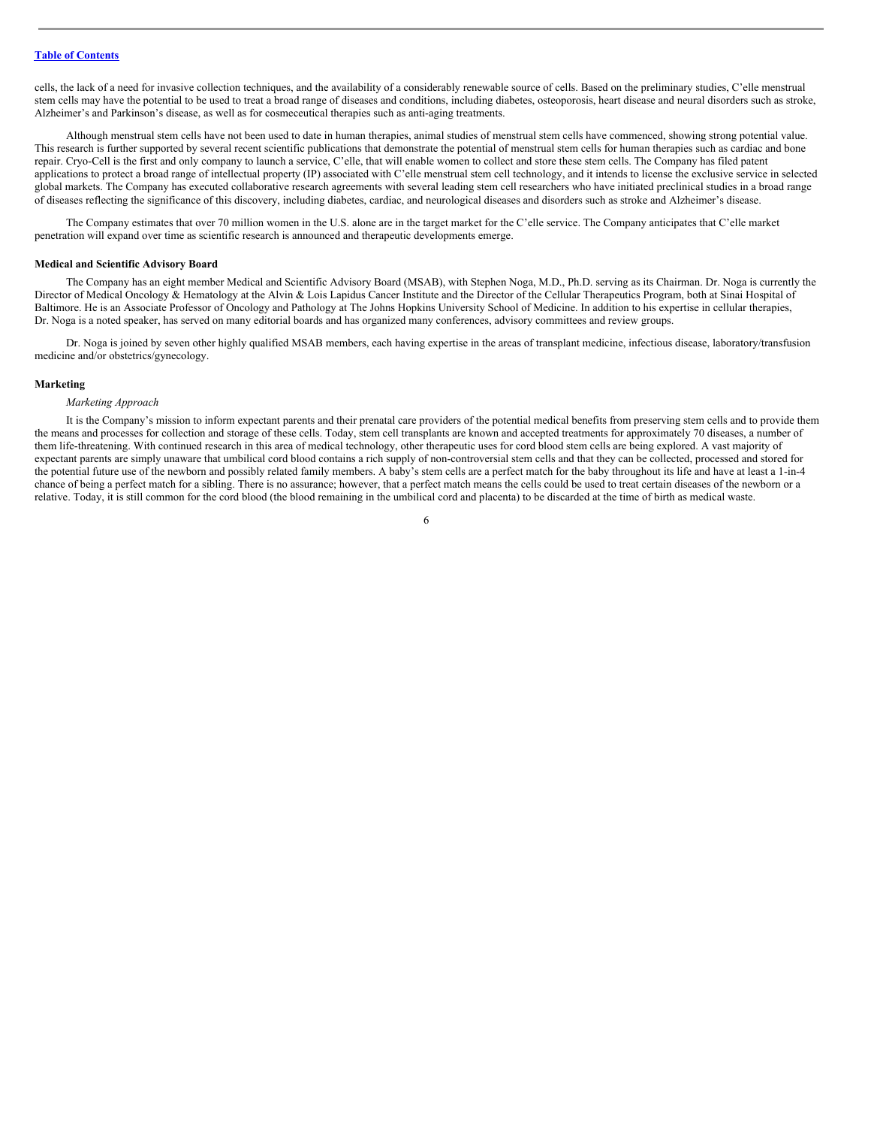cells, the lack of a need for invasive collection techniques, and the availability of a considerably renewable source of cells. Based on the preliminary studies, C'elle menstrual stem cells may have the potential to be used to treat a broad range of diseases and conditions, including diabetes, osteoporosis, heart disease and neural disorders such as stroke, Alzheimer's and Parkinson's disease, as well as for cosmeceutical therapies such as anti-aging treatments.

Although menstrual stem cells have not been used to date in human therapies, animal studies of menstrual stem cells have commenced, showing strong potential value. This research is further supported by several recent scientific publications that demonstrate the potential of menstrual stem cells for human therapies such as cardiac and bone repair. Cryo-Cell is the first and only company to launch a service, C'elle, that will enable women to collect and store these stem cells. The Company has filed patent applications to protect a broad range of intellectual property (IP) associated with C'elle menstrual stem cell technology, and it intends to license the exclusive service in selected global markets. The Company has executed collaborative research agreements with several leading stem cell researchers who have initiated preclinical studies in a broad range of diseases reflecting the significance of this discovery, including diabetes, cardiac, and neurological diseases and disorders such as stroke and Alzheimer's disease.

The Company estimates that over 70 million women in the U.S. alone are in the target market for the C'elle service. The Company anticipates that C'elle market penetration will expand over time as scientific research is announced and therapeutic developments emerge.

#### **Medical and Scientific Advisory Board**

The Company has an eight member Medical and Scientific Advisory Board (MSAB), with Stephen Noga, M.D., Ph.D. serving as its Chairman. Dr. Noga is currently the Director of Medical Oncology & Hematology at the Alvin & Lois Lapidus Cancer Institute and the Director of the Cellular Therapeutics Program, both at Sinai Hospital of Baltimore. He is an Associate Professor of Oncology and Pathology at The Johns Hopkins University School of Medicine. In addition to his expertise in cellular therapies, Dr. Noga is a noted speaker, has served on many editorial boards and has organized many conferences, advisory committees and review groups.

Dr. Noga is joined by seven other highly qualified MSAB members, each having expertise in the areas of transplant medicine, infectious disease, laboratory/transfusion medicine and/or obstetrics/gynecology.

#### **Marketing**

#### *Marketing Approach*

It is the Company's mission to inform expectant parents and their prenatal care providers of the potential medical benefits from preserving stem cells and to provide them the means and processes for collection and storage of these cells. Today, stem cell transplants are known and accepted treatments for approximately 70 diseases, a number of them life-threatening. With continued research in this area of medical technology, other therapeutic uses for cord blood stem cells are being explored. A vast majority of expectant parents are simply unaware that umbilical cord blood contains a rich supply of non-controversial stem cells and that they can be collected, processed and stored for the potential future use of the newborn and possibly related family members. A baby's stem cells are a perfect match for the baby throughout its life and have at least a 1-in-4 chance of being a perfect match for a sibling. There is no assurance; however, that a perfect match means the cells could be used to treat certain diseases of the newborn or a relative. Today, it is still common for the cord blood (the blood remaining in the umbilical cord and placenta) to be discarded at the time of birth as medical waste.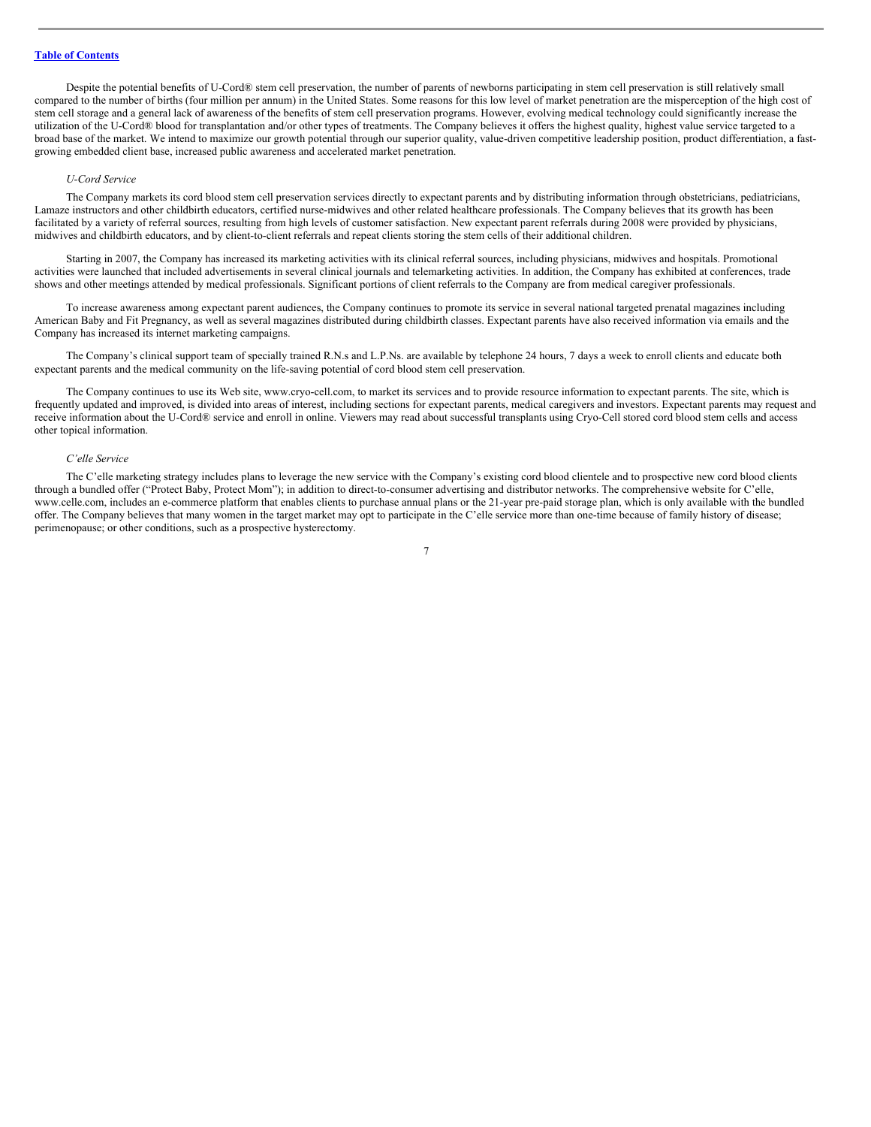Despite the potential benefits of U-Cord® stem cell preservation, the number of parents of newborns participating in stem cell preservation is still relatively small compared to the number of births (four million per annum) in the United States. Some reasons for this low level of market penetration are the misperception of the high cost of stem cell storage and a general lack of awareness of the benefits of stem cell preservation programs. However, evolving medical technology could significantly increase the utilization of the U-Cord® blood for transplantation and/or other types of treatments. The Company believes it offers the highest quality, highest value service targeted to a broad base of the market. We intend to maximize our growth potential through our superior quality, value-driven competitive leadership position, product differentiation, a fastgrowing embedded client base, increased public awareness and accelerated market penetration.

#### *U-Cord Service*

The Company markets its cord blood stem cell preservation services directly to expectant parents and by distributing information through obstetricians, pediatricians, Lamaze instructors and other childbirth educators, certified nurse-midwives and other related healthcare professionals. The Company believes that its growth has been facilitated by a variety of referral sources, resulting from high levels of customer satisfaction. New expectant parent referrals during 2008 were provided by physicians, midwives and childbirth educators, and by client-to-client referrals and repeat clients storing the stem cells of their additional children.

Starting in 2007, the Company has increased its marketing activities with its clinical referral sources, including physicians, midwives and hospitals. Promotional activities were launched that included advertisements in several clinical journals and telemarketing activities. In addition, the Company has exhibited at conferences, trade shows and other meetings attended by medical professionals. Significant portions of client referrals to the Company are from medical caregiver professionals.

To increase awareness among expectant parent audiences, the Company continues to promote its service in several national targeted prenatal magazines including American Baby and Fit Pregnancy, as well as several magazines distributed during childbirth classes. Expectant parents have also received information via emails and the Company has increased its internet marketing campaigns.

The Company's clinical support team of specially trained R.N.s and L.P.Ns. are available by telephone 24 hours, 7 days a week to enroll clients and educate both expectant parents and the medical community on the life-saving potential of cord blood stem cell preservation.

The Company continues to use its Web site, www.cryo-cell.com, to market its services and to provide resource information to expectant parents. The site, which is frequently updated and improved, is divided into areas of interest, including sections for expectant parents, medical caregivers and investors. Expectant parents may request and receive information about the U-Cord® service and enroll in online. Viewers may read about successful transplants using Cryo-Cell stored cord blood stem cells and access other topical information.

## *C'elle Service*

The C'elle marketing strategy includes plans to leverage the new service with the Company's existing cord blood clientele and to prospective new cord blood clients through a bundled offer ("Protect Baby, Protect Mom"); in addition to direct-to-consumer advertising and distributor networks. The comprehensive website for C'elle, www.celle.com, includes an e-commerce platform that enables clients to purchase annual plans or the 21-year pre-paid storage plan, which is only available with the bundled offer. The Company believes that many women in the target market may opt to participate in the C'elle service more than one-time because of family history of disease; perimenopause; or other conditions, such as a prospective hysterectomy.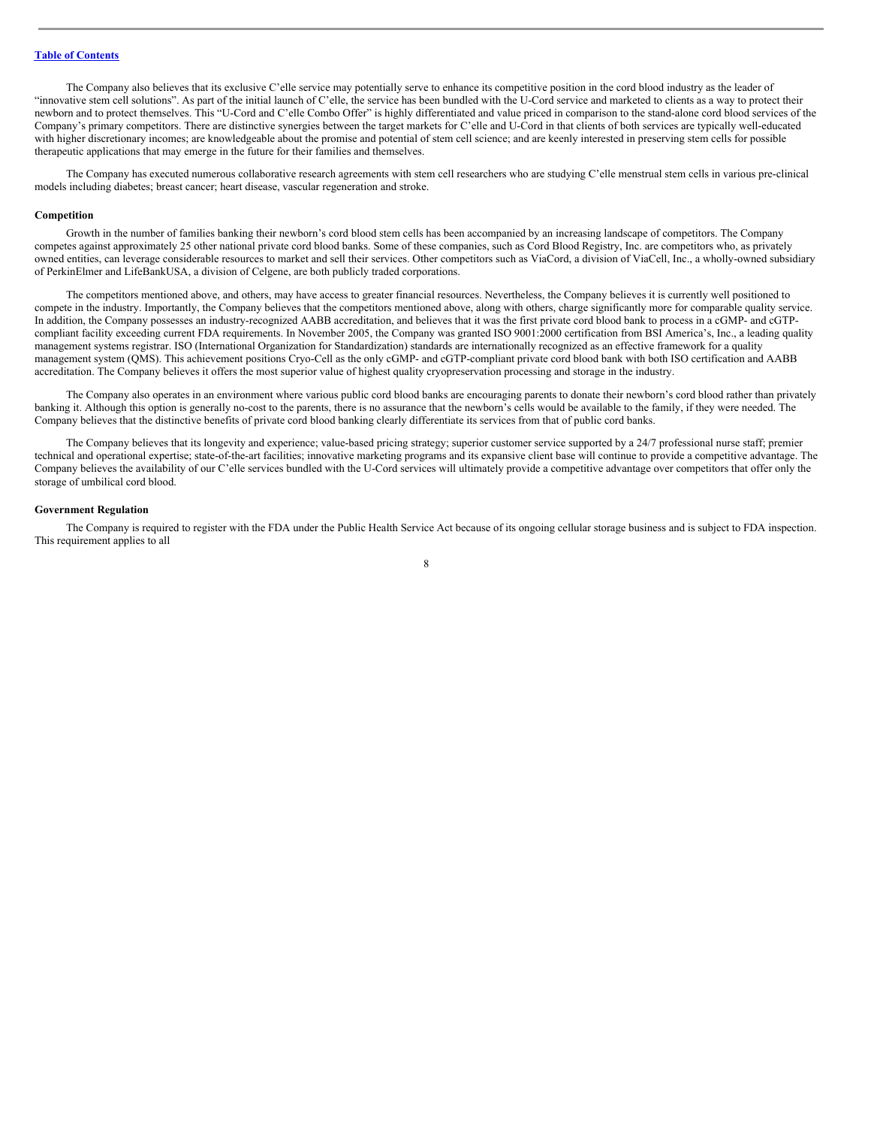The Company also believes that its exclusive C'elle service may potentially serve to enhance its competitive position in the cord blood industry as the leader of "innovative stem cell solutions". As part of the initial launch of C'elle, the service has been bundled with the U-Cord service and marketed to clients as a way to protect their newborn and to protect themselves. This "U-Cord and C'elle Combo Offer" is highly differentiated and value priced in comparison to the stand-alone cord blood services of the Company's primary competitors. There are distinctive synergies between the target markets for C'elle and U-Cord in that clients of both services are typically well-educated with higher discretionary incomes; are knowledgeable about the promise and potential of stem cell science; and are keenly interested in preserving stem cells for possible therapeutic applications that may emerge in the future for their families and themselves.

The Company has executed numerous collaborative research agreements with stem cell researchers who are studying C'elle menstrual stem cells in various pre-clinical models including diabetes; breast cancer; heart disease, vascular regeneration and stroke.

#### **Competition**

Growth in the number of families banking their newborn's cord blood stem cells has been accompanied by an increasing landscape of competitors. The Company competes against approximately 25 other national private cord blood banks. Some of these companies, such as Cord Blood Registry, Inc. are competitors who, as privately owned entities, can leverage considerable resources to market and sell their services. Other competitors such as ViaCord, a division of ViaCell, Inc., a wholly-owned subsidiary of PerkinElmer and LifeBankUSA, a division of Celgene, are both publicly traded corporations.

The competitors mentioned above, and others, may have access to greater financial resources. Nevertheless, the Company believes it is currently well positioned to compete in the industry. Importantly, the Company believes that the competitors mentioned above, along with others, charge significantly more for comparable quality service. In addition, the Company possesses an industry-recognized AABB accreditation, and believes that it was the first private cord blood bank to process in a cGMP- and cGTPcompliant facility exceeding current FDA requirements. In November 2005, the Company was granted ISO 9001:2000 certification from BSI America's, Inc., a leading quality management systems registrar. ISO (International Organization for Standardization) standards are internationally recognized as an effective framework for a quality management system (QMS). This achievement positions Cryo-Cell as the only cGMP- and cGTP-compliant private cord blood bank with both ISO certification and AABB accreditation. The Company believes it offers the most superior value of highest quality cryopreservation processing and storage in the industry.

The Company also operates in an environment where various public cord blood banks are encouraging parents to donate their newborn's cord blood rather than privately banking it. Although this option is generally no-cost to the parents, there is no assurance that the newborn's cells would be available to the family, if they were needed. The Company believes that the distinctive benefits of private cord blood banking clearly differentiate its services from that of public cord banks.

The Company believes that its longevity and experience; value-based pricing strategy; superior customer service supported by a 24/7 professional nurse staff; premier technical and operational expertise; state-of-the-art facilities; innovative marketing programs and its expansive client base will continue to provide a competitive advantage. The Company believes the availability of our C'elle services bundled with the U-Cord services will ultimately provide a competitive advantage over competitors that offer only the storage of umbilical cord blood.

#### **Government Regulation**

The Company is required to register with the FDA under the Public Health Service Act because of its ongoing cellular storage business and is subject to FDA inspection. This requirement applies to all

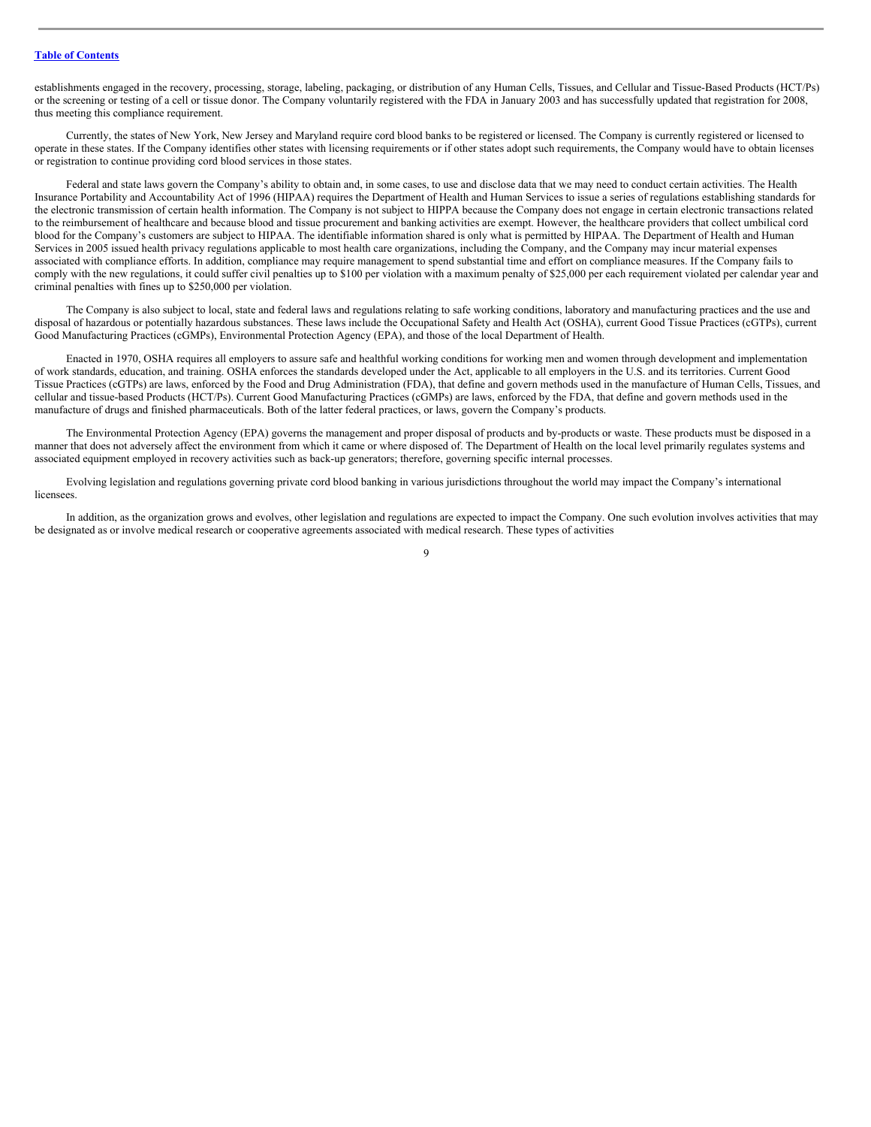establishments engaged in the recovery, processing, storage, labeling, packaging, or distribution of any Human Cells, Tissues, and Cellular and Tissue-Based Products (HCT/Ps) or the screening or testing of a cell or tissue donor. The Company voluntarily registered with the FDA in January 2003 and has successfully updated that registration for 2008, thus meeting this compliance requirement.

Currently, the states of New York, New Jersey and Maryland require cord blood banks to be registered or licensed. The Company is currently registered or licensed to operate in these states. If the Company identifies other states with licensing requirements or if other states adopt such requirements, the Company would have to obtain licenses or registration to continue providing cord blood services in those states.

Federal and state laws govern the Company's ability to obtain and, in some cases, to use and disclose data that we may need to conduct certain activities. The Health Insurance Portability and Accountability Act of 1996 (HIPAA) requires the Department of Health and Human Services to issue a series of regulations establishing standards for the electronic transmission of certain health information. The Company is not subject to HIPPA because the Company does not engage in certain electronic transactions related to the reimbursement of healthcare and because blood and tissue procurement and banking activities are exempt. However, the healthcare providers that collect umbilical cord blood for the Company's customers are subject to HIPAA. The identifiable information shared is only what is permitted by HIPAA. The Department of Health and Human Services in 2005 issued health privacy regulations applicable to most health care organizations, including the Company, and the Company may incur material expenses associated with compliance efforts. In addition, compliance may require management to spend substantial time and effort on compliance measures. If the Company fails to comply with the new regulations, it could suffer civil penalties up to \$100 per violation with a maximum penalty of \$25,000 per each requirement violated per calendar year and criminal penalties with fines up to \$250,000 per violation.

The Company is also subject to local, state and federal laws and regulations relating to safe working conditions, laboratory and manufacturing practices and the use and disposal of hazardous or potentially hazardous substances. These laws include the Occupational Safety and Health Act (OSHA), current Good Tissue Practices (cGTPs), current Good Manufacturing Practices (cGMPs), Environmental Protection Agency (EPA), and those of the local Department of Health.

Enacted in 1970, OSHA requires all employers to assure safe and healthful working conditions for working men and women through development and implementation of work standards, education, and training. OSHA enforces the standards developed under the Act, applicable to all employers in the U.S. and its territories. Current Good Tissue Practices (cGTPs) are laws, enforced by the Food and Drug Administration (FDA), that define and govern methods used in the manufacture of Human Cells, Tissues, and cellular and tissue-based Products (HCT/Ps). Current Good Manufacturing Practices (cGMPs) are laws, enforced by the FDA, that define and govern methods used in the manufacture of drugs and finished pharmaceuticals. Both of the latter federal practices, or laws, govern the Company's products.

The Environmental Protection Agency (EPA) governs the management and proper disposal of products and by-products or waste. These products must be disposed in a manner that does not adversely affect the environment from which it came or where disposed of. The Department of Health on the local level primarily regulates systems and associated equipment employed in recovery activities such as back-up generators; therefore, governing specific internal processes.

Evolving legislation and regulations governing private cord blood banking in various jurisdictions throughout the world may impact the Company's international licensees.

In addition, as the organization grows and evolves, other legislation and regulations are expected to impact the Company. One such evolution involves activities that may be designated as or involve medical research or cooperative agreements associated with medical research. These types of activities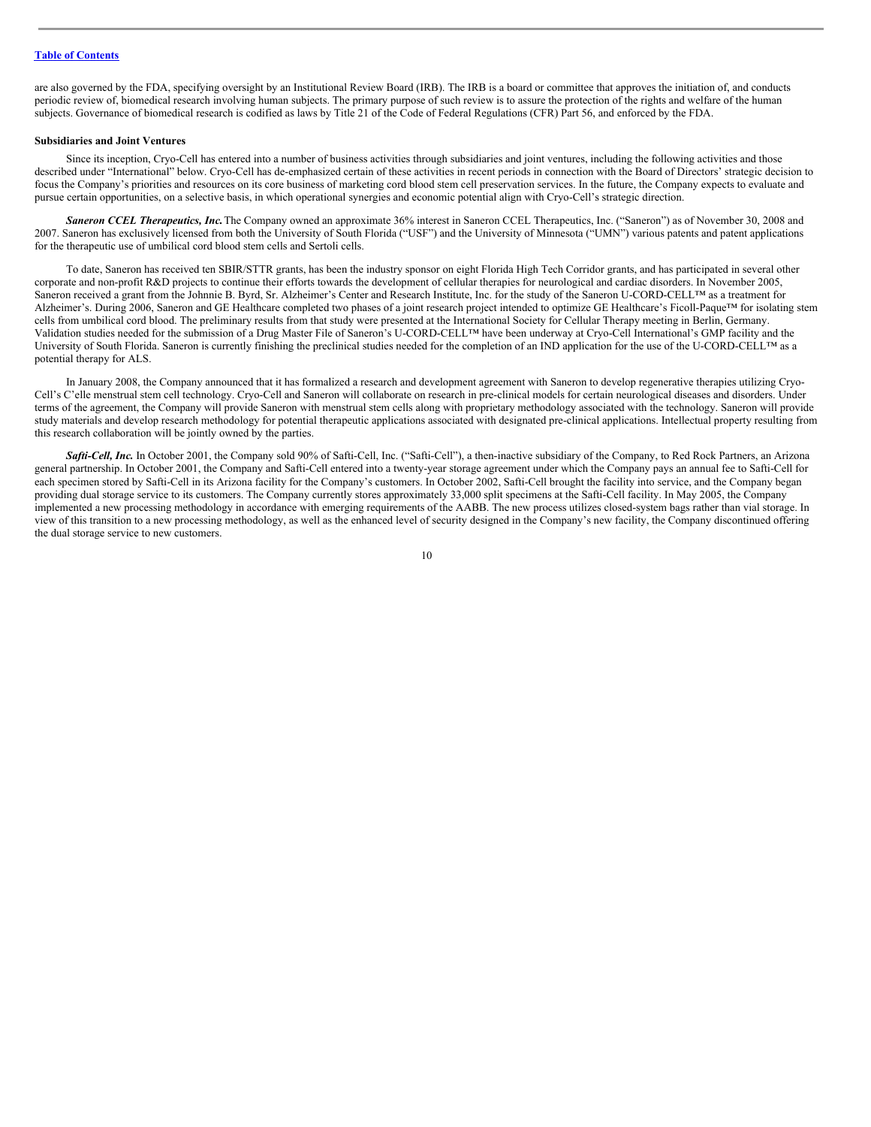are also governed by the FDA, specifying oversight by an Institutional Review Board (IRB). The IRB is a board or committee that approves the initiation of, and conducts periodic review of, biomedical research involving human subjects. The primary purpose of such review is to assure the protection of the rights and welfare of the human subjects. Governance of biomedical research is codified as laws by Title 21 of the Code of Federal Regulations (CFR) Part 56, and enforced by the FDA.

#### **Subsidiaries and Joint Ventures**

Since its inception, Cryo-Cell has entered into a number of business activities through subsidiaries and joint ventures, including the following activities and those described under "International" below. Cryo-Cell has de-emphasized certain of these activities in recent periods in connection with the Board of Directors' strategic decision to focus the Company's priorities and resources on its core business of marketing cord blood stem cell preservation services. In the future, the Company expects to evaluate and pursue certain opportunities, on a selective basis, in which operational synergies and economic potential align with Cryo-Cell's strategic direction.

*Saneron CCEL Therapeutics, Inc.*The Company owned an approximate 36% interest in Saneron CCEL Therapeutics, Inc. ("Saneron") as of November 30, 2008 and 2007. Saneron has exclusively licensed from both the University of South Florida ("USF") and the University of Minnesota ("UMN") various patents and patent applications for the therapeutic use of umbilical cord blood stem cells and Sertoli cells.

To date, Saneron has received ten SBIR/STTR grants, has been the industry sponsor on eight Florida High Tech Corridor grants, and has participated in several other corporate and non-profit R&D projects to continue their efforts towards the development of cellular therapies for neurological and cardiac disorders. In November 2005, Saneron received a grant from the Johnnie B. Byrd, Sr. Alzheimer's Center and Research Institute, Inc. for the study of the Saneron U-CORD-CELL™ as a treatment for Alzheimer's. During 2006, Saneron and GE Healthcare completed two phases of a joint research project intended to optimize GE Healthcare's Ficoll-Paque™ for isolating stem cells from umbilical cord blood. The preliminary results from that study were presented at the International Society for Cellular Therapy meeting in Berlin, Germany. Validation studies needed for the submission of a Drug Master File of Saneron's U-CORD-CELL™ have been underway at Cryo-Cell International's GMP facility and the University of South Florida. Saneron is currently finishing the preclinical studies needed for the completion of an IND application for the use of the U-CORD-CELL™ as a potential therapy for ALS.

In January 2008, the Company announced that it has formalized a research and development agreement with Saneron to develop regenerative therapies utilizing Cryo-Cell's C'elle menstrual stem cell technology. Cryo-Cell and Saneron will collaborate on research in pre-clinical models for certain neurological diseases and disorders. Under terms of the agreement, the Company will provide Saneron with menstrual stem cells along with proprietary methodology associated with the technology. Saneron will provide study materials and develop research methodology for potential therapeutic applications associated with designated pre-clinical applications. Intellectual property resulting from this research collaboration will be jointly owned by the parties.

*Safti-Cell, Inc.* In October 2001, the Company sold 90% of Safti-Cell, Inc. ("Safti-Cell"), a then-inactive subsidiary of the Company, to Red Rock Partners, an Arizona general partnership. In October 2001, the Company and Safti-Cell entered into a twenty-year storage agreement under which the Company pays an annual fee to Safti-Cell for each specimen stored by Safti-Cell in its Arizona facility for the Company's customers. In October 2002, Safti-Cell brought the facility into service, and the Company began providing dual storage service to its customers. The Company currently stores approximately 33,000 split specimens at the Safti-Cell facility. In May 2005, the Company implemented a new processing methodology in accordance with emerging requirements of the AABB. The new process utilizes closed-system bags rather than vial storage. In view of this transition to a new processing methodology, as well as the enhanced level of security designed in the Company's new facility, the Company discontinued offering the dual storage service to new customers.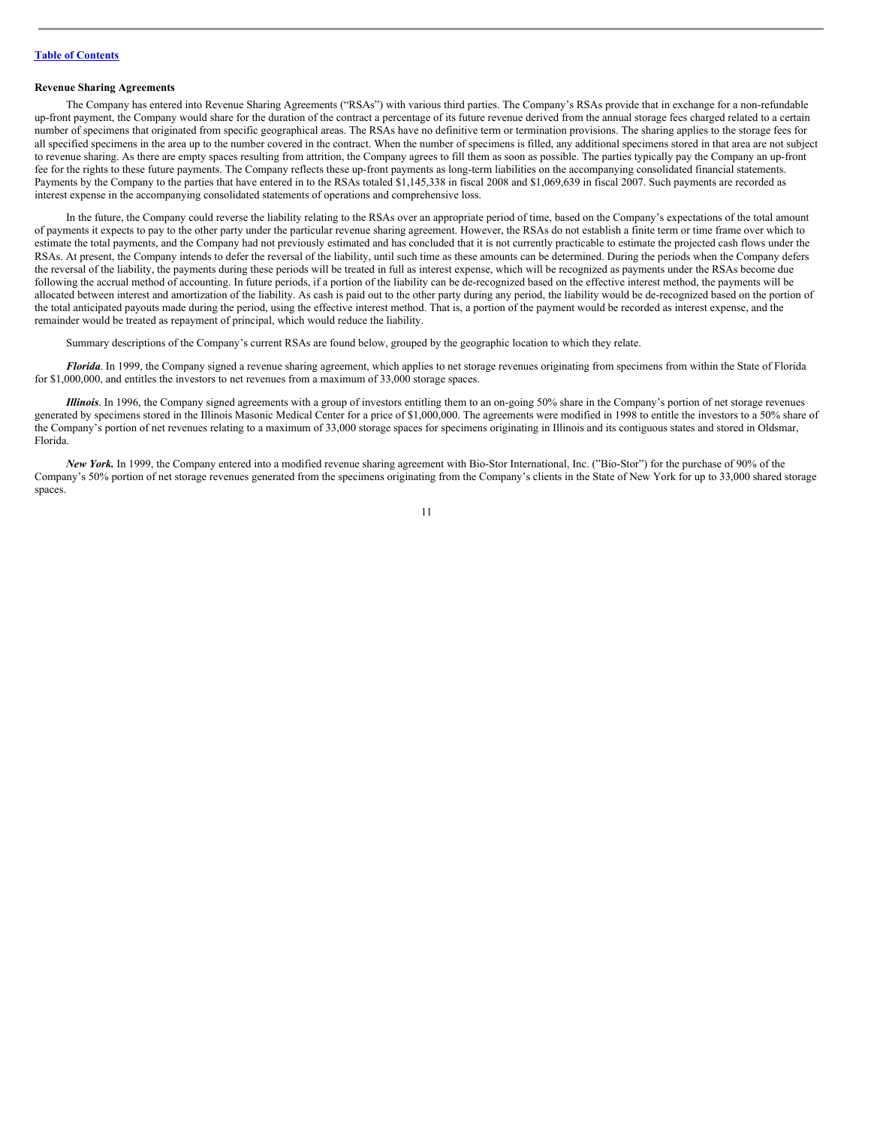## **Revenue Sharing Agreements**

The Company has entered into Revenue Sharing Agreements ("RSAs") with various third parties. The Company's RSAs provide that in exchange for a non-refundable up-front payment, the Company would share for the duration of the contract a percentage of its future revenue derived from the annual storage fees charged related to a certain number of specimens that originated from specific geographical areas. The RSAs have no definitive term or termination provisions. The sharing applies to the storage fees for all specified specimens in the area up to the number covered in the contract. When the number of specimens is filled, any additional specimens stored in that area are not subject to revenue sharing. As there are empty spaces resulting from attrition, the Company agrees to fill them as soon as possible. The parties typically pay the Company an up-front fee for the rights to these future payments. The Company reflects these up-front payments as long-term liabilities on the accompanying consolidated financial statements. Payments by the Company to the parties that have entered in to the RSAs totaled \$1,145,338 in fiscal 2008 and \$1,069,639 in fiscal 2007. Such payments are recorded as interest expense in the accompanying consolidated statements of operations and comprehensive loss.

In the future, the Company could reverse the liability relating to the RSAs over an appropriate period of time, based on the Company's expectations of the total amount of payments it expects to pay to the other party under the particular revenue sharing agreement. However, the RSAs do not establish a finite term or time frame over which to estimate the total payments, and the Company had not previously estimated and has concluded that it is not currently practicable to estimate the projected cash flows under the RSAs. At present, the Company intends to defer the reversal of the liability, until such time as these amounts can be determined. During the periods when the Company defers the reversal of the liability, the payments during these periods will be treated in full as interest expense, which will be recognized as payments under the RSAs become due following the accrual method of accounting. In future periods, if a portion of the liability can be de-recognized based on the effective interest method, the payments will be allocated between interest and amortization of the liability. As cash is paid out to the other party during any period, the liability would be de-recognized based on the portion of the total anticipated payouts made during the period, using the effective interest method. That is, a portion of the payment would be recorded as interest expense, and the remainder would be treated as repayment of principal, which would reduce the liability.

Summary descriptions of the Company's current RSAs are found below, grouped by the geographic location to which they relate.

*Florida*. In 1999, the Company signed a revenue sharing agreement, which applies to net storage revenues originating from specimens from within the State of Florida for \$1,000,000, and entitles the investors to net revenues from a maximum of 33,000 storage spaces.

*Illinois*. In 1996, the Company signed agreements with a group of investors entitling them to an on-going 50% share in the Company's portion of net storage revenues generated by specimens stored in the Illinois Masonic Medical Center for a price of \$1,000,000. The agreements were modified in 1998 to entitle the investors to a 50% share of the Company's portion of net revenues relating to a maximum of 33,000 storage spaces for specimens originating in Illinois and its contiguous states and stored in Oldsmar, Florida.

*New York.* In 1999, the Company entered into a modified revenue sharing agreement with Bio-Stor International, Inc. ("Bio-Stor") for the purchase of 90% of the Company's 50% portion of net storage revenues generated from the specimens originating from the Company's clients in the State of New York for up to 33,000 shared storage spaces.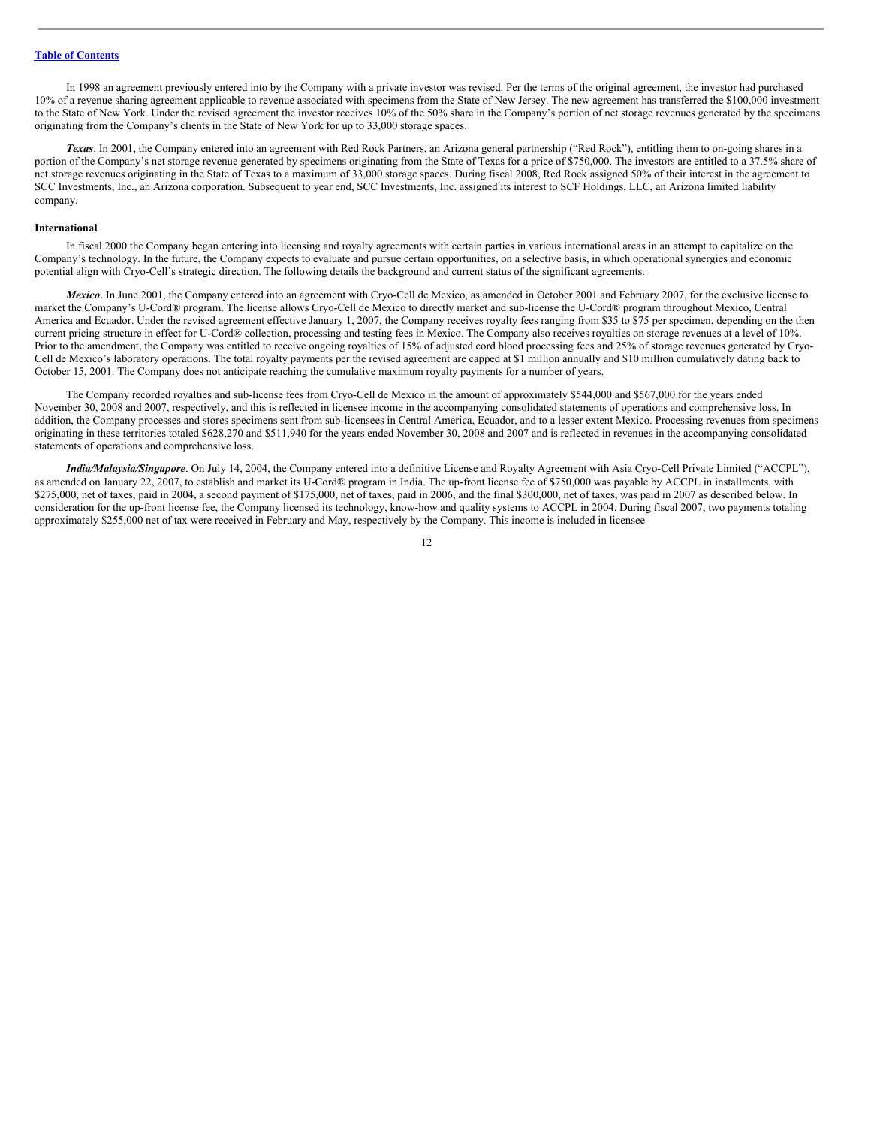In 1998 an agreement previously entered into by the Company with a private investor was revised. Per the terms of the original agreement, the investor had purchased 10% of a revenue sharing agreement applicable to revenue associated with specimens from the State of New Jersey. The new agreement has transferred the \$100,000 investment to the State of New York. Under the revised agreement the investor receives 10% of the 50% share in the Company's portion of net storage revenues generated by the specimens originating from the Company's clients in the State of New York for up to 33,000 storage spaces.

*Texas*. In 2001, the Company entered into an agreement with Red Rock Partners, an Arizona general partnership ("Red Rock"), entitling them to on-going shares in a portion of the Company's net storage revenue generated by specimens originating from the State of Texas for a price of \$750,000. The investors are entitled to a 37.5% share of net storage revenues originating in the State of Texas to a maximum of 33,000 storage spaces. During fiscal 2008, Red Rock assigned 50% of their interest in the agreement to SCC Investments, Inc., an Arizona corporation. Subsequent to year end, SCC Investments, Inc. assigned its interest to SCF Holdings, LLC, an Arizona limited liability company.

#### **International**

In fiscal 2000 the Company began entering into licensing and royalty agreements with certain parties in various international areas in an attempt to capitalize on the Company's technology. In the future, the Company expects to evaluate and pursue certain opportunities, on a selective basis, in which operational synergies and economic potential align with Cryo-Cell's strategic direction. The following details the background and current status of the significant agreements.

*Mexico*. In June 2001, the Company entered into an agreement with Cryo-Cell de Mexico, as amended in October 2001 and February 2007, for the exclusive license to market the Company's U-Cord® program. The license allows Cryo-Cell de Mexico to directly market and sub-license the U-Cord® program throughout Mexico, Central America and Ecuador. Under the revised agreement effective January 1, 2007, the Company receives royalty fees ranging from \$35 to \$75 per specimen, depending on the then current pricing structure in effect for U-Cord® collection, processing and testing fees in Mexico. The Company also receives royalties on storage revenues at a level of 10%. Prior to the amendment, the Company was entitled to receive ongoing royalties of 15% of adjusted cord blood processing fees and 25% of storage revenues generated by Cryo-Cell de Mexico's laboratory operations. The total royalty payments per the revised agreement are capped at \$1 million annually and \$10 million cumulatively dating back to October 15, 2001. The Company does not anticipate reaching the cumulative maximum royalty payments for a number of years.

The Company recorded royalties and sub-license fees from Cryo-Cell de Mexico in the amount of approximately \$544,000 and \$567,000 for the years ended November 30, 2008 and 2007, respectively, and this is reflected in licensee income in the accompanying consolidated statements of operations and comprehensive loss. In addition, the Company processes and stores specimens sent from sub-licensees in Central America, Ecuador, and to a lesser extent Mexico. Processing revenues from specimens originating in these territories totaled \$628,270 and \$511,940 for the years ended November 30, 2008 and 2007 and is reflected in revenues in the accompanying consolidated statements of operations and comprehensive loss.

*India/Malaysia/Singapore*. On July 14, 2004, the Company entered into a definitive License and Royalty Agreement with Asia Cryo-Cell Private Limited ("ACCPL"), as amended on January 22, 2007, to establish and market its U-Cord® program in India. The up-front license fee of \$750,000 was payable by ACCPL in installments, with \$275,000, net of taxes, paid in 2004, a second payment of \$175,000, net of taxes, paid in 2006, and the final \$300,000, net of taxes, was paid in 2007 as described below. In consideration for the up-front license fee, the Company licensed its technology, know-how and quality systems to ACCPL in 2004. During fiscal 2007, two payments totaling approximately \$255,000 net of tax were received in February and May, respectively by the Company. This income is included in licensee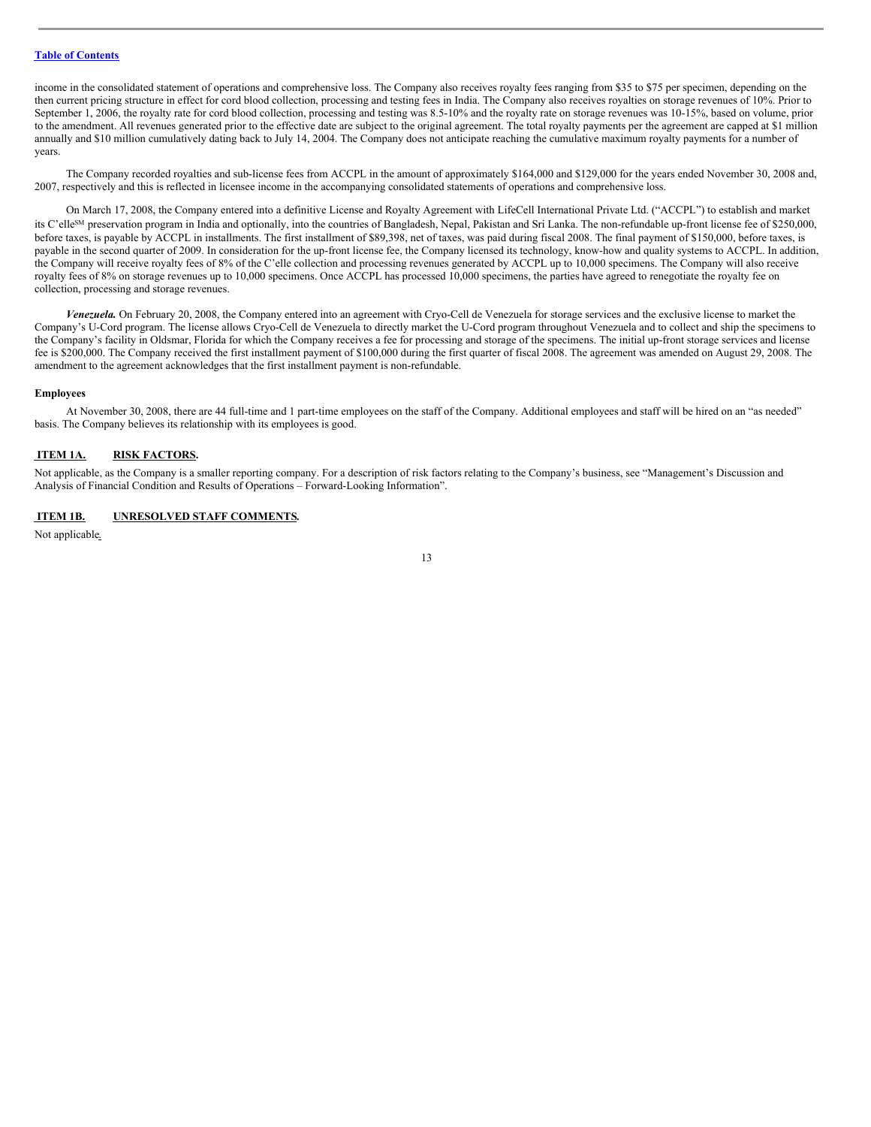income in the consolidated statement of operations and comprehensive loss. The Company also receives royalty fees ranging from \$35 to \$75 per specimen, depending on the then current pricing structure in effect for cord blood collection, processing and testing fees in India. The Company also receives royalties on storage revenues of 10%. Prior to September 1, 2006, the royalty rate for cord blood collection, processing and testing was 8.5-10% and the royalty rate on storage revenues was 10-15%, based on volume, prior to the amendment. All revenues generated prior to the effective date are subject to the original agreement. The total royalty payments per the agreement are capped at \$1 million annually and \$10 million cumulatively dating back to July 14, 2004. The Company does not anticipate reaching the cumulative maximum royalty payments for a number of years.

The Company recorded royalties and sub-license fees from ACCPL in the amount of approximately \$164,000 and \$129,000 for the years ended November 30, 2008 and, 2007, respectively and this is reflected in licensee income in the accompanying consolidated statements of operations and comprehensive loss.

On March 17, 2008, the Company entered into a definitive License and Royalty Agreement with LifeCell International Private Ltd. ("ACCPL") to establish and market its C'elle<sup>SM</sup> preservation program in India and optionally, into the countries of Bangladesh, Nepal, Pakistan and Sri Lanka. The non-refundable up-front license fee of \$250,000, before taxes, is payable by ACCPL in installments. The first installment of \$89,398, net of taxes, was paid during fiscal 2008. The final payment of \$150,000, before taxes, is payable in the second quarter of 2009. In consideration for the up-front license fee, the Company licensed its technology, know-how and quality systems to ACCPL. In addition, the Company will receive royalty fees of 8% of the C'elle collection and processing revenues generated by ACCPL up to 10,000 specimens. The Company will also receive royalty fees of 8% on storage revenues up to 10,000 specimens. Once ACCPL has processed 10,000 specimens, the parties have agreed to renegotiate the royalty fee on collection, processing and storage revenues.

*Venezuela.* On February 20, 2008, the Company entered into an agreement with Cryo-Cell de Venezuela for storage services and the exclusive license to market the Company's U-Cord program. The license allows Cryo-Cell de Venezuela to directly market the U-Cord program throughout Venezuela and to collect and ship the specimens to the Company's facility in Oldsmar, Florida for which the Company receives a fee for processing and storage of the specimens. The initial up-front storage services and license fee is \$200,000. The Company received the first installment payment of \$100,000 during the first quarter of fiscal 2008. The agreement was amended on August 29, 2008. The amendment to the agreement acknowledges that the first installment payment is non-refundable.

#### **Employees**

At November 30, 2008, there are 44 full-time and 1 part-time employees on the staff of the Company. Additional employees and staff will be hired on an "as needed" basis. The Company believes its relationship with its employees is good.

## <span id="page-12-0"></span>**ITEM 1A. RISK FACTORS.**

Not applicable, as the Company is a smaller reporting company. For a description of risk factors relating to the Company's business, see "Management's Discussion and Analysis of Financial Condition and Results of Operations – Forward-Looking Information".

## <span id="page-12-1"></span>**ITEM 1B. UNRESOLVED STAFF COMMENTS.**

Not applicable.

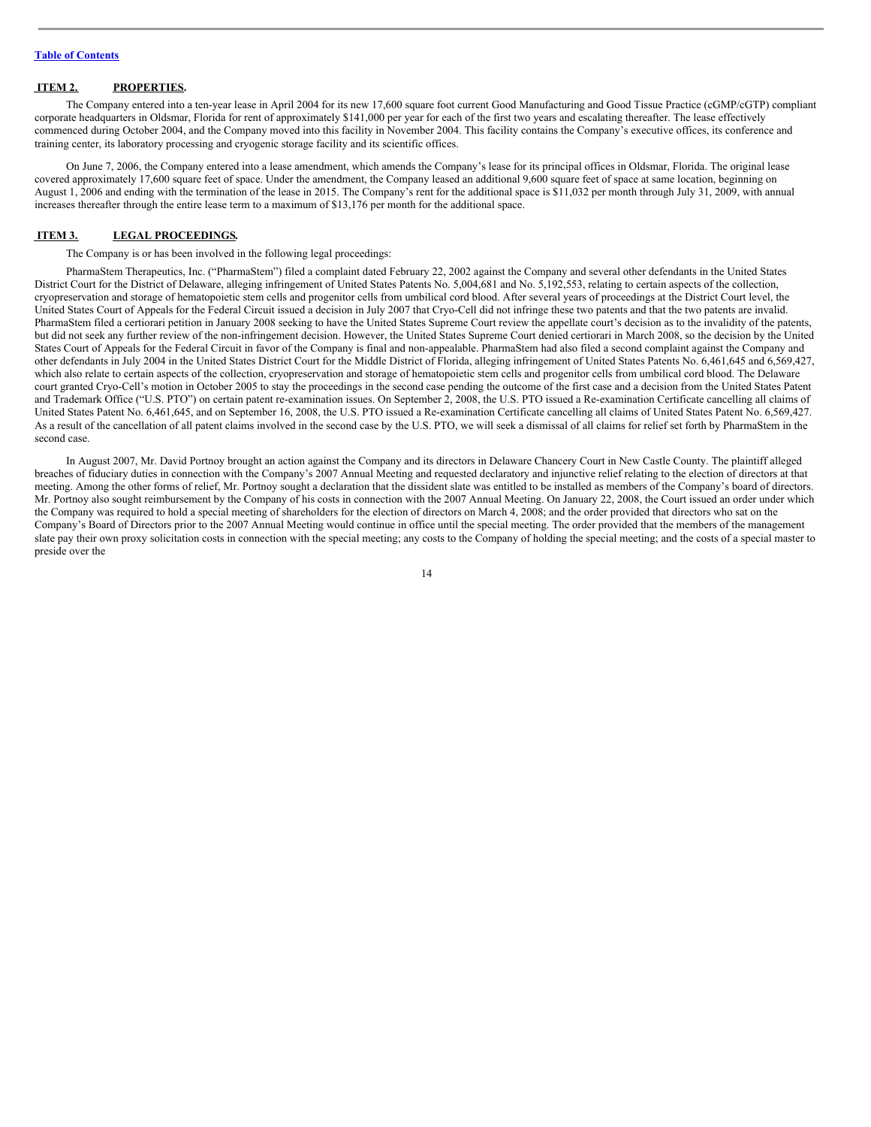## <span id="page-13-0"></span>**ITEM 2. PROPERTIES.**

The Company entered into a ten-year lease in April 2004 for its new 17,600 square foot current Good Manufacturing and Good Tissue Practice (cGMP/cGTP) compliant corporate headquarters in Oldsmar, Florida for rent of approximately \$141,000 per year for each of the first two years and escalating thereafter. The lease effectively commenced during October 2004, and the Company moved into this facility in November 2004. This facility contains the Company's executive offices, its conference and training center, its laboratory processing and cryogenic storage facility and its scientific offices.

On June 7, 2006, the Company entered into a lease amendment, which amends the Company's lease for its principal offices in Oldsmar, Florida. The original lease covered approximately 17,600 square feet of space. Under the amendment, the Company leased an additional 9,600 square feet of space at same location, beginning on August 1, 2006 and ending with the termination of the lease in 2015. The Company's rent for the additional space is \$11,032 per month through July 31, 2009, with annual increases thereafter through the entire lease term to a maximum of \$13,176 per month for the additional space.

## <span id="page-13-1"></span>**ITEM 3. LEGAL PROCEEDINGS.**

The Company is or has been involved in the following legal proceedings:

PharmaStem Therapeutics, Inc. ("PharmaStem") filed a complaint dated February 22, 2002 against the Company and several other defendants in the United States District Court for the District of Delaware, alleging infringement of United States Patents No. 5,004,681 and No. 5,192,553, relating to certain aspects of the collection, cryopreservation and storage of hematopoietic stem cells and progenitor cells from umbilical cord blood. After several years of proceedings at the District Court level, the United States Court of Appeals for the Federal Circuit issued a decision in July 2007 that Cryo-Cell did not infringe these two patents and that the two patents are invalid. PharmaStem filed a certiorari petition in January 2008 seeking to have the United States Supreme Court review the appellate court's decision as to the invalidity of the patents, but did not seek any further review of the non-infringement decision. However, the United States Supreme Court denied certiorari in March 2008, so the decision by the United States Court of Appeals for the Federal Circuit in favor of the Company is final and non-appealable. PharmaStem had also filed a second complaint against the Company and other defendants in July 2004 in the United States District Court for the Middle District of Florida, alleging infringement of United States Patents No. 6,461,645 and 6,569,427, which also relate to certain aspects of the collection, cryopreservation and storage of hematopoietic stem cells and progenitor cells from umbilical cord blood. The Delaware court granted Cryo-Cell's motion in October 2005 to stay the proceedings in the second case pending the outcome of the first case and a decision from the United States Patent and Trademark Office ("U.S. PTO") on certain patent re-examination issues. On September 2, 2008, the U.S. PTO issued a Re-examination Certificate cancelling all claims of United States Patent No. 6,461,645, and on September 16, 2008, the U.S. PTO issued a Re-examination Certificate cancelling all claims of United States Patent No. 6,569,427. As a result of the cancellation of all patent claims involved in the second case by the U.S. PTO, we will seek a dismissal of all claims for relief set forth by PharmaStem in the second case.

In August 2007, Mr. David Portnoy brought an action against the Company and its directors in Delaware Chancery Court in New Castle County. The plaintiff alleged breaches of fiduciary duties in connection with the Company's 2007 Annual Meeting and requested declaratory and injunctive relief relating to the election of directors at that meeting. Among the other forms of relief, Mr. Portnoy sought a declaration that the dissident slate was entitled to be installed as members of the Company's board of directors. Mr. Portnoy also sought reimbursement by the Company of his costs in connection with the 2007 Annual Meeting. On January 22, 2008, the Court issued an order under which the Company was required to hold a special meeting of shareholders for the election of directors on March 4, 2008; and the order provided that directors who sat on the Company's Board of Directors prior to the 2007 Annual Meeting would continue in office until the special meeting. The order provided that the members of the management slate pay their own proxy solicitation costs in connection with the special meeting; any costs to the Company of holding the special meeting; and the costs of a special master to preside over the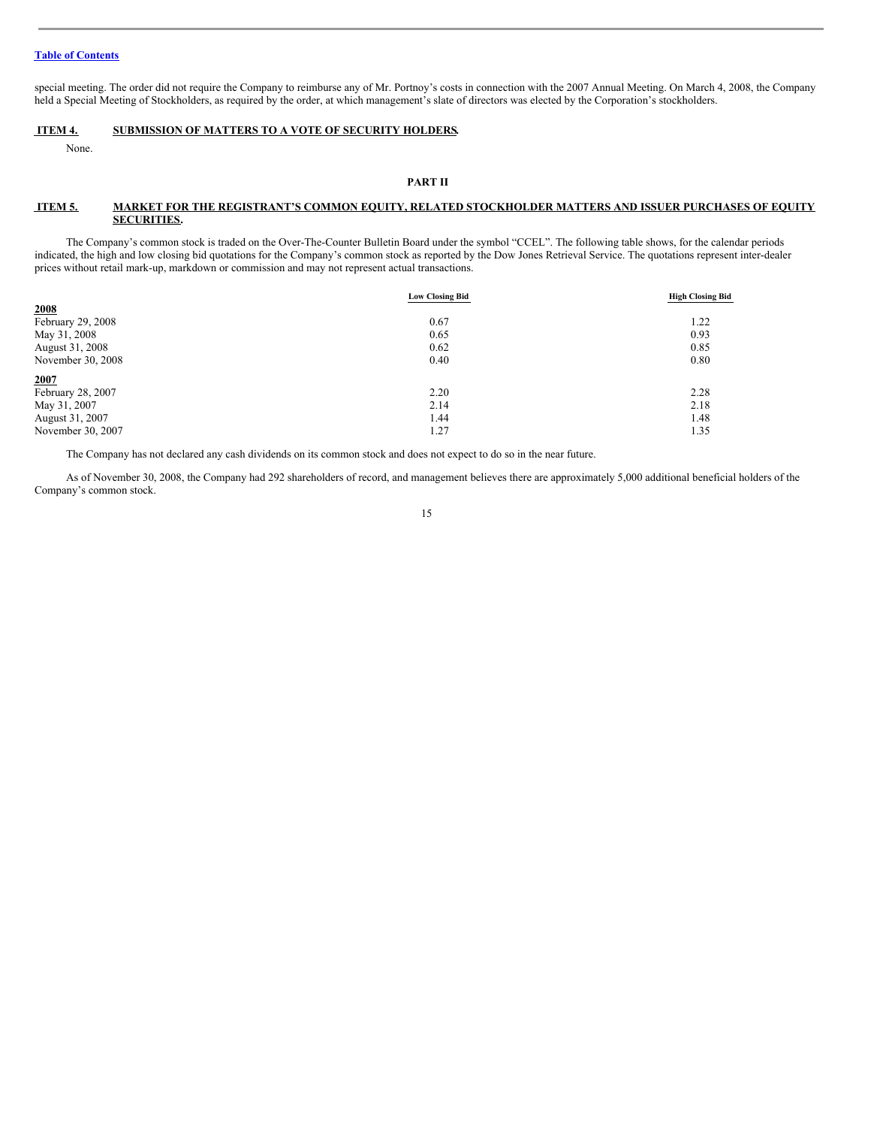special meeting. The order did not require the Company to reimburse any of Mr. Portnoy's costs in connection with the 2007 Annual Meeting. On March 4, 2008, the Company held a Special Meeting of Stockholders, as required by the order, at which management's slate of directors was elected by the Corporation's stockholders.

## <span id="page-14-0"></span>**ITEM 4. SUBMISSION OF MATTERS TO A VOTE OF SECURITY HOLDERS.**

None.

## <span id="page-14-1"></span>**PART II**

## <span id="page-14-2"></span>**ITEM 5. MARKET FOR THE REGISTRANT'S COMMON EQUITY, RELATED STOCKHOLDER MATTERS AND ISSUER PURCHASES OF EQUITY SECURITIES.**

The Company's common stock is traded on the Over-The-Counter Bulletin Board under the symbol "CCEL". The following table shows, for the calendar periods indicated, the high and low closing bid quotations for the Company's common stock as reported by the Dow Jones Retrieval Service. The quotations represent inter-dealer prices without retail mark-up, markdown or commission and may not represent actual transactions.

|                   | <b>Low Closing Bid</b> | <b>High Closing Bid</b> |
|-------------------|------------------------|-------------------------|
| 2008              |                        |                         |
| February 29, 2008 | 0.67                   | 1.22                    |
| May 31, 2008      | 0.65                   | 0.93                    |
| August 31, 2008   | 0.62                   | 0.85                    |
| November 30, 2008 | 0.40                   | 0.80                    |
| 2007              |                        |                         |
| February 28, 2007 | 2.20                   | 2.28                    |
| May 31, 2007      | 2.14                   | 2.18                    |
| August 31, 2007   | 1.44                   | 1.48                    |
| November 30, 2007 | 1.27                   | 1.35                    |

The Company has not declared any cash dividends on its common stock and does not expect to do so in the near future.

As of November 30, 2008, the Company had 292 shareholders of record, and management believes there are approximately 5,000 additional beneficial holders of the Company's common stock.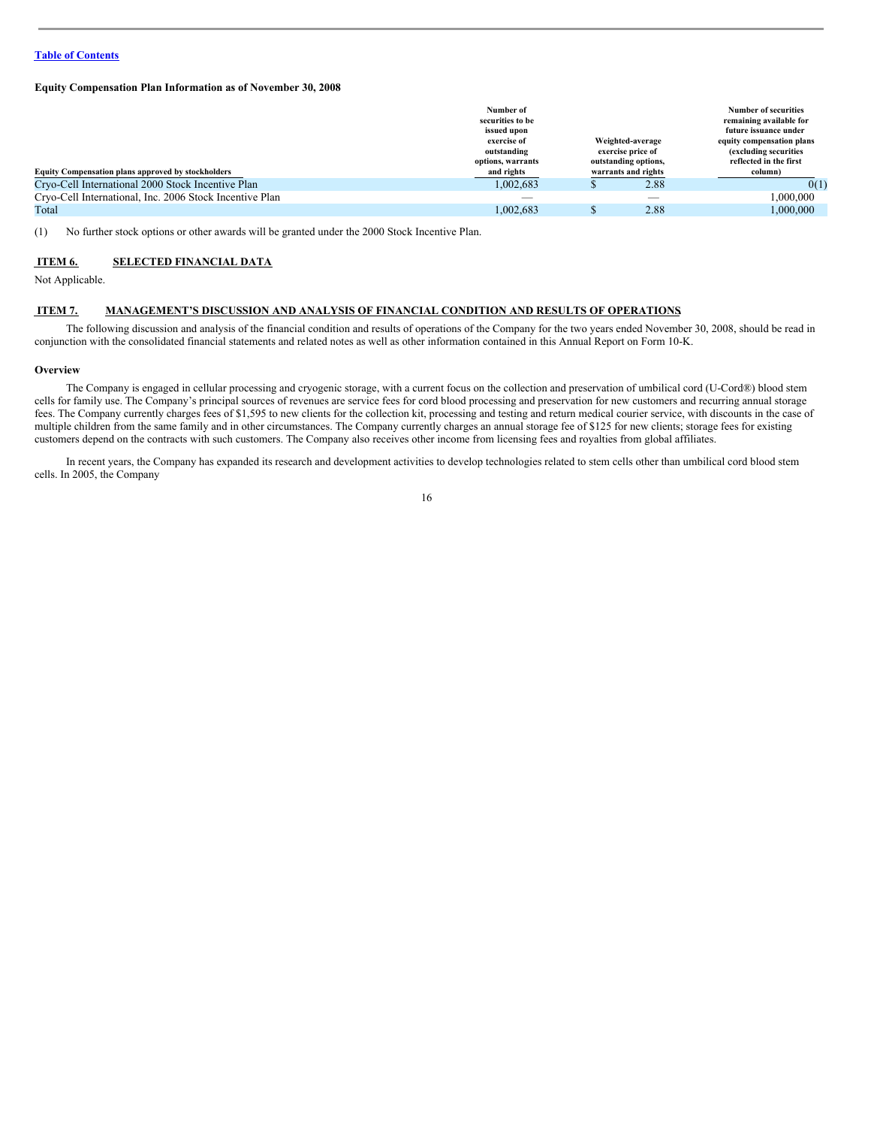## **Equity Compensation Plan Information as of November 30, 2008**

|                                                           | Number of<br>securities to be<br>issued upon<br>exercise of<br>outstanding<br>options, warrants | Weighted-average<br>exercise price of<br>outstanding options, | <b>Number of securities</b><br>remaining available for<br>future issuance under<br>equity compensation plans<br>(excluding securities)<br>reflected in the first |
|-----------------------------------------------------------|-------------------------------------------------------------------------------------------------|---------------------------------------------------------------|------------------------------------------------------------------------------------------------------------------------------------------------------------------|
| <b>Equity Compensation plans approved by stockholders</b> | and rights                                                                                      | warrants and rights                                           | column)                                                                                                                                                          |
| Cryo-Cell International 2000 Stock Incentive Plan         | 1.002.683                                                                                       | 2.88                                                          | 0(1)                                                                                                                                                             |
| Cryo-Cell International, Inc. 2006 Stock Incentive Plan   |                                                                                                 | __                                                            | 1.000.000                                                                                                                                                        |
| Total                                                     | 1.002.683                                                                                       | 2.88                                                          | 000,000.1                                                                                                                                                        |

(1) No further stock options or other awards will be granted under the 2000 Stock Incentive Plan.

#### <span id="page-15-0"></span>**ITEM 6. SELECTED FINANCIAL DATA**

Not Applicable.

## <span id="page-15-1"></span>**ITEM 7. MANAGEMENT'S DISCUSSION AND ANALYSIS OF FINANCIAL CONDITION AND RESULTS OF OPERATIONS.**

The following discussion and analysis of the financial condition and results of operations of the Company for the two years ended November 30, 2008, should be read in conjunction with the consolidated financial statements and related notes as well as other information contained in this Annual Report on Form 10-K.

## **Overview**

The Company is engaged in cellular processing and cryogenic storage, with a current focus on the collection and preservation of umbilical cord (U-Cord®) blood stem cells for family use. The Company's principal sources of revenues are service fees for cord blood processing and preservation for new customers and recurring annual storage fees. The Company currently charges fees of \$1,595 to new clients for the collection kit, processing and testing and return medical courier service, with discounts in the case of multiple children from the same family and in other circumstances. The Company currently charges an annual storage fee of \$125 for new clients; storage fees for existing customers depend on the contracts with such customers. The Company also receives other income from licensing fees and royalties from global affiliates.

In recent years, the Company has expanded its research and development activities to develop technologies related to stem cells other than umbilical cord blood stem cells. In 2005, the Company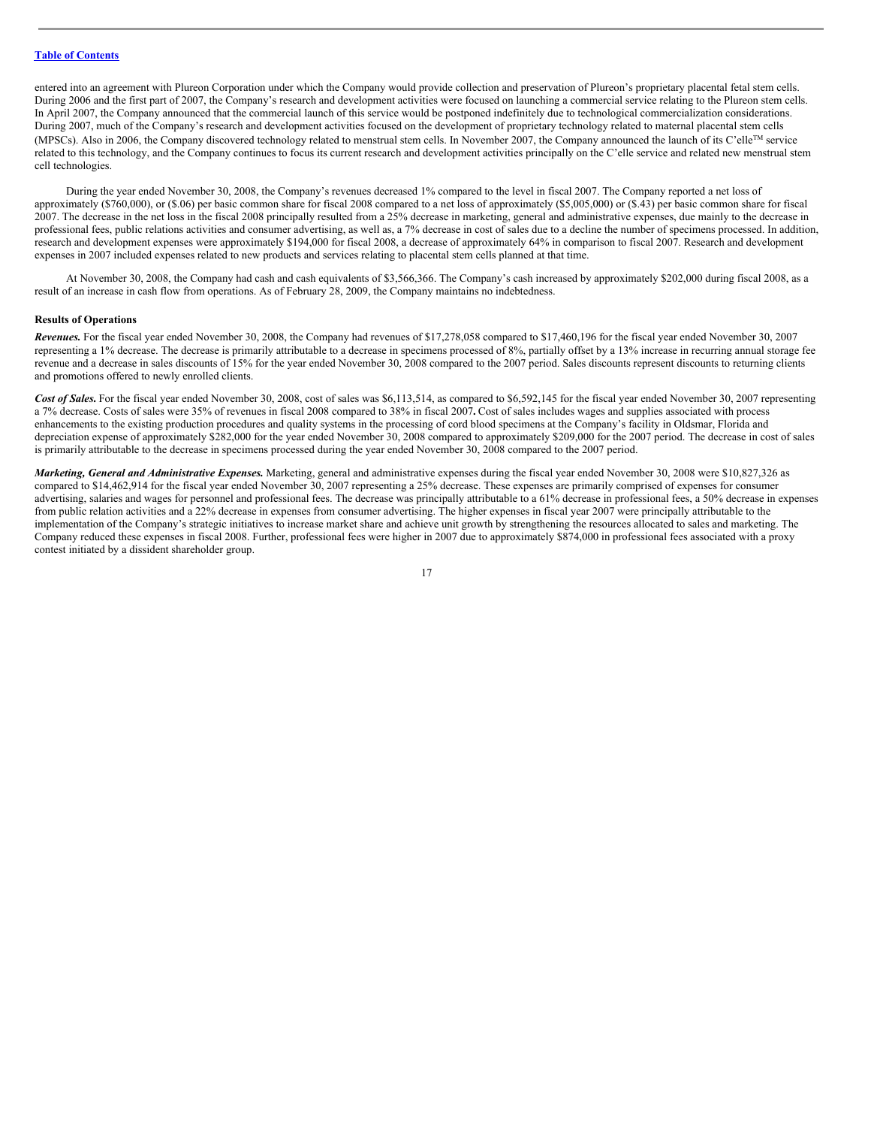entered into an agreement with Plureon Corporation under which the Company would provide collection and preservation of Plureon's proprietary placental fetal stem cells. During 2006 and the first part of 2007, the Company's research and development activities were focused on launching a commercial service relating to the Plureon stem cells. In April 2007, the Company announced that the commercial launch of this service would be postponed indefinitely due to technological commercialization considerations. During 2007, much of the Company's research and development activities focused on the development of proprietary technology related to maternal placental stem cells (MPSCs). Also in 2006, the Company discovered technology related to menstrual stem cells. In November 2007, the Company announced the launch of its C'elle™ service related to this technology, and the Company continues to focus its current research and development activities principally on the C'elle service and related new menstrual stem cell technologies.

During the year ended November 30, 2008, the Company's revenues decreased 1% compared to the level in fiscal 2007. The Company reported a net loss of approximately (\$760,000), or (\$.06) per basic common share for fiscal 2008 compared to a net loss of approximately (\$5,005,000) or (\$.43) per basic common share for fiscal 2007. The decrease in the net loss in the fiscal 2008 principally resulted from a 25% decrease in marketing, general and administrative expenses, due mainly to the decrease in professional fees, public relations activities and consumer advertising, as well as, a 7% decrease in cost of sales due to a decline the number of specimens processed. In addition, research and development expenses were approximately \$194,000 for fiscal 2008, a decrease of approximately 64% in comparison to fiscal 2007. Research and development expenses in 2007 included expenses related to new products and services relating to placental stem cells planned at that time.

At November 30, 2008, the Company had cash and cash equivalents of \$3,566,366. The Company's cash increased by approximately \$202,000 during fiscal 2008, as a result of an increase in cash flow from operations. As of February 28, 2009, the Company maintains no indebtedness.

## **Results of Operations**

*Revenues.* For the fiscal year ended November 30, 2008, the Company had revenues of \$17,278,058 compared to \$17,460,196 for the fiscal year ended November 30, 2007 representing a 1% decrease. The decrease is primarily attributable to a decrease in specimens processed of 8%, partially offset by a 13% increase in recurring annual storage fee revenue and a decrease in sales discounts of 15% for the year ended November 30, 2008 compared to the 2007 period. Sales discounts represent discounts to returning clients and promotions offered to newly enrolled clients.

Cost of Sales. For the fiscal year ended November 30, 2008, cost of sales was \$6,113,514, as compared to \$6,592,145 for the fiscal year ended November 30, 2007 representing a 7% decrease. Costs of sales were 35% of revenues in fiscal 2008 compared to 38% in fiscal 2007**.** Cost of sales includes wages and supplies associated with process enhancements to the existing production procedures and quality systems in the processing of cord blood specimens at the Company's facility in Oldsmar, Florida and depreciation expense of approximately \$282,000 for the year ended November 30, 2008 compared to approximately \$209,000 for the 2007 period. The decrease in cost of sales is primarily attributable to the decrease in specimens processed during the year ended November 30, 2008 compared to the 2007 period.

*Marketing, General and Administrative Expenses.* Marketing, general and administrative expenses during the fiscal year ended November 30, 2008 were \$10,827,326 as compared to \$14,462,914 for the fiscal year ended November 30, 2007 representing a 25% decrease. These expenses are primarily comprised of expenses for consumer advertising, salaries and wages for personnel and professional fees. The decrease was principally attributable to a 61% decrease in professional fees, a 50% decrease in expenses from public relation activities and a 22% decrease in expenses from consumer advertising. The higher expenses in fiscal year 2007 were principally attributable to the implementation of the Company's strategic initiatives to increase market share and achieve unit growth by strengthening the resources allocated to sales and marketing. The Company reduced these expenses in fiscal 2008. Further, professional fees were higher in 2007 due to approximately \$874,000 in professional fees associated with a proxy contest initiated by a dissident shareholder group.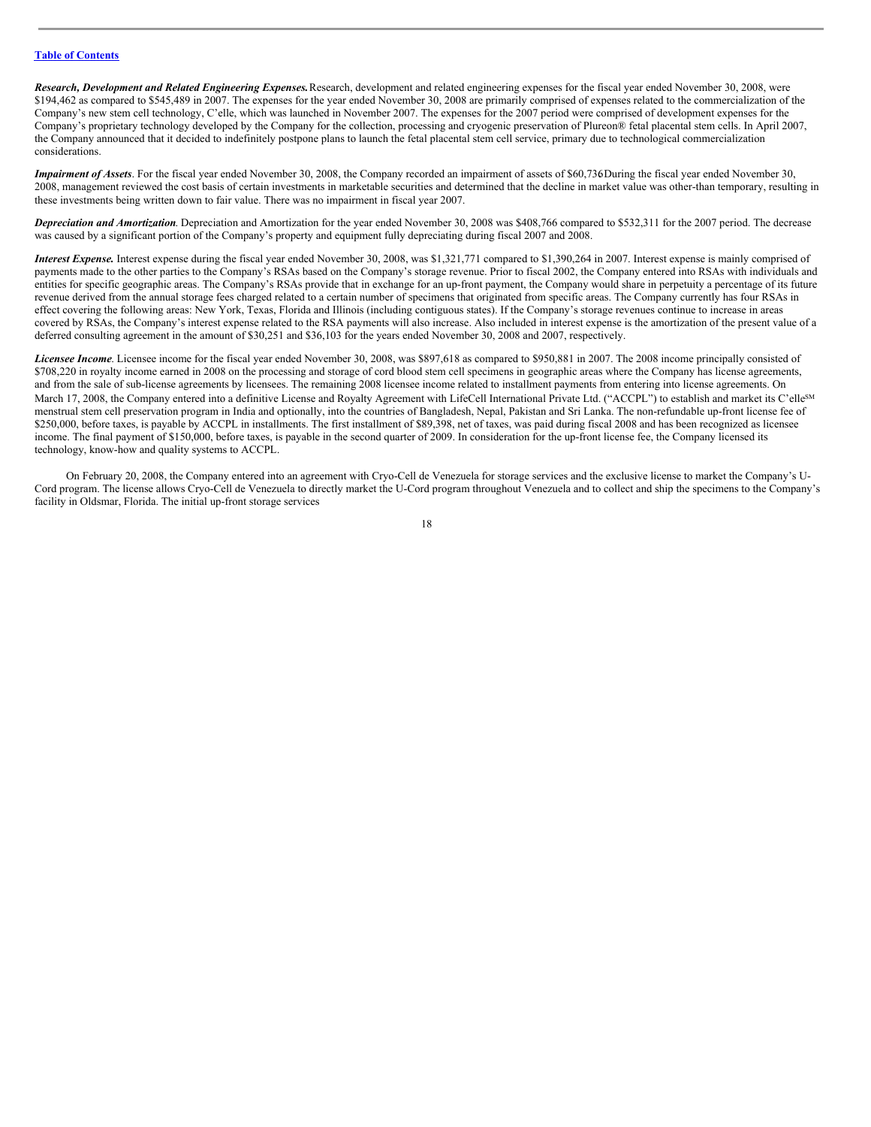*Research, Development and Related Engineering Expenses.*Research, development and related engineering expenses for the fiscal year ended November 30, 2008, were \$194,462 as compared to \$545,489 in 2007. The expenses for the year ended November 30, 2008 are primarily comprised of expenses related to the commercialization of the Company's new stem cell technology, C'elle, which was launched in November 2007. The expenses for the 2007 period were comprised of development expenses for the Company's proprietary technology developed by the Company for the collection, processing and cryogenic preservation of Plureon® fetal placental stem cells. In April 2007, the Company announced that it decided to indefinitely postpone plans to launch the fetal placental stem cell service, primary due to technological commercialization considerations.

*Impairment of Assets*. For the fiscal year ended November 30, 2008, the Company recorded an impairment of assets of \$60,736 During the fiscal year ended November 30, 2008, management reviewed the cost basis of certain investments in marketable securities and determined that the decline in market value was other-than temporary, resulting in these investments being written down to fair value. There was no impairment in fiscal year 2007.

*Depreciation and Amortization*. Depreciation and Amortization for the year ended November 30, 2008 was \$408,766 compared to \$532,311 for the 2007 period. The decrease was caused by a significant portion of the Company's property and equipment fully depreciating during fiscal 2007 and 2008.

*Interest Expense.* Interest expense during the fiscal year ended November 30, 2008, was \$1,321,771 compared to \$1,390,264 in 2007. Interest expense is mainly comprised of payments made to the other parties to the Company's RSAs based on the Company's storage revenue. Prior to fiscal 2002, the Company entered into RSAs with individuals and entities for specific geographic areas. The Company's RSAs provide that in exchange for an up-front payment, the Company would share in perpetuity a percentage of its future revenue derived from the annual storage fees charged related to a certain number of specimens that originated from specific areas. The Company currently has four RSAs in effect covering the following areas: New York, Texas, Florida and Illinois (including contiguous states). If the Company's storage revenues continue to increase in areas covered by RSAs, the Company's interest expense related to the RSA payments will also increase. Also included in interest expense is the amortization of the present value of a deferred consulting agreement in the amount of \$30,251 and \$36,103 for the years ended November 30, 2008 and 2007, respectively.

*Licensee Income*. Licensee income for the fiscal year ended November 30, 2008, was \$897,618 as compared to \$950,881 in 2007. The 2008 income principally consisted of \$708,220 in royalty income earned in 2008 on the processing and storage of cord blood stem cell specimens in geographic areas where the Company has license agreements, and from the sale of sub-license agreements by licensees. The remaining 2008 licensee income related to installment payments from entering into license agreements. On March 17, 2008, the Company entered into a definitive License and Royalty Agreement with LifeCell International Private Ltd. ("ACCPL") to establish and market its C'elle<sup>SM</sup> menstrual stem cell preservation program in India and optionally, into the countries of Bangladesh, Nepal, Pakistan and Sri Lanka. The non-refundable up-front license fee of \$250,000, before taxes, is payable by ACCPL in installments. The first installment of \$89,398, net of taxes, was paid during fiscal 2008 and has been recognized as licensee income. The final payment of \$150,000, before taxes, is payable in the second quarter of 2009. In consideration for the up-front license fee, the Company licensed its technology, know-how and quality systems to ACCPL.

On February 20, 2008, the Company entered into an agreement with Cryo-Cell de Venezuela for storage services and the exclusive license to market the Company's U-Cord program. The license allows Cryo-Cell de Venezuela to directly market the U-Cord program throughout Venezuela and to collect and ship the specimens to the Company's facility in Oldsmar, Florida. The initial up-front storage services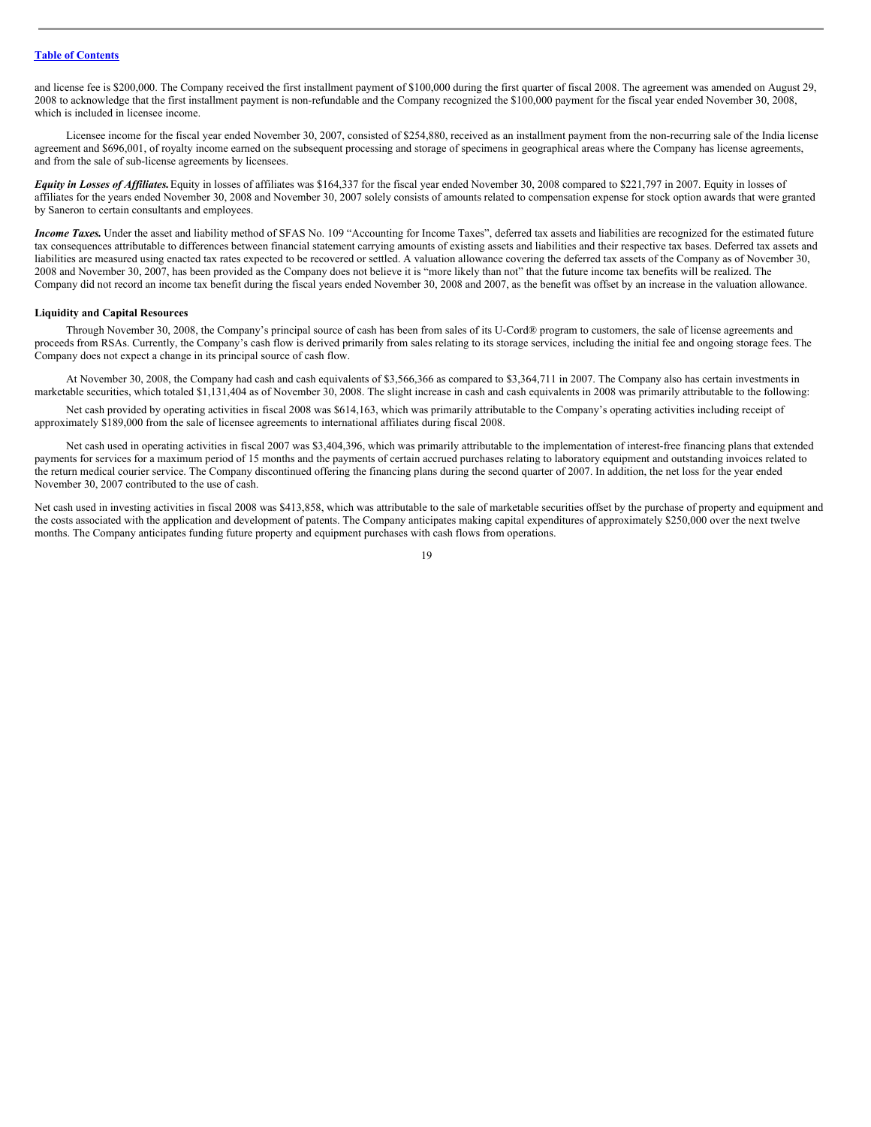and license fee is \$200,000. The Company received the first installment payment of \$100,000 during the first quarter of fiscal 2008. The agreement was amended on August 29, 2008 to acknowledge that the first installment payment is non-refundable and the Company recognized the \$100,000 payment for the fiscal year ended November 30, 2008, which is included in licensee income.

Licensee income for the fiscal year ended November 30, 2007, consisted of \$254,880, received as an installment payment from the non-recurring sale of the India license agreement and \$696,001, of royalty income earned on the subsequent processing and storage of specimens in geographical areas where the Company has license agreements, and from the sale of sub-license agreements by licensees.

*Equity in Losses of Affiliates*. Equity in losses of affiliates was \$164,337 for the fiscal year ended November 30, 2008 compared to \$221,797 in 2007. Equity in losses of affiliates for the years ended November 30, 2008 and November 30, 2007 solely consists of amounts related to compensation expense for stock option awards that were granted by Saneron to certain consultants and employees.

*Income Taxes*. Under the asset and liability method of SFAS No. 109 "Accounting for Income Taxes", deferred tax assets and liabilities are recognized for the estimated future tax consequences attributable to differences between financial statement carrying amounts of existing assets and liabilities and their respective tax bases. Deferred tax assets and liabilities are measured using enacted tax rates expected to be recovered or settled. A valuation allowance covering the deferred tax assets of the Company as of November 30, 2008 and November 30, 2007, has been provided as the Company does not believe it is "more likely than not" that the future income tax benefits will be realized. The Company did not record an income tax benefit during the fiscal years ended November 30, 2008 and 2007, as the benefit was offset by an increase in the valuation allowance.

## **Liquidity and Capital Resources**

Through November 30, 2008, the Company's principal source of cash has been from sales of its U-Cord® program to customers, the sale of license agreements and proceeds from RSAs. Currently, the Company's cash flow is derived primarily from sales relating to its storage services, including the initial fee and ongoing storage fees. The Company does not expect a change in its principal source of cash flow.

At November 30, 2008, the Company had cash and cash equivalents of \$3,566,366 as compared to \$3,364,711 in 2007. The Company also has certain investments in marketable securities, which totaled \$1,131,404 as of November 30, 2008. The slight increase in cash and cash equivalents in 2008 was primarily attributable to the following:

Net cash provided by operating activities in fiscal 2008 was \$614,163, which was primarily attributable to the Company's operating activities including receipt of approximately \$189,000 from the sale of licensee agreements to international affiliates during fiscal 2008.

Net cash used in operating activities in fiscal 2007 was \$3,404,396, which was primarily attributable to the implementation of interest-free financing plans that extended payments for services for a maximum period of 15 months and the payments of certain accrued purchases relating to laboratory equipment and outstanding invoices related to the return medical courier service. The Company discontinued offering the financing plans during the second quarter of 2007. In addition, the net loss for the year ended November 30, 2007 contributed to the use of cash.

Net cash used in investing activities in fiscal 2008 was \$413,858, which was attributable to the sale of marketable securities offset by the purchase of property and equipment and the costs associated with the application and development of patents. The Company anticipates making capital expenditures of approximately \$250,000 over the next twelve months. The Company anticipates funding future property and equipment purchases with cash flows from operations.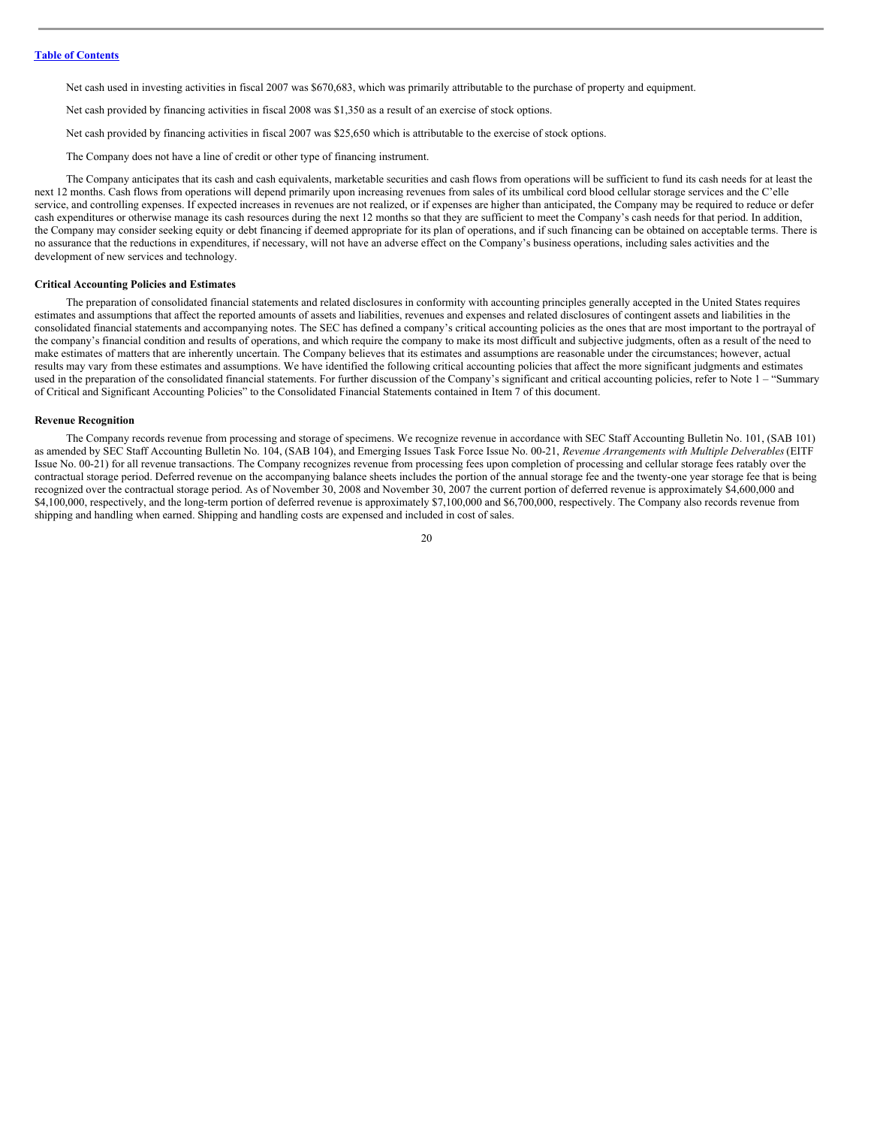Net cash used in investing activities in fiscal 2007 was \$670,683, which was primarily attributable to the purchase of property and equipment.

Net cash provided by financing activities in fiscal 2008 was \$1,350 as a result of an exercise of stock options.

Net cash provided by financing activities in fiscal 2007 was \$25,650 which is attributable to the exercise of stock options.

The Company does not have a line of credit or other type of financing instrument.

The Company anticipates that its cash and cash equivalents, marketable securities and cash flows from operations will be sufficient to fund its cash needs for at least the next 12 months. Cash flows from operations will depend primarily upon increasing revenues from sales of its umbilical cord blood cellular storage services and the C'elle service, and controlling expenses. If expected increases in revenues are not realized, or if expenses are higher than anticipated, the Company may be required to reduce or defer cash expenditures or otherwise manage its cash resources during the next 12 months so that they are sufficient to meet the Company's cash needs for that period. In addition, the Company may consider seeking equity or debt financing if deemed appropriate for its plan of operations, and if such financing can be obtained on acceptable terms. There is no assurance that the reductions in expenditures, if necessary, will not have an adverse effect on the Company's business operations, including sales activities and the development of new services and technology.

#### **Critical Accounting Policies and Estimates**

The preparation of consolidated financial statements and related disclosures in conformity with accounting principles generally accepted in the United States requires estimates and assumptions that affect the reported amounts of assets and liabilities, revenues and expenses and related disclosures of contingent assets and liabilities in the consolidated financial statements and accompanying notes. The SEC has defined a company's critical accounting policies as the ones that are most important to the portrayal of the company's financial condition and results of operations, and which require the company to make its most difficult and subjective judgments, often as a result of the need to make estimates of matters that are inherently uncertain. The Company believes that its estimates and assumptions are reasonable under the circumstances; however, actual results may vary from these estimates and assumptions. We have identified the following critical accounting policies that affect the more significant judgments and estimates used in the preparation of the consolidated financial statements. For further discussion of the Company's significant and critical accounting policies, refer to Note 1 – "Summary of Critical and Significant Accounting Policies" to the Consolidated Financial Statements contained in Item 7 of this document.

#### **Revenue Recognition**

The Company records revenue from processing and storage of specimens. We recognize revenue in accordance with SEC Staff Accounting Bulletin No. 101, (SAB 101) as amended by SEC Staff Accounting Bulletin No. 104, (SAB 104), and Emerging Issues Task Force Issue No. 00-21, *Revenue Arrangements with Multiple Delverables* (EITF Issue No. 00-21) for all revenue transactions. The Company recognizes revenue from processing fees upon completion of processing and cellular storage fees ratably over the contractual storage period. Deferred revenue on the accompanying balance sheets includes the portion of the annual storage fee and the twenty-one year storage fee that is being recognized over the contractual storage period. As of November 30, 2008 and November 30, 2007 the current portion of deferred revenue is approximately \$4,600,000 and \$4,100,000, respectively, and the long-term portion of deferred revenue is approximately \$7,100,000 and \$6,700,000, respectively. The Company also records revenue from shipping and handling when earned. Shipping and handling costs are expensed and included in cost of sales.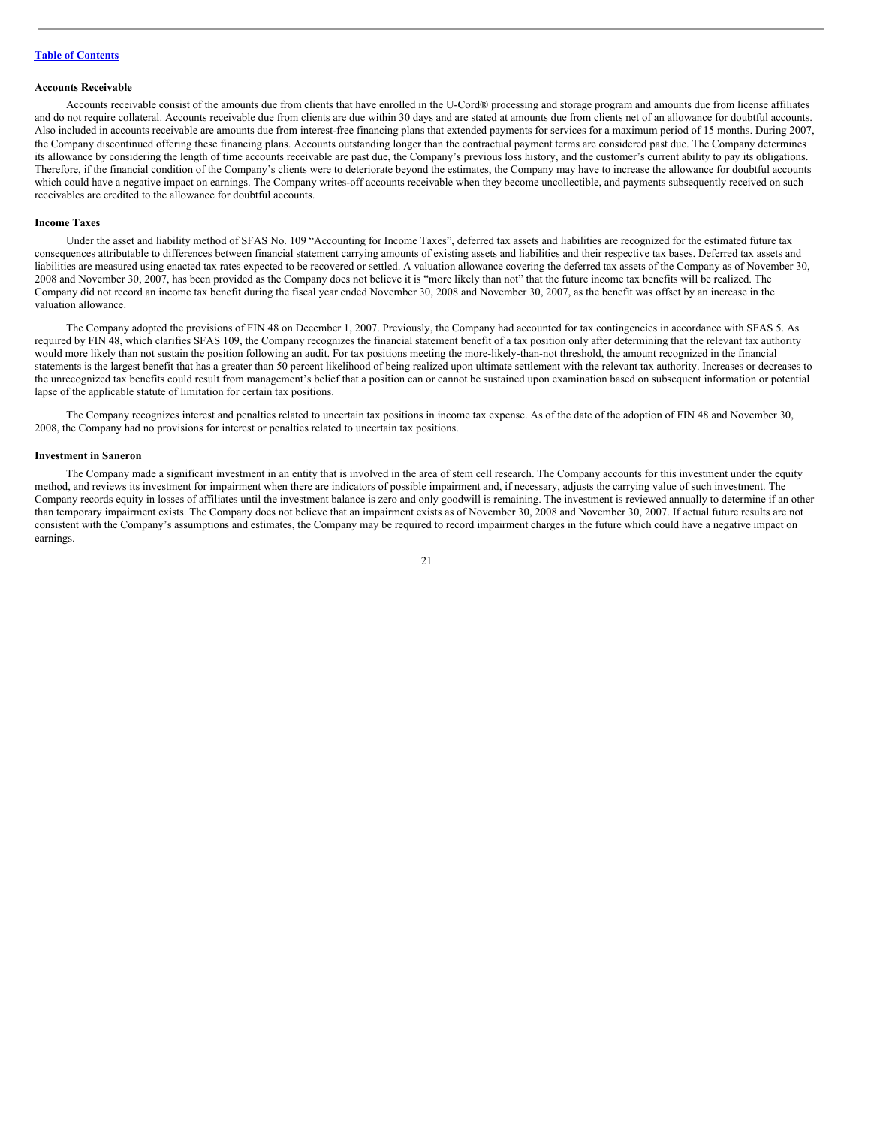#### **Accounts Receivable**

Accounts receivable consist of the amounts due from clients that have enrolled in the U-Cord® processing and storage program and amounts due from license affiliates and do not require collateral. Accounts receivable due from clients are due within 30 days and are stated at amounts due from clients net of an allowance for doubtful accounts. Also included in accounts receivable are amounts due from interest-free financing plans that extended payments for services for a maximum period of 15 months. During 2007, the Company discontinued offering these financing plans. Accounts outstanding longer than the contractual payment terms are considered past due. The Company determines its allowance by considering the length of time accounts receivable are past due, the Company's previous loss history, and the customer's current ability to pay its obligations. Therefore, if the financial condition of the Company's clients were to deteriorate beyond the estimates, the Company may have to increase the allowance for doubtful accounts which could have a negative impact on earnings. The Company writes-off accounts receivable when they become uncollectible, and payments subsequently received on such receivables are credited to the allowance for doubtful accounts.

#### **Income Taxes**

Under the asset and liability method of SFAS No. 109 "Accounting for Income Taxes", deferred tax assets and liabilities are recognized for the estimated future tax consequences attributable to differences between financial statement carrying amounts of existing assets and liabilities and their respective tax bases. Deferred tax assets and liabilities are measured using enacted tax rates expected to be recovered or settled. A valuation allowance covering the deferred tax assets of the Company as of November 30, 2008 and November 30, 2007, has been provided as the Company does not believe it is "more likely than not" that the future income tax benefits will be realized. The Company did not record an income tax benefit during the fiscal year ended November 30, 2008 and November 30, 2007, as the benefit was offset by an increase in the valuation allowance.

The Company adopted the provisions of FIN 48 on December 1, 2007. Previously, the Company had accounted for tax contingencies in accordance with SFAS 5. As required by FIN 48, which clarifies SFAS 109, the Company recognizes the financial statement benefit of a tax position only after determining that the relevant tax authority would more likely than not sustain the position following an audit. For tax positions meeting the more-likely-than-not threshold, the amount recognized in the financial statements is the largest benefit that has a greater than 50 percent likelihood of being realized upon ultimate settlement with the relevant tax authority. Increases or decreases to the unrecognized tax benefits could result from management's belief that a position can or cannot be sustained upon examination based on subsequent information or potential lapse of the applicable statute of limitation for certain tax positions.

The Company recognizes interest and penalties related to uncertain tax positions in income tax expense. As of the date of the adoption of FIN 48 and November 30, 2008, the Company had no provisions for interest or penalties related to uncertain tax positions.

#### **Investment in Saneron**

The Company made a significant investment in an entity that is involved in the area of stem cell research. The Company accounts for this investment under the equity method, and reviews its investment for impairment when there are indicators of possible impairment and, if necessary, adjusts the carrying value of such investment. The Company records equity in losses of affiliates until the investment balance is zero and only goodwill is remaining. The investment is reviewed annually to determine if an other than temporary impairment exists. The Company does not believe that an impairment exists as of November 30, 2008 and November 30, 2007. If actual future results are not consistent with the Company's assumptions and estimates, the Company may be required to record impairment charges in the future which could have a negative impact on earnings.

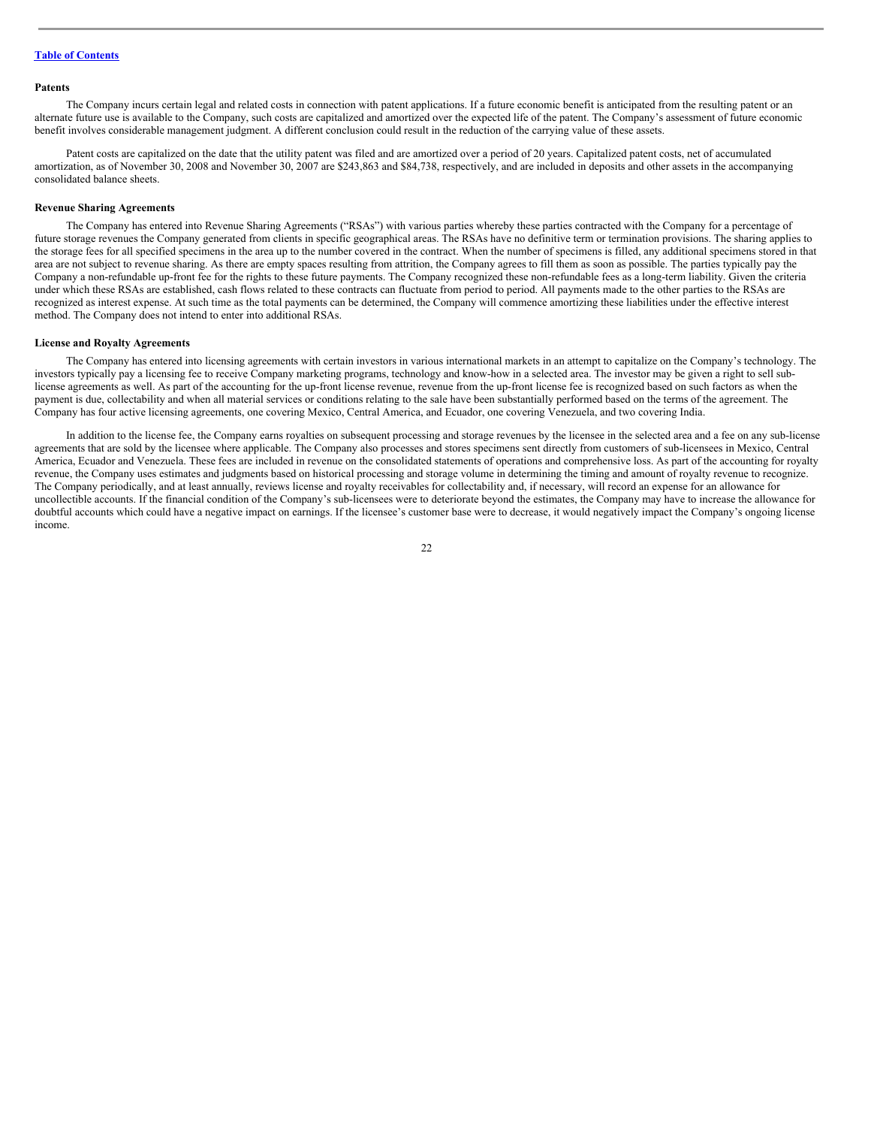#### **Patents**

The Company incurs certain legal and related costs in connection with patent applications. If a future economic benefit is anticipated from the resulting patent or an alternate future use is available to the Company, such costs are capitalized and amortized over the expected life of the patent. The Company's assessment of future economic benefit involves considerable management judgment. A different conclusion could result in the reduction of the carrying value of these assets.

Patent costs are capitalized on the date that the utility patent was filed and are amortized over a period of 20 years. Capitalized patent costs, net of accumulated amortization, as of November 30, 2008 and November 30, 2007 are \$243,863 and \$84,738, respectively, and are included in deposits and other assets in the accompanying consolidated balance sheets.

#### **Revenue Sharing Agreements**

The Company has entered into Revenue Sharing Agreements ("RSAs") with various parties whereby these parties contracted with the Company for a percentage of future storage revenues the Company generated from clients in specific geographical areas. The RSAs have no definitive term or termination provisions. The sharing applies to the storage fees for all specified specimens in the area up to the number covered in the contract. When the number of specimens is filled, any additional specimens stored in that area are not subject to revenue sharing. As there are empty spaces resulting from attrition, the Company agrees to fill them as soon as possible. The parties typically pay the Company a non-refundable up-front fee for the rights to these future payments. The Company recognized these non-refundable fees as a long-term liability. Given the criteria under which these RSAs are established, cash flows related to these contracts can fluctuate from period to period. All payments made to the other parties to the RSAs are recognized as interest expense. At such time as the total payments can be determined, the Company will commence amortizing these liabilities under the effective interest method. The Company does not intend to enter into additional RSAs.

#### **License and Royalty Agreements**

The Company has entered into licensing agreements with certain investors in various international markets in an attempt to capitalize on the Company's technology. The investors typically pay a licensing fee to receive Company marketing programs, technology and know-how in a selected area. The investor may be given a right to sell sublicense agreements as well. As part of the accounting for the up-front license revenue, revenue from the up-front license fee is recognized based on such factors as when the payment is due, collectability and when all material services or conditions relating to the sale have been substantially performed based on the terms of the agreement. The Company has four active licensing agreements, one covering Mexico, Central America, and Ecuador, one covering Venezuela, and two covering India.

In addition to the license fee, the Company earns royalties on subsequent processing and storage revenues by the licensee in the selected area and a fee on any sub-license agreements that are sold by the licensee where applicable. The Company also processes and stores specimens sent directly from customers of sub-licensees in Mexico, Central America, Ecuador and Venezuela. These fees are included in revenue on the consolidated statements of operations and comprehensive loss. As part of the accounting for royalty revenue, the Company uses estimates and judgments based on historical processing and storage volume in determining the timing and amount of royalty revenue to recognize. The Company periodically, and at least annually, reviews license and royalty receivables for collectability and, if necessary, will record an expense for an allowance for uncollectible accounts. If the financial condition of the Company's sub-licensees were to deteriorate beyond the estimates, the Company may have to increase the allowance for doubtful accounts which could have a negative impact on earnings. If the licensee's customer base were to decrease, it would negatively impact the Company's ongoing license income.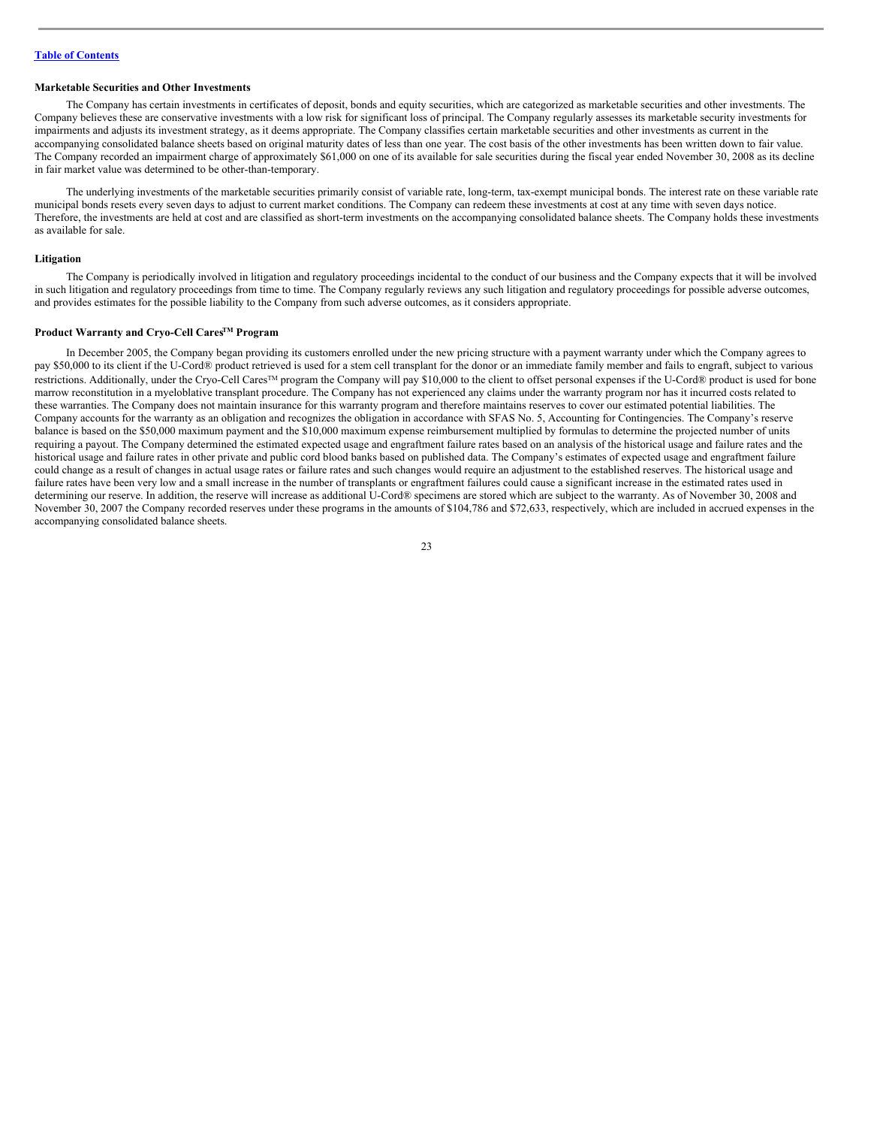## **Marketable Securities and Other Investments**

The Company has certain investments in certificates of deposit, bonds and equity securities, which are categorized as marketable securities and other investments. The Company believes these are conservative investments with a low risk for significant loss of principal. The Company regularly assesses its marketable security investments for impairments and adjusts its investment strategy, as it deems appropriate. The Company classifies certain marketable securities and other investments as current in the accompanying consolidated balance sheets based on original maturity dates of less than one year. The cost basis of the other investments has been written down to fair value. The Company recorded an impairment charge of approximately \$61,000 on one of its available for sale securities during the fiscal year ended November 30, 2008 as its decline in fair market value was determined to be other-than-temporary.

The underlying investments of the marketable securities primarily consist of variable rate, long-term, tax-exempt municipal bonds. The interest rate on these variable rate municipal bonds resets every seven days to adjust to current market conditions. The Company can redeem these investments at cost at any time with seven days notice. Therefore, the investments are held at cost and are classified as short-term investments on the accompanying consolidated balance sheets. The Company holds these investments as available for sale.

#### **Litigation**

The Company is periodically involved in litigation and regulatory proceedings incidental to the conduct of our business and the Company expects that it will be involved in such litigation and regulatory proceedings from time to time. The Company regularly reviews any such litigation and regulatory proceedings for possible adverse outcomes, and provides estimates for the possible liability to the Company from such adverse outcomes, as it considers appropriate.

#### **Product Warranty and Cryo-Cell CaresTM Program**

In December 2005, the Company began providing its customers enrolled under the new pricing structure with a payment warranty under which the Company agrees to pay \$50,000 to its client if the U-Cord® product retrieved is used for a stem cell transplant for the donor or an immediate family member and fails to engraft, subject to various restrictions. Additionally, under the Cryo-Cell Cares™ program the Company will pay \$10,000 to the client to offset personal expenses if the U-Cord® product is used for bone marrow reconstitution in a myeloblative transplant procedure. The Company has not experienced any claims under the warranty program nor has it incurred costs related to these warranties. The Company does not maintain insurance for this warranty program and therefore maintains reserves to cover our estimated potential liabilities. The Company accounts for the warranty as an obligation and recognizes the obligation in accordance with SFAS No. 5, Accounting for Contingencies. The Company's reserve balance is based on the \$50,000 maximum payment and the \$10,000 maximum expense reimbursement multiplied by formulas to determine the projected number of units requiring a payout. The Company determined the estimated expected usage and engraftment failure rates based on an analysis of the historical usage and failure rates and the historical usage and failure rates in other private and public cord blood banks based on published data. The Company's estimates of expected usage and engraftment failure could change as a result of changes in actual usage rates or failure rates and such changes would require an adjustment to the established reserves. The historical usage and failure rates have been very low and a small increase in the number of transplants or engraftment failures could cause a significant increase in the estimated rates used in determining our reserve. In addition, the reserve will increase as additional U-Cord® specimens are stored which are subject to the warranty. As of November 30, 2008 and November 30, 2007 the Company recorded reserves under these programs in the amounts of \$104,786 and \$72,633, respectively, which are included in accrued expenses in the accompanying consolidated balance sheets.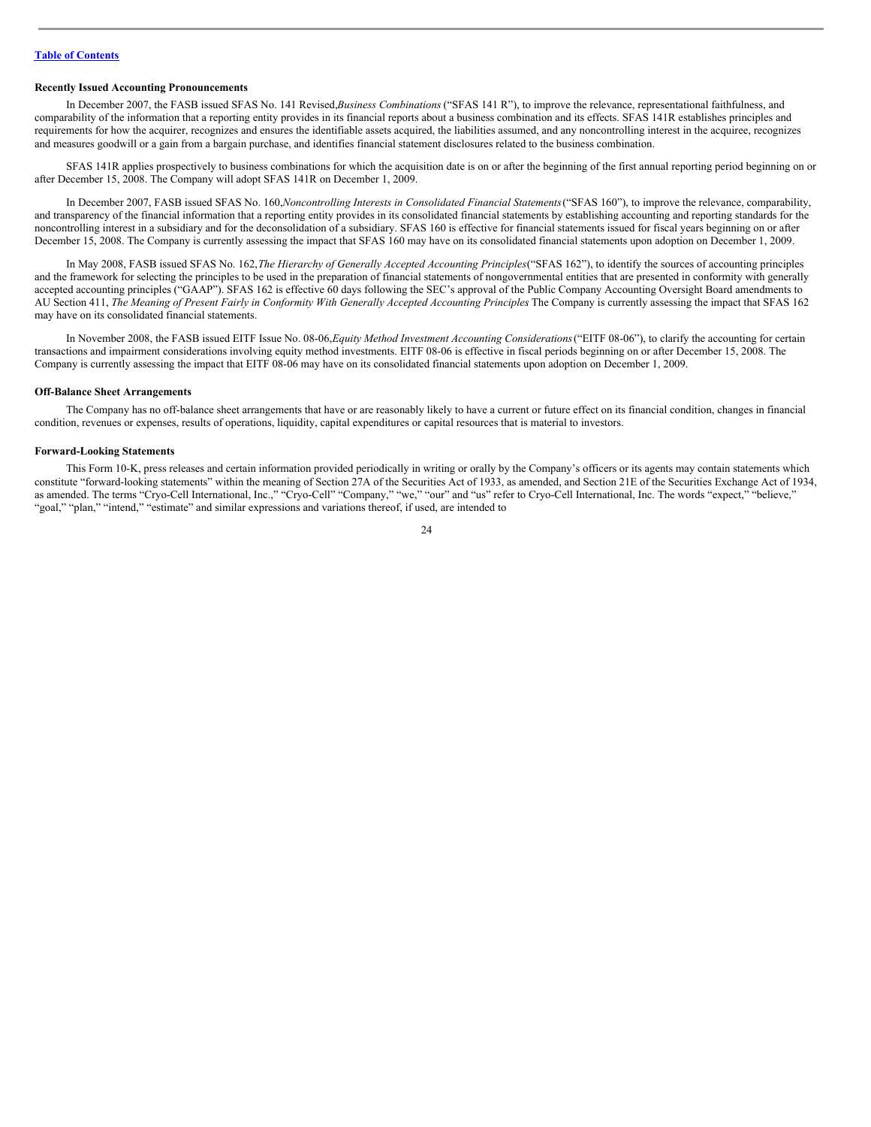## **Recently Issued Accounting Pronouncements**

In December 2007, the FASB issued SFAS No. 141 Revised,*Business Combinations* ("SFAS 141 R"), to improve the relevance, representational faithfulness, and comparability of the information that a reporting entity provides in its financial reports about a business combination and its effects. SFAS 141R establishes principles and requirements for how the acquirer, recognizes and ensures the identifiable assets acquired, the liabilities assumed, and any noncontrolling interest in the acquiree, recognizes and measures goodwill or a gain from a bargain purchase, and identifies financial statement disclosures related to the business combination.

SFAS 141R applies prospectively to business combinations for which the acquisition date is on or after the beginning of the first annual reporting period beginning on or after December 15, 2008. The Company will adopt SFAS 141R on December 1, 2009.

In December 2007, FASB issued SFAS No. 160,*Noncontrolling Interests in Consolidated Financial Statements*("SFAS 160"), to improve the relevance, comparability, and transparency of the financial information that a reporting entity provides in its consolidated financial statements by establishing accounting and reporting standards for the noncontrolling interest in a subsidiary and for the deconsolidation of a subsidiary. SFAS 160 is effective for financial statements issued for fiscal years beginning on or after December 15, 2008. The Company is currently assessing the impact that SFAS 160 may have on its consolidated financial statements upon adoption on December 1, 2009.

In May 2008, FASB issued SFAS No. 162,*The Hierarchy of Generally Accepted Accounting Principles*("SFAS 162"), to identify the sources of accounting principles and the framework for selecting the principles to be used in the preparation of financial statements of nongovernmental entities that are presented in conformity with generally accepted accounting principles ("GAAP"). SFAS 162 is effective 60 days following the SEC's approval of the Public Company Accounting Oversight Board amendments to AU Section 411, The Meaning of Present Fairly in Conformity With Generally Accepted Accounting Principles The Company is currently assessing the impact that SFAS 162 may have on its consolidated financial statements.

In November 2008, the FASB issued EITF Issue No. 08-06,*Equity Method Investment Accounting Considerations*("EITF 08-06"), to clarify the accounting for certain transactions and impairment considerations involving equity method investments. EITF 08-06 is effective in fiscal periods beginning on or after December 15, 2008. The Company is currently assessing the impact that EITF 08-06 may have on its consolidated financial statements upon adoption on December 1, 2009.

#### **Off-Balance Sheet Arrangements**

The Company has no off-balance sheet arrangements that have or are reasonably likely to have a current or future effect on its financial condition, changes in financial condition, revenues or expenses, results of operations, liquidity, capital expenditures or capital resources that is material to investors.

#### **Forward-Looking Statements**

This Form 10-K, press releases and certain information provided periodically in writing or orally by the Company's officers or its agents may contain statements which constitute "forward-looking statements" within the meaning of Section 27A of the Securities Act of 1933, as amended, and Section 21E of the Securities Exchange Act of 1934, as amended. The terms "Cryo-Cell International, Inc.," "Cryo-Cell" "Company," "we," "our" and "us" refer to Cryo-Cell International, Inc. The words "expect," "believe," "goal," "plan," "intend," "estimate" and similar expressions and variations thereof, if used, are intended to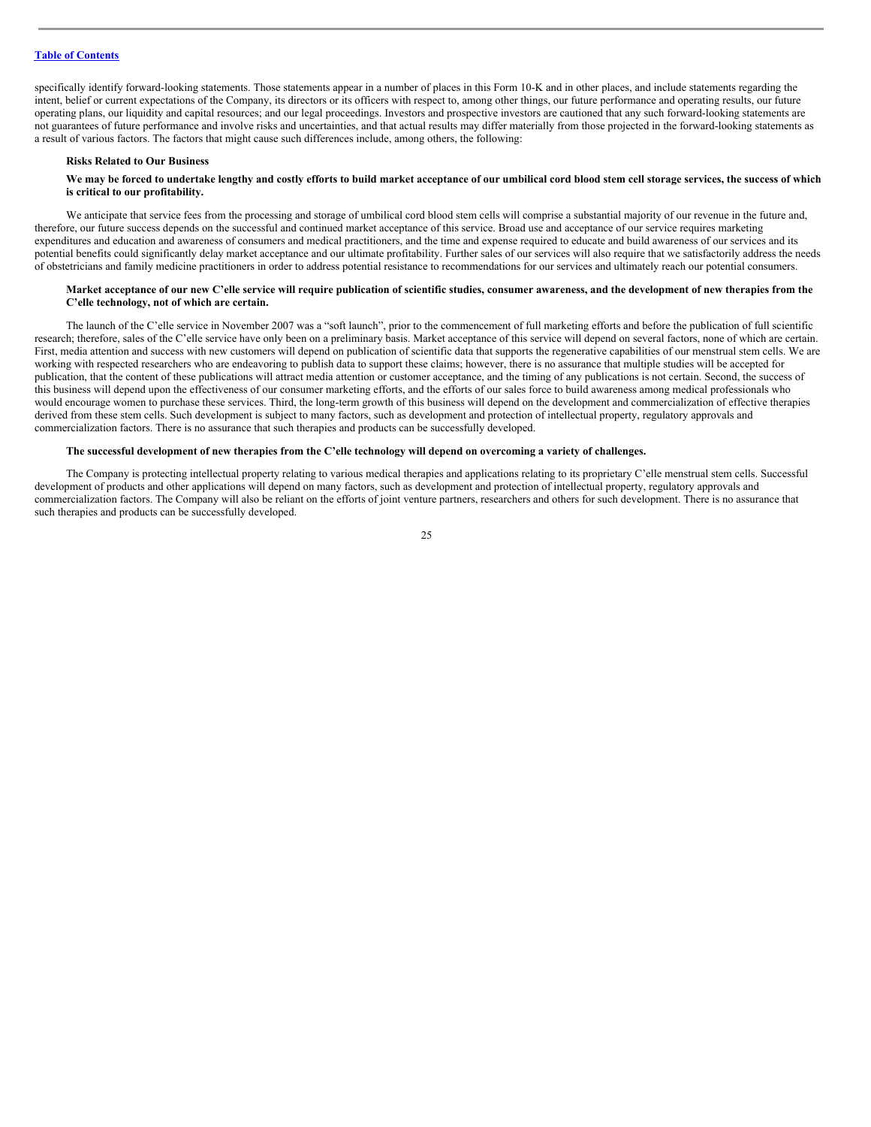specifically identify forward-looking statements. Those statements appear in a number of places in this Form 10-K and in other places, and include statements regarding the intent, belief or current expectations of the Company, its directors or its officers with respect to, among other things, our future performance and operating results, our future operating plans, our liquidity and capital resources; and our legal proceedings. Investors and prospective investors are cautioned that any such forward-looking statements are not guarantees of future performance and involve risks and uncertainties, and that actual results may differ materially from those projected in the forward-looking statements as a result of various factors. The factors that might cause such differences include, among others, the following:

#### **Risks Related to Our Business**

#### We may be forced to undertake lengthy and costly efforts to build market acceptance of our umbilical cord blood stem cell storage services, the success of which **is critical to our profitability.**

We anticipate that service fees from the processing and storage of umbilical cord blood stem cells will comprise a substantial majority of our revenue in the future and, therefore, our future success depends on the successful and continued market acceptance of this service. Broad use and acceptance of our service requires marketing expenditures and education and awareness of consumers and medical practitioners, and the time and expense required to educate and build awareness of our services and its potential benefits could significantly delay market acceptance and our ultimate profitability. Further sales of our services will also require that we satisfactorily address the needs of obstetricians and family medicine practitioners in order to address potential resistance to recommendations for our services and ultimately reach our potential consumers.

#### Market acceptance of our new C'elle service will require publication of scientific studies, consumer awareness, and the development of new therapies from the **C'elle technology, not of which are certain.**

The launch of the C'elle service in November 2007 was a "soft launch", prior to the commencement of full marketing efforts and before the publication of full scientific research; therefore, sales of the C'elle service have only been on a preliminary basis. Market acceptance of this service will depend on several factors, none of which are certain. First, media attention and success with new customers will depend on publication of scientific data that supports the regenerative capabilities of our menstrual stem cells. We are working with respected researchers who are endeavoring to publish data to support these claims; however, there is no assurance that multiple studies will be accepted for publication, that the content of these publications will attract media attention or customer acceptance, and the timing of any publications is not certain. Second, the success of this business will depend upon the effectiveness of our consumer marketing efforts, and the efforts of our sales force to build awareness among medical professionals who would encourage women to purchase these services. Third, the long-term growth of this business will depend on the development and commercialization of effective therapies derived from these stem cells. Such development is subject to many factors, such as development and protection of intellectual property, regulatory approvals and commercialization factors. There is no assurance that such therapies and products can be successfully developed.

#### The successful development of new therapies from the C'elle technology will depend on overcoming a variety of challenges.

The Company is protecting intellectual property relating to various medical therapies and applications relating to its proprietary C'elle menstrual stem cells. Successful development of products and other applications will depend on many factors, such as development and protection of intellectual property, regulatory approvals and commercialization factors. The Company will also be reliant on the efforts of joint venture partners, researchers and others for such development. There is no assurance that such therapies and products can be successfully developed.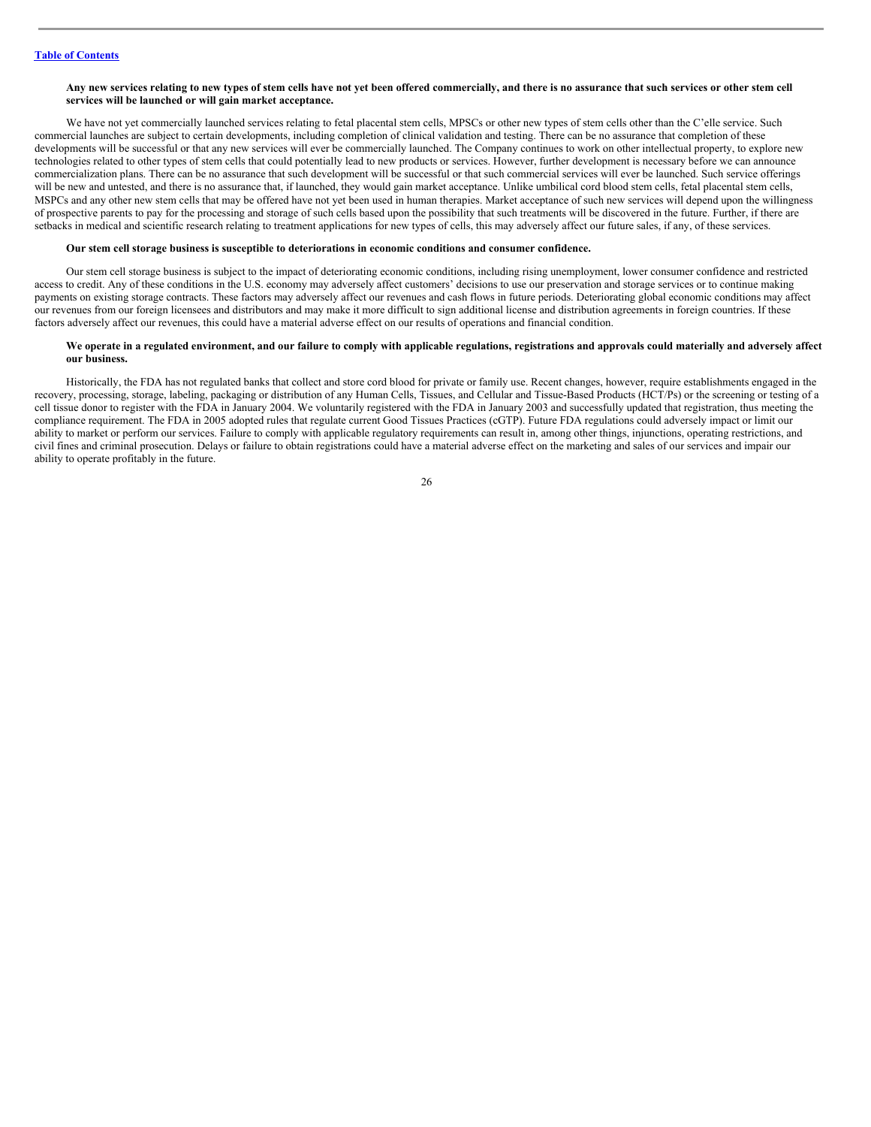## Any new services relating to new types of stem cells have not yet been offered commercially, and there is no assurance that such services or other stem cell **services will be launched or will gain market acceptance.**

We have not yet commercially launched services relating to fetal placental stem cells, MPSCs or other new types of stem cells other than the C'elle service. Such commercial launches are subject to certain developments, including completion of clinical validation and testing. There can be no assurance that completion of these developments will be successful or that any new services will ever be commercially launched. The Company continues to work on other intellectual property, to explore new technologies related to other types of stem cells that could potentially lead to new products or services. However, further development is necessary before we can announce commercialization plans. There can be no assurance that such development will be successful or that such commercial services will ever be launched. Such service offerings will be new and untested, and there is no assurance that, if launched, they would gain market acceptance. Unlike umbilical cord blood stem cells, fetal placental stem cells, MSPCs and any other new stem cells that may be offered have not yet been used in human therapies. Market acceptance of such new services will depend upon the willingness of prospective parents to pay for the processing and storage of such cells based upon the possibility that such treatments will be discovered in the future. Further, if there are setbacks in medical and scientific research relating to treatment applications for new types of cells, this may adversely affect our future sales, if any, of these services.

## **Our stem cell storage business is susceptible to deteriorations in economic conditions and consumer confidence.**

Our stem cell storage business is subject to the impact of deteriorating economic conditions, including rising unemployment, lower consumer confidence and restricted access to credit. Any of these conditions in the U.S. economy may adversely affect customers' decisions to use our preservation and storage services or to continue making payments on existing storage contracts. These factors may adversely affect our revenues and cash flows in future periods. Deteriorating global economic conditions may affect our revenues from our foreign licensees and distributors and may make it more difficult to sign additional license and distribution agreements in foreign countries. If these factors adversely affect our revenues, this could have a material adverse effect on our results of operations and financial condition.

#### We operate in a regulated environment, and our failure to comply with applicable regulations, registrations and approvals could materially and adversely affect **our business.**

Historically, the FDA has not regulated banks that collect and store cord blood for private or family use. Recent changes, however, require establishments engaged in the recovery, processing, storage, labeling, packaging or distribution of any Human Cells, Tissues, and Cellular and Tissue-Based Products (HCT/Ps) or the screening or testing of a cell tissue donor to register with the FDA in January 2004. We voluntarily registered with the FDA in January 2003 and successfully updated that registration, thus meeting the compliance requirement. The FDA in 2005 adopted rules that regulate current Good Tissues Practices (cGTP). Future FDA regulations could adversely impact or limit our ability to market or perform our services. Failure to comply with applicable regulatory requirements can result in, among other things, injunctions, operating restrictions, and civil fines and criminal prosecution. Delays or failure to obtain registrations could have a material adverse effect on the marketing and sales of our services and impair our ability to operate profitably in the future.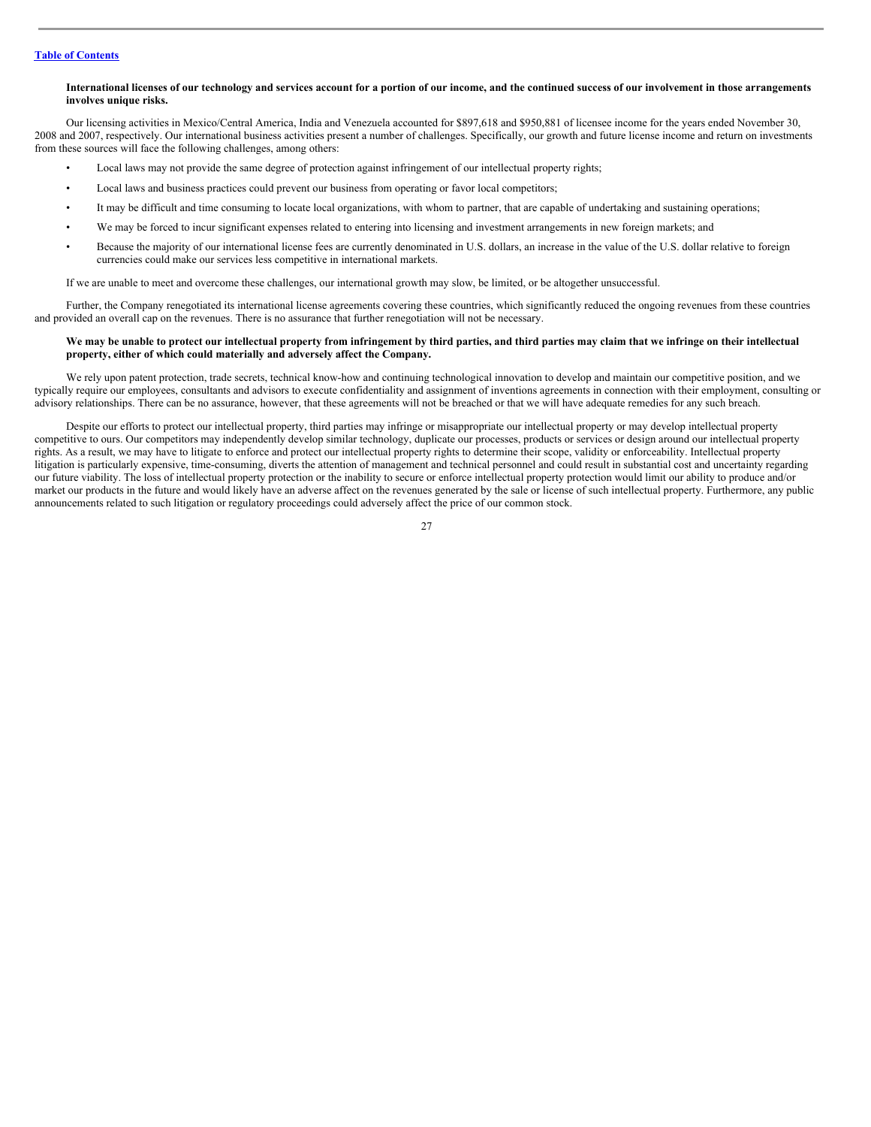## International licenses of our technology and services account for a portion of our income, and the continued success of our involvement in those arrangements **involves unique risks.**

Our licensing activities in Mexico/Central America, India and Venezuela accounted for \$897,618 and \$950,881 of licensee income for the years ended November 30, 2008 and 2007, respectively. Our international business activities present a number of challenges. Specifically, our growth and future license income and return on investments from these sources will face the following challenges, among others:

- Local laws may not provide the same degree of protection against infringement of our intellectual property rights;
- Local laws and business practices could prevent our business from operating or favor local competitors;
- It may be difficult and time consuming to locate local organizations, with whom to partner, that are capable of undertaking and sustaining operations;
- We may be forced to incur significant expenses related to entering into licensing and investment arrangements in new foreign markets; and
- Because the majority of our international license fees are currently denominated in U.S. dollars, an increase in the value of the U.S. dollar relative to foreign currencies could make our services less competitive in international markets.

If we are unable to meet and overcome these challenges, our international growth may slow, be limited, or be altogether unsuccessful.

Further, the Company renegotiated its international license agreements covering these countries, which significantly reduced the ongoing revenues from these countries and provided an overall cap on the revenues. There is no assurance that further renegotiation will not be necessary.

## We may be unable to protect our intellectual property from infringement by third parties, and third parties may claim that we infringe on their intellectual **property, either of which could materially and adversely affect the Company.**

We rely upon patent protection, trade secrets, technical know-how and continuing technological innovation to develop and maintain our competitive position, and we typically require our employees, consultants and advisors to execute confidentiality and assignment of inventions agreements in connection with their employment, consulting or advisory relationships. There can be no assurance, however, that these agreements will not be breached or that we will have adequate remedies for any such breach.

Despite our efforts to protect our intellectual property, third parties may infringe or misappropriate our intellectual property or may develop intellectual property competitive to ours. Our competitors may independently develop similar technology, duplicate our processes, products or services or design around our intellectual property rights. As a result, we may have to litigate to enforce and protect our intellectual property rights to determine their scope, validity or enforceability. Intellectual property litigation is particularly expensive, time-consuming, diverts the attention of management and technical personnel and could result in substantial cost and uncertainty regarding our future viability. The loss of intellectual property protection or the inability to secure or enforce intellectual property protection would limit our ability to produce and/or market our products in the future and would likely have an adverse affect on the revenues generated by the sale or license of such intellectual property. Furthermore, any public announcements related to such litigation or regulatory proceedings could adversely affect the price of our common stock.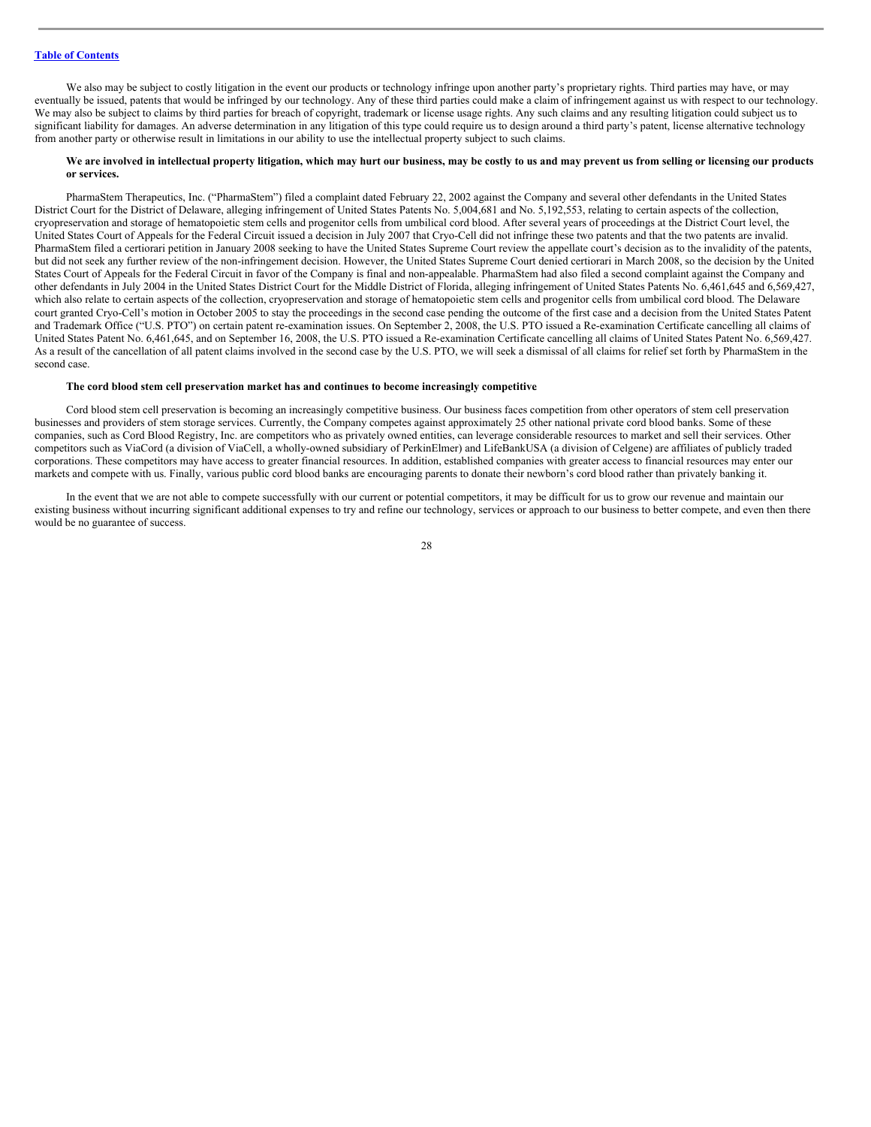We also may be subject to costly litigation in the event our products or technology infringe upon another party's proprietary rights. Third parties may have, or may eventually be issued, patents that would be infringed by our technology. Any of these third parties could make a claim of infringement against us with respect to our technology. We may also be subject to claims by third parties for breach of copyright, trademark or license usage rights. Any such claims and any resulting litigation could subject us to significant liability for damages. An adverse determination in any litigation of this type could require us to design around a third party's patent, license alternative technology from another party or otherwise result in limitations in our ability to use the intellectual property subject to such claims.

## We are involved in intellectual property litigation, which may hurt our business, may be costly to us and may prevent us from selling or licensing our products **or services.**

PharmaStem Therapeutics, Inc. ("PharmaStem") filed a complaint dated February 22, 2002 against the Company and several other defendants in the United States District Court for the District of Delaware, alleging infringement of United States Patents No. 5,004,681 and No. 5,192,553, relating to certain aspects of the collection, cryopreservation and storage of hematopoietic stem cells and progenitor cells from umbilical cord blood. After several years of proceedings at the District Court level, the United States Court of Appeals for the Federal Circuit issued a decision in July 2007 that Cryo-Cell did not infringe these two patents and that the two patents are invalid. PharmaStem filed a certiorari petition in January 2008 seeking to have the United States Supreme Court review the appellate court's decision as to the invalidity of the patents, but did not seek any further review of the non-infringement decision. However, the United States Supreme Court denied certiorari in March 2008, so the decision by the United States Court of Appeals for the Federal Circuit in favor of the Company is final and non-appealable. PharmaStem had also filed a second complaint against the Company and other defendants in July 2004 in the United States District Court for the Middle District of Florida, alleging infringement of United States Patents No. 6,461,645 and 6,569,427, which also relate to certain aspects of the collection, cryopreservation and storage of hematopoietic stem cells and progenitor cells from umbilical cord blood. The Delaware court granted Cryo-Cell's motion in October 2005 to stay the proceedings in the second case pending the outcome of the first case and a decision from the United States Patent and Trademark Office ("U.S. PTO") on certain patent re-examination issues. On September 2, 2008, the U.S. PTO issued a Re-examination Certificate cancelling all claims of United States Patent No. 6,461,645, and on September 16, 2008, the U.S. PTO issued a Re-examination Certificate cancelling all claims of United States Patent No. 6,569,427. As a result of the cancellation of all patent claims involved in the second case by the U.S. PTO, we will seek a dismissal of all claims for relief set forth by PharmaStem in the second case.

#### **The cord blood stem cell preservation market has and continues to become increasingly competitive**.

Cord blood stem cell preservation is becoming an increasingly competitive business. Our business faces competition from other operators of stem cell preservation businesses and providers of stem storage services. Currently, the Company competes against approximately 25 other national private cord blood banks. Some of these companies, such as Cord Blood Registry, Inc. are competitors who as privately owned entities, can leverage considerable resources to market and sell their services. Other competitors such as ViaCord (a division of ViaCell, a wholly-owned subsidiary of PerkinElmer) and LifeBankUSA (a division of Celgene) are affiliates of publicly traded corporations. These competitors may have access to greater financial resources. In addition, established companies with greater access to financial resources may enter our markets and compete with us. Finally, various public cord blood banks are encouraging parents to donate their newborn's cord blood rather than privately banking it.

In the event that we are not able to compete successfully with our current or potential competitors, it may be difficult for us to grow our revenue and maintain our existing business without incurring significant additional expenses to try and refine our technology, services or approach to our business to better compete, and even then there would be no guarantee of success.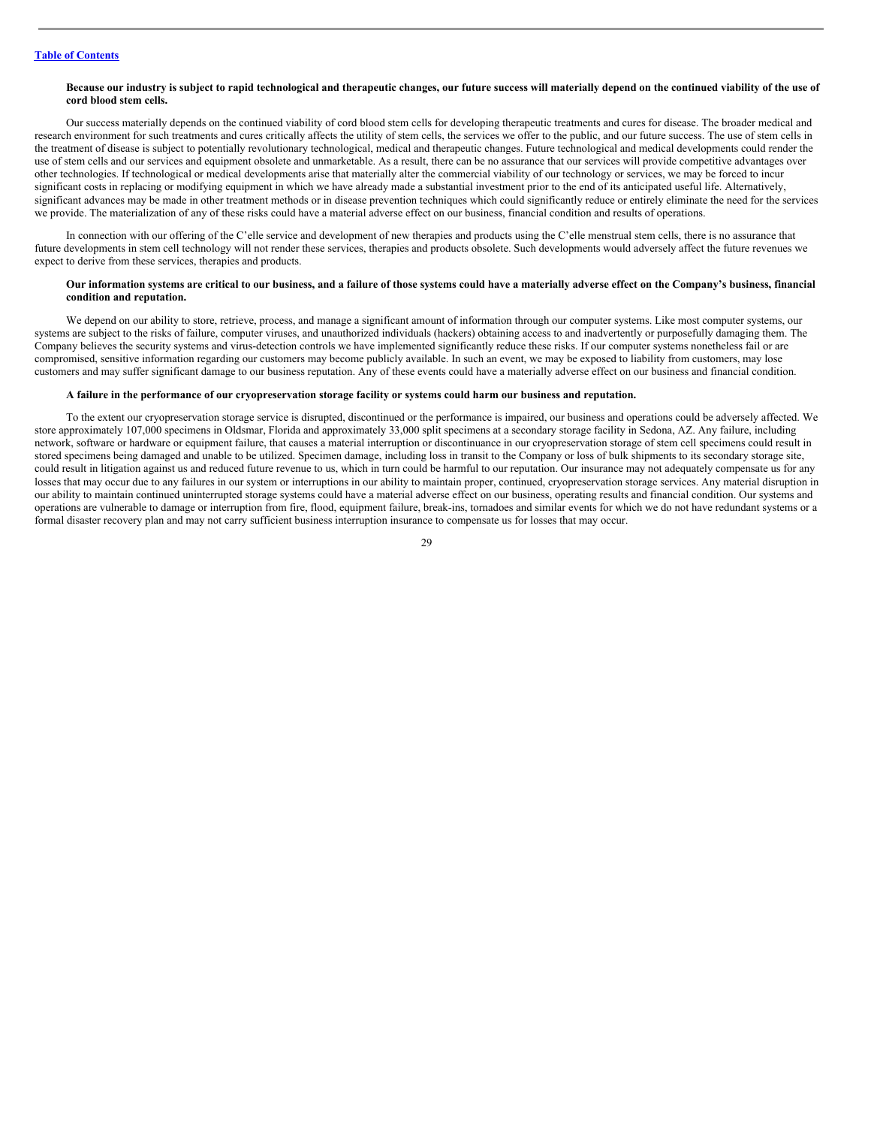## Because our industry is subject to rapid technological and therapeutic changes, our future success will materially depend on the continued viability of the use of **cord blood stem cells.**

Our success materially depends on the continued viability of cord blood stem cells for developing therapeutic treatments and cures for disease. The broader medical and research environment for such treatments and cures critically affects the utility of stem cells, the services we offer to the public, and our future success. The use of stem cells in the treatment of disease is subject to potentially revolutionary technological, medical and therapeutic changes. Future technological and medical developments could render the use of stem cells and our services and equipment obsolete and unmarketable. As a result, there can be no assurance that our services will provide competitive advantages over other technologies. If technological or medical developments arise that materially alter the commercial viability of our technology or services, we may be forced to incur significant costs in replacing or modifying equipment in which we have already made a substantial investment prior to the end of its anticipated useful life. Alternatively, significant advances may be made in other treatment methods or in disease prevention techniques which could significantly reduce or entirely eliminate the need for the services we provide. The materialization of any of these risks could have a material adverse effect on our business, financial condition and results of operations.

In connection with our offering of the C'elle service and development of new therapies and products using the C'elle menstrual stem cells, there is no assurance that future developments in stem cell technology will not render these services, therapies and products obsolete. Such developments would adversely affect the future revenues we expect to derive from these services, therapies and products.

#### Our information systems are critical to our business, and a failure of those systems could have a materially adverse effect on the Company's business, financial **condition and reputation.**

We depend on our ability to store, retrieve, process, and manage a significant amount of information through our computer systems. Like most computer systems, our systems are subject to the risks of failure, computer viruses, and unauthorized individuals (hackers) obtaining access to and inadvertently or purposefully damaging them. The Company believes the security systems and virus-detection controls we have implemented significantly reduce these risks. If our computer systems nonetheless fail or are compromised, sensitive information regarding our customers may become publicly available. In such an event, we may be exposed to liability from customers, may lose customers and may suffer significant damage to our business reputation. Any of these events could have a materially adverse effect on our business and financial condition.

#### A failure in the performance of our cryopreservation storage facility or systems could harm our business and reputation.

To the extent our cryopreservation storage service is disrupted, discontinued or the performance is impaired, our business and operations could be adversely affected. We store approximately 107,000 specimens in Oldsmar, Florida and approximately 33,000 split specimens at a secondary storage facility in Sedona, AZ. Any failure, including network, software or hardware or equipment failure, that causes a material interruption or discontinuance in our cryopreservation storage of stem cell specimens could result in stored specimens being damaged and unable to be utilized. Specimen damage, including loss in transit to the Company or loss of bulk shipments to its secondary storage site, could result in litigation against us and reduced future revenue to us, which in turn could be harmful to our reputation. Our insurance may not adequately compensate us for any losses that may occur due to any failures in our system or interruptions in our ability to maintain proper, continued, cryopreservation storage services. Any material disruption in our ability to maintain continued uninterrupted storage systems could have a material adverse effect on our business, operating results and financial condition. Our systems and operations are vulnerable to damage or interruption from fire, flood, equipment failure, break-ins, tornadoes and similar events for which we do not have redundant systems or a formal disaster recovery plan and may not carry sufficient business interruption insurance to compensate us for losses that may occur.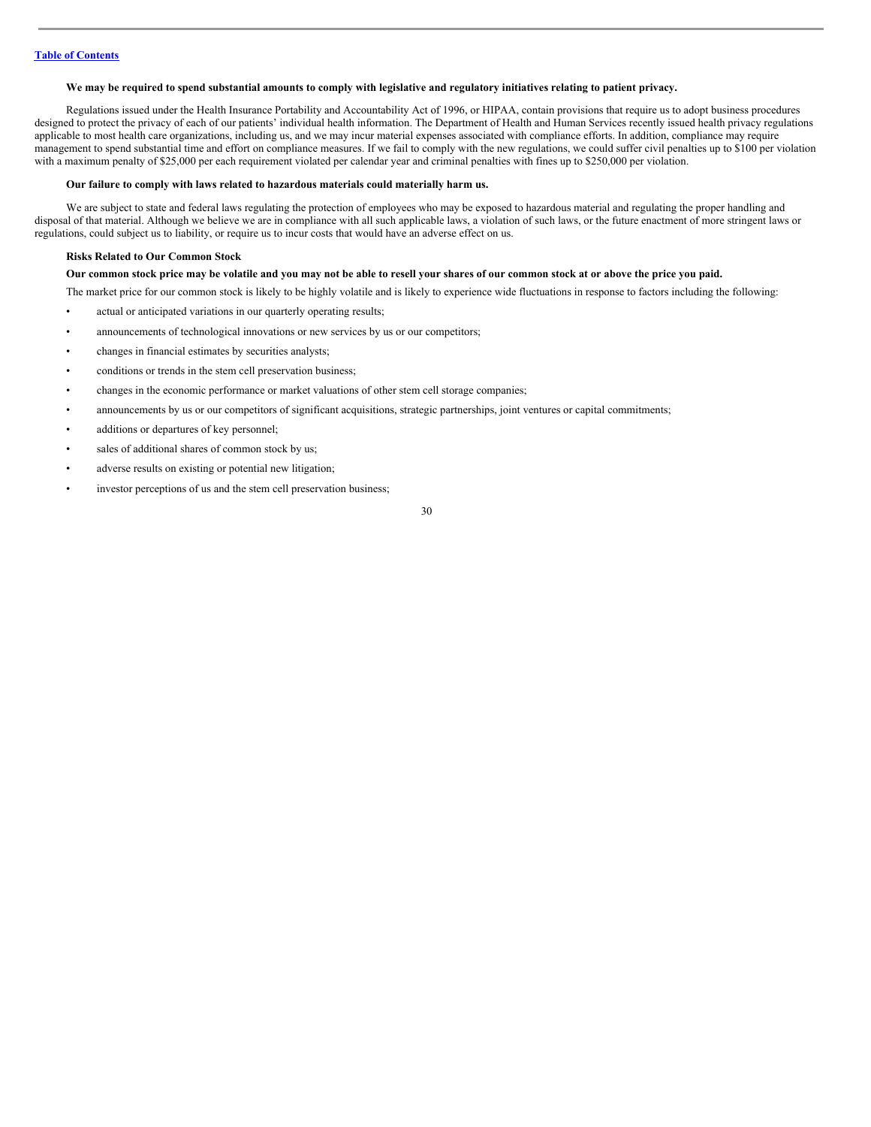## We may be required to spend substantial amounts to comply with legislative and regulatory initiatives relating to patient privacy.

Regulations issued under the Health Insurance Portability and Accountability Act of 1996, or HIPAA, contain provisions that require us to adopt business procedures designed to protect the privacy of each of our patients' individual health information. The Department of Health and Human Services recently issued health privacy regulations applicable to most health care organizations, including us, and we may incur material expenses associated with compliance efforts. In addition, compliance may require management to spend substantial time and effort on compliance measures. If we fail to comply with the new regulations, we could suffer civil penalties up to \$100 per violation with a maximum penalty of \$25,000 per each requirement violated per calendar year and criminal penalties with fines up to \$250,000 per violation.

#### **Our failure to comply with laws related to hazardous materials could materially harm us.**

We are subject to state and federal laws regulating the protection of employees who may be exposed to hazardous material and regulating the proper handling and disposal of that material. Although we believe we are in compliance with all such applicable laws, a violation of such laws, or the future enactment of more stringent laws or regulations, could subject us to liability, or require us to incur costs that would have an adverse effect on us.

#### **Risks Related to Our Common Stock**

#### Our common stock price may be volatile and you may not be able to resell your shares of our common stock at or above the price you paid.

The market price for our common stock is likely to be highly volatile and is likely to experience wide fluctuations in response to factors including the following:

- actual or anticipated variations in our quarterly operating results;
- announcements of technological innovations or new services by us or our competitors;
- changes in financial estimates by securities analysts;
- conditions or trends in the stem cell preservation business;
- changes in the economic performance or market valuations of other stem cell storage companies;
- announcements by us or our competitors of significant acquisitions, strategic partnerships, joint ventures or capital commitments;
- additions or departures of key personnel;
- sales of additional shares of common stock by us;
- adverse results on existing or potential new litigation;
- investor perceptions of us and the stem cell preservation business;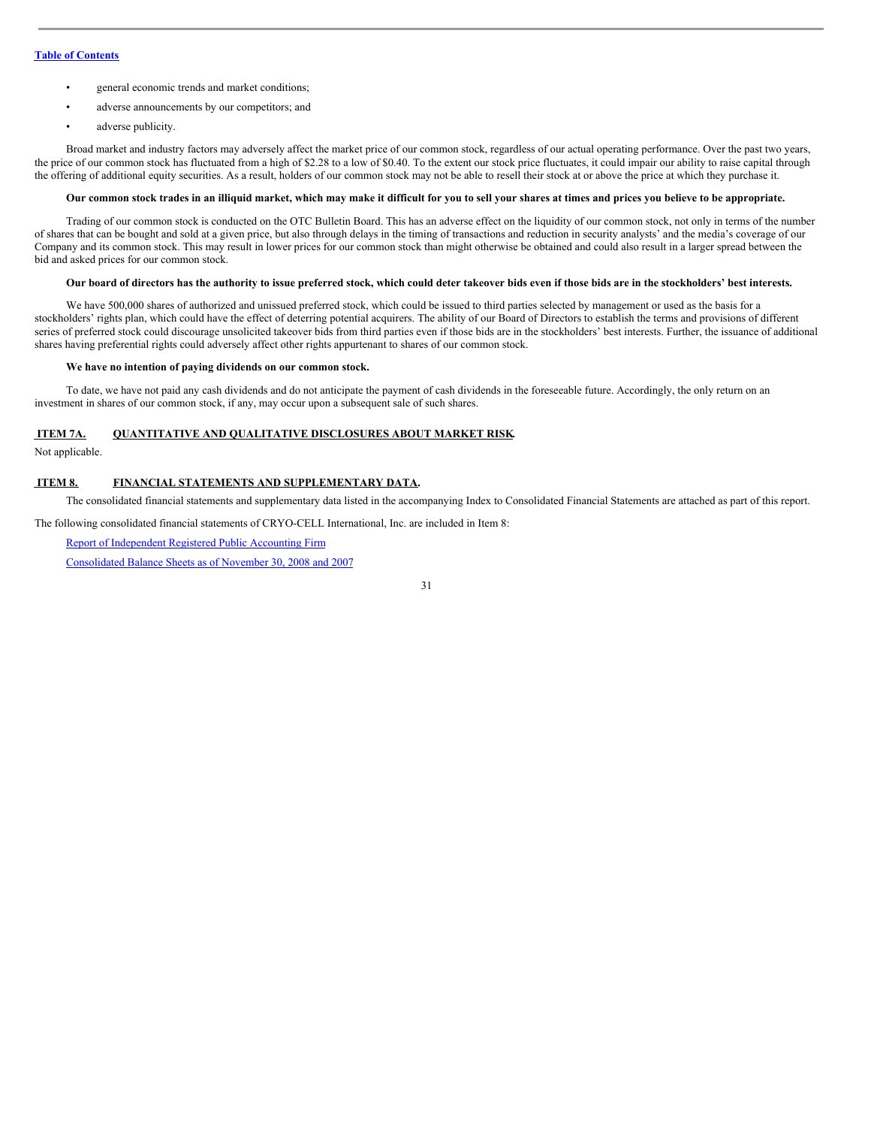- general economic trends and market conditions;
- adverse announcements by our competitors; and
- adverse publicity.

Broad market and industry factors may adversely affect the market price of our common stock, regardless of our actual operating performance. Over the past two years, the price of our common stock has fluctuated from a high of \$2.28 to a low of \$0.40. To the extent our stock price fluctuates, it could impair our ability to raise capital through the offering of additional equity securities. As a result, holders of our common stock may not be able to resell their stock at or above the price at which they purchase it.

#### Our common stock trades in an illiquid market, which may make it difficult for you to sell your shares at times and prices you believe to be appropriate.

Trading of our common stock is conducted on the OTC Bulletin Board. This has an adverse effect on the liquidity of our common stock, not only in terms of the number of shares that can be bought and sold at a given price, but also through delays in the timing of transactions and reduction in security analysts' and the media's coverage of our Company and its common stock. This may result in lower prices for our common stock than might otherwise be obtained and could also result in a larger spread between the bid and asked prices for our common stock.

## Our board of directors has the authority to issue preferred stock, which could deter takeover bids even if those bids are in the stockholders' best interests.

We have 500,000 shares of authorized and unissued preferred stock, which could be issued to third parties selected by management or used as the basis for a stockholders' rights plan, which could have the effect of deterring potential acquirers. The ability of our Board of Directors to establish the terms and provisions of different series of preferred stock could discourage unsolicited takeover bids from third parties even if those bids are in the stockholders' best interests. Further, the issuance of additional shares having preferential rights could adversely affect other rights appurtenant to shares of our common stock.

#### **We have no intention of paying dividends on our common stock.**

To date, we have not paid any cash dividends and do not anticipate the payment of cash dividends in the foreseeable future. Accordingly, the only return on an investment in shares of our common stock, if any, may occur upon a subsequent sale of such shares.

## <span id="page-30-0"></span>**ITEM 7A. QUANTITATIVE AND QUALITATIVE DISCLOSURES ABOUT MARKET RISK.**

Not applicable.

## <span id="page-30-1"></span>**ITEM 8. FINANCIAL STATEMENTS AND SUPPLEMENTARY DATA.**

The consolidated financial statements and supplementary data listed in the accompanying Index to Consolidated Financial Statements are attached as part of this report.

The following consolidated financial statements of CRYO-CELL International, Inc. are included in Item 8:

Report of [Independent](#page-32-0) Registered Public Accounting Firm

[Consolidated](#page-33-0) Balance Sheets as of November 30, 2008 and 2007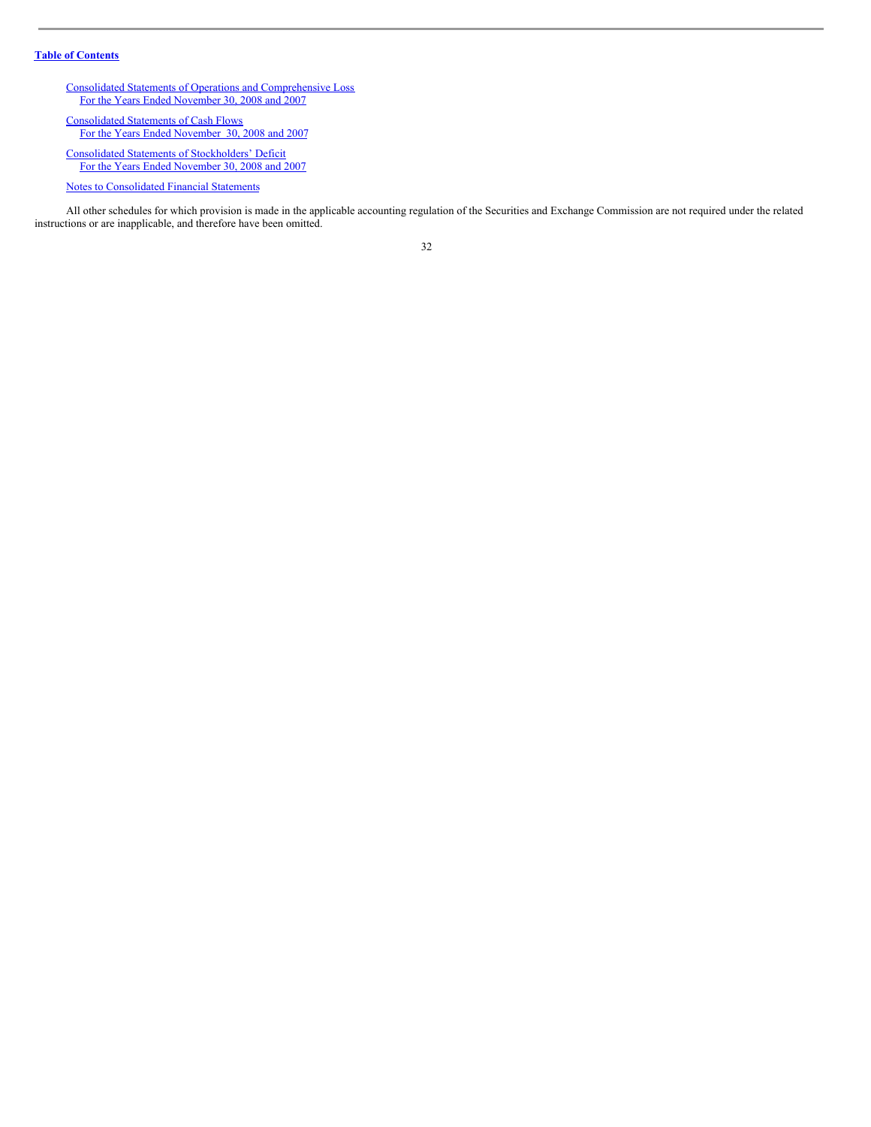- Consolidated Statements of Operations and [Comprehensive](#page-34-0) Loss For the Years Ended November 30, 2008 and 2007
- [Consolidated](#page-35-0) Statements of Cash Flows For the Years Ended November 30, 2008 and 2007
- Consolidated Statements of [Stockholders'](#page-36-0) Deficit For the Years Ended November 30, 2008 and 2007

Notes to [Consolidated](#page-37-0) Financial Statements

All other schedules for which provision is made in the applicable accounting regulation of the Securities and Exchange Commission are not required under the related instructions or are inapplicable, and therefore have been omitted.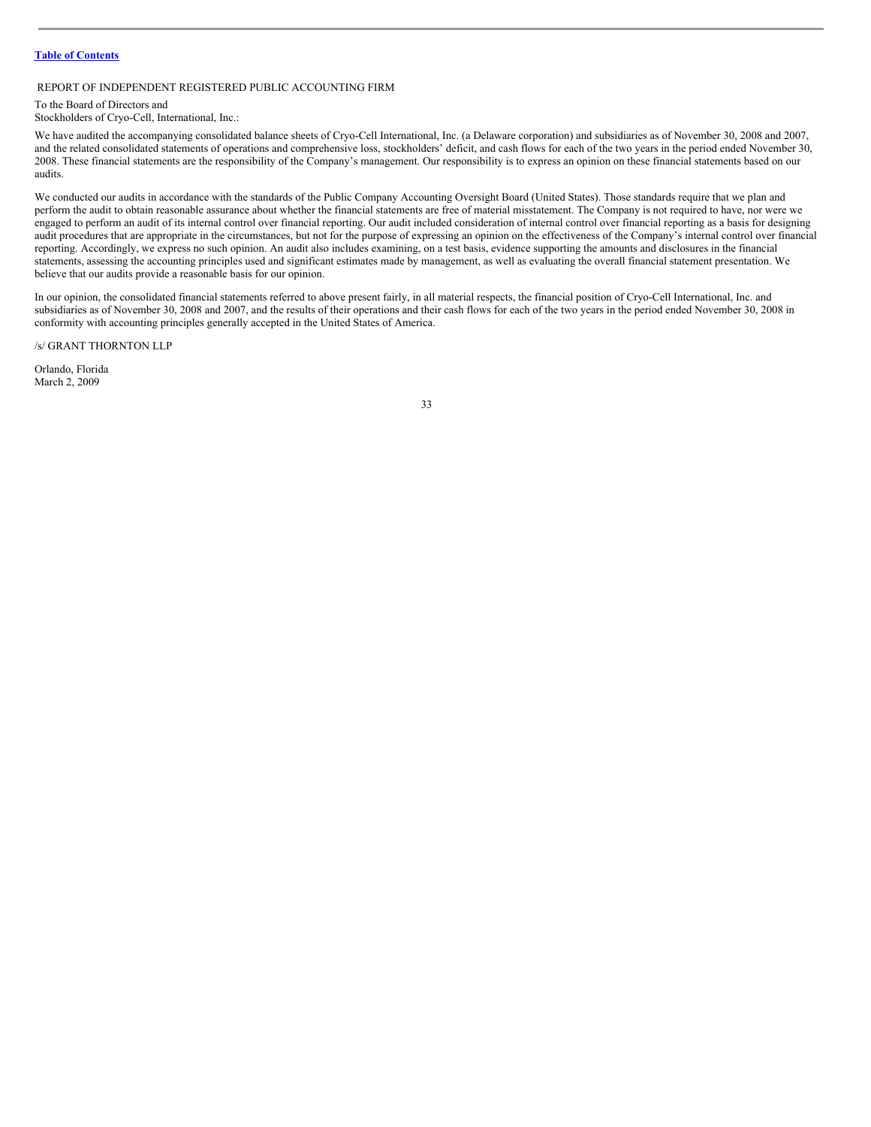## <span id="page-32-0"></span>REPORT OF INDEPENDENT REGISTERED PUBLIC ACCOUNTING FIRM

To the Board of Directors and

Stockholders of Cryo-Cell, International, Inc.:

We have audited the accompanying consolidated balance sheets of Cryo-Cell International, Inc. (a Delaware corporation) and subsidiaries as of November 30, 2008 and 2007, and the related consolidated statements of operations and comprehensive loss, stockholders' deficit, and cash flows for each of the two years in the period ended November 30, 2008. These financial statements are the responsibility of the Company's management. Our responsibility is to express an opinion on these financial statements based on our audits.

We conducted our audits in accordance with the standards of the Public Company Accounting Oversight Board (United States). Those standards require that we plan and perform the audit to obtain reasonable assurance about whether the financial statements are free of material misstatement. The Company is not required to have, nor were we engaged to perform an audit of its internal control over financial reporting. Our audit included consideration of internal control over financial reporting as a basis for designing audit procedures that are appropriate in the circumstances, but not for the purpose of expressing an opinion on the effectiveness of the Company's internal control over financial and the company's internal control over fin reporting. Accordingly, we express no such opinion. An audit also includes examining, on a test basis, evidence supporting the amounts and disclosures in the financial statements, assessing the accounting principles used and significant estimates made by management, as well as evaluating the overall financial statement presentation. We believe that our audits provide a reasonable basis for our opinion.

In our opinion, the consolidated financial statements referred to above present fairly, in all material respects, the financial position of Cryo-Cell International, Inc. and subsidiaries as of November 30, 2008 and 2007, and the results of their operations and their cash flows for each of the two years in the period ended November 30, 2008 in conformity with accounting principles generally accepted in the United States of America.

/s/ GRANT THORNTON LLP

Orlando, Florida March 2, 2009

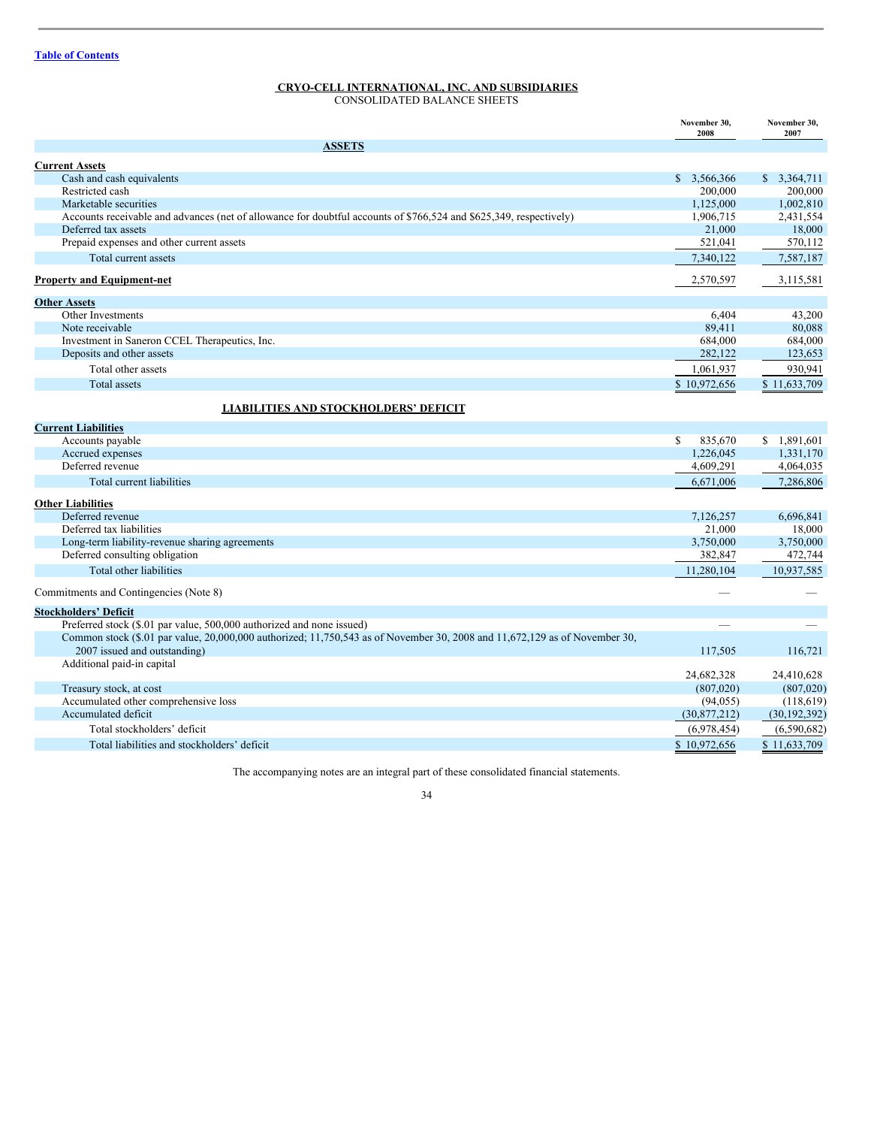## <span id="page-33-0"></span>**CRYO-CELL INTERNATIONAL, INC. AND SUBSIDIARIES**

CONSOLIDATED BALANCE SHEETS

|                                                                                                                            | November 30,<br>2008 | November 30,<br>2007 |
|----------------------------------------------------------------------------------------------------------------------------|----------------------|----------------------|
| <b>ASSETS</b>                                                                                                              |                      |                      |
| <b>Current Assets</b>                                                                                                      |                      |                      |
| Cash and cash equivalents                                                                                                  | \$3,566,366          | \$3,364,711          |
| Restricted cash                                                                                                            | 200,000              | 200,000              |
| Marketable securities                                                                                                      | 1,125,000            | 1,002,810            |
| Accounts receivable and advances (net of allowance for doubtful accounts of \$766,524 and \$625,349, respectively)         | 1,906,715            | 2,431,554            |
| Deferred tax assets                                                                                                        | 21,000               | 18,000               |
| Prepaid expenses and other current assets                                                                                  | 521,041              | 570,112              |
| Total current assets                                                                                                       | 7.340.122            | 7,587,187            |
| <b>Property and Equipment-net</b>                                                                                          | 2,570,597            | 3,115,581            |
| <b>Other Assets</b>                                                                                                        |                      |                      |
| Other Investments                                                                                                          | 6.404                | 43,200               |
| Note receivable                                                                                                            | 89,411               | 80.088               |
| Investment in Saneron CCEL Therapeutics, Inc.                                                                              | 684,000              | 684,000              |
| Deposits and other assets                                                                                                  | 282,122              | 123,653              |
| Total other assets                                                                                                         | 1,061,937            | 930.941              |
| <b>Total assets</b>                                                                                                        | \$10,972,656         | \$11,633,709         |
| <b>LIABILITIES AND STOCKHOLDERS' DEFICIT</b>                                                                               |                      |                      |
| <b>Current Liabilities</b>                                                                                                 |                      |                      |
| Accounts payable                                                                                                           | S.<br>835,670        | \$1,891,601          |
| Accrued expenses                                                                                                           | 1,226,045            | 1,331,170            |
| Deferred revenue                                                                                                           | 4,609,291            | 4,064,035            |
| Total current liabilities                                                                                                  | 6,671,006            | 7,286,806            |
| <b>Other Liabilities</b>                                                                                                   |                      |                      |
| Deferred revenue                                                                                                           | 7,126,257            | 6.696.841            |
| Deferred tax liabilities                                                                                                   | 21.000               | 18,000               |
| Long-term liability-revenue sharing agreements                                                                             | 3,750,000            | 3,750,000            |
| Deferred consulting obligation                                                                                             | 382,847              | 472,744              |
| Total other liabilities                                                                                                    | 11.280.104           | 10,937,585           |
| Commitments and Contingencies (Note 8)                                                                                     |                      |                      |
| <b>Stockholders' Deficit</b>                                                                                               |                      |                      |
| Preferred stock (\$.01 par value, 500,000 authorized and none issued)                                                      |                      |                      |
| Common stock (\$.01 par value, 20,000,000 authorized; 11,750,543 as of November 30, 2008 and 11,672,129 as of November 30, |                      |                      |
| 2007 issued and outstanding)                                                                                               | 117,505              | 116,721              |
| Additional paid-in capital                                                                                                 | 24,682,328           | 24,410,628           |
| Treasury stock, at cost                                                                                                    | (807,020)            | (807, 020)           |
| Accumulated other comprehensive loss                                                                                       | (94, 055)            | (118,619)            |
| Accumulated deficit                                                                                                        | (30,877,212)         | (30, 192, 392)       |
| Total stockholders' deficit                                                                                                | (6,978,454)          | (6,590,682)          |
| Total liabilities and stockholders' deficit                                                                                | \$10,972,656         | \$11,633,709         |
|                                                                                                                            |                      |                      |

The accompanying notes are an integral part of these consolidated financial statements.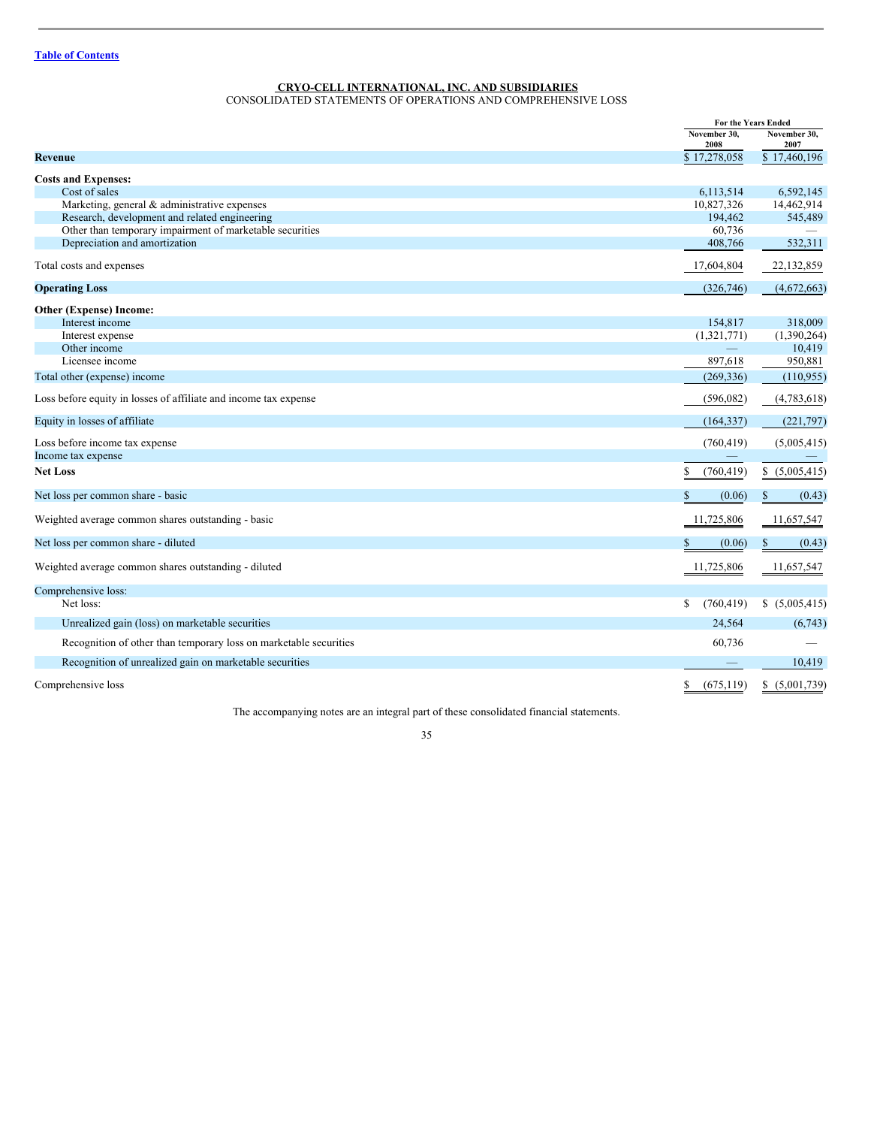## <span id="page-34-0"></span>**CRYO-CELL INTERNATIONAL, INC. AND SUBSIDIARIES**

## CONSOLIDATED STATEMENTS OF OPERATIONS AND COMPREHENSIVE LOSS

|                                                                   |                      | <b>For the Years Ended</b> |  |
|-------------------------------------------------------------------|----------------------|----------------------------|--|
|                                                                   | November 30.<br>2008 | November 30.<br>2007       |  |
| Revenue                                                           | \$17,278,058         | \$17,460,196               |  |
| <b>Costs and Expenses:</b>                                        |                      |                            |  |
| Cost of sales                                                     | 6,113,514            | 6,592,145                  |  |
| Marketing, general & administrative expenses                      | 10,827,326           | 14,462,914                 |  |
| Research, development and related engineering                     | 194,462              | 545,489                    |  |
| Other than temporary impairment of marketable securities          | 60,736               |                            |  |
| Depreciation and amortization                                     | 408,766              | 532,311                    |  |
| Total costs and expenses                                          | 17,604,804           | 22,132,859                 |  |
| <b>Operating Loss</b>                                             | (326, 746)           | (4,672,663)                |  |
| Other (Expense) Income:                                           |                      |                            |  |
| Interest income                                                   | 154,817              | 318,009                    |  |
| Interest expense                                                  | (1,321,771)          | (1,390,264)                |  |
| Other income                                                      |                      | 10,419                     |  |
| Licensee income                                                   | 897,618              | 950,881                    |  |
| Total other (expense) income                                      | (269, 336)           | (110, 955)                 |  |
| Loss before equity in losses of affiliate and income tax expense  | (596,082)            | (4,783,618)                |  |
| Equity in losses of affiliate                                     | (164, 337)           | (221,797)                  |  |
| Loss before income tax expense                                    | (760, 419)           | (5,005,415)                |  |
| Income tax expense                                                |                      |                            |  |
| <b>Net Loss</b>                                                   | \$<br>(760, 419)     | \$(5,005,415)              |  |
| Net loss per common share - basic                                 | \$<br>(0.06)         | \$<br>(0.43)               |  |
| Weighted average common shares outstanding - basic                | 11,725,806           | 11,657,547                 |  |
| Net loss per common share - diluted                               | (0.06)               | \$<br>(0.43)               |  |
| Weighted average common shares outstanding - diluted              | 11,725,806           | 11,657,547                 |  |
| Comprehensive loss:                                               |                      |                            |  |
| Net loss:                                                         | \$<br>(760, 419)     | \$(5,005,415)              |  |
| Unrealized gain (loss) on marketable securities                   | 24.564               | (6,743)                    |  |
| Recognition of other than temporary loss on marketable securities | 60,736               |                            |  |
| Recognition of unrealized gain on marketable securities           |                      | 10,419                     |  |
| Comprehensive loss                                                | \$<br>(675, 119)     | \$(5,001,739)              |  |

The accompanying notes are an integral part of these consolidated financial statements.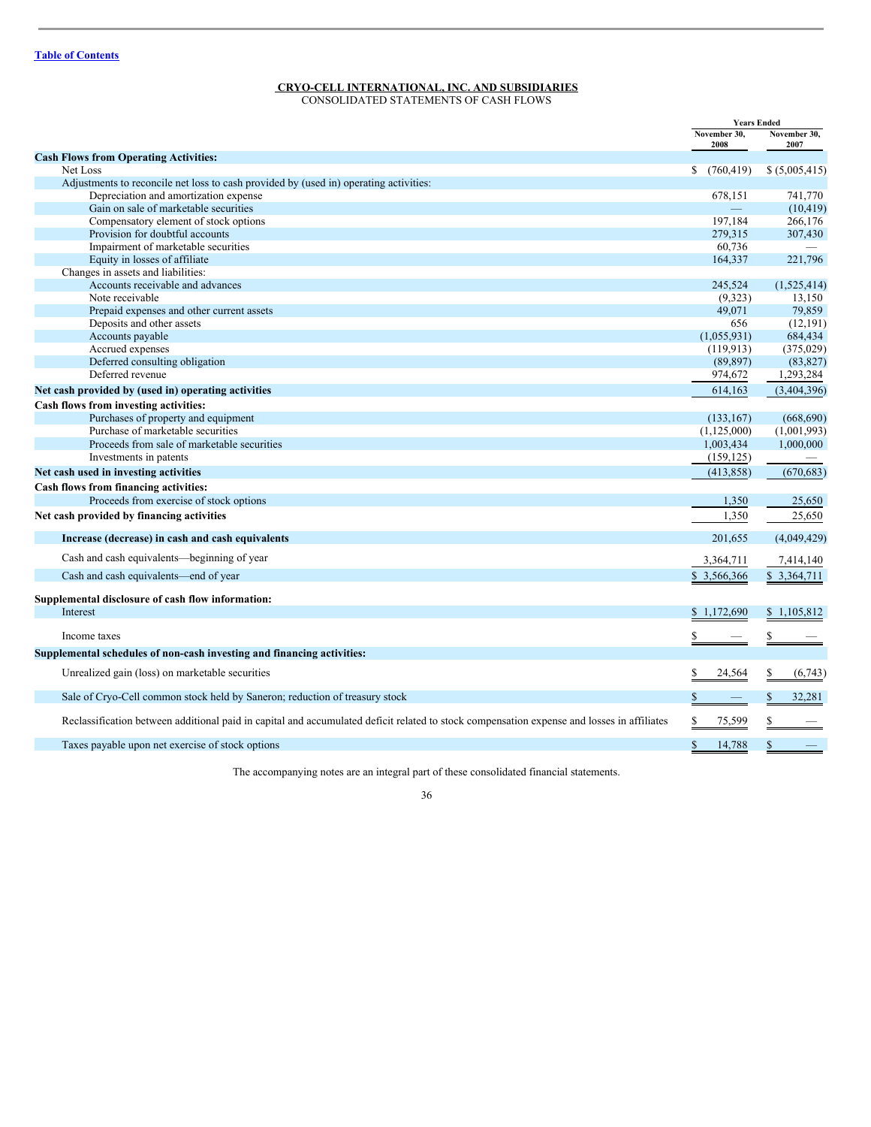## <span id="page-35-0"></span>**CRYO-CELL INTERNATIONAL, INC. AND SUBSIDIARIES**

CONSOLIDATED STATEMENTS OF CASH FLOWS

|                                                                                                                                            | <b>Years Ended</b>       |                      |
|--------------------------------------------------------------------------------------------------------------------------------------------|--------------------------|----------------------|
|                                                                                                                                            | November 30,<br>2008     | November 30,<br>2007 |
| <b>Cash Flows from Operating Activities:</b>                                                                                               |                          |                      |
| Net Loss                                                                                                                                   | (760, 419)<br>S.         | \$ (5,005,415)       |
| Adjustments to reconcile net loss to cash provided by (used in) operating activities:                                                      |                          |                      |
| Depreciation and amortization expense                                                                                                      | 678,151                  | 741,770              |
| Gain on sale of marketable securities                                                                                                      |                          | (10, 419)            |
| Compensatory element of stock options                                                                                                      | 197,184                  | 266,176              |
| Provision for doubtful accounts                                                                                                            | 279,315                  | 307,430              |
| Impairment of marketable securities                                                                                                        | 60,736                   |                      |
| Equity in losses of affiliate                                                                                                              | 164,337                  | 221,796              |
| Changes in assets and liabilities:                                                                                                         |                          |                      |
| Accounts receivable and advances                                                                                                           | 245.524                  | (1,525,414)          |
| Note receivable                                                                                                                            | (9,323)                  | 13,150               |
| Prepaid expenses and other current assets                                                                                                  | 49,071                   | 79,859               |
| Deposits and other assets                                                                                                                  | 656                      | (12, 191)            |
| Accounts payable                                                                                                                           | (1,055,931)              | 684,434              |
| Accrued expenses                                                                                                                           | (119, 913)               | (375, 029)           |
| Deferred consulting obligation                                                                                                             | (89, 897)                | (83, 827)            |
| Deferred revenue                                                                                                                           | 974,672                  | 1,293,284            |
| Net cash provided by (used in) operating activities                                                                                        | 614,163                  | (3, 404, 396)        |
| Cash flows from investing activities:                                                                                                      |                          |                      |
| Purchases of property and equipment                                                                                                        | (133, 167)               | (668, 690)           |
| Purchase of marketable securities                                                                                                          | (1,125,000)              | (1,001,993)          |
| Proceeds from sale of marketable securities                                                                                                | 1,003,434                | 1,000,000            |
| Investments in patents                                                                                                                     | (159, 125)               |                      |
| Net cash used in investing activities                                                                                                      | (413, 858)               | (670, 683)           |
| Cash flows from financing activities:                                                                                                      |                          |                      |
| Proceeds from exercise of stock options                                                                                                    | 1,350                    | 25,650               |
| Net cash provided by financing activities                                                                                                  | 1,350                    | 25,650               |
| Increase (decrease) in cash and cash equivalents                                                                                           | 201,655                  | (4,049,429)          |
| Cash and cash equivalents—beginning of year                                                                                                |                          |                      |
|                                                                                                                                            | 3,364,711                | 7,414,140            |
| Cash and cash equivalents—end of year                                                                                                      | \$ 3,566,366             | \$3,364,711          |
| Supplemental disclosure of cash flow information:                                                                                          |                          |                      |
| Interest                                                                                                                                   | \$1,172,690              | \$1,105,812          |
| Income taxes                                                                                                                               | \$                       | \$                   |
| Supplemental schedules of non-cash investing and financing activities:                                                                     |                          |                      |
|                                                                                                                                            |                          |                      |
| Unrealized gain (loss) on marketable securities                                                                                            | \$<br>24,564             | \$<br>(6,743)        |
| Sale of Cryo-Cell common stock held by Saneron; reduction of treasury stock                                                                | $\overline{\phantom{m}}$ | \$<br>32,281         |
| Reclassification between additional paid in capital and accumulated deficit related to stock compensation expense and losses in affiliates | 75,599<br>\$             |                      |
| Taxes payable upon net exercise of stock options                                                                                           | 14.788<br>$\mathcal{S}$  | $\mathbf S$          |
|                                                                                                                                            |                          |                      |

The accompanying notes are an integral part of these consolidated financial statements.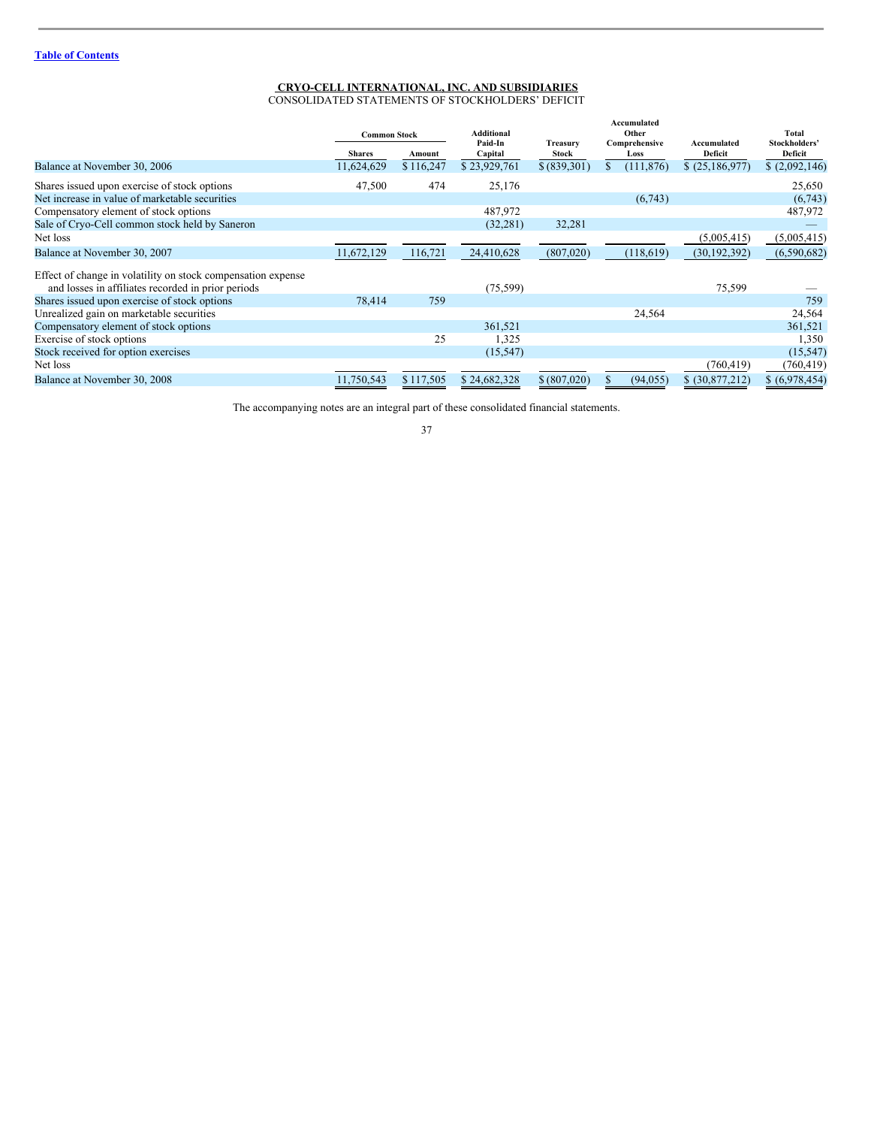#### **CRYO-CELL INTERNATIONAL, INC. AND SUBSIDIARIES** CONSOLIDATED STATEMENTS OF STOCKHOLDERS' DEFICIT

|                                                                                                                    | <b>Common Stock</b> |           | <b>Additional</b><br>Paid-In | <b>Treasurv</b> | Accumulated<br>Other<br>Comprehensive |            | Accumulated     | Total<br>Stockholders' |
|--------------------------------------------------------------------------------------------------------------------|---------------------|-----------|------------------------------|-----------------|---------------------------------------|------------|-----------------|------------------------|
|                                                                                                                    | <b>Shares</b>       | Amount    | Capital                      | Stock           |                                       | Loss       | Deficit         | Deficit                |
| Balance at November 30, 2006                                                                                       | 11,624,629          | \$116.247 | \$23,929,761                 | \$ (839, 301)   | S.                                    | (111, 876) | \$ (25,186,977) | (2,092,146)            |
| Shares issued upon exercise of stock options                                                                       | 47,500              | 474       | 25,176                       |                 |                                       |            |                 | 25,650                 |
| Net increase in value of marketable securities                                                                     |                     |           |                              |                 |                                       | (6,743)    |                 | (6,743)                |
| Compensatory element of stock options                                                                              |                     |           | 487,972                      |                 |                                       |            |                 | 487,972                |
| Sale of Cryo-Cell common stock held by Saneron                                                                     |                     |           | (32, 281)                    | 32,281          |                                       |            |                 |                        |
| Net loss                                                                                                           |                     |           |                              |                 |                                       |            | (5,005,415)     | (5,005,415)            |
| Balance at November 30, 2007                                                                                       | 11,672,129          | 116,721   | 24,410,628                   | (807, 020)      |                                       | (118,619)  | (30, 192, 392)  | (6,590,682)            |
| Effect of change in volatility on stock compensation expense<br>and losses in affiliates recorded in prior periods |                     |           | (75, 599)                    |                 |                                       |            | 75,599          |                        |
| Shares issued upon exercise of stock options                                                                       | 78.414              | 759       |                              |                 |                                       |            |                 | 759                    |
| Unrealized gain on marketable securities                                                                           |                     |           |                              |                 |                                       | 24,564     |                 | 24,564                 |
| Compensatory element of stock options                                                                              |                     |           | 361,521                      |                 |                                       |            |                 | 361,521                |
| Exercise of stock options                                                                                          |                     | 25        | 1,325                        |                 |                                       |            |                 | 1,350                  |
| Stock received for option exercises                                                                                |                     |           | (15, 547)                    |                 |                                       |            |                 | (15, 547)              |
| Net loss                                                                                                           |                     |           |                              |                 |                                       |            | (760, 419)      | (760, 419)             |
| Balance at November 30, 2008                                                                                       | 11,750,543          | \$117,505 | \$24,682,328                 | \$ (807,020)    |                                       | (94, 055)  | \$ (30,877,212) | \$ (6,978,454)         |

The accompanying notes are an integral part of these consolidated financial statements.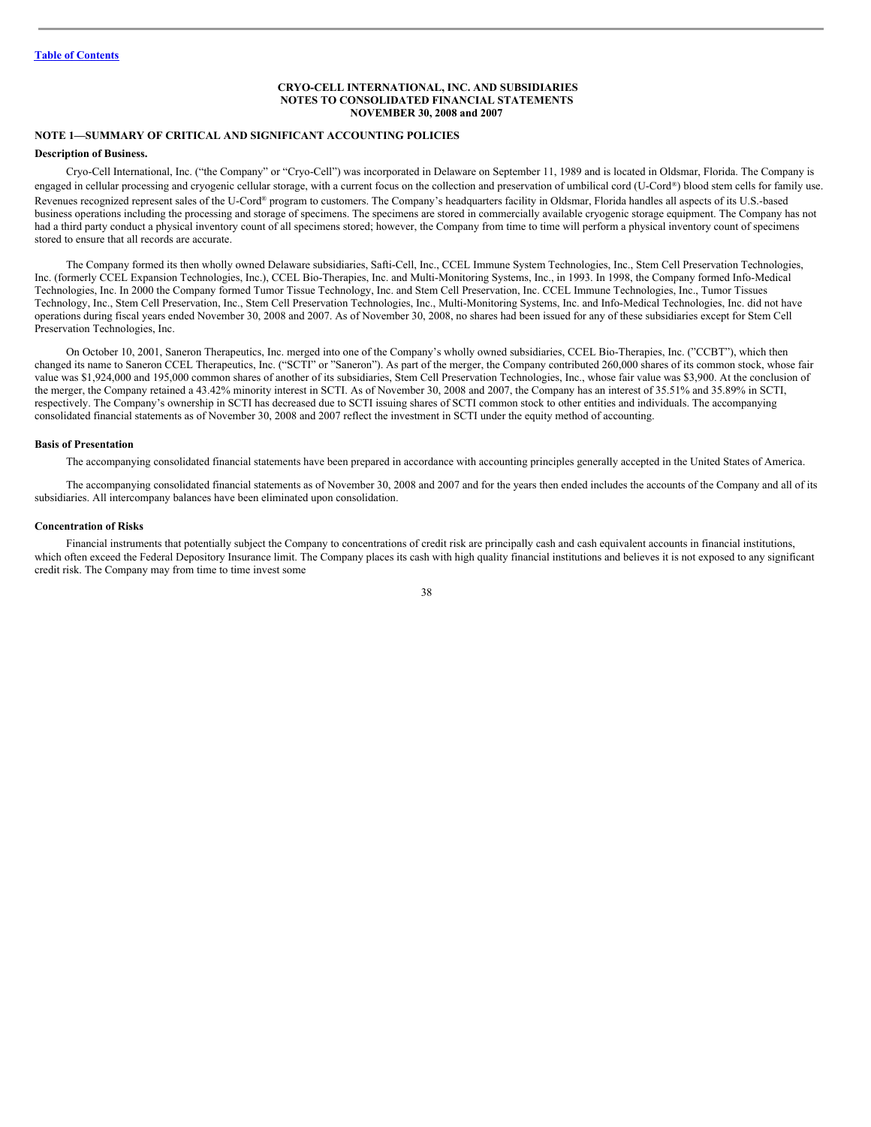### **CRYO-CELL INTERNATIONAL, INC. AND SUBSIDIARIES NOTES TO CONSOLIDATED FINANCIAL STATEMENTS NOVEMBER 30, 2008 and 2007**

# **NOTE 1—SUMMARY OF CRITICAL AND SIGNIFICANT ACCOUNTING POLICIES**

# **Description of Business.**

Cryo-Cell International, Inc. ("the Company" or "Cryo-Cell") was incorporated in Delaware on September 11, 1989 and is located in Oldsmar, Florida. The Company is engaged in cellular processing and cryogenic cellular storage, with a current focus on the collection and preservation of umbilical cord (U-Cord®) blood stem cells for family use. Revenues recognized represent sales of the U-Cord® program to customers. The Company's headquarters facility in Oldsmar, Florida handles all aspects of its U.S.-based business operations including the processing and storage of specimens. The specimens are stored in commercially available cryogenic storage equipment. The Company has not had a third party conduct a physical inventory count of all specimens stored; however, the Company from time to time will perform a physical inventory count of specimens stored to ensure that all records are accurate.

The Company formed its then wholly owned Delaware subsidiaries, Safti-Cell, Inc., CCEL Immune System Technologies, Inc., Stem Cell Preservation Technologies, Inc. (formerly CCEL Expansion Technologies, Inc.), CCEL Bio-Therapies, Inc. and Multi-Monitoring Systems, Inc., in 1993. In 1998, the Company formed Info-Medical Technologies, Inc. In 2000 the Company formed Tumor Tissue Technology, Inc. and Stem Cell Preservation, Inc. CCEL Immune Technologies, Inc., Tumor Tissues Technology, Inc., Stem Cell Preservation, Inc., Stem Cell Preservation Technologies, Inc., Multi-Monitoring Systems, Inc. and Info-Medical Technologies, Inc. did not have operations during fiscal years ended November 30, 2008 and 2007. As of November 30, 2008, no shares had been issued for any of these subsidiaries except for Stem Cell Preservation Technologies, Inc.

On October 10, 2001, Saneron Therapeutics, Inc. merged into one of the Company's wholly owned subsidiaries, CCEL Bio-Therapies, Inc. ("CCBT"), which then changed its name to Saneron CCEL Therapeutics, Inc. ("SCTI" or "Saneron"). As part of the merger, the Company contributed 260,000 shares of its common stock, whose fair value was \$1,924,000 and 195,000 common shares of another of its subsidiaries, Stem Cell Preservation Technologies, Inc., whose fair value was \$3,900. At the conclusion of the merger, the Company retained a 43.42% minority interest in SCTI. As of November 30, 2008 and 2007, the Company has an interest of 35.51% and 35.89% in SCTI, respectively. The Company's ownership in SCTI has decreased due to SCTI issuing shares of SCTI common stock to other entities and individuals. The accompanying consolidated financial statements as of November 30, 2008 and 2007 reflect the investment in SCTI under the equity method of accounting.

### **Basis of Presentation**

The accompanying consolidated financial statements have been prepared in accordance with accounting principles generally accepted in the United States of America.

The accompanying consolidated financial statements as of November 30, 2008 and 2007 and for the years then ended includes the accounts of the Company and all of its subsidiaries. All intercompany balances have been eliminated upon consolidation.

### **Concentration of Risks**

Financial instruments that potentially subject the Company to concentrations of credit risk are principally cash and cash equivalent accounts in financial institutions, which often exceed the Federal Depository Insurance limit. The Company places its cash with high quality financial institutions and believes it is not exposed to any significant credit risk. The Company may from time to time invest some

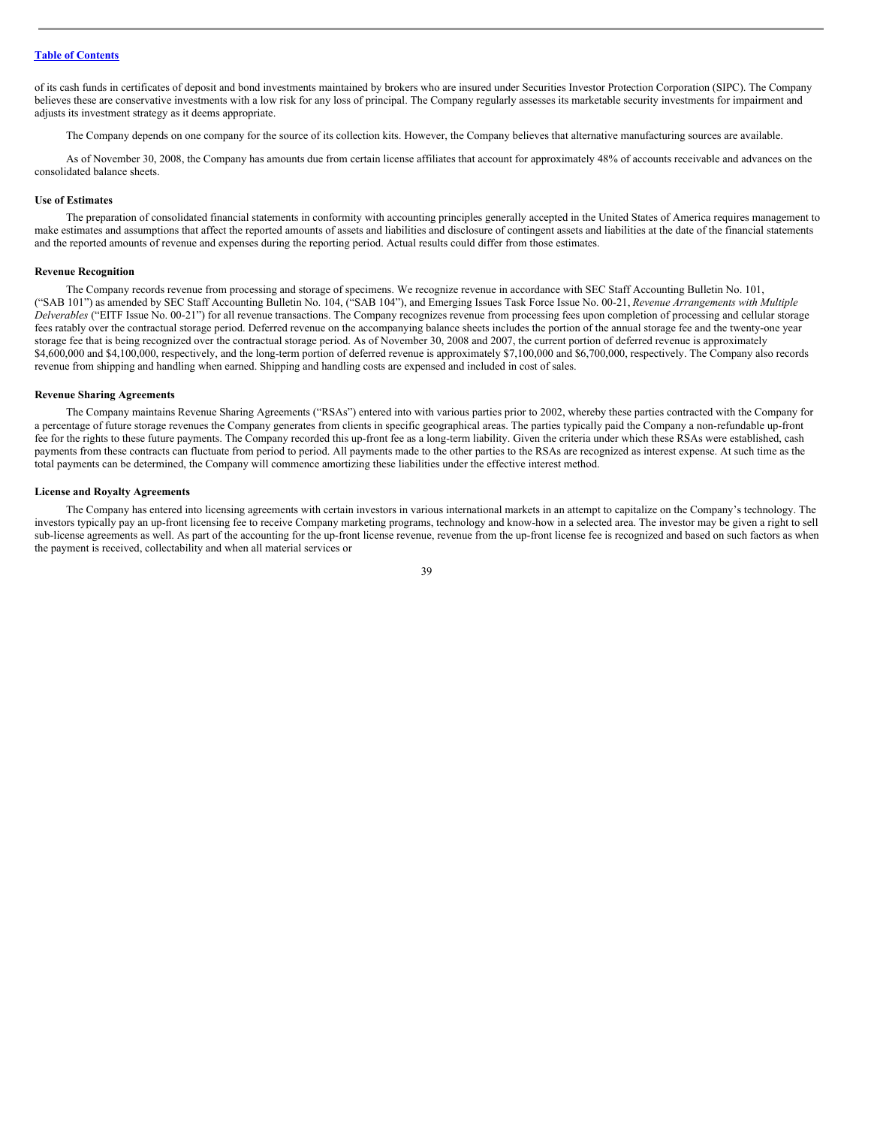of its cash funds in certificates of deposit and bond investments maintained by brokers who are insured under Securities Investor Protection Corporation (SIPC). The Company believes these are conservative investments with a low risk for any loss of principal. The Company regularly assesses its marketable security investments for impairment and adjusts its investment strategy as it deems appropriate.

The Company depends on one company for the source of its collection kits. However, the Company believes that alternative manufacturing sources are available.

As of November 30, 2008, the Company has amounts due from certain license affiliates that account for approximately 48% of accounts receivable and advances on the consolidated balance sheets.

### **Use of Estimates**

The preparation of consolidated financial statements in conformity with accounting principles generally accepted in the United States of America requires management to make estimates and assumptions that affect the reported amounts of assets and liabilities and disclosure of contingent assets and liabilities at the date of the financial statements and the reported amounts of revenue and expenses during the reporting period. Actual results could differ from those estimates.

### **Revenue Recognition**

The Company records revenue from processing and storage of specimens. We recognize revenue in accordance with SEC Staff Accounting Bulletin No. 101, ("SAB 101") as amended by SEC Staff Accounting Bulletin No. 104, ("SAB 104"), and Emerging Issues Task Force Issue No. 00-21, *Revenue Arrangements with Multiple Delverables* ("EITF Issue No. 00-21") for all revenue transactions. The Company recognizes revenue from processing fees upon completion of processing and cellular storage fees ratably over the contractual storage period. Deferred revenue on the accompanying balance sheets includes the portion of the annual storage fee and the twenty-one year storage fee that is being recognized over the contractual storage period. As of November 30, 2008 and 2007, the current portion of deferred revenue is approximately \$4,600,000 and \$4,100,000, respectively, and the long-term portion of deferred revenue is approximately \$7,100,000 and \$6,700,000, respectively. The Company also records revenue from shipping and handling when earned. Shipping and handling costs are expensed and included in cost of sales.

#### **Revenue Sharing Agreements**

The Company maintains Revenue Sharing Agreements ("RSAs") entered into with various parties prior to 2002, whereby these parties contracted with the Company for a percentage of future storage revenues the Company generates from clients in specific geographical areas. The parties typically paid the Company a non-refundable up-front fee for the rights to these future payments. The Company recorded this up-front fee as a long-term liability. Given the criteria under which these RSAs were established, cash payments from these contracts can fluctuate from period to period. All payments made to the other parties to the RSAs are recognized as interest expense. At such time as the total payments can be determined, the Company will commence amortizing these liabilities under the effective interest method.

### **License and Royalty Agreements**

The Company has entered into licensing agreements with certain investors in various international markets in an attempt to capitalize on the Company's technology. The investors typically pay an up-front licensing fee to receive Company marketing programs, technology and know-how in a selected area. The investor may be given a right to sell sub-license agreements as well. As part of the accounting for the up-front license revenue, revenue from the up-front license fee is recognized and based on such factors as when the payment is received, collectability and when all material services or

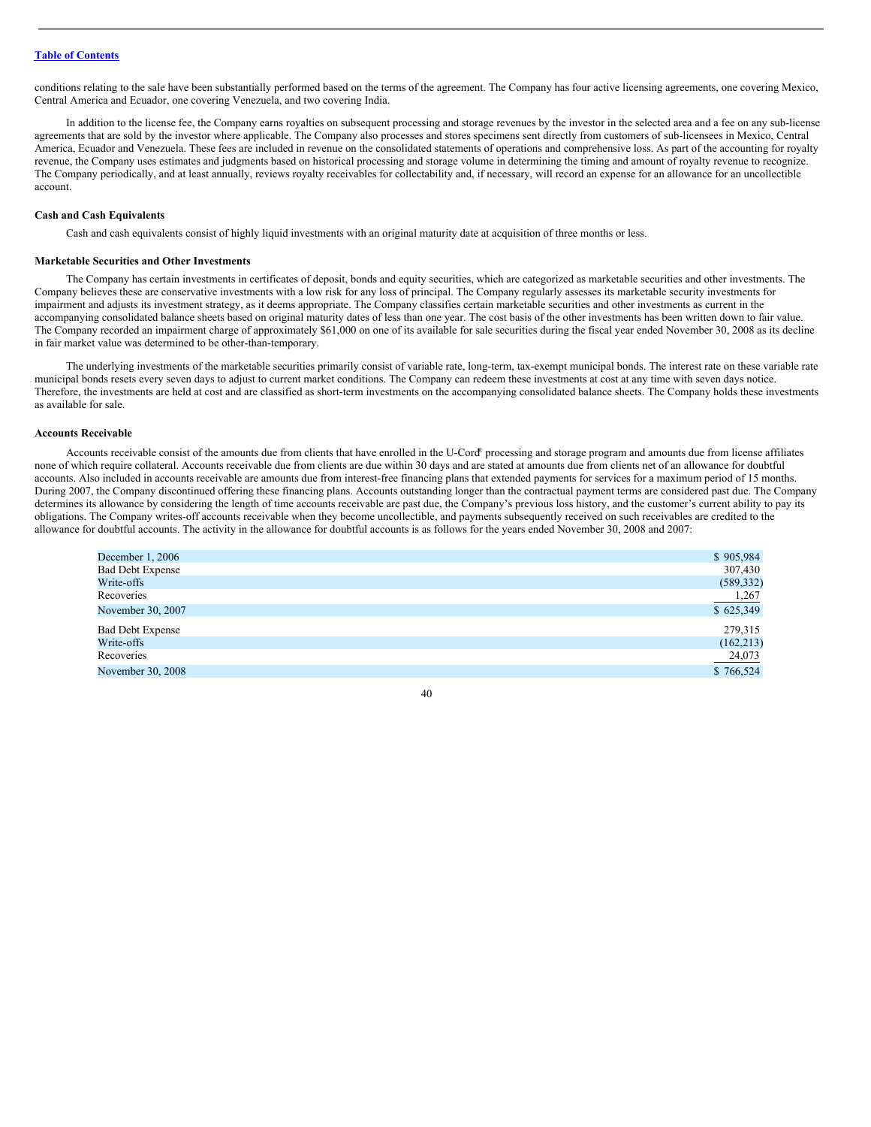conditions relating to the sale have been substantially performed based on the terms of the agreement. The Company has four active licensing agreements, one covering Mexico, Central America and Ecuador, one covering Venezuela, and two covering India.

In addition to the license fee, the Company earns royalties on subsequent processing and storage revenues by the investor in the selected area and a fee on any sub-license agreements that are sold by the investor where applicable. The Company also processes and stores specimens sent directly from customers of sub-licensees in Mexico, Central America, Ecuador and Venezuela. These fees are included in revenue on the consolidated statements of operations and comprehensive loss. As part of the accounting for royalty revenue, the Company uses estimates and judgments based on historical processing and storage volume in determining the timing and amount of royalty revenue to recognize. The Company periodically, and at least annually, reviews royalty receivables for collectability and, if necessary, will record an expense for an allowance for an uncollectible account.

#### **Cash and Cash Equivalents**

Cash and cash equivalents consist of highly liquid investments with an original maturity date at acquisition of three months or less.

#### **Marketable Securities and Other Investments**

The Company has certain investments in certificates of deposit, bonds and equity securities, which are categorized as marketable securities and other investments. The Company believes these are conservative investments with a low risk for any loss of principal. The Company regularly assesses its marketable security investments for impairment and adjusts its investment strategy, as it deems appropriate. The Company classifies certain marketable securities and other investments as current in the accompanying consolidated balance sheets based on original maturity dates of less than one year. The cost basis of the other investments has been written down to fair value. The Company recorded an impairment charge of approximately \$61,000 on one of its available for sale securities during the fiscal year ended November 30, 2008 as its decline in fair market value was determined to be other-than-temporary.

The underlying investments of the marketable securities primarily consist of variable rate, long-term, tax-exempt municipal bonds. The interest rate on these variable rate municipal bonds resets every seven days to adjust to current market conditions. The Company can redeem these investments at cost at any time with seven days notice. Therefore, the investments are held at cost and are classified as short-term investments on the accompanying consolidated balance sheets. The Company holds these investments as available for sale.

### **Accounts Receivable**

Accounts receivable consist of the amounts due from clients that have enrolled in the U-Cord<sup>®</sup> processing and storage program and amounts due from license affiliates none of which require collateral. Accounts receivable due from clients are due within 30 days and are stated at amounts due from clients net of an allowance for doubtful accounts. Also included in accounts receivable are amounts due from interest-free financing plans that extended payments for services for a maximum period of 15 months. During 2007, the Company discontinued offering these financing plans. Accounts outstanding longer than the contractual payment terms are considered past due. The Company determines its allowance by considering the length of time accounts receivable are past due, the Company's previous loss history, and the customer's current ability to pay its obligations. The Company writes-off accounts receivable when they become uncollectible, and payments subsequently received on such receivables are credited to the allowance for doubtful accounts. The activity in the allowance for doubtful accounts is as follows for the years ended November 30, 2008 and 2007:

| December 1, 2006        | \$905,984  |
|-------------------------|------------|
| <b>Bad Debt Expense</b> | 307,430    |
| Write-offs              | (589, 332) |
| Recoveries              | 1,267      |
| November 30, 2007       | \$625,349  |
| <b>Bad Debt Expense</b> | 279,315    |
| Write-offs              | (162, 213) |
| Recoveries              | 24,073     |
| November 30, 2008       | \$766,524  |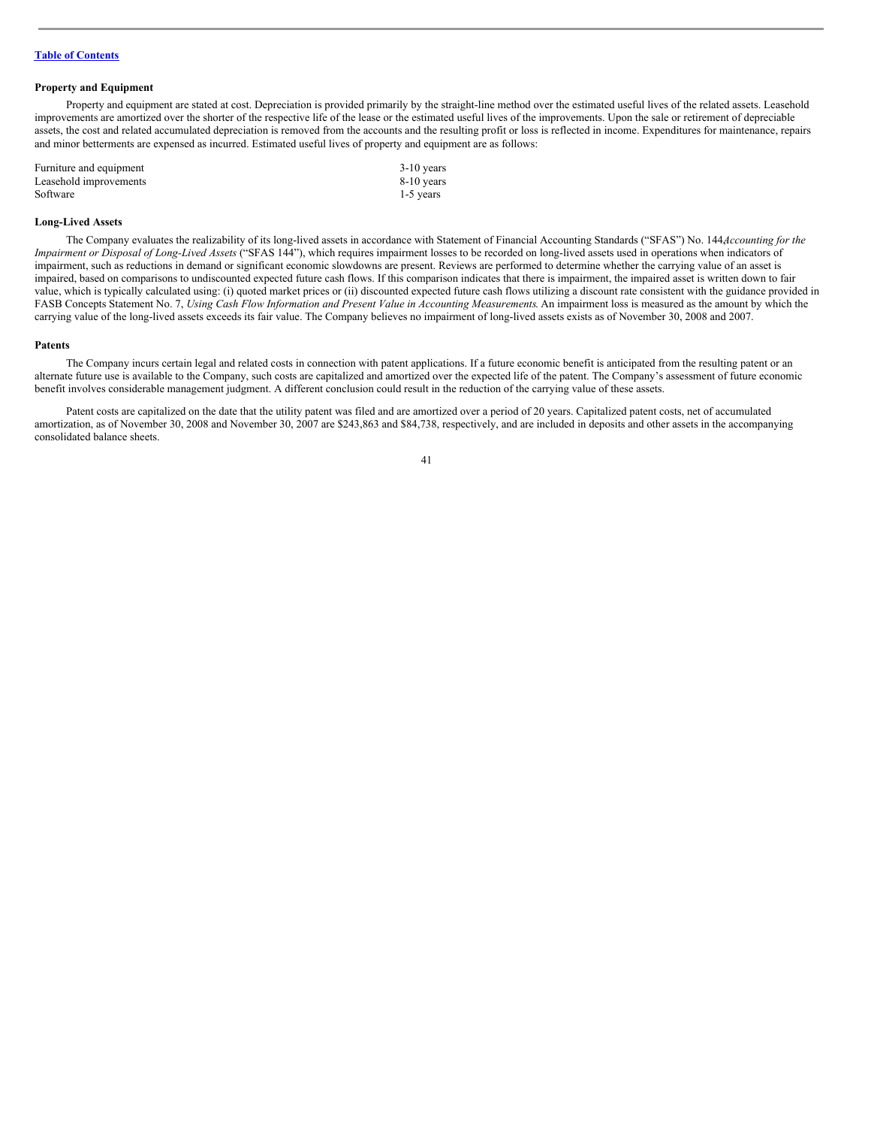### **Property and Equipment**

Property and equipment are stated at cost. Depreciation is provided primarily by the straight-line method over the estimated useful lives of the related assets. Leasehold improvements are amortized over the shorter of the respective life of the lease or the estimated useful lives of the improvements. Upon the sale or retirement of depreciable assets, the cost and related accumulated depreciation is removed from the accounts and the resulting profit or loss is reflected in income. Expenditures for maintenance, repairs and minor betterments are expensed as incurred. Estimated useful lives of property and equipment are as follows:

| Furniture and equipment | $3-10$ years |
|-------------------------|--------------|
| Leasehold improvements  | 8-10 years   |
| Software                | 1-5 years    |

### **Long-Lived Assets**

The Company evaluates the realizability of its long-lived assets in accordance with Statement of Financial Accounting Standards ("SFAS") No. 144,*Accounting for the Impairment or Disposal of Long-Lived Assets* ("SFAS 144"), which requires impairment losses to be recorded on long-lived assets used in operations when indicators of impairment, such as reductions in demand or significant economic slowdowns are present. Reviews are performed to determine whether the carrying value of an asset is impaired, based on comparisons to undiscounted expected future cash flows. If this comparison indicates that there is impairment, the impaired asset is written down to fair value, which is typically calculated using: (i) quoted market prices or (ii) discounted expected future cash flows utilizing a discount rate consistent with the guidance provided in FASB Concepts Statement No. 7, Using Cash Flow Information and Present Value in Accounting Measurements. An impairment loss is measured as the amount by which the carrying value of the long-lived assets exceeds its fair value. The Company believes no impairment of long-lived assets exists as of November 30, 2008 and 2007.

#### **Patents**

The Company incurs certain legal and related costs in connection with patent applications. If a future economic benefit is anticipated from the resulting patent or an alternate future use is available to the Company, such costs are capitalized and amortized over the expected life of the patent. The Company's assessment of future economic benefit involves considerable management judgment. A different conclusion could result in the reduction of the carrying value of these assets.

Patent costs are capitalized on the date that the utility patent was filed and are amortized over a period of 20 years. Capitalized patent costs, net of accumulated amortization, as of November 30, 2008 and November 30, 2007 are \$243,863 and \$84,738, respectively, and are included in deposits and other assets in the accompanying consolidated balance sheets.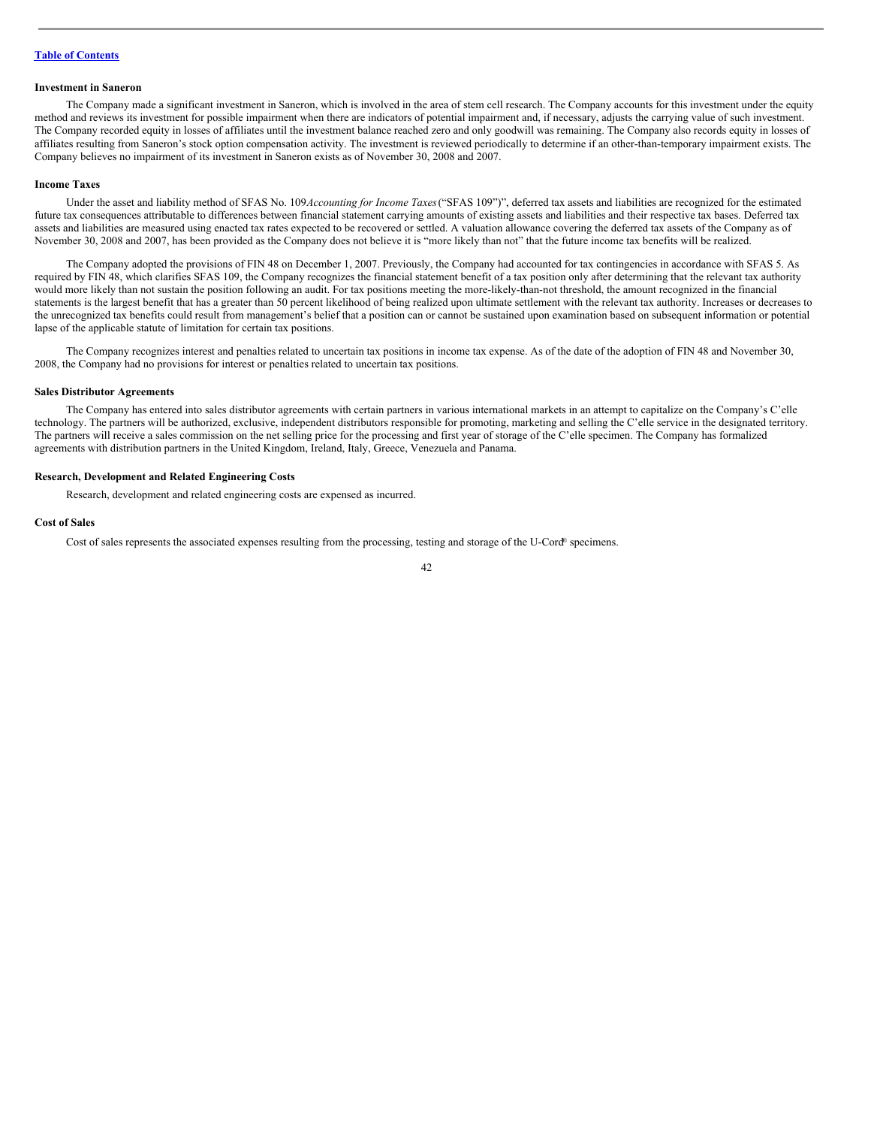### **Investment in Saneron**

The Company made a significant investment in Saneron, which is involved in the area of stem cell research. The Company accounts for this investment under the equity method and reviews its investment for possible impairment when there are indicators of potential impairment and, if necessary, adjusts the carrying value of such investment. The Company recorded equity in losses of affiliates until the investment balance reached zero and only goodwill was remaining. The Company also records equity in losses of affiliates resulting from Saneron's stock option compensation activity. The investment is reviewed periodically to determine if an other-than-temporary impairment exists. The Company believes no impairment of its investment in Saneron exists as of November 30, 2008 and 2007.

#### **Income Taxes**

Under the asset and liability method of SFAS No. 109*Accounting for Income Taxes*("SFAS 109")", deferred tax assets and liabilities are recognized for the estimated future tax consequences attributable to differences between financial statement carrying amounts of existing assets and liabilities and their respective tax bases. Deferred tax assets and liabilities are measured using enacted tax rates expected to be recovered or settled. A valuation allowance covering the deferred tax assets of the Company as of November 30, 2008 and 2007, has been provided as the Company does not believe it is "more likely than not" that the future income tax benefits will be realized.

The Company adopted the provisions of FIN 48 on December 1, 2007. Previously, the Company had accounted for tax contingencies in accordance with SFAS 5. As required by FIN 48, which clarifies SFAS 109, the Company recognizes the financial statement benefit of a tax position only after determining that the relevant tax authority would more likely than not sustain the position following an audit. For tax positions meeting the more-likely-than-not threshold, the amount recognized in the financial statements is the largest benefit that has a greater than 50 percent likelihood of being realized upon ultimate settlement with the relevant tax authority. Increases or decreases to the unrecognized tax benefits could result from management's belief that a position can or cannot be sustained upon examination based on subsequent information or potential lapse of the applicable statute of limitation for certain tax positions.

The Company recognizes interest and penalties related to uncertain tax positions in income tax expense. As of the date of the adoption of FIN 48 and November 30, 2008, the Company had no provisions for interest or penalties related to uncertain tax positions.

#### **Sales Distributor Agreements**

The Company has entered into sales distributor agreements with certain partners in various international markets in an attempt to capitalize on the Company's C'elle technology. The partners will be authorized, exclusive, independent distributors responsible for promoting, marketing and selling the C'elle service in the designated territory. The partners will receive a sales commission on the net selling price for the processing and first year of storage of the C'elle specimen. The Company has formalized agreements with distribution partners in the United Kingdom, Ireland, Italy, Greece, Venezuela and Panama.

# **Research, Development and Related Engineering Costs**

Research, development and related engineering costs are expensed as incurred.

### **Cost of Sales**

Cost of sales represents the associated expenses resulting from the processing, testing and storage of the U-Cord® specimens.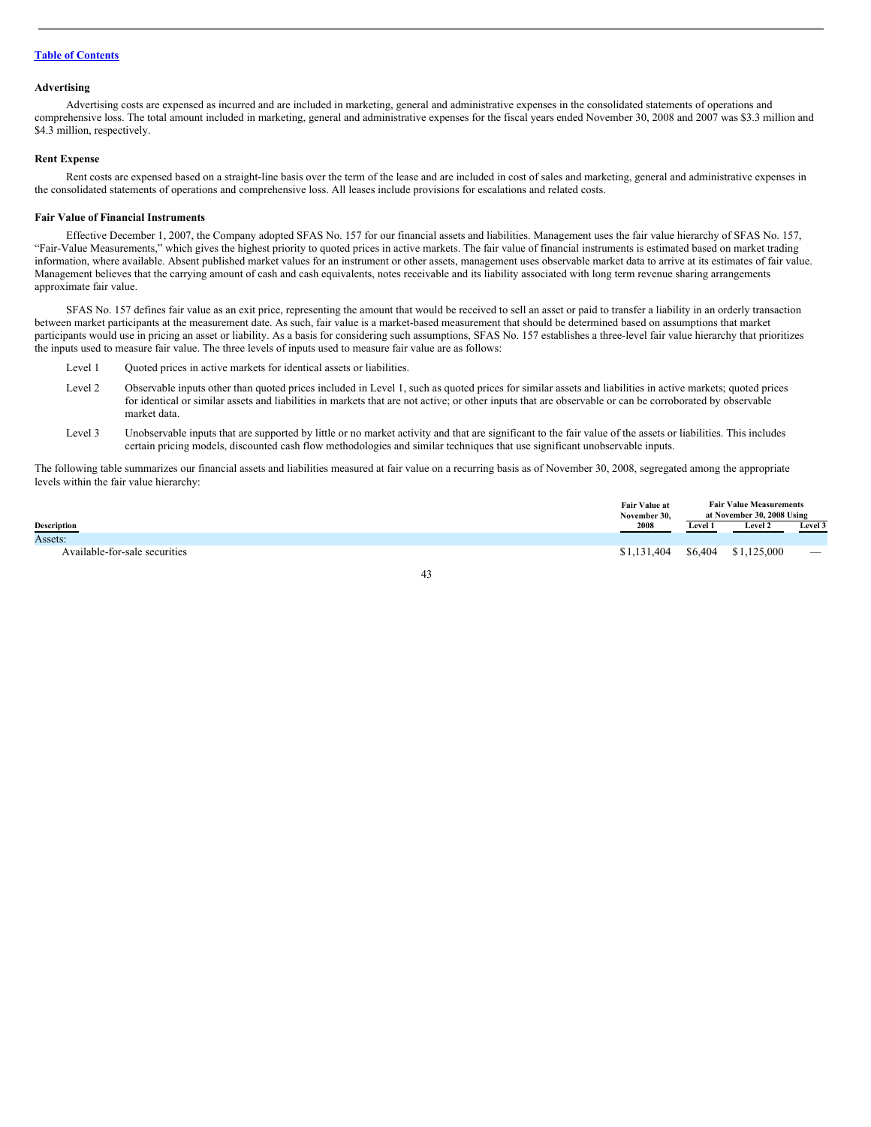### **Advertising**

Advertising costs are expensed as incurred and are included in marketing, general and administrative expenses in the consolidated statements of operations and comprehensive loss. The total amount included in marketing, general and administrative expenses for the fiscal years ended November 30, 2008 and 2007 was \$3.3 million and \$4.3 million, respectively.

#### **Rent Expense**

Rent costs are expensed based on a straight-line basis over the term of the lease and are included in cost of sales and marketing, general and administrative expenses in the consolidated statements of operations and comprehensive loss. All leases include provisions for escalations and related costs.

### **Fair Value of Financial Instruments**

Effective December 1, 2007, the Company adopted SFAS No. 157 for our financial assets and liabilities. Management uses the fair value hierarchy of SFAS No. 157, "Fair-Value Measurements," which gives the highest priority to quoted prices in active markets. The fair value of financial instruments is estimated based on market trading information, where available. Absent published market values for an instrument or other assets, management uses observable market data to arrive at its estimates of fair value. Management believes that the carrying amount of cash and cash equivalents, notes receivable and its liability associated with long term revenue sharing arrangements approximate fair value.

SFAS No. 157 defines fair value as an exit price, representing the amount that would be received to sell an asset or paid to transfer a liability in an orderly transaction between market participants at the measurement date. As such, fair value is a market-based measurement that should be determined based on assumptions that market participants would use in pricing an asset or liability. As a basis for considering such assumptions, SFAS No. 157 establishes a three-level fair value hierarchy that prioritizes the inputs used to measure fair value. The three levels of inputs used to measure fair value are as follows:

- Level 1 Quoted prices in active markets for identical assets or liabilities.
- Level 2 Observable inputs other than quoted prices included in Level 1, such as quoted prices for similar assets and liabilities in active markets; quoted prices for identical or similar assets and liabilities in markets that are not active; or other inputs that are observable or can be corroborated by observable market data.
- Level 3 Unobservable inputs that are supported by little or no market activity and that are significant to the fair value of the assets or liabilities. This includes certain pricing models, discounted cash flow methodologies and similar techniques that use significant unobservable inputs.

The following table summarizes our financial assets and liabilities measured at fair value on a recurring basis as of November 30, 2008, segregated among the appropriate levels within the fair value hierarchy:

|                               | <b>Fair Value Measurements</b><br><b>Fair Value at</b><br>at November 30, 2008 Using<br>November 30, |                |                     |                          |  |
|-------------------------------|------------------------------------------------------------------------------------------------------|----------------|---------------------|--------------------------|--|
| <b>Description</b>            | 2008                                                                                                 | <b>Level</b> 1 | <b>Level 2</b>      | <b>Level 3</b>           |  |
| Assets:                       |                                                                                                      |                |                     |                          |  |
| Available-for-sale securities | \$1,131,404                                                                                          |                | \$6,404 \$1,125,000 | $\overline{\phantom{a}}$ |  |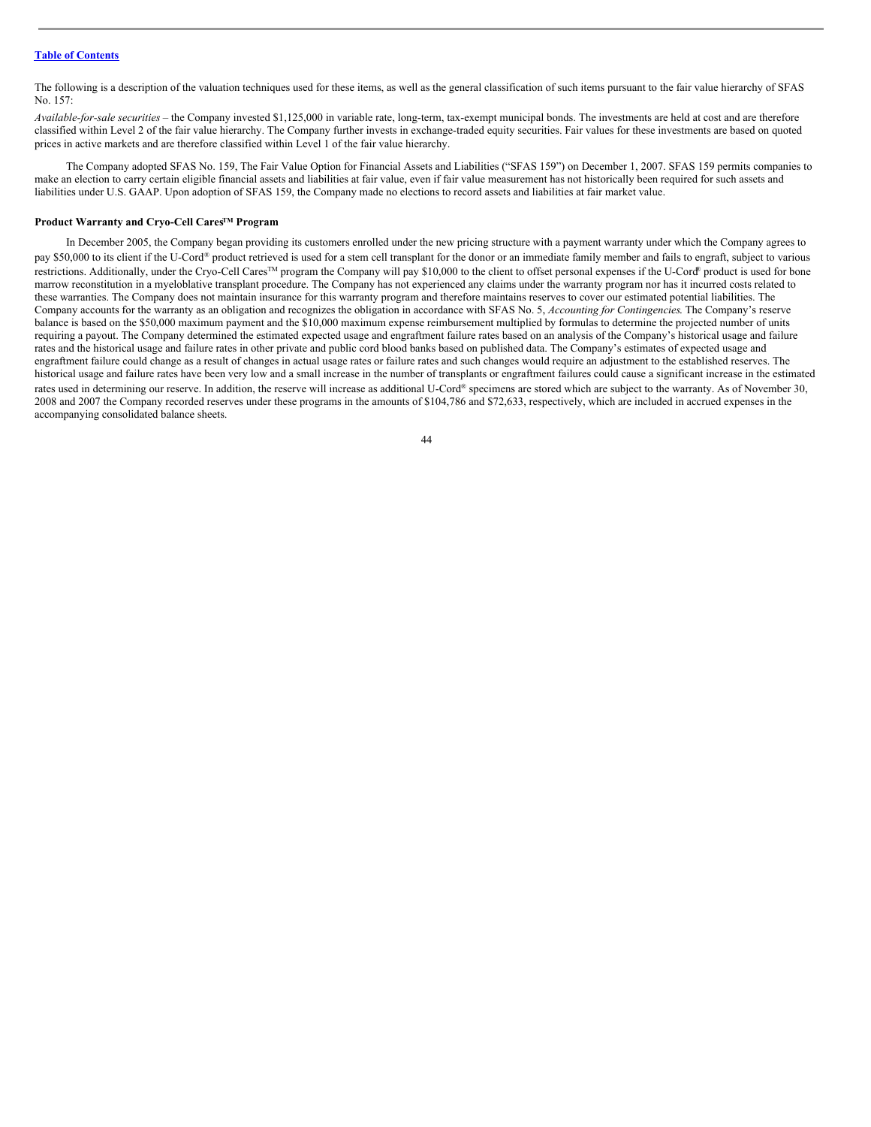The following is a description of the valuation techniques used for these items, as well as the general classification of such items pursuant to the fair value hierarchy of SFAS No. 157:

*Available-for-sale securities* – the Company invested \$1,125,000 in variable rate, long-term, tax-exempt municipal bonds. The investments are held at cost and are therefore classified within Level 2 of the fair value hierarchy. The Company further invests in exchange-traded equity securities. Fair values for these investments are based on quoted prices in active markets and are therefore classified within Level 1 of the fair value hierarchy.

The Company adopted SFAS No. 159, The Fair Value Option for Financial Assets and Liabilities ("SFAS 159") on December 1, 2007. SFAS 159 permits companies to make an election to carry certain eligible financial assets and liabilities at fair value, even if fair value measurement has not historically been required for such assets and liabilities under U.S. GAAP. Upon adoption of SFAS 159, the Company made no elections to record assets and liabilities at fair market value.

# **Product Warranty and Cryo-Cell CaresTM Program**

In December 2005, the Company began providing its customers enrolled under the new pricing structure with a payment warranty under which the Company agrees to pay \$50,000 to its client if the U-Cord® product retrieved is used for a stem cell transplant for the donor or an immediate family member and fails to engraft, subject to various restrictions. Additionally, under the Cryo-Cell Cares<sup>™</sup> program the Company will pay \$10,000 to the client to offset personal expenses if the U-Cord® product is used for bone marrow reconstitution in a myeloblative transplant procedure. The Company has not experienced any claims under the warranty program nor has it incurred costs related to these warranties. The Company does not maintain insurance for this warranty program and therefore maintains reserves to cover our estimated potential liabilities. The Company accounts for the warranty as an obligation and recognizes the obligation in accordance with SFAS No. 5, *Accounting for Contingencies*. The Company's reserve balance is based on the \$50,000 maximum payment and the \$10,000 maximum expense reimbursement multiplied by formulas to determine the projected number of units requiring a payout. The Company determined the estimated expected usage and engraftment failure rates based on an analysis of the Company's historical usage and failure rates and the historical usage and failure rates in other private and public cord blood banks based on published data. The Company's estimates of expected usage and engraftment failure could change as a result of changes in actual usage rates or failure rates and such changes would require an adjustment to the established reserves. The historical usage and failure rates have been very low and a small increase in the number of transplants or engraftment failures could cause a significant increase in the estimated rates used in determining our reserve. In addition, the reserve will increase as additional U-Cord® specimens are stored which are subject to the warranty. As of November 30, 2008 and 2007 the Company recorded reserves under these programs in the amounts of \$104,786 and \$72,633, respectively, which are included in accrued expenses in the accompanying consolidated balance sheets.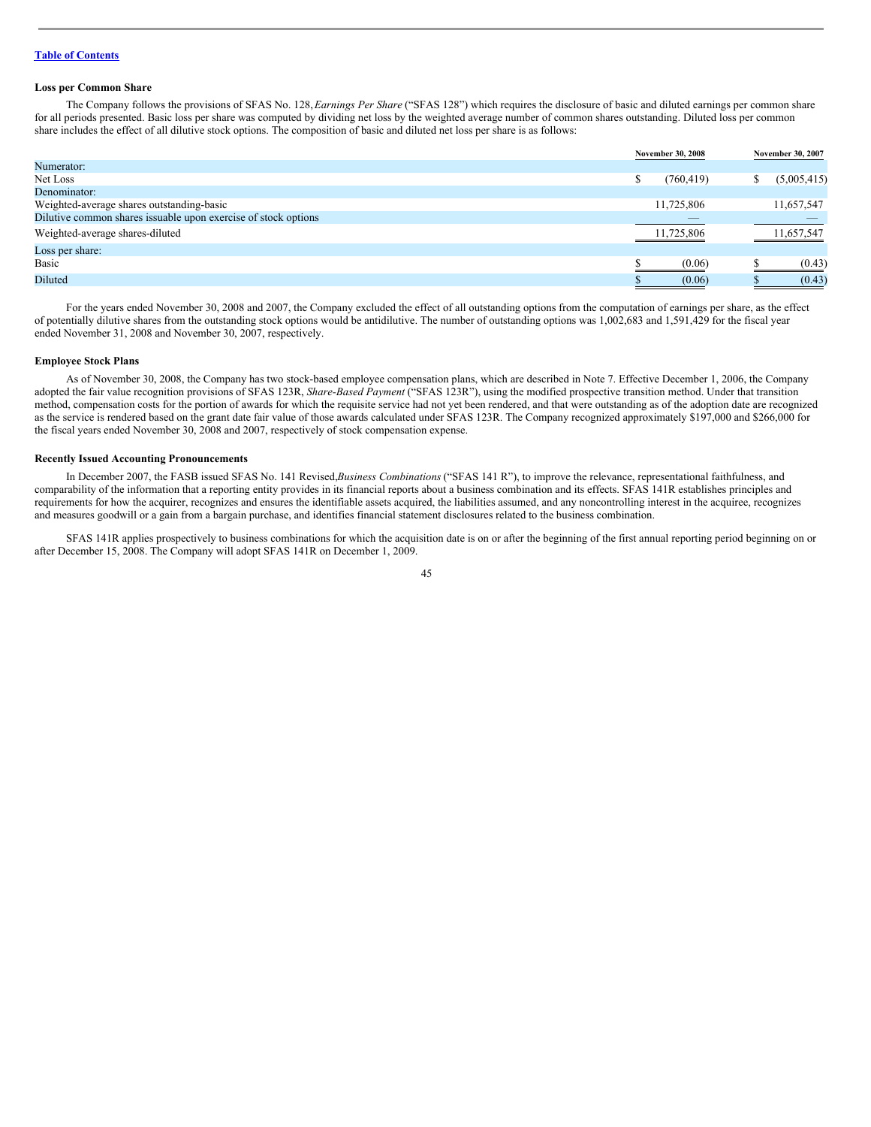### **Loss per Common Share**

The Company follows the provisions of SFAS No. 128,*Earnings Per Share* ("SFAS 128") which requires the disclosure of basic and diluted earnings per common share for all periods presented. Basic loss per share was computed by dividing net loss by the weighted average number of common shares outstanding. Diluted loss per common share includes the effect of all dilutive stock options. The composition of basic and diluted net loss per share is as follows:

|                                                                | <b>November 30, 2008</b> |  | November 30, 2007 |
|----------------------------------------------------------------|--------------------------|--|-------------------|
| Numerator:                                                     |                          |  |                   |
| Net Loss                                                       | (760, 419)               |  | (5,005,415)       |
| Denominator:                                                   |                          |  |                   |
| Weighted-average shares outstanding-basic                      | 11,725,806               |  | 11,657,547        |
| Dilutive common shares issuable upon exercise of stock options | _                        |  |                   |
| Weighted-average shares-diluted                                | 11,725,806               |  | 11,657,547        |
| Loss per share:                                                |                          |  |                   |
| Basic                                                          | (0.06)                   |  | (0.43)            |
| Diluted                                                        | (0.06)                   |  | (0.43)            |

For the years ended November 30, 2008 and 2007, the Company excluded the effect of all outstanding options from the computation of earnings per share, as the effect of potentially dilutive shares from the outstanding stock options would be antidilutive. The number of outstanding options was 1,002,683 and 1,591,429 for the fiscal year ended November 31, 2008 and November 30, 2007, respectively.

#### **Employee Stock Plans**

As of November 30, 2008, the Company has two stock-based employee compensation plans, which are described in Note 7. Effective December 1, 2006, the Company adopted the fair value recognition provisions of SFAS 123R, *Share-Based Payment* ("SFAS 123R"), using the modified prospective transition method. Under that transition method, compensation costs for the portion of awards for which the requisite service had not yet been rendered, and that were outstanding as of the adoption date are recognized as the service is rendered based on the grant date fair value of those awards calculated under SFAS 123R. The Company recognized approximately \$197,000 and \$266,000 for the fiscal years ended November 30, 2008 and 2007, respectively of stock compensation expense.

### **Recently Issued Accounting Pronouncements**

In December 2007, the FASB issued SFAS No. 141 Revised,*Business Combinations* ("SFAS 141 R"), to improve the relevance, representational faithfulness, and comparability of the information that a reporting entity provides in its financial reports about a business combination and its effects. SFAS 141R establishes principles and requirements for how the acquirer, recognizes and ensures the identifiable assets acquired, the liabilities assumed, and any noncontrolling interest in the acquiree, recognizes and measures goodwill or a gain from a bargain purchase, and identifies financial statement disclosures related to the business combination.

SFAS 141R applies prospectively to business combinations for which the acquisition date is on or after the beginning of the first annual reporting period beginning on or after December 15, 2008. The Company will adopt SFAS 141R on December 1, 2009.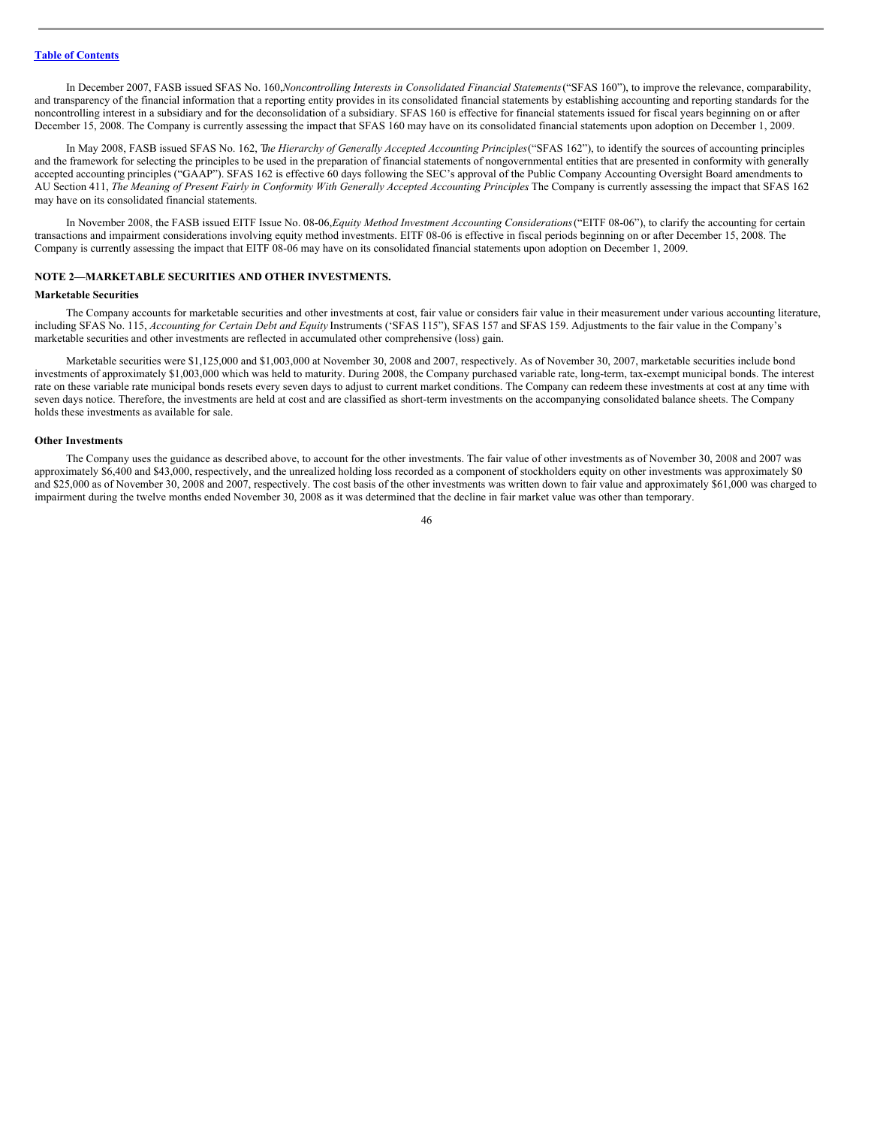In December 2007, FASB issued SFAS No. 160,*Noncontrolling Interests in Consolidated Financial Statements*("SFAS 160"), to improve the relevance, comparability, and transparency of the financial information that a reporting entity provides in its consolidated financial statements by establishing accounting and reporting standards for the noncontrolling interest in a subsidiary and for the deconsolidation of a subsidiary. SFAS 160 is effective for financial statements issued for fiscal years beginning on or after December 15, 2008. The Company is currently assessing the impact that SFAS 160 may have on its consolidated financial statements upon adoption on December 1, 2009.

In May 2008, FASB issued SFAS No. 162, T*he Hierarchy of Generally Accepted Accounting Principles*("SFAS 162"), to identify the sources of accounting principles and the framework for selecting the principles to be used in the preparation of financial statements of nongovernmental entities that are presented in conformity with generally accepted accounting principles ("GAAP"). SFAS 162 is effective 60 days following the SEC's approval of the Public Company Accounting Oversight Board amendments to AU Section 411, The Meaning of Present Fairly in Conformity With Generally Accepted Accounting Principles The Company is currently assessing the impact that SFAS 162 may have on its consolidated financial statements.

In November 2008, the FASB issued EITF Issue No. 08-06,*Equity Method Investment Accounting Considerations*("EITF 08-06"), to clarify the accounting for certain transactions and impairment considerations involving equity method investments. EITF 08-06 is effective in fiscal periods beginning on or after December 15, 2008. The Company is currently assessing the impact that EITF 08-06 may have on its consolidated financial statements upon adoption on December 1, 2009.

### **NOTE 2—MARKETABLE SECURITIES AND OTHER INVESTMENTS.**

# **Marketable Securities**

The Company accounts for marketable securities and other investments at cost, fair value or considers fair value in their measurement under various accounting literature, including SFAS No. 115, *Accounting for Certain Debt and Equity* Instruments ('SFAS 115"), SFAS 157 and SFAS 159. Adjustments to the fair value in the Company's marketable securities and other investments are reflected in accumulated other comprehensive (loss) gain.

Marketable securities were \$1,125,000 and \$1,003,000 at November 30, 2008 and 2007, respectively. As of November 30, 2007, marketable securities include bond investments of approximately \$1,003,000 which was held to maturity. During 2008, the Company purchased variable rate, long-term, tax-exempt municipal bonds. The interest rate on these variable rate municipal bonds resets every seven days to adjust to current market conditions. The Company can redeem these investments at cost at any time with seven days notice. Therefore, the investments are held at cost and are classified as short-term investments on the accompanying consolidated balance sheets. The Company holds these investments as available for sale.

### **Other Investments**

The Company uses the guidance as described above, to account for the other investments. The fair value of other investments as of November 30, 2008 and 2007 was approximately \$6,400 and \$43,000, respectively, and the unrealized holding loss recorded as a component of stockholders equity on other investments was approximately \$0 and \$25,000 as of November 30, 2008 and 2007, respectively. The cost basis of the other investments was written down to fair value and approximately \$61,000 was charged to impairment during the twelve months ended November 30, 2008 as it was determined that the decline in fair market value was other than temporary.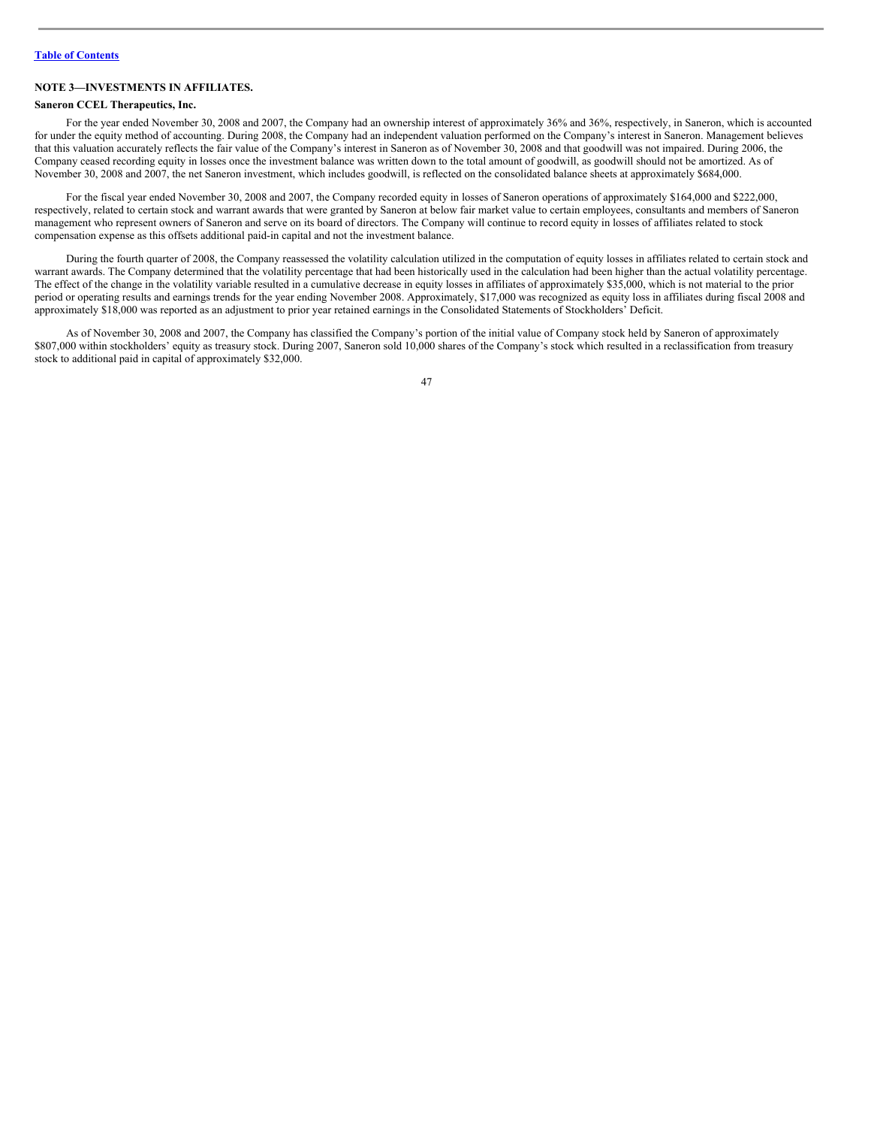# **NOTE 3—INVESTMENTS IN AFFILIATES.**

# **Saneron CCEL Therapeutics, Inc.**

For the year ended November 30, 2008 and 2007, the Company had an ownership interest of approximately 36% and 36%, respectively, in Saneron, which is accounted for under the equity method of accounting. During 2008, the Company had an independent valuation performed on the Company's interest in Saneron. Management believes that this valuation accurately reflects the fair value of the Company's interest in Saneron as of November 30, 2008 and that goodwill was not impaired. During 2006, the Company ceased recording equity in losses once the investment balance was written down to the total amount of goodwill, as goodwill should not be amortized. As of November 30, 2008 and 2007, the net Saneron investment, which includes goodwill, is reflected on the consolidated balance sheets at approximately \$684,000.

For the fiscal year ended November 30, 2008 and 2007, the Company recorded equity in losses of Saneron operations of approximately \$164,000 and \$222,000, respectively, related to certain stock and warrant awards that were granted by Saneron at below fair market value to certain employees, consultants and members of Saneron management who represent owners of Saneron and serve on its board of directors. The Company will continue to record equity in losses of affiliates related to stock compensation expense as this offsets additional paid-in capital and not the investment balance.

During the fourth quarter of 2008, the Company reassessed the volatility calculation utilized in the computation of equity losses in affiliates related to certain stock and warrant awards. The Company determined that the volatility percentage that had been historically used in the calculation had been higher than the actual volatility percentage. The effect of the change in the volatility variable resulted in a cumulative decrease in equity losses in affiliates of approximately \$35,000, which is not material to the prior period or operating results and earnings trends for the year ending November 2008. Approximately, \$17,000 was recognized as equity loss in affiliates during fiscal 2008 and approximately \$18,000 was reported as an adjustment to prior year retained earnings in the Consolidated Statements of Stockholders' Deficit.

As of November 30, 2008 and 2007, the Company has classified the Company's portion of the initial value of Company stock held by Saneron of approximately \$807,000 within stockholders' equity as treasury stock. During 2007, Saneron sold 10,000 shares of the Company's stock which resulted in a reclassification from treasury stock to additional paid in capital of approximately \$32,000.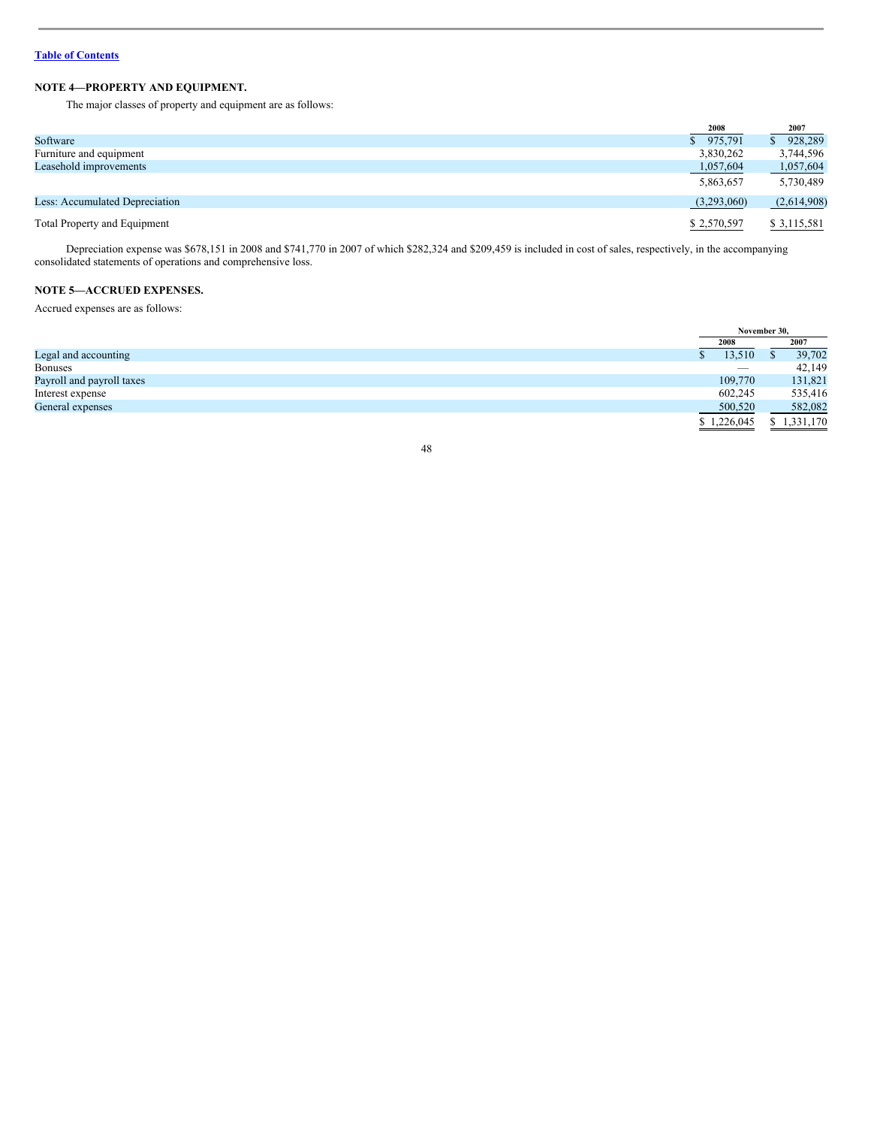# **NOTE 4—PROPERTY AND EQUIPMENT.**

The major classes of property and equipment are as follows:

|                                | 2008        | 2007         |
|--------------------------------|-------------|--------------|
| Software                       | \$975,791   | 928,289      |
| Furniture and equipment        | 3,830,262   | 3,744,596    |
| Leasehold improvements         | 1,057,604   | 1,057,604    |
|                                | 5,863,657   | 5,730,489    |
| Less: Accumulated Depreciation | (3,293,060) | (2,614,908)  |
| Total Property and Equipment   | \$2,570,597 | \$ 3,115,581 |

Depreciation expense was \$678,151 in 2008 and \$741,770 in 2007 of which \$282,324 and \$209,459 is included in cost of sales, respectively, in the accompanying consolidated statements of operations and comprehensive loss.

# **NOTE 5—ACCRUED EXPENSES.**

Accrued expenses are as follows:

|                           | November 30, |  |           |  |
|---------------------------|--------------|--|-----------|--|
|                           | 2008         |  | 2007      |  |
| Legal and accounting      | 13,510       |  | 39,702    |  |
| <b>Bonuses</b>            |              |  | 42,149    |  |
| Payroll and payroll taxes | 109,770      |  | 131,821   |  |
| Interest expense          | 602,245      |  | 535,416   |  |
| General expenses          | 500,520      |  | 582,082   |  |
|                           | \$1,226,045  |  | 1,331,170 |  |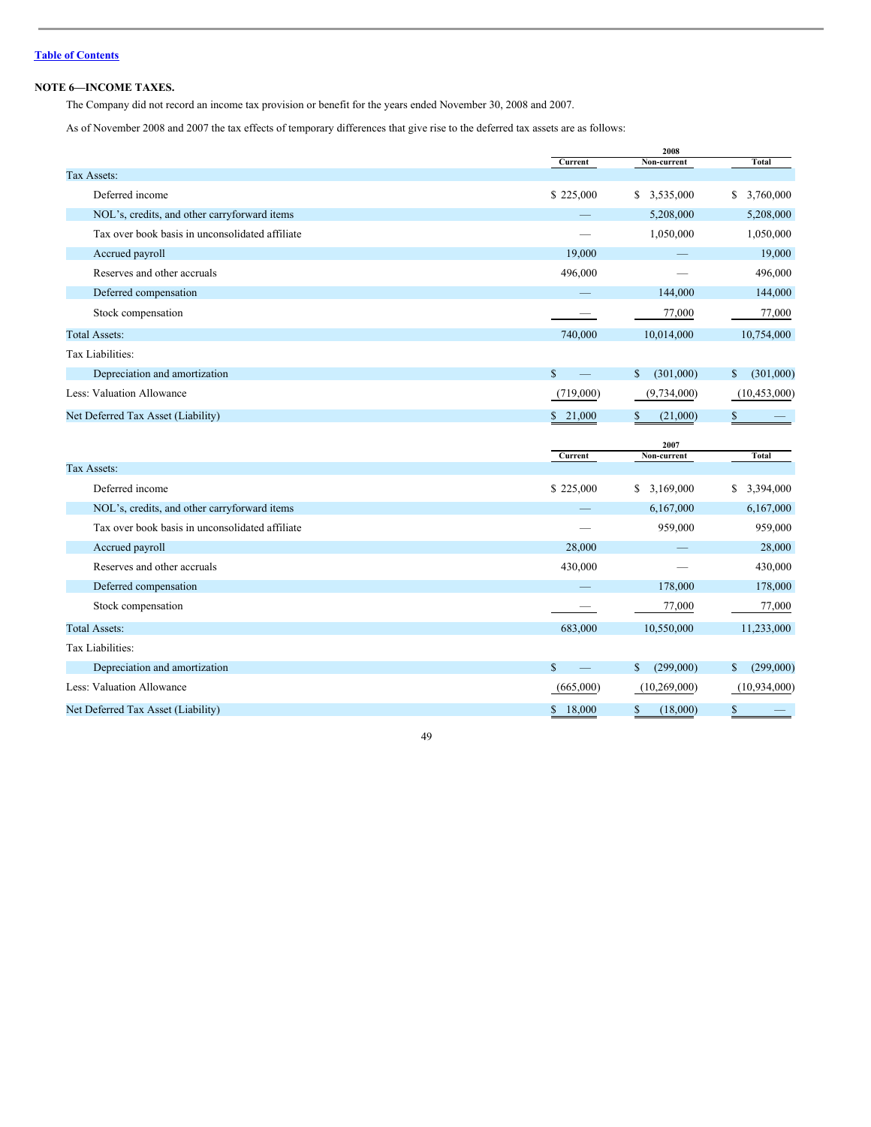# **NOTE 6—INCOME TAXES.**

The Company did not record an income tax provision or benefit for the years ended November 30, 2008 and 2007.

As of November 2008 and 2007 the tax effects of temporary differences that give rise to the deferred tax assets are as follows:

|                                                 |                          | 2008                      |                           |  |  |
|-------------------------------------------------|--------------------------|---------------------------|---------------------------|--|--|
|                                                 | Current                  | Non-current               | <b>Total</b>              |  |  |
| Tax Assets:                                     |                          |                           |                           |  |  |
| Deferred income                                 | \$225,000                | \$ 3,535,000              | \$ 3,760,000              |  |  |
| NOL's, credits, and other carryforward items    |                          | 5,208,000                 | 5,208,000                 |  |  |
| Tax over book basis in unconsolidated affiliate |                          | 1,050,000                 | 1,050,000                 |  |  |
| Accrued payroll                                 | 19,000                   |                           | 19,000                    |  |  |
| Reserves and other accruals                     | 496,000                  |                           | 496,000                   |  |  |
| Deferred compensation                           |                          | 144,000                   | 144,000                   |  |  |
| Stock compensation                              |                          | 77,000                    | 77,000                    |  |  |
| <b>Total Assets:</b>                            | 740,000                  | 10,014,000                | 10,754,000                |  |  |
| Tax Liabilities:                                |                          |                           |                           |  |  |
| Depreciation and amortization                   | $\mathbf S$              | (301,000)<br>$\mathbb{S}$ | (301,000)<br>$\mathbb{S}$ |  |  |
| Less: Valuation Allowance                       | (719,000)                | (9,734,000)               | (10, 453, 000)            |  |  |
| Net Deferred Tax Asset (Liability)              | \$21,000                 | \$<br>(21,000)            | \$                        |  |  |
|                                                 |                          | 2007                      |                           |  |  |
|                                                 | Current                  | Non-current               | <b>Total</b>              |  |  |
| Tax Assets:                                     |                          |                           |                           |  |  |
| Deferred income                                 | \$225,000                | 3,169,000<br>S.           | 3,394,000<br>S.           |  |  |
| NOL's, credits, and other carryforward items    | $\overline{\phantom{0}}$ | 6,167,000                 | 6,167,000                 |  |  |
| Tax over book basis in unconsolidated affiliate |                          | 959,000                   | 959,000                   |  |  |
| Accrued payroll                                 | 28,000                   |                           | 28,000                    |  |  |
| Reserves and other accruals                     | 430,000                  |                           | 430,000                   |  |  |
| Deferred compensation                           |                          | 178,000                   | 178,000                   |  |  |
| Stock compensation                              |                          | 77,000                    | 77,000                    |  |  |
| <b>Total Assets:</b>                            | 683,000                  | 10,550,000                | 11,233,000                |  |  |
| Tax Liabilities:                                |                          |                           |                           |  |  |
| Depreciation and amortization                   | \$                       | \$<br>(299,000)           | \$<br>(299,000)           |  |  |
| Less: Valuation Allowance                       | (665,000)                | (10,269,000)              | (10, 934, 000)            |  |  |
| Net Deferred Tax Asset (Liability)              | \$18,000                 | \$<br>(18,000)            | $\mathbb{S}$              |  |  |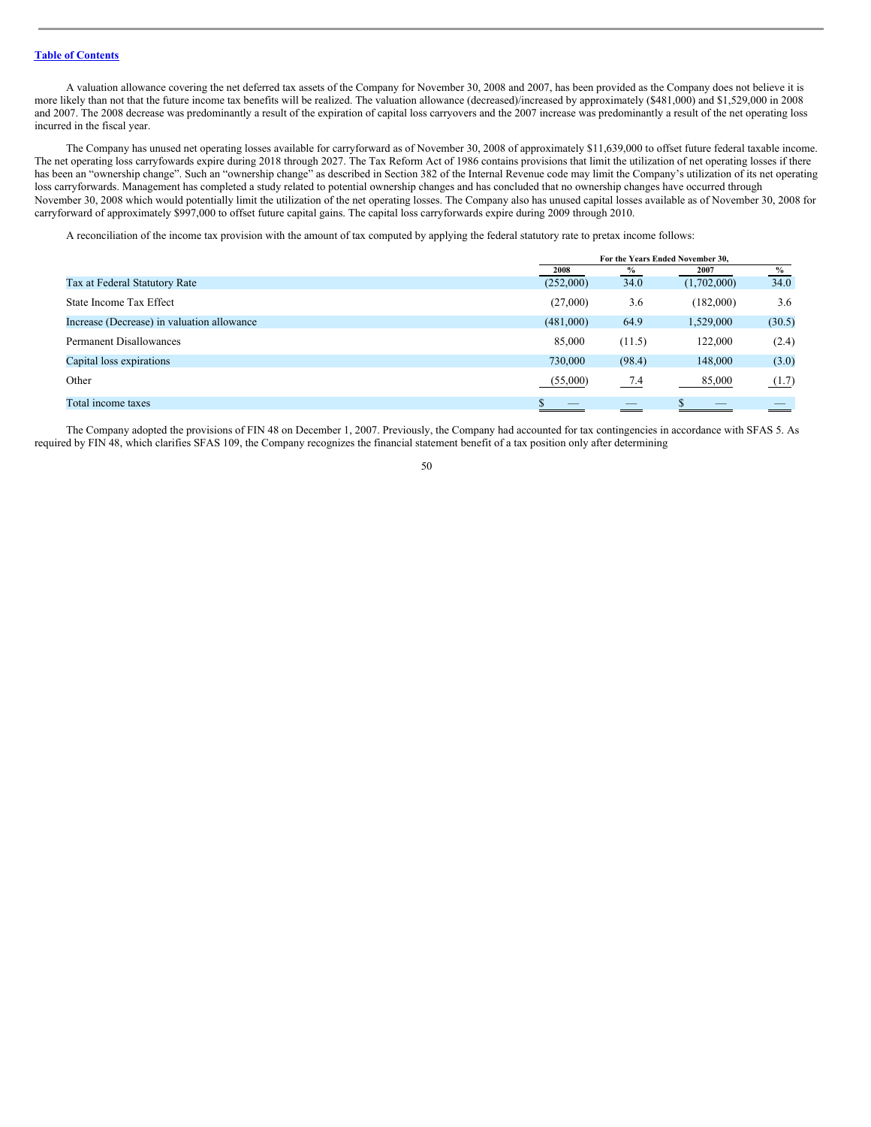A valuation allowance covering the net deferred tax assets of the Company for November 30, 2008 and 2007, has been provided as the Company does not believe it is more likely than not that the future income tax benefits will be realized. The valuation allowance (decreased)/increased by approximately (\$481,000) and \$1,529,000 in 2008 and 2007. The 2008 decrease was predominantly a result of the expiration of capital loss carryovers and the 2007 increase was predominantly a result of the net operating loss incurred in the fiscal year.

The Company has unused net operating losses available for carryforward as of November 30, 2008 of approximately \$11,639,000 to offset future federal taxable income. The net operating loss carryfowards expire during 2018 through 2027. The Tax Reform Act of 1986 contains provisions that limit the utilization of net operating losses if there has been an "ownership change". Such an "ownership change" as described in Section 382 of the Internal Revenue code may limit the Company's utilization of its net operating loss carryforwards. Management has completed a study related to potential ownership changes and has concluded that no ownership changes have occurred through November 30, 2008 which would potentially limit the utilization of the net operating losses. The Company also has unused capital losses available as of November 30, 2008 for carryforward of approximately \$997,000 to offset future capital gains. The capital loss carryforwards expire during 2009 through 2010.

A reconciliation of the income tax provision with the amount of tax computed by applying the federal statutory rate to pretax income follows:

|                                            | For the Years Ended November 30. |               |             |        |  |
|--------------------------------------------|----------------------------------|---------------|-------------|--------|--|
|                                            | 2008                             | $\frac{9}{6}$ | 2007        | $\%$   |  |
| Tax at Federal Statutory Rate              | (252,000)                        | 34.0          | (1,702,000) | 34.0   |  |
| State Income Tax Effect                    | (27,000)                         | 3.6           | (182,000)   | 3.6    |  |
| Increase (Decrease) in valuation allowance | (481,000)                        | 64.9          | 1,529,000   | (30.5) |  |
| <b>Permanent Disallowances</b>             | 85,000                           | (11.5)        | 122,000     | (2.4)  |  |
| Capital loss expirations                   | 730,000                          | (98.4)        | 148,000     | (3.0)  |  |
| Other                                      | (55,000)                         | 7.4           | 85,000      | (1.7)  |  |
| Total income taxes                         | $\overline{\phantom{a}}$         | $-$           | $-$         |        |  |

The Company adopted the provisions of FIN 48 on December 1, 2007. Previously, the Company had accounted for tax contingencies in accordance with SFAS 5. As required by FIN 48, which clarifies SFAS 109, the Company recognizes the financial statement benefit of a tax position only after determining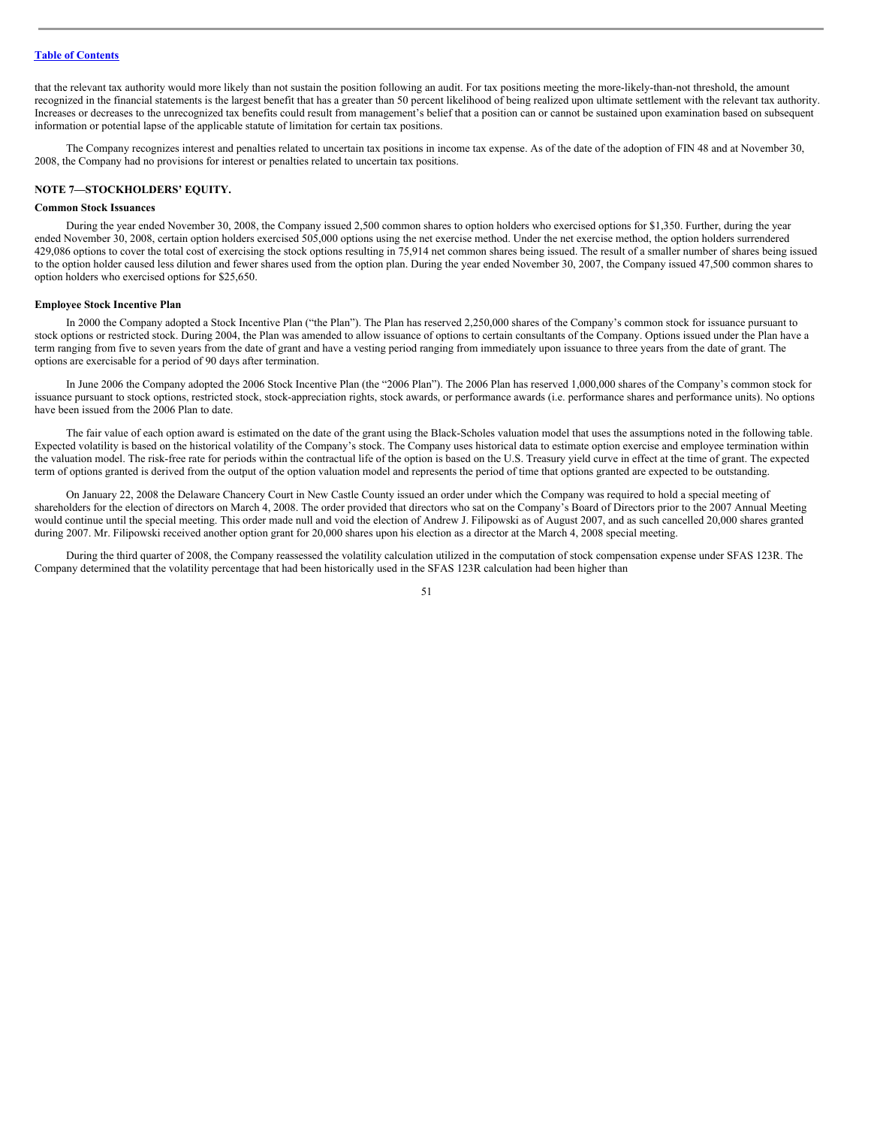that the relevant tax authority would more likely than not sustain the position following an audit. For tax positions meeting the more-likely-than-not threshold, the amount recognized in the financial statements is the largest benefit that has a greater than 50 percent likelihood of being realized upon ultimate settlement with the relevant tax authority. Increases or decreases to the unrecognized tax benefits could result from management's belief that a position can or cannot be sustained upon examination based on subsequent information or potential lapse of the applicable statute of limitation for certain tax positions.

The Company recognizes interest and penalties related to uncertain tax positions in income tax expense. As of the date of the adoption of FIN 48 and at November 30, 2008, the Company had no provisions for interest or penalties related to uncertain tax positions.

# **NOTE 7—STOCKHOLDERS' EQUITY.**

### **Common Stock Issuances**

During the year ended November 30, 2008, the Company issued 2,500 common shares to option holders who exercised options for \$1,350. Further, during the year ended November 30, 2008, certain option holders exercised 505,000 options using the net exercise method. Under the net exercise method, the option holders surrendered 429,086 options to cover the total cost of exercising the stock options resulting in 75,914 net common shares being issued. The result of a smaller number of shares being issued to the option holder caused less dilution and fewer shares used from the option plan. During the year ended November 30, 2007, the Company issued 47,500 common shares to option holders who exercised options for \$25,650.

### **Employee Stock Incentive Plan**

In 2000 the Company adopted a Stock Incentive Plan ("the Plan"). The Plan has reserved 2,250,000 shares of the Company's common stock for issuance pursuant to stock options or restricted stock. During 2004, the Plan was amended to allow issuance of options to certain consultants of the Company. Options issued under the Plan have a term ranging from five to seven years from the date of grant and have a vesting period ranging from immediately upon issuance to three years from the date of grant. The options are exercisable for a period of 90 days after termination.

In June 2006 the Company adopted the 2006 Stock Incentive Plan (the "2006 Plan"). The 2006 Plan has reserved 1,000,000 shares of the Company's common stock for issuance pursuant to stock options, restricted stock, stock-appreciation rights, stock awards, or performance awards (i.e. performance shares and performance units). No options have been issued from the 2006 Plan to date.

The fair value of each option award is estimated on the date of the grant using the Black-Scholes valuation model that uses the assumptions noted in the following table. Expected volatility is based on the historical volatility of the Company's stock. The Company uses historical data to estimate option exercise and employee termination within the valuation model. The risk-free rate for periods within the contractual life of the option is based on the U.S. Treasury yield curve in effect at the time of grant. The expected term of options granted is derived from the output of the option valuation model and represents the period of time that options granted are expected to be outstanding.

On January 22, 2008 the Delaware Chancery Court in New Castle County issued an order under which the Company was required to hold a special meeting of shareholders for the election of directors on March 4, 2008. The order provided that directors who sat on the Company's Board of Directors prior to the 2007 Annual Meeting would continue until the special meeting. This order made null and void the election of Andrew J. Filipowski as of August 2007, and as such cancelled 20,000 shares granted during 2007. Mr. Filipowski received another option grant for 20,000 shares upon his election as a director at the March 4, 2008 special meeting.

During the third quarter of 2008, the Company reassessed the volatility calculation utilized in the computation of stock compensation expense under SFAS 123R. The Company determined that the volatility percentage that had been historically used in the SFAS 123R calculation had been higher than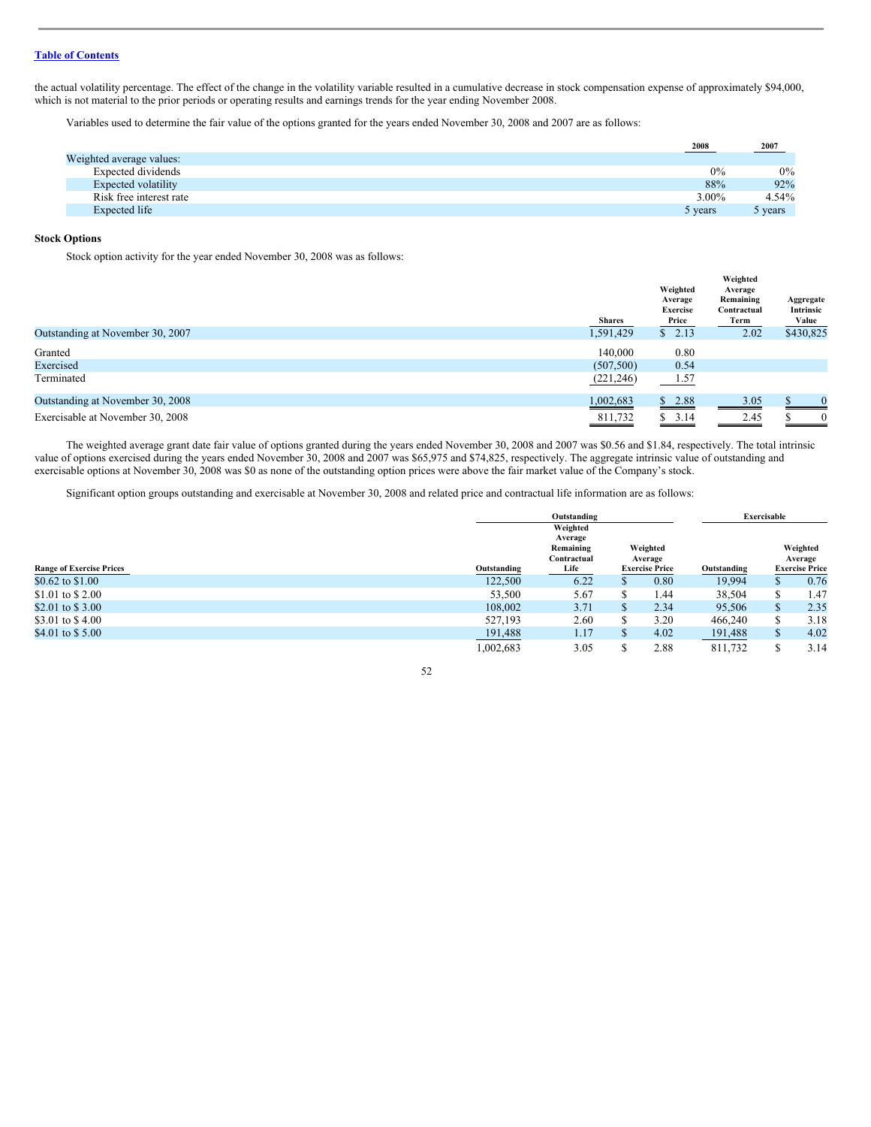the actual volatility percentage. The effect of the change in the volatility variable resulted in a cumulative decrease in stock compensation expense of approximately \$94,000, which is not material to the prior periods or operating results and earnings trends for the year ending November 2008.

Variables used to determine the fair value of the options granted for the years ended November 30, 2008 and 2007 are as follows:

|                          | 2008    | 2007    |
|--------------------------|---------|---------|
| Weighted average values: |         |         |
| Expected dividends       | $0\%$   | $0\%$   |
| Expected volatility      | 88%     | 92%     |
| Risk free interest rate  | 3.00%   | 4.54%   |
| Expected life            | 5 years | 5 years |

# **Stock Options**

Stock option activity for the year ended November 30, 2008 was as follows:

|                                  | <b>Shares</b> | Weighted<br>Average<br><b>Exercise</b><br>Price | Weighted<br>Average<br>Remaining<br>Contractual<br>Term | Aggregate<br>Intrinsic<br>Value |
|----------------------------------|---------------|-------------------------------------------------|---------------------------------------------------------|---------------------------------|
| Outstanding at November 30, 2007 | 1,591,429     | \$2.13                                          | 2.02                                                    | \$430,825                       |
| Granted                          | 140,000       | 0.80                                            |                                                         |                                 |
| Exercised                        | (507, 500)    | 0.54                                            |                                                         |                                 |
| Terminated                       | (221, 246)    | 1.57                                            |                                                         |                                 |
| Outstanding at November 30, 2008 | 1,002,683     | \$2.88                                          | 3.05                                                    | $\theta$                        |
| Exercisable at November 30, 2008 | 811,732       | \$3.14                                          | 2.45                                                    | $\mathbf{0}$                    |

The weighted average grant date fair value of options granted during the years ended November 30, 2008 and 2007 was \$0.56 and \$1.84, respectively. The total intrinsic value of options exercised during the years ended November 30, 2008 and 2007 was \$65,975 and \$74,825, respectively. The aggregate intrinsic value of outstanding and exercisable options at November 30, 2008 was \$0 as none of the outstanding option prices were above the fair market value of the Company's stock.

Significant option groups outstanding and exercisable at November 30, 2008 and related price and contractual life information are as follows:

|                                 |             | Outstanding |    |                       | Exercisable |               |                       |
|---------------------------------|-------------|-------------|----|-----------------------|-------------|---------------|-----------------------|
|                                 |             | Weighted    |    |                       |             |               |                       |
|                                 |             | Average     |    |                       |             |               |                       |
|                                 |             | Remaining   |    | Weighted              |             |               | Weighted              |
|                                 |             | Contractual |    | Average               |             |               | Average               |
| <b>Range of Exercise Prices</b> | Outstanding | Life        |    | <b>Exercise Price</b> | Outstanding |               | <b>Exercise Price</b> |
| \$0.62 to \$1.00                | 122,500     | 6.22        |    | 0.80                  | 19,994      |               | 0.76                  |
| \$1.01 to \$2.00                | 53,500      | 5.67        |    | 1.44                  | 38,504      | S             | 1.47                  |
| \$2.01 to \$3.00                | 108,002     | 3.71        |    | 2.34                  | 95,506      | $\mathbb{S}$  | 2.35                  |
| \$3.01 to \$4.00                | 527,193     | 2.60        |    | 3.20                  | 466,240     |               | 3.18                  |
| \$4.01 to \$5.00                | 191,488     | 1.17        | \$ | 4.02                  | 191,488     | <sup>\$</sup> | 4.02                  |
|                                 | 1.002.683   | 3.05        |    | 2.88                  | 811,732     |               | 3.14                  |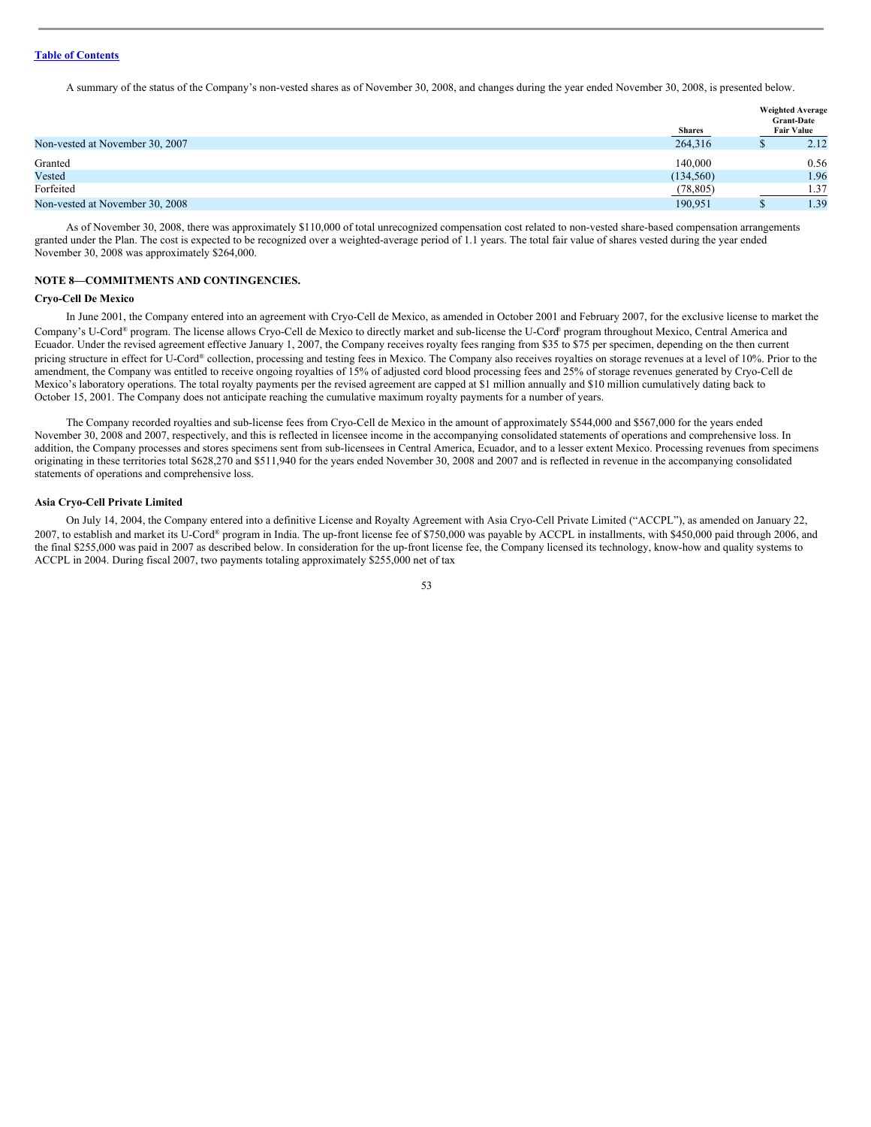A summary of the status of the Company's non-vested shares as of November 30, 2008, and changes during the year ended November 30, 2008, is presented below.

|                                 | <b>Shares</b> | <b>Weighted Average</b><br><b>Grant-Date</b><br><b>Fair Value</b> |
|---------------------------------|---------------|-------------------------------------------------------------------|
| Non-vested at November 30, 2007 | 264,316       | 2.12                                                              |
| Granted                         | 140,000       | 0.56                                                              |
| Vested                          | (134, 560)    | 1.96                                                              |
| Forfeited                       | (78, 805)     | 1.37                                                              |
| Non-vested at November 30, 2008 | 190,951       | 1.39                                                              |
|                                 |               |                                                                   |

As of November 30, 2008, there was approximately \$110,000 of total unrecognized compensation cost related to non-vested share-based compensation arrangements granted under the Plan. The cost is expected to be recognized over a weighted-average period of 1.1 years. The total fair value of shares vested during the year ended November 30, 2008 was approximately \$264,000.

### **NOTE 8—COMMITMENTS AND CONTINGENCIES.**

#### **Cryo-Cell De Mexico**

In June 2001, the Company entered into an agreement with Cryo-Cell de Mexico, as amended in October 2001 and February 2007, for the exclusive license to market the Company's U-Cord® program. The license allows Cryo-Cell de Mexico to directly market and sub-license the U-Cord® program throughout Mexico, Central America and Ecuador. Under the revised agreement effective January 1, 2007, the Company receives royalty fees ranging from \$35 to \$75 per specimen, depending on the then current pricing structure in effect for U-Cord® collection, processing and testing fees in Mexico. The Company also receives royalties on storage revenues at a level of 10%. Prior to the amendment, the Company was entitled to receive ongoing royalties of 15% of adjusted cord blood processing fees and 25% of storage revenues generated by Cryo-Cell de Mexico's laboratory operations. The total royalty payments per the revised agreement are capped at \$1 million annually and \$10 million cumulatively dating back to October 15, 2001. The Company does not anticipate reaching the cumulative maximum royalty payments for a number of years.

The Company recorded royalties and sub-license fees from Cryo-Cell de Mexico in the amount of approximately \$544,000 and \$567,000 for the years ended November 30, 2008 and 2007, respectively, and this is reflected in licensee income in the accompanying consolidated statements of operations and comprehensive loss. In addition, the Company processes and stores specimens sent from sub-licensees in Central America, Ecuador, and to a lesser extent Mexico. Processing revenues from specimens originating in these territories total \$628,270 and \$511,940 for the years ended November 30, 2008 and 2007 and is reflected in revenue in the accompanying consolidated statements of operations and comprehensive loss.

#### **Asia Cryo-Cell Private Limited**

On July 14, 2004, the Company entered into a definitive License and Royalty Agreement with Asia Cryo-Cell Private Limited ("ACCPL"), as amended on January 22, 2007, to establish and market its U-Cord® program in India. The up-front license fee of \$750,000 was payable by ACCPL in installments, with \$450,000 paid through 2006, and the final \$255,000 was paid in 2007 as described below. In consideration for the up-front license fee, the Company licensed its technology, know-how and quality systems to ACCPL in 2004. During fiscal 2007, two payments totaling approximately \$255,000 net of tax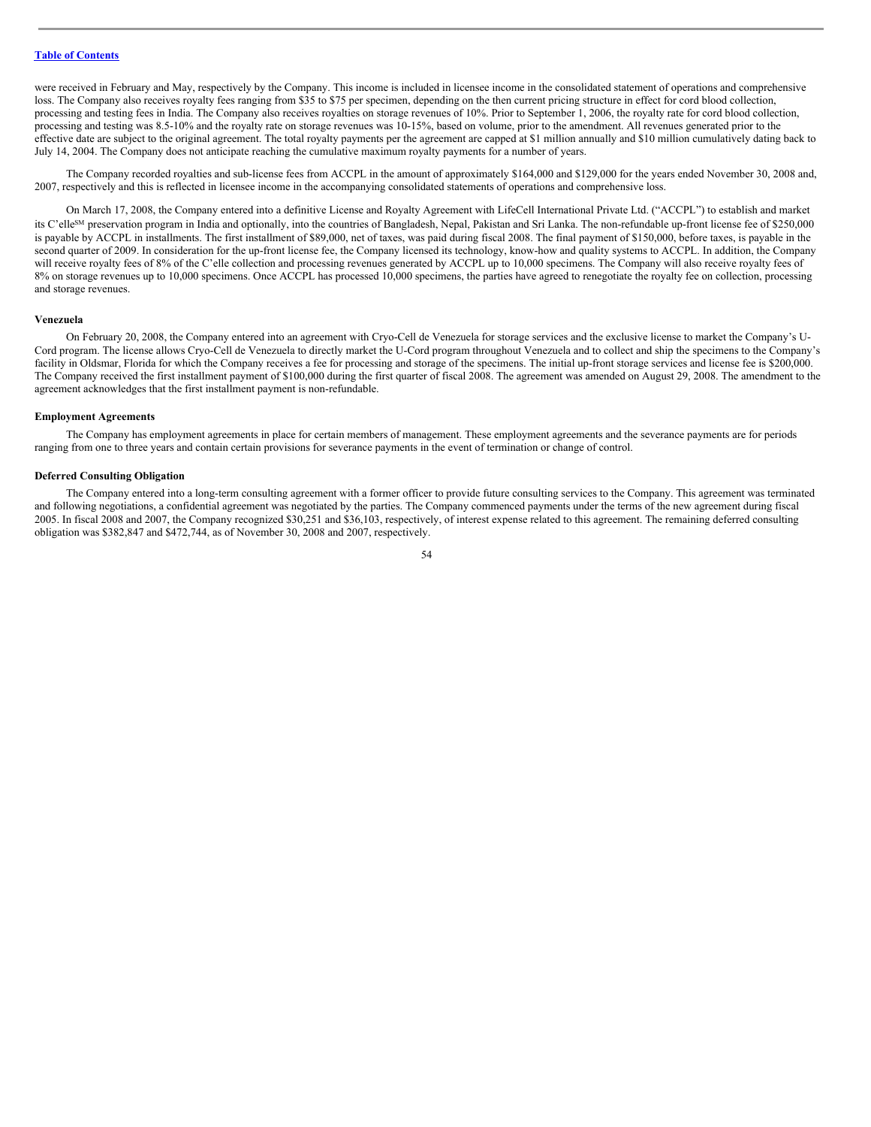were received in February and May, respectively by the Company. This income is included in licensee income in the consolidated statement of operations and comprehensive loss. The Company also receives royalty fees ranging from \$35 to \$75 per specimen, depending on the then current pricing structure in effect for cord blood collection, processing and testing fees in India. The Company also receives royalties on storage revenues of 10%. Prior to September 1, 2006, the royalty rate for cord blood collection, processing and testing was 8.5-10% and the royalty rate on storage revenues was 10-15%, based on volume, prior to the amendment. All revenues generated prior to the effective date are subject to the original agreement. The total royalty payments per the agreement are capped at \$1 million annually and \$10 million cumulatively dating back to July 14, 2004. The Company does not anticipate reaching the cumulative maximum royalty payments for a number of years.

The Company recorded royalties and sub-license fees from ACCPL in the amount of approximately \$164,000 and \$129,000 for the years ended November 30, 2008 and, 2007, respectively and this is reflected in licensee income in the accompanying consolidated statements of operations and comprehensive loss.

On March 17, 2008, the Company entered into a definitive License and Royalty Agreement with LifeCell International Private Ltd. ("ACCPL") to establish and market its C'elle<sup>SM</sup> preservation program in India and optionally, into the countries of Bangladesh, Nepal, Pakistan and Sri Lanka. The non-refundable up-front license fee of \$250,000 is payable by ACCPL in installments. The first installment of \$89,000, net of taxes, was paid during fiscal 2008. The final payment of \$150,000, before taxes, is payable in the second quarter of 2009. In consideration for the up-front license fee, the Company licensed its technology, know-how and quality systems to ACCPL. In addition, the Company will receive royalty fees of 8% of the C'elle collection and processing revenues generated by ACCPL up to 10,000 specimens. The Company will also receive royalty fees of 8% on storage revenues up to 10,000 specimens. Once ACCPL has processed 10,000 specimens, the parties have agreed to renegotiate the royalty fee on collection, processing and storage revenues.

### **Venezuela**

On February 20, 2008, the Company entered into an agreement with Cryo-Cell de Venezuela for storage services and the exclusive license to market the Company's U-Cord program. The license allows Cryo-Cell de Venezuela to directly market the U-Cord program throughout Venezuela and to collect and ship the specimens to the Company's facility in Oldsmar, Florida for which the Company receives a fee for processing and storage of the specimens. The initial up-front storage services and license fee is \$200,000. The Company received the first installment payment of \$100,000 during the first quarter of fiscal 2008. The agreement was amended on August 29, 2008. The amendment to the agreement acknowledges that the first installment payment is non-refundable.

#### **Employment Agreements**

The Company has employment agreements in place for certain members of management. These employment agreements and the severance payments are for periods ranging from one to three years and contain certain provisions for severance payments in the event of termination or change of control.

### **Deferred Consulting Obligation**

The Company entered into a long-term consulting agreement with a former officer to provide future consulting services to the Company. This agreement was terminated and following negotiations, a confidential agreement was negotiated by the parties. The Company commenced payments under the terms of the new agreement during fiscal 2005. In fiscal 2008 and 2007, the Company recognized \$30,251 and \$36,103, respectively, of interest expense related to this agreement. The remaining deferred consulting obligation was \$382,847 and \$472,744, as of November 30, 2008 and 2007, respectively.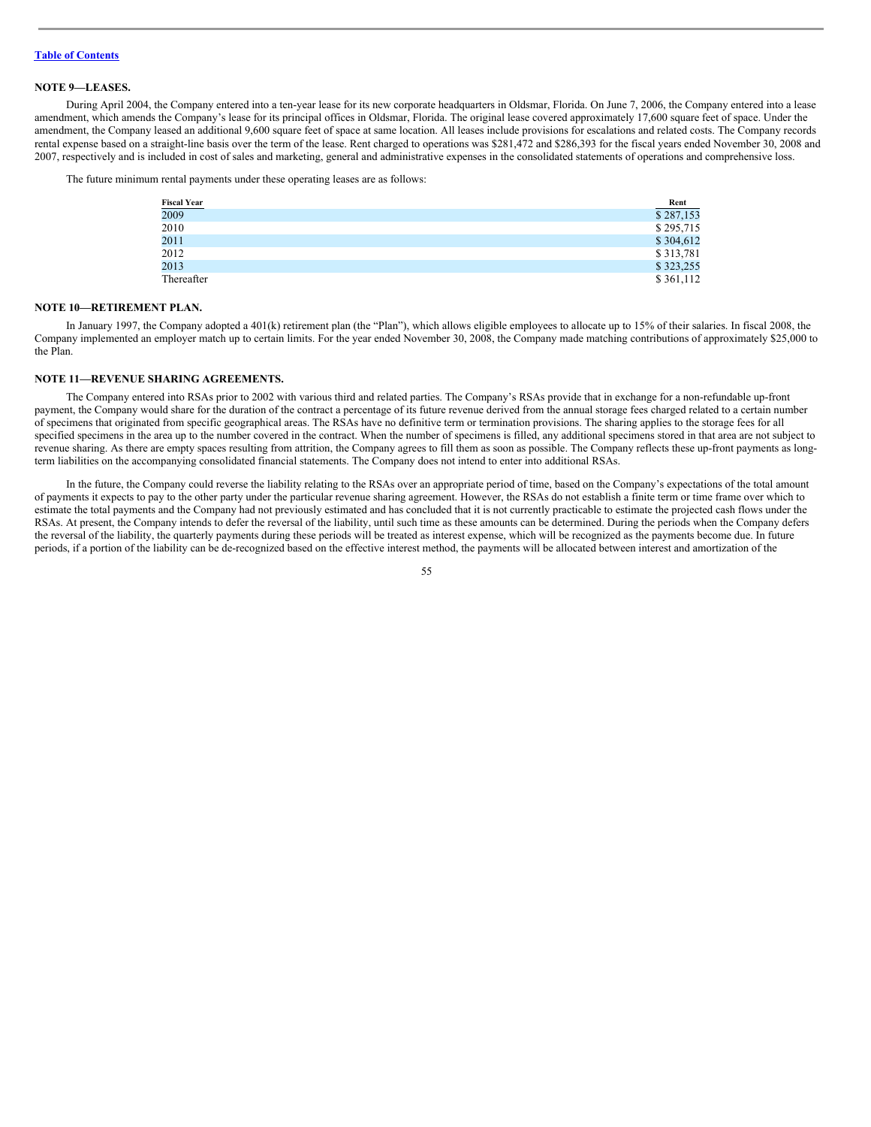### **NOTE 9—LEASES.**

During April 2004, the Company entered into a ten-year lease for its new corporate headquarters in Oldsmar, Florida. On June 7, 2006, the Company entered into a lease amendment, which amends the Company's lease for its principal offices in Oldsmar, Florida. The original lease covered approximately 17,600 square feet of space. Under the amendment, the Company leased an additional 9,600 square feet of space at same location. All leases include provisions for escalations and related costs. The Company records rental expense based on a straight-line basis over the term of the lease. Rent charged to operations was \$281,472 and \$286,393 for the fiscal years ended November 30, 2008 and 2007, respectively and is included in cost of sales and marketing, general and administrative expenses in the consolidated statements of operations and comprehensive loss.

The future minimum rental payments under these operating leases are as follows:

| Fiscal Year<br>2009 | $rac{Rent}{$287,153}$ |
|---------------------|-----------------------|
| 2010                | \$295,715             |
| 2011                | \$304,612             |
| 2012                | \$313,781             |
| 2013                | \$323,255             |
| Thereafter          | \$361,112             |

#### **NOTE 10—RETIREMENT PLAN.**

In January 1997, the Company adopted a 401(k) retirement plan (the "Plan"), which allows eligible employees to allocate up to 15% of their salaries. In fiscal 2008, the Company implemented an employer match up to certain limits. For the year ended November 30, 2008, the Company made matching contributions of approximately \$25,000 to the Plan.

### **NOTE 11—REVENUE SHARING AGREEMENTS.**

The Company entered into RSAs prior to 2002 with various third and related parties. The Company's RSAs provide that in exchange for a non-refundable up-front payment, the Company would share for the duration of the contract a percentage of its future revenue derived from the annual storage fees charged related to a certain number of specimens that originated from specific geographical areas. The RSAs have no definitive term or termination provisions. The sharing applies to the storage fees for all specified specimens in the area up to the number covered in the contract. When the number of specimens is filled, any additional specimens stored in that area are not subject to revenue sharing. As there are empty spaces resulting from attrition, the Company agrees to fill them as soon as possible. The Company reflects these up-front payments as longterm liabilities on the accompanying consolidated financial statements. The Company does not intend to enter into additional RSAs.

In the future, the Company could reverse the liability relating to the RSAs over an appropriate period of time, based on the Company's expectations of the total amount of payments it expects to pay to the other party under the particular revenue sharing agreement. However, the RSAs do not establish a finite term or time frame over which to estimate the total payments and the Company had not previously estimated and has concluded that it is not currently practicable to estimate the projected cash flows under the RSAs. At present, the Company intends to defer the reversal of the liability, until such time as these amounts can be determined. During the periods when the Company defers the reversal of the liability, the quarterly payments during these periods will be treated as interest expense, which will be recognized as the payments become due. In future periods, if a portion of the liability can be de-recognized based on the effective interest method, the payments will be allocated between interest and amortization of the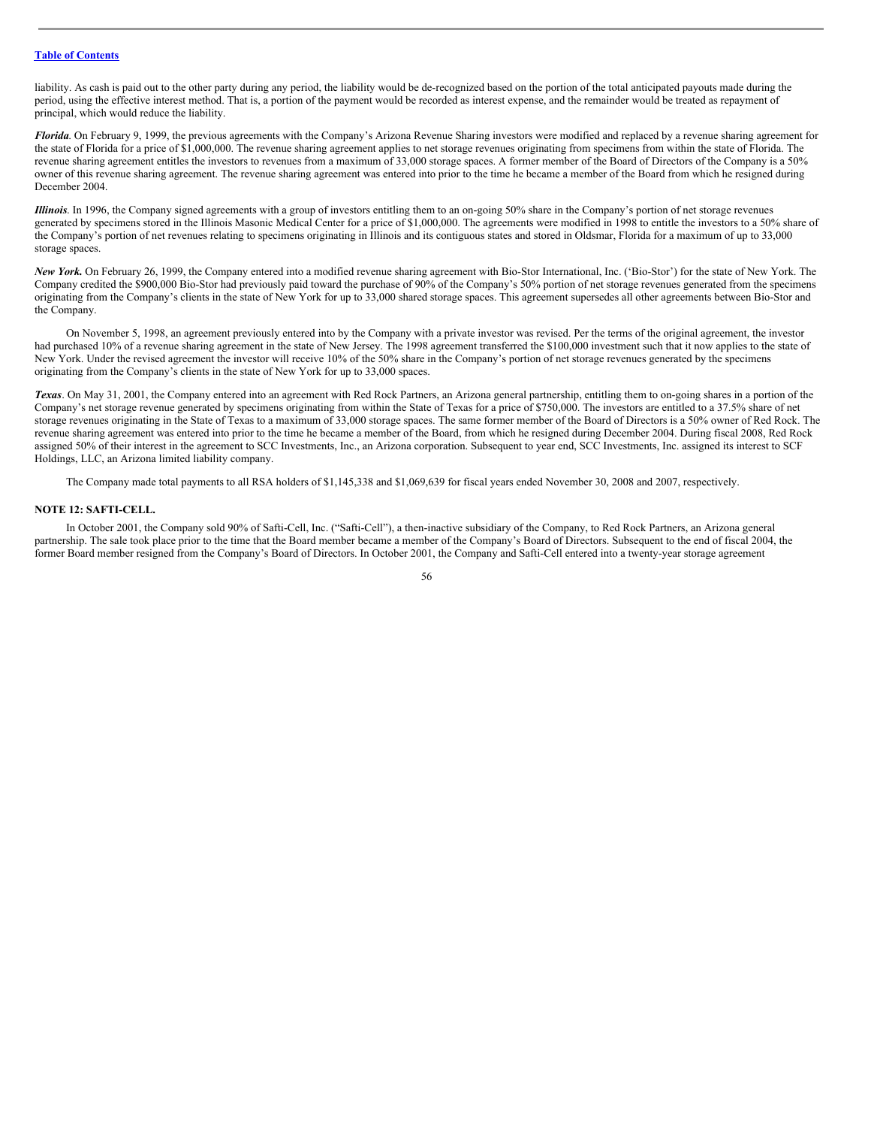liability. As cash is paid out to the other party during any period, the liability would be de-recognized based on the portion of the total anticipated payouts made during the period, using the effective interest method. That is, a portion of the payment would be recorded as interest expense, and the remainder would be treated as repayment of principal, which would reduce the liability.

*Florida*. On February 9, 1999, the previous agreements with the Company's Arizona Revenue Sharing investors were modified and replaced by a revenue sharing agreement for the state of Florida for a price of \$1,000,000. The revenue sharing agreement applies to net storage revenues originating from specimens from within the state of Florida. The revenue sharing agreement entitles the investors to revenues from a maximum of 33,000 storage spaces. A former member of the Board of Directors of the Company is a 50% owner of this revenue sharing agreement. The revenue sharing agreement was entered into prior to the time he became a member of the Board from which he resigned during December 2004.

*Illinois*. In 1996, the Company signed agreements with a group of investors entitling them to an on-going 50% share in the Company's portion of net storage revenues generated by specimens stored in the Illinois Masonic Medical Center for a price of \$1,000,000. The agreements were modified in 1998 to entitle the investors to a 50% share of the Company's portion of net revenues relating to specimens originating in Illinois and its contiguous states and stored in Oldsmar, Florida for a maximum of up to 33,000 storage spaces.

*New York.* On February 26, 1999, the Company entered into a modified revenue sharing agreement with Bio-Stor International, Inc. ('Bio-Stor') for the state of New York. The Company credited the \$900,000 Bio-Stor had previously paid toward the purchase of 90% of the Company's 50% portion of net storage revenues generated from the specimens originating from the Company's clients in the state of New York for up to 33,000 shared storage spaces. This agreement supersedes all other agreements between Bio-Stor and the Company.

On November 5, 1998, an agreement previously entered into by the Company with a private investor was revised. Per the terms of the original agreement, the investor had purchased 10% of a revenue sharing agreement in the state of New Jersey. The 1998 agreement transferred the \$100,000 investment such that it now applies to the state of New York. Under the revised agreement the investor will receive 10% of the 50% share in the Company's portion of net storage revenues generated by the specimens originating from the Company's clients in the state of New York for up to 33,000 spaces.

*Texas*. On May 31, 2001, the Company entered into an agreement with Red Rock Partners, an Arizona general partnership, entitling them to on-going shares in a portion of the Company's net storage revenue generated by specimens originating from within the State of Texas for a price of \$750,000. The investors are entitled to a 37.5% share of net storage revenues originating in the State of Texas to a maximum of 33,000 storage spaces. The same former member of the Board of Directors is a 50% owner of Red Rock. The revenue sharing agreement was entered into prior to the time he became a member of the Board, from which he resigned during December 2004. During fiscal 2008, Red Rock assigned 50% of their interest in the agreement to SCC Investments, Inc., an Arizona corporation. Subsequent to year end, SCC Investments, Inc. assigned its interest to SCF Holdings, LLC, an Arizona limited liability company.

The Company made total payments to all RSA holders of \$1,145,338 and \$1,069,639 for fiscal years ended November 30, 2008 and 2007, respectively.

### **NOTE 12: SAFTI-CELL.**

In October 2001, the Company sold 90% of Safti-Cell, Inc. ("Safti-Cell"), a then-inactive subsidiary of the Company, to Red Rock Partners, an Arizona general partnership. The sale took place prior to the time that the Board member became a member of the Company's Board of Directors. Subsequent to the end of fiscal 2004, the former Board member resigned from the Company's Board of Directors. In October 2001, the Company and Safti-Cell entered into a twenty-year storage agreement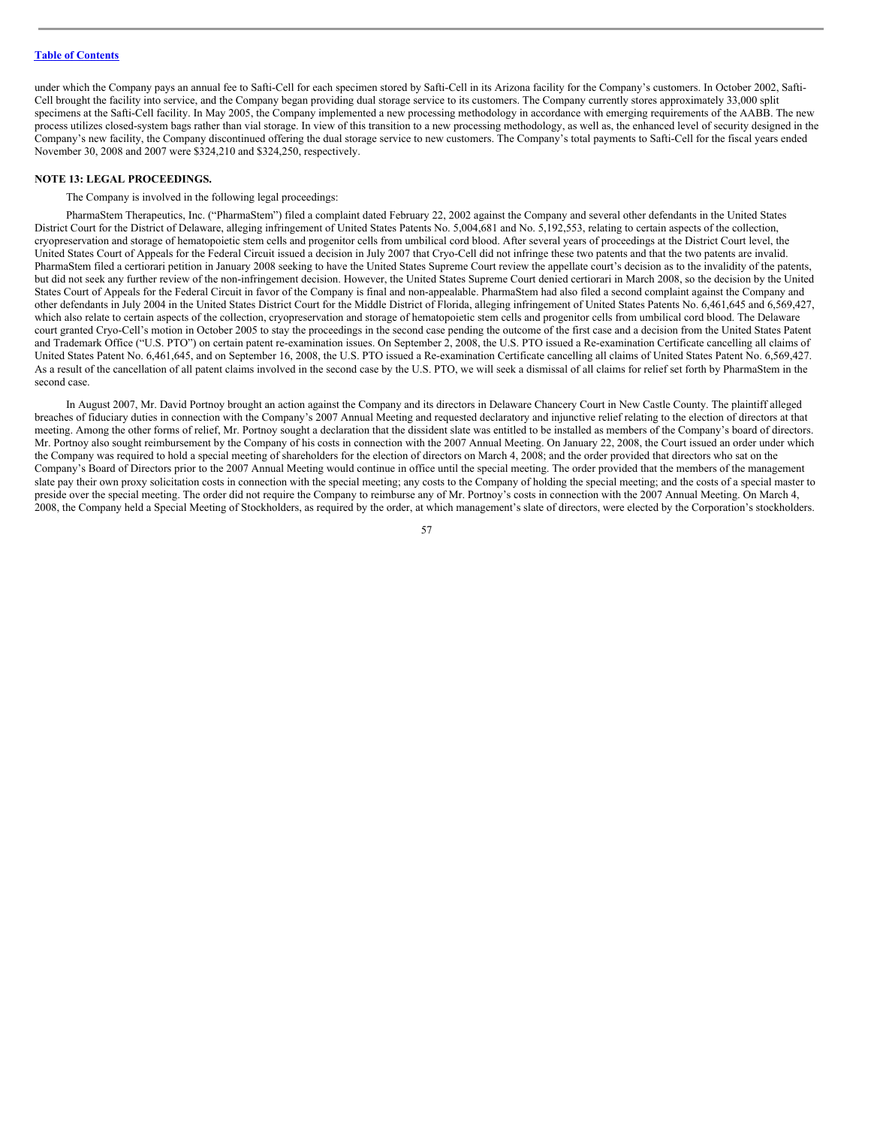under which the Company pays an annual fee to Safti-Cell for each specimen stored by Safti-Cell in its Arizona facility for the Company's customers. In October 2002, Safti-Cell brought the facility into service, and the Company began providing dual storage service to its customers. The Company currently stores approximately 33,000 split specimens at the Safti-Cell facility. In May 2005, the Company implemented a new processing methodology in accordance with emerging requirements of the AABB. The new process utilizes closed-system bags rather than vial storage. In view of this transition to a new processing methodology, as well as, the enhanced level of security designed in the Company's new facility, the Company discontinued offering the dual storage service to new customers. The Company's total payments to Safti-Cell for the fiscal years ended November 30, 2008 and 2007 were \$324,210 and \$324,250, respectively.

### **NOTE 13: LEGAL PROCEEDINGS.**

The Company is involved in the following legal proceedings:

PharmaStem Therapeutics, Inc. ("PharmaStem") filed a complaint dated February 22, 2002 against the Company and several other defendants in the United States District Court for the District of Delaware, alleging infringement of United States Patents No. 5,004,681 and No. 5,192,553, relating to certain aspects of the collection, cryopreservation and storage of hematopoietic stem cells and progenitor cells from umbilical cord blood. After several years of proceedings at the District Court level, the United States Court of Appeals for the Federal Circuit issued a decision in July 2007 that Cryo-Cell did not infringe these two patents and that the two patents are invalid. PharmaStem filed a certiorari petition in January 2008 seeking to have the United States Supreme Court review the appellate court's decision as to the invalidity of the patents, but did not seek any further review of the non-infringement decision. However, the United States Supreme Court denied certiorari in March 2008, so the decision by the United States Court of Appeals for the Federal Circuit in favor of the Company is final and non-appealable. PharmaStem had also filed a second complaint against the Company and other defendants in July 2004 in the United States District Court for the Middle District of Florida, alleging infringement of United States Patents No. 6,461,645 and 6,569,427, which also relate to certain aspects of the collection, cryopreservation and storage of hematopoietic stem cells and progenitor cells from umbilical cord blood. The Delaware court granted Cryo-Cell's motion in October 2005 to stay the proceedings in the second case pending the outcome of the first case and a decision from the United States Patent and Trademark Office ("U.S. PTO") on certain patent re-examination issues. On September 2, 2008, the U.S. PTO issued a Re-examination Certificate cancelling all claims of United States Patent No. 6,461,645, and on September 16, 2008, the U.S. PTO issued a Re-examination Certificate cancelling all claims of United States Patent No. 6,569,427. As a result of the cancellation of all patent claims involved in the second case by the U.S. PTO, we will seek a dismissal of all claims for relief set forth by PharmaStem in the second case.

In August 2007, Mr. David Portnoy brought an action against the Company and its directors in Delaware Chancery Court in New Castle County. The plaintiff alleged breaches of fiduciary duties in connection with the Company's 2007 Annual Meeting and requested declaratory and injunctive relief relating to the election of directors at that meeting. Among the other forms of relief, Mr. Portnoy sought a declaration that the dissident slate was entitled to be installed as members of the Company's board of directors. Mr. Portnoy also sought reimbursement by the Company of his costs in connection with the 2007 Annual Meeting. On January 22, 2008, the Court issued an order under which the Company was required to hold a special meeting of shareholders for the election of directors on March 4, 2008; and the order provided that directors who sat on the Company's Board of Directors prior to the 2007 Annual Meeting would continue in office until the special meeting. The order provided that the members of the management slate pay their own proxy solicitation costs in connection with the special meeting; any costs to the Company of holding the special meeting; and the costs of a special master to preside over the special meeting. The order did not require the Company to reimburse any of Mr. Portnoy's costs in connection with the 2007 Annual Meeting. On March 4, 2008, the Company held a Special Meeting of Stockholders, as required by the order, at which management's slate of directors, were elected by the Corporation's stockholders.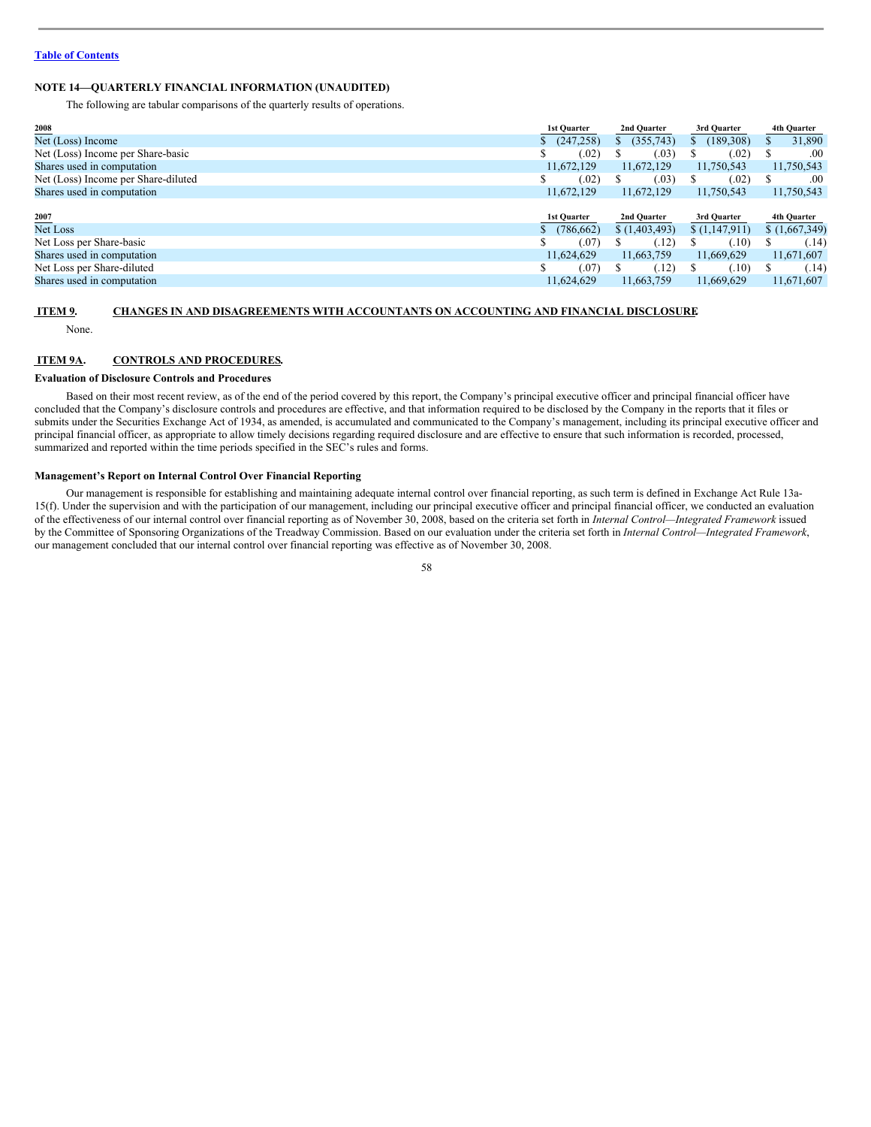# **NOTE 14—QUARTERLY FINANCIAL INFORMATION (UNAUDITED)**

The following are tabular comparisons of the quarterly results of operations.

| 1st Quarter        | 2nd Quarter | 3rd Quarter   | 4th Quarter                            |  |
|--------------------|-------------|---------------|----------------------------------------|--|
| (247, 258)         | (355, 743)  | (189, 308)    | 31,890                                 |  |
| (.02)              | (.03)       | (.02)         | .00.                                   |  |
| 11,672,129         | 11,672,129  | 11,750,543    | 11,750,543                             |  |
| (.02)              | (.03)       | (.02)         | .00                                    |  |
| 11,672,129         | 11,672,129  | 11,750,543    | 11,750,543                             |  |
|                    |             |               |                                        |  |
| <b>1st Quarter</b> | 2nd Quarter | 3rd Quarter   | 4th Quarter                            |  |
| (786, 662)         | (1,403,493) | \$(1,147,911) | \$(1,667,349)                          |  |
| (.07)              | .12)        | (.10)         | (.14)                                  |  |
| 11,624,629         | 11,663,759  | 11,669,629    | 11,671,607                             |  |
| (.07)              | (.12)       | (.10)         | (.14)<br>D                             |  |
|                    |             |               | 11,671,607                             |  |
|                    |             |               | 11,624,629<br>11,663,759<br>11,669,629 |  |

### **ITEM 9. CHANGES IN AND DISAGREEMENTS WITH ACCOUNTANTS ON ACCOUNTING AND FINANCIAL DISCLOSURE.**

None.

### **ITEM 9A. CONTROLS AND PROCEDURES.**

#### **Evaluation of Disclosure Controls and Procedures**

Based on their most recent review, as of the end of the period covered by this report, the Company's principal executive officer and principal financial officer have concluded that the Company's disclosure controls and procedures are effective, and that information required to be disclosed by the Company in the reports that it files or submits under the Securities Exchange Act of 1934, as amended, is accumulated and communicated to the Company's management, including its principal executive officer and principal financial officer, as appropriate to allow timely decisions regarding required disclosure and are effective to ensure that such information is recorded, processed, summarized and reported within the time periods specified in the SEC's rules and forms.

### **Management's Report on Internal Control Over Financial Reporting**

Our management is responsible for establishing and maintaining adequate internal control over financial reporting, as such term is defined in Exchange Act Rule 13a-15(f). Under the supervision and with the participation of our management, including our principal executive officer and principal financial officer, we conducted an evaluation of the effectiveness of our internal control over financial reporting as of November 30, 2008, based on the criteria set forth in *Internal Control—Integrated Framework* issued by the Committee of Sponsoring Organizations of the Treadway Commission. Based on our evaluation under the criteria set forth in *Internal Control—Integrated Framework*, our management concluded that our internal control over financial reporting was effective as of November 30, 2008.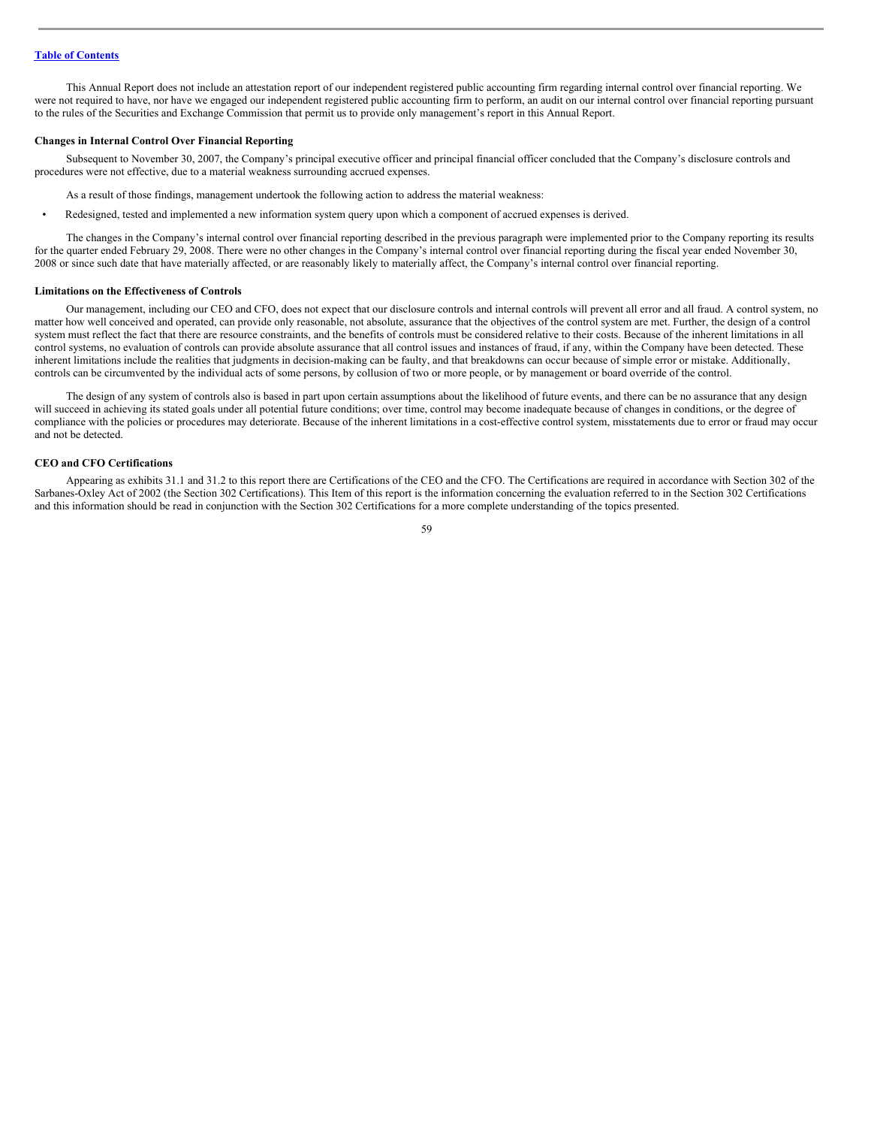This Annual Report does not include an attestation report of our independent registered public accounting firm regarding internal control over financial reporting. We were not required to have, nor have we engaged our independent registered public accounting firm to perform, an audit on our internal control over financial reporting pursuant to the rules of the Securities and Exchange Commission that permit us to provide only management's report in this Annual Report.

#### **Changes in Internal Control Over Financial Reporting**

Subsequent to November 30, 2007, the Company's principal executive officer and principal financial officer concluded that the Company's disclosure controls and procedures were not effective, due to a material weakness surrounding accrued expenses.

As a result of those findings, management undertook the following action to address the material weakness:

• Redesigned, tested and implemented a new information system query upon which a component of accrued expenses is derived.

The changes in the Company's internal control over financial reporting described in the previous paragraph were implemented prior to the Company reporting its results for the quarter ended February 29, 2008. There were no other changes in the Company's internal control over financial reporting during the fiscal year ended November 30, 2008 or since such date that have materially affected, or are reasonably likely to materially affect, the Company's internal control over financial reporting.

#### **Limitations on the Effectiveness of Controls**

Our management, including our CEO and CFO, does not expect that our disclosure controls and internal controls will prevent all error and all fraud. A control system, no matter how well conceived and operated, can provide only reasonable, not absolute, assurance that the objectives of the control system are met. Further, the design of a control system must reflect the fact that there are resource constraints, and the benefits of controls must be considered relative to their costs. Because of the inherent limitations in all control systems, no evaluation of controls can provide absolute assurance that all control issues and instances of fraud, if any, within the Company have been detected. These inherent limitations include the realities that judgments in decision-making can be faulty, and that breakdowns can occur because of simple error or mistake. Additionally, controls can be circumvented by the individual acts of some persons, by collusion of two or more people, or by management or board override of the control.

The design of any system of controls also is based in part upon certain assumptions about the likelihood of future events, and there can be no assurance that any design will succeed in achieving its stated goals under all potential future conditions; over time, control may become inadequate because of changes in conditions, or the degree of compliance with the policies or procedures may deteriorate. Because of the inherent limitations in a cost-effective control system, misstatements due to error or fraud may occur and not be detected.

# **CEO and CFO Certifications**

Appearing as exhibits 31.1 and 31.2 to this report there are Certifications of the CEO and the CFO. The Certifications are required in accordance with Section 302 of the Sarbanes-Oxley Act of 2002 (the Section 302 Certifications). This Item of this report is the information concerning the evaluation referred to in the Section 302 Certifications and this information should be read in conjunction with the Section 302 Certifications for a more complete understanding of the topics presented.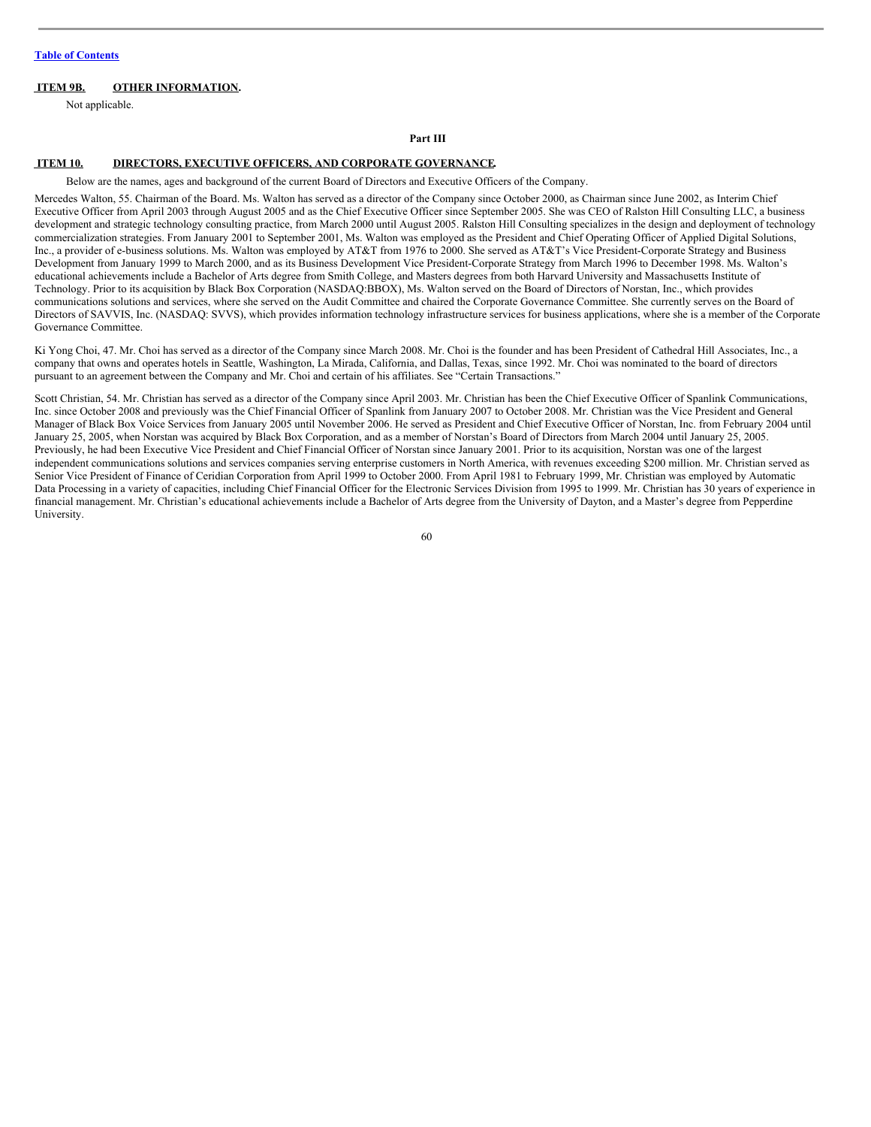# **ITEM 9B. OTHER INFORMATION.**

Not applicable.

# **Part III**

# **ITEM 10. DIRECTORS, EXECUTIVE OFFICERS, AND CORPORATE GOVERNANCE.**

Below are the names, ages and background of the current Board of Directors and Executive Officers of the Company.

Mercedes Walton, 55. Chairman of the Board. Ms. Walton has served as a director of the Company since October 2000, as Chairman since June 2002, as Interim Chief Executive Officer from April 2003 through August 2005 and as the Chief Executive Officer since September 2005. She was CEO of Ralston Hill Consulting LLC, a business development and strategic technology consulting practice, from March 2000 until August 2005. Ralston Hill Consulting specializes in the design and deployment of technology commercialization strategies. From January 2001 to September 2001, Ms. Walton was employed as the President and Chief Operating Officer of Applied Digital Solutions, Inc., a provider of e-business solutions. Ms. Walton was employed by AT&T from 1976 to 2000. She served as AT&T's Vice President-Corporate Strategy and Business Development from January 1999 to March 2000, and as its Business Development Vice President-Corporate Strategy from March 1996 to December 1998. Ms. Walton's educational achievements include a Bachelor of Arts degree from Smith College, and Masters degrees from both Harvard University and Massachusetts Institute of Technology. Prior to its acquisition by Black Box Corporation (NASDAQ:BBOX), Ms. Walton served on the Board of Directors of Norstan, Inc., which provides communications solutions and services, where she served on the Audit Committee and chaired the Corporate Governance Committee. She currently serves on the Board of Directors of SAVVIS, Inc. (NASDAQ: SVVS), which provides information technology infrastructure services for business applications, where she is a member of the Corporate Governance Committee.

Ki Yong Choi, 47. Mr. Choi has served as a director of the Company since March 2008. Mr. Choi is the founder and has been President of Cathedral Hill Associates, Inc., a company that owns and operates hotels in Seattle, Washington, La Mirada, California, and Dallas, Texas, since 1992. Mr. Choi was nominated to the board of directors pursuant to an agreement between the Company and Mr. Choi and certain of his affiliates. See "Certain Transactions."

Scott Christian, 54. Mr. Christian has served as a director of the Company since April 2003. Mr. Christian has been the Chief Executive Officer of Spanlink Communications, Inc. since October 2008 and previously was the Chief Financial Officer of Spanlink from January 2007 to October 2008. Mr. Christian was the Vice President and General Manager of Black Box Voice Services from January 2005 until November 2006. He served as President and Chief Executive Officer of Norstan, Inc. from February 2004 until January 25, 2005, when Norstan was acquired by Black Box Corporation, and as a member of Norstan's Board of Directors from March 2004 until January 25, 2005. Previously, he had been Executive Vice President and Chief Financial Officer of Norstan since January 2001. Prior to its acquisition, Norstan was one of the largest independent communications solutions and services companies serving enterprise customers in North America, with revenues exceeding \$200 million. Mr. Christian served as Senior Vice President of Finance of Ceridian Corporation from April 1999 to October 2000. From April 1981 to February 1999, Mr. Christian was employed by Automatic Data Processing in a variety of capacities, including Chief Financial Officer for the Electronic Services Division from 1995 to 1999. Mr. Christian has 30 years of experience in financial management. Mr. Christian's educational achievements include a Bachelor of Arts degree from the University of Dayton, and a Master's degree from Pepperdine University.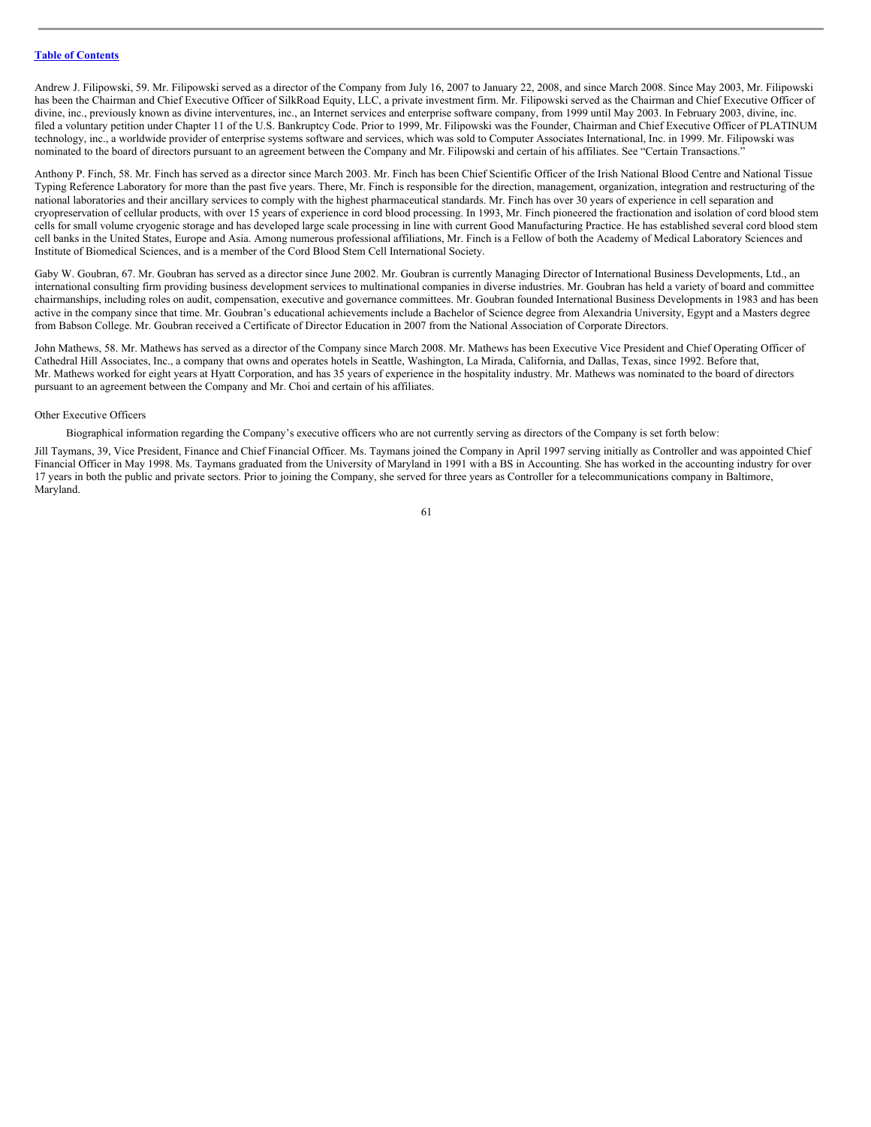Andrew J. Filipowski, 59. Mr. Filipowski served as a director of the Company from July 16, 2007 to January 22, 2008, and since March 2008. Since May 2003, Mr. Filipowski has been the Chairman and Chief Executive Officer of SilkRoad Equity, LLC, a private investment firm. Mr. Filipowski served as the Chairman and Chief Executive Officer of divine, inc., previously known as divine interventures, inc., an Internet services and enterprise software company, from 1999 until May 2003. In February 2003, divine, inc. filed a voluntary petition under Chapter 11 of the U.S. Bankruptcy Code. Prior to 1999, Mr. Filipowski was the Founder, Chairman and Chief Executive Officer of PLATINUM technology, inc., a worldwide provider of enterprise systems software and services, which was sold to Computer Associates International, Inc. in 1999. Mr. Filipowski was nominated to the board of directors pursuant to an agreement between the Company and Mr. Filipowski and certain of his affiliates. See "Certain Transactions."

Anthony P. Finch, 58. Mr. Finch has served as a director since March 2003. Mr. Finch has been Chief Scientific Officer of the Irish National Blood Centre and National Tissue Typing Reference Laboratory for more than the past five years. There, Mr. Finch is responsible for the direction, management, organization, integration and restructuring of the national laboratories and their ancillary services to comply with the highest pharmaceutical standards. Mr. Finch has over 30 years of experience in cell separation and cryopreservation of cellular products, with over 15 years of experience in cord blood processing. In 1993, Mr. Finch pioneered the fractionation and isolation of cord blood stem cells for small volume cryogenic storage and has developed large scale processing in line with current Good Manufacturing Practice. He has established several cord blood stem cell banks in the United States, Europe and Asia. Among numerous professional affiliations, Mr. Finch is a Fellow of both the Academy of Medical Laboratory Sciences and Institute of Biomedical Sciences, and is a member of the Cord Blood Stem Cell International Society.

Gaby W. Goubran, 67. Mr. Goubran has served as a director since June 2002. Mr. Goubran is currently Managing Director of International Business Developments, Ltd., an international consulting firm providing business development services to multinational companies in diverse industries. Mr. Goubran has held a variety of board and committee chairmanships, including roles on audit, compensation, executive and governance committees. Mr. Goubran founded International Business Developments in 1983 and has been active in the company since that time. Mr. Goubran's educational achievements include a Bachelor of Science degree from Alexandria University, Egypt and a Masters degree from Babson College. Mr. Goubran received a Certificate of Director Education in 2007 from the National Association of Corporate Directors.

John Mathews, 58. Mr. Mathews has served as a director of the Company since March 2008. Mr. Mathews has been Executive Vice President and Chief Operating Officer of Cathedral Hill Associates, Inc., a company that owns and operates hotels in Seattle, Washington, La Mirada, California, and Dallas, Texas, since 1992. Before that, Mr. Mathews worked for eight years at Hyatt Corporation, and has 35 years of experience in the hospitality industry. Mr. Mathews was nominated to the board of directors pursuant to an agreement between the Company and Mr. Choi and certain of his affiliates.

### Other Executive Officers

Biographical information regarding the Company's executive officers who are not currently serving as directors of the Company is set forth below:

Jill Taymans, 39, Vice President, Finance and Chief Financial Officer. Ms. Taymans joined the Company in April 1997 serving initially as Controller and was appointed Chief Financial Officer in May 1998. Ms. Taymans graduated from the University of Maryland in 1991 with a BS in Accounting. She has worked in the accounting industry for over 17 years in both the public and private sectors. Prior to joining the Company, she served for three years as Controller for a telecommunications company in Baltimore, Maryland.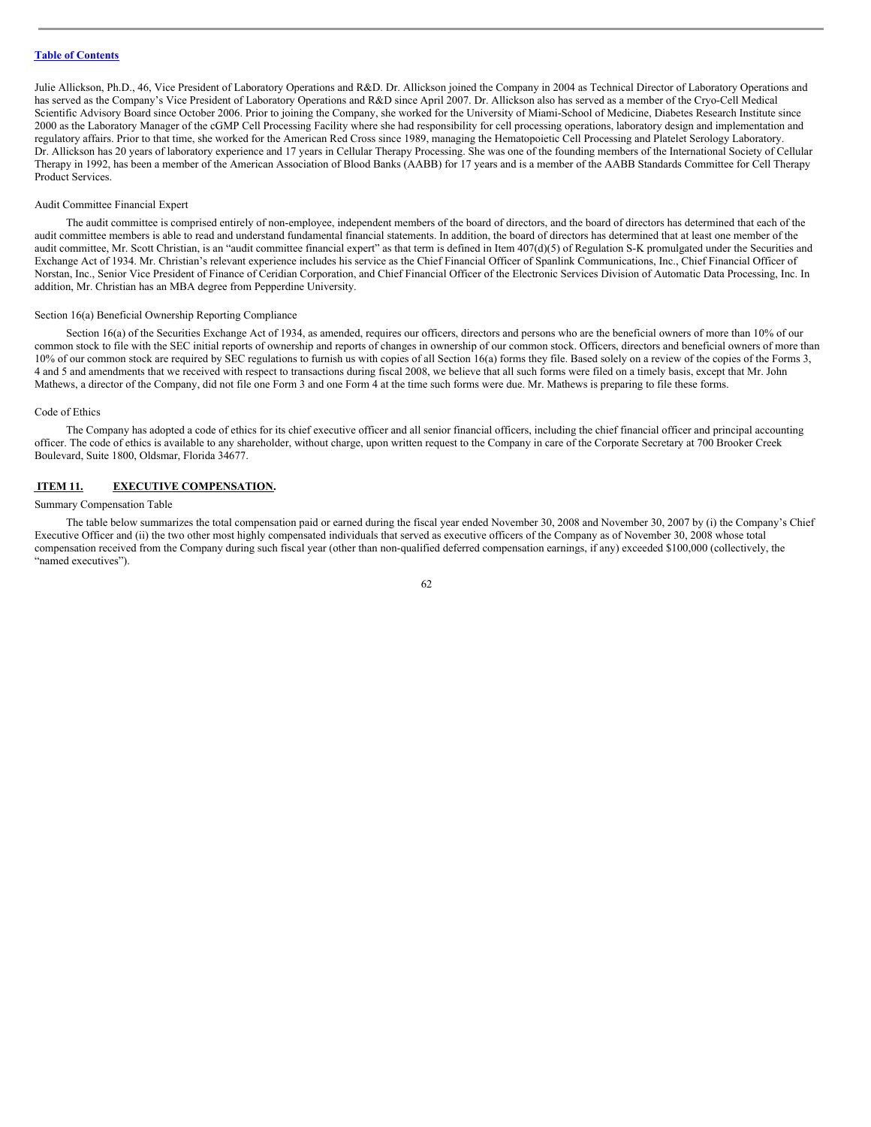Julie Allickson, Ph.D., 46, Vice President of Laboratory Operations and R&D. Dr. Allickson joined the Company in 2004 as Technical Director of Laboratory Operations and has served as the Company's Vice President of Laboratory Operations and R&D since April 2007. Dr. Allickson also has served as a member of the Cryo-Cell Medical Scientific Advisory Board since October 2006. Prior to joining the Company, she worked for the University of Miami-School of Medicine, Diabetes Research Institute since 2000 as the Laboratory Manager of the cGMP Cell Processing Facility where she had responsibility for cell processing operations, laboratory design and implementation and regulatory affairs. Prior to that time, she worked for the American Red Cross since 1989, managing the Hematopoietic Cell Processing and Platelet Serology Laboratory. Dr. Allickson has 20 years of laboratory experience and 17 years in Cellular Therapy Processing. She was one of the founding members of the International Society of Cellular Therapy in 1992, has been a member of the American Association of Blood Banks (AABB) for 17 years and is a member of the AABB Standards Committee for Cell Therapy Product Services.

#### Audit Committee Financial Expert

The audit committee is comprised entirely of non-employee, independent members of the board of directors, and the board of directors has determined that each of the audit committee members is able to read and understand fundamental financial statements. In addition, the board of directors has determined that at least one member of the audit committee, Mr. Scott Christian, is an "audit committee financial expert" as that term is defined in Item 407(d)(5) of Regulation S-K promulgated under the Securities and Exchange Act of 1934. Mr. Christian's relevant experience includes his service as the Chief Financial Officer of Spanlink Communications, Inc., Chief Financial Officer of Norstan, Inc., Senior Vice President of Finance of Ceridian Corporation, and Chief Financial Officer of the Electronic Services Division of Automatic Data Processing, Inc. In addition, Mr. Christian has an MBA degree from Pepperdine University.

### Section 16(a) Beneficial Ownership Reporting Compliance

Section 16(a) of the Securities Exchange Act of 1934, as amended, requires our officers, directors and persons who are the beneficial owners of more than 10% of our common stock to file with the SEC initial reports of ownership and reports of changes in ownership of our common stock. Officers, directors and beneficial owners of more than 10% of our common stock are required by SEC regulations to furnish us with copies of all Section 16(a) forms they file. Based solely on a review of the copies of the Forms 3, 4 and 5 and amendments that we received with respect to transactions during fiscal 2008, we believe that all such forms were filed on a timely basis, except that Mr. John Mathews, a director of the Company, did not file one Form 3 and one Form 4 at the time such forms were due. Mr. Mathews is preparing to file these forms.

### Code of Ethics

The Company has adopted a code of ethics for its chief executive officer and all senior financial officers, including the chief financial officer and principal accounting officer. The code of ethics is available to any shareholder, without charge, upon written request to the Company in care of the Corporate Secretary at 700 Brooker Creek Boulevard, Suite 1800, Oldsmar, Florida 34677.

# **ITEM 11. EXECUTIVE COMPENSATION.**

### Summary Compensation Table

The table below summarizes the total compensation paid or earned during the fiscal year ended November 30, 2008 and November 30, 2007 by (i) the Company's Chief Executive Officer and (ii) the two other most highly compensated individuals that served as executive officers of the Company as of November 30, 2008 whose total compensation received from the Company during such fiscal year (other than non-qualified deferred compensation earnings, if any) exceeded \$100,000 (collectively, the "named executives").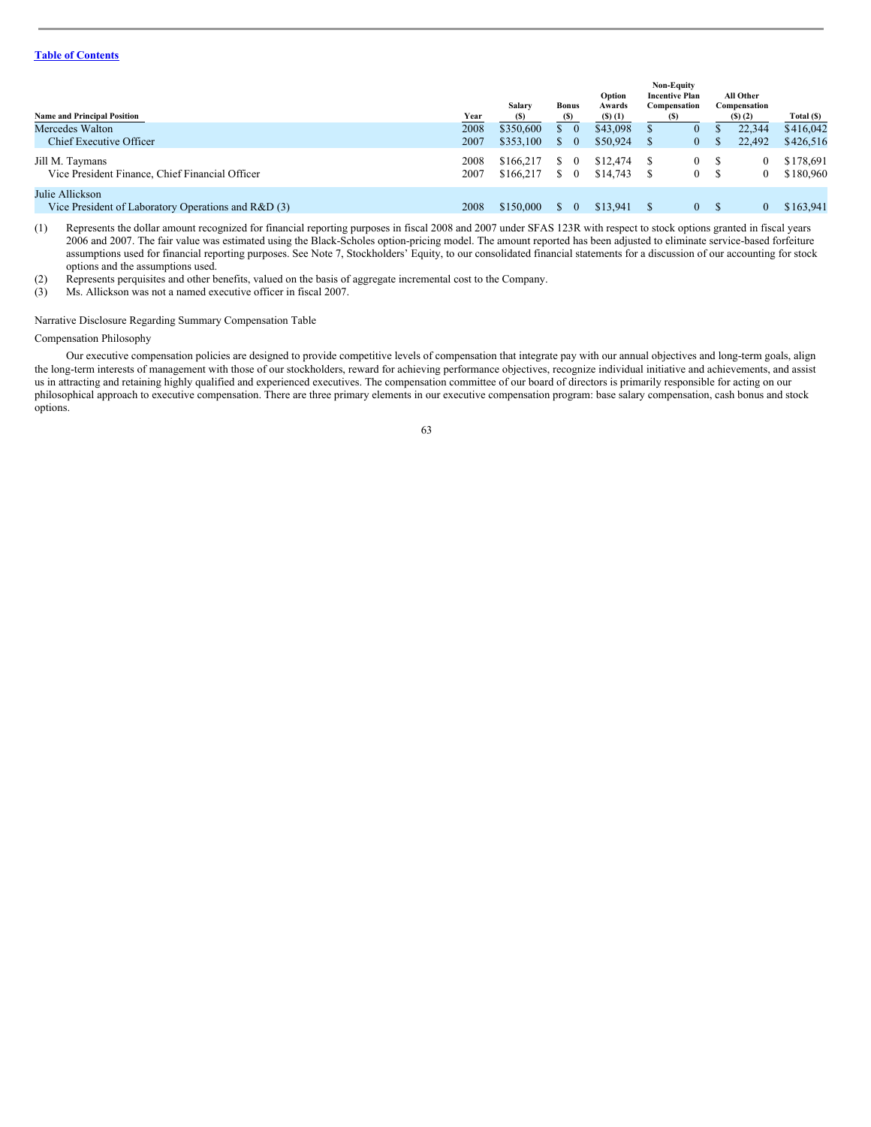| <b>Name and Principal Position</b>                                     | Year         | Salary<br>(S)          | <b>Bonus</b><br>(S) |          | Option<br>Awards<br>(5)(1) |              | <b>Non-Equity</b><br><b>Incentive Plan</b><br>Compensation<br>(S) |    | All Other<br>Compensation<br>(5)(2) | Total (\$)             |
|------------------------------------------------------------------------|--------------|------------------------|---------------------|----------|----------------------------|--------------|-------------------------------------------------------------------|----|-------------------------------------|------------------------|
| Mercedes Walton                                                        | 2008         | \$350,600              | $\mathbb{S}$        | $\theta$ | \$43,098                   |              | $\theta$                                                          |    | 22.344                              | \$416,042              |
| <b>Chief Executive Officer</b>                                         | 2007         | \$353,100              | S.                  | $\bf{0}$ | \$50,924                   | <sup>S</sup> | $\overline{0}$                                                    |    | 22.492                              | \$426,516              |
| Jill M. Taymans<br>Vice President Finance, Chief Financial Officer     | 2008<br>2007 | \$166,217<br>\$166,217 | S<br>S.             | $\bf{0}$ | \$12,474<br>\$14,743       | - S          | $\mathbf{0}$<br>$\overline{0}$                                    | S  | $\theta$<br>$\theta$                | \$178,691<br>\$180,960 |
| Julie Allickson<br>Vice President of Laboratory Operations and R&D (3) | 2008         | \$150,000              | S.                  |          | \$13,941                   |              | $\mathbf{0}$                                                      | -S | $\theta$                            | \$163,941              |

(1) Represents the dollar amount recognized for financial reporting purposes in fiscal 2008 and 2007 under SFAS 123R with respect to stock options granted in fiscal years 2006 and 2007. The fair value was estimated using the Black-Scholes option-pricing model. The amount reported has been adjusted to eliminate service-based forfeiture assumptions used for financial reporting purposes. See Note 7, Stockholders' Equity, to our consolidated financial statements for a discussion of our accounting for stock options and the assumptions used.

(2) Represents perquisites and other benefits, valued on the basis of aggregate incremental cost to the Company.

(3) Ms. Allickson was not a named executive officer in fiscal 2007.

Narrative Disclosure Regarding Summary Compensation Table

### Compensation Philosophy

Our executive compensation policies are designed to provide competitive levels of compensation that integrate pay with our annual objectives and long-term goals, align the long-term interests of management with those of our stockholders, reward for achieving performance objectives, recognize individual initiative and achievements, and assist us in attracting and retaining highly qualified and experienced executives. The compensation committee of our board of directors is primarily responsible for acting on our philosophical approach to executive compensation. There are three primary elements in our executive compensation program: base salary compensation, cash bonus and stock options.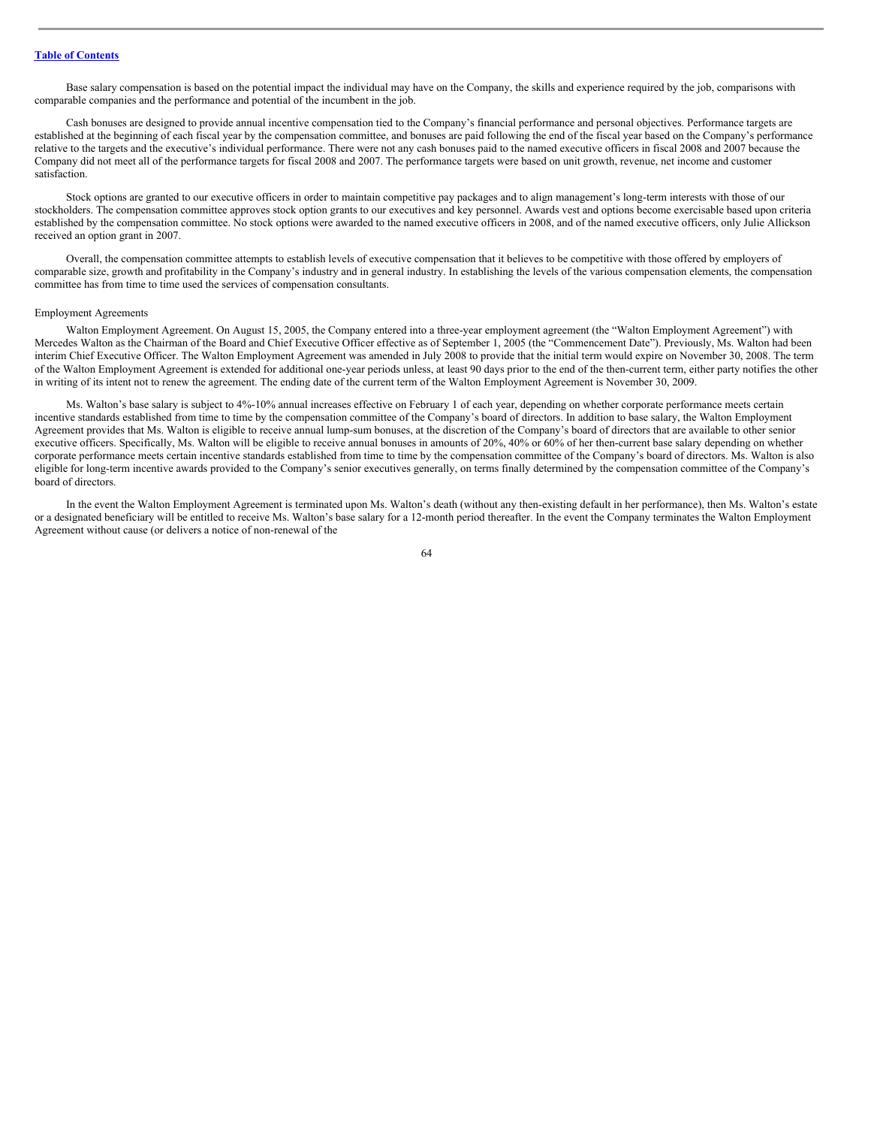Base salary compensation is based on the potential impact the individual may have on the Company, the skills and experience required by the job, comparisons with comparable companies and the performance and potential of the incumbent in the job.

Cash bonuses are designed to provide annual incentive compensation tied to the Company's financial performance and personal objectives. Performance targets are established at the beginning of each fiscal year by the compensation committee, and bonuses are paid following the end of the fiscal year based on the Company's performance relative to the targets and the executive's individual performance. There were not any cash bonuses paid to the named executive officers in fiscal 2008 and 2007 because the Company did not meet all of the performance targets for fiscal 2008 and 2007. The performance targets were based on unit growth, revenue, net income and customer satisfaction.

Stock options are granted to our executive officers in order to maintain competitive pay packages and to align management's long-term interests with those of our stockholders. The compensation committee approves stock option grants to our executives and key personnel. Awards vest and options become exercisable based upon criteria established by the compensation committee. No stock options were awarded to the named executive officers in 2008, and of the named executive officers, only Julie Allickson received an option grant in 2007.

Overall, the compensation committee attempts to establish levels of executive compensation that it believes to be competitive with those offered by employers of comparable size, growth and profitability in the Company's industry and in general industry. In establishing the levels of the various compensation elements, the compensation committee has from time to time used the services of compensation consultants.

#### Employment Agreements

Walton Employment Agreement. On August 15, 2005, the Company entered into a three-year employment agreement (the "Walton Employment Agreement") with Mercedes Walton as the Chairman of the Board and Chief Executive Officer effective as of September 1, 2005 (the "Commencement Date"). Previously, Ms. Walton had been interim Chief Executive Officer. The Walton Employment Agreement was amended in July 2008 to provide that the initial term would expire on November 30, 2008. The term of the Walton Employment Agreement is extended for additional one-year periods unless, at least 90 days prior to the end of the then-current term, either party notifies the other in writing of its intent not to renew the agreement. The ending date of the current term of the Walton Employment Agreement is November 30, 2009.

Ms. Walton's base salary is subject to 4%-10% annual increases effective on February 1 of each year, depending on whether corporate performance meets certain incentive standards established from time to time by the compensation committee of the Company's board of directors. In addition to base salary, the Walton Employment Agreement provides that Ms. Walton is eligible to receive annual lump-sum bonuses, at the discretion of the Company's board of directors that are available to other senior executive officers. Specifically, Ms. Walton will be eligible to receive annual bonuses in amounts of 20%, 40% or 60% of her then-current base salary depending on whether corporate performance meets certain incentive standards established from time to time by the compensation committee of the Company's board of directors. Ms. Walton is also eligible for long-term incentive awards provided to the Company's senior executives generally, on terms finally determined by the compensation committee of the Company's board of directors.

In the event the Walton Employment Agreement is terminated upon Ms. Walton's death (without any then-existing default in her performance), then Ms. Walton's estate or a designated beneficiary will be entitled to receive Ms. Walton's base salary for a 12-month period thereafter. In the event the Company terminates the Walton Employment Agreement without cause (or delivers a notice of non-renewal of the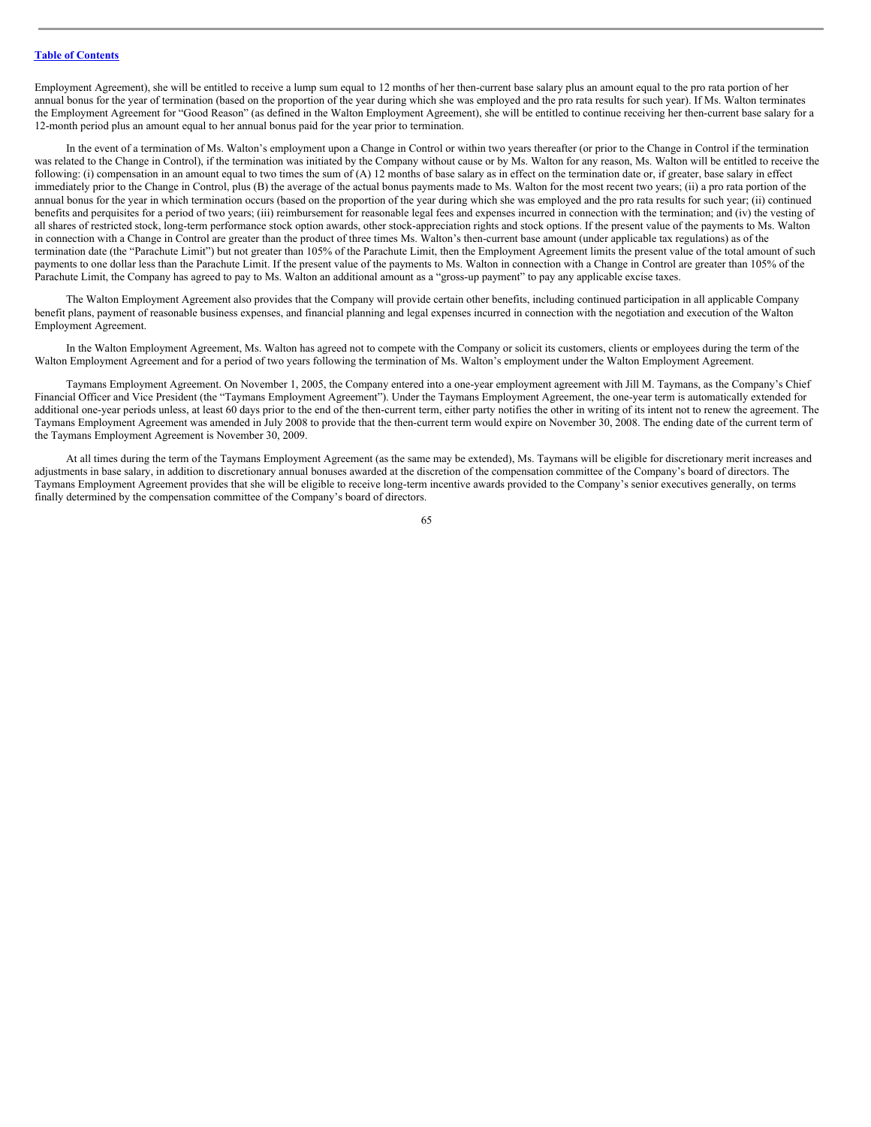Employment Agreement), she will be entitled to receive a lump sum equal to 12 months of her then-current base salary plus an amount equal to the pro rata portion of her annual bonus for the year of termination (based on the proportion of the year during which she was employed and the pro rata results for such year). If Ms. Walton terminates the Employment Agreement for "Good Reason" (as defined in the Walton Employment Agreement), she will be entitled to continue receiving her then-current base salary for a 12-month period plus an amount equal to her annual bonus paid for the year prior to termination.

In the event of a termination of Ms. Walton's employment upon a Change in Control or within two years thereafter (or prior to the Change in Control if the termination was related to the Change in Control), if the termination was initiated by the Company without cause or by Ms. Walton for any reason, Ms. Walton will be entitled to receive the following: (i) compensation in an amount equal to two times the sum of (A) 12 months of base salary as in effect on the termination date or, if greater, base salary in effect immediately prior to the Change in Control, plus (B) the average of the actual bonus payments made to Ms. Walton for the most recent two years; (ii) a pro rata portion of the annual bonus for the year in which termination occurs (based on the proportion of the year during which she was employed and the pro rata results for such year; (ii) continued benefits and perquisites for a period of two years; (iii) reimbursement for reasonable legal fees and expenses incurred in connection with the termination; and (iv) the vesting of all shares of restricted stock, long-term performance stock option awards, other stock-appreciation rights and stock options. If the present value of the payments to Ms. Walton in connection with a Change in Control are greater than the product of three times Ms. Walton's then-current base amount (under applicable tax regulations) as of the termination date (the "Parachute Limit") but not greater than 105% of the Parachute Limit, then the Employment Agreement limits the present value of the total amount of such payments to one dollar less than the Parachute Limit. If the present value of the payments to Ms. Walton in connection with a Change in Control are greater than 105% of the Parachute Limit, the Company has agreed to pay to Ms. Walton an additional amount as a "gross-up payment" to pay any applicable excise taxes.

The Walton Employment Agreement also provides that the Company will provide certain other benefits, including continued participation in all applicable Company benefit plans, payment of reasonable business expenses, and financial planning and legal expenses incurred in connection with the negotiation and execution of the Walton Employment Agreement.

In the Walton Employment Agreement, Ms. Walton has agreed not to compete with the Company or solicit its customers, clients or employees during the term of the Walton Employment Agreement and for a period of two years following the termination of Ms. Walton's employment under the Walton Employment Agreement.

Taymans Employment Agreement. On November 1, 2005, the Company entered into a one-year employment agreement with Jill M. Taymans, as the Company's Chief Financial Officer and Vice President (the "Taymans Employment Agreement"). Under the Taymans Employment Agreement, the one-year term is automatically extended for additional one-year periods unless, at least 60 days prior to the end of the then-current term, either party notifies the other in writing of its intent not to renew the agreement. The Taymans Employment Agreement was amended in July 2008 to provide that the then-current term would expire on November 30, 2008. The ending date of the current term of the Taymans Employment Agreement is November 30, 2009.

At all times during the term of the Taymans Employment Agreement (as the same may be extended), Ms. Taymans will be eligible for discretionary merit increases and adjustments in base salary, in addition to discretionary annual bonuses awarded at the discretion of the compensation committee of the Company's board of directors. The Taymans Employment Agreement provides that she will be eligible to receive long-term incentive awards provided to the Company's senior executives generally, on terms finally determined by the compensation committee of the Company's board of directors.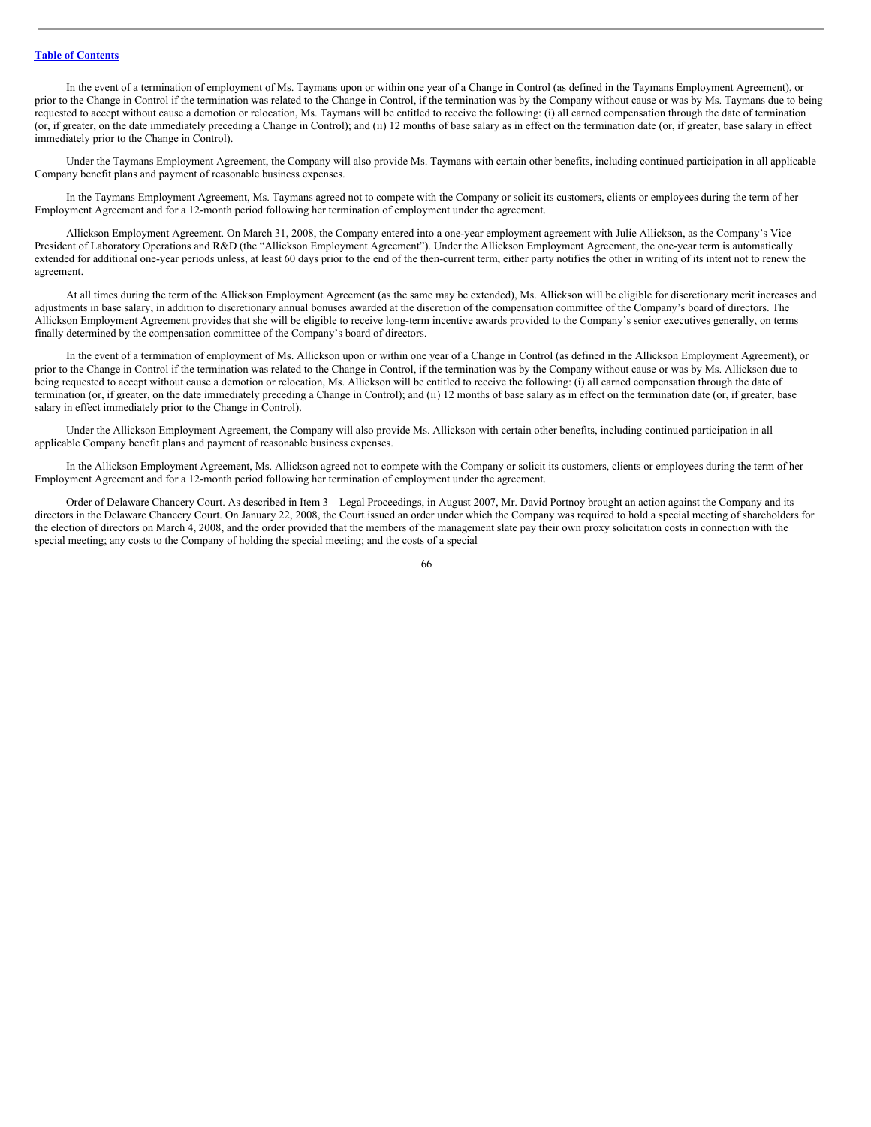In the event of a termination of employment of Ms. Taymans upon or within one year of a Change in Control (as defined in the Taymans Employment Agreement), or prior to the Change in Control if the termination was related to the Change in Control, if the termination was by the Company without cause or was by Ms. Taymans due to being requested to accept without cause a demotion or relocation, Ms. Taymans will be entitled to receive the following: (i) all earned compensation through the date of termination (or, if greater, on the date immediately preceding a Change in Control); and (ii) 12 months of base salary as in effect on the termination date (or, if greater, base salary in effect immediately prior to the Change in Control).

Under the Taymans Employment Agreement, the Company will also provide Ms. Taymans with certain other benefits, including continued participation in all applicable Company benefit plans and payment of reasonable business expenses.

In the Taymans Employment Agreement, Ms. Taymans agreed not to compete with the Company or solicit its customers, clients or employees during the term of her Employment Agreement and for a 12-month period following her termination of employment under the agreement.

Allickson Employment Agreement. On March 31, 2008, the Company entered into a one-year employment agreement with Julie Allickson, as the Company's Vice President of Laboratory Operations and R&D (the "Allickson Employment Agreement"). Under the Allickson Employment Agreement, the one-year term is automatically extended for additional one-year periods unless, at least 60 days prior to the end of the then-current term, either party notifies the other in writing of its intent not to renew the agreement.

At all times during the term of the Allickson Employment Agreement (as the same may be extended), Ms. Allickson will be eligible for discretionary merit increases and adjustments in base salary, in addition to discretionary annual bonuses awarded at the discretion of the compensation committee of the Company's board of directors. The Allickson Employment Agreement provides that she will be eligible to receive long-term incentive awards provided to the Company's senior executives generally, on terms finally determined by the compensation committee of the Company's board of directors.

In the event of a termination of employment of Ms. Allickson upon or within one year of a Change in Control (as defined in the Allickson Employment Agreement), or prior to the Change in Control if the termination was related to the Change in Control, if the termination was by the Company without cause or was by Ms. Allickson due to being requested to accept without cause a demotion or relocation, Ms. Allickson will be entitled to receive the following: (i) all earned compensation through the date of termination (or, if greater, on the date immediately preceding a Change in Control); and (ii) 12 months of base salary as in effect on the termination date (or, if greater, base salary in effect immediately prior to the Change in Control).

Under the Allickson Employment Agreement, the Company will also provide Ms. Allickson with certain other benefits, including continued participation in all applicable Company benefit plans and payment of reasonable business expenses.

In the Allickson Employment Agreement, Ms. Allickson agreed not to compete with the Company or solicit its customers, clients or employees during the term of her Employment Agreement and for a 12-month period following her termination of employment under the agreement.

Order of Delaware Chancery Court. As described in Item 3 – Legal Proceedings, in August 2007, Mr. David Portnoy brought an action against the Company and its directors in the Delaware Chancery Court. On January 22, 2008, the Court issued an order under which the Company was required to hold a special meeting of shareholders for the election of directors on March 4, 2008, and the order provided that the members of the management slate pay their own proxy solicitation costs in connection with the special meeting; any costs to the Company of holding the special meeting; and the costs of a special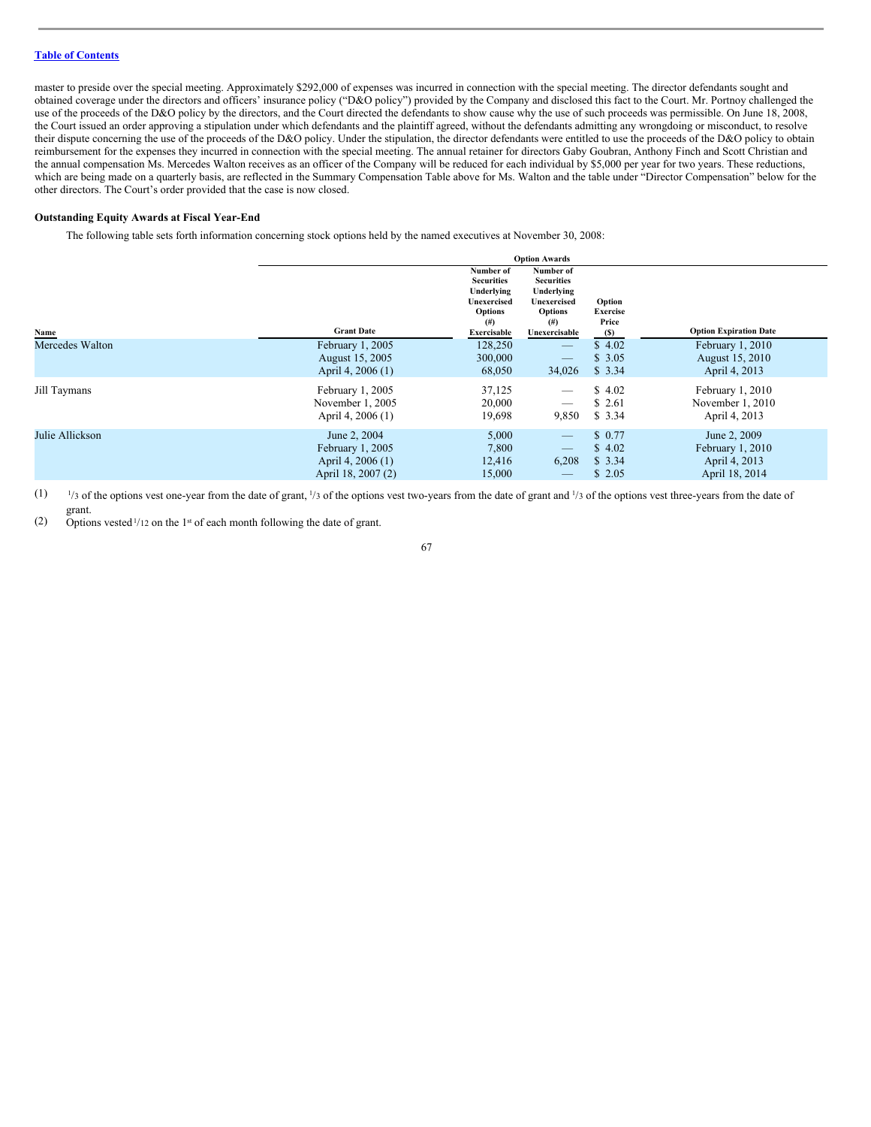master to preside over the special meeting. Approximately \$292,000 of expenses was incurred in connection with the special meeting. The director defendants sought and obtained coverage under the directors and officers' insurance policy ("D&O policy") provided by the Company and disclosed this fact to the Court. Mr. Portnoy challenged the use of the proceeds of the D&O policy by the directors, and the Court directed the defendants to show cause why the use of such proceeds was permissible. On June 18, 2008, the Court issued an order approving a stipulation under which defendants and the plaintiff agreed, without the defendants admitting any wrongdoing or misconduct, to resolve their dispute concerning the use of the proceeds of the D&O policy. Under the stipulation, the director defendants were entitled to use the proceeds of the D&O policy to obtain reimbursement for the expenses they incurred in connection with the special meeting. The annual retainer for directors Gaby Goubran, Anthony Finch and Scott Christian and the annual compensation Ms. Mercedes Walton receives as an officer of the Company will be reduced for each individual by \$5,000 per year for two years. These reductions, which are being made on a quarterly basis, are reflected in the Summary Compensation Table above for Ms. Walton and the table under "Director Compensation" below for the other directors. The Court's order provided that the case is now closed.

# **Outstanding Equity Awards at Fiscal Year-End**

The following table sets forth information concerning stock options held by the named executives at November 30, 2008:

|                 | <b>Option Awards</b> |                                                                                                                 |                                                                                                        |                                    |                               |
|-----------------|----------------------|-----------------------------------------------------------------------------------------------------------------|--------------------------------------------------------------------------------------------------------|------------------------------------|-------------------------------|
| Name            | <b>Grant Date</b>    | Number of<br><b>Securities</b><br>Underlying<br>Unexercised<br><b>Options</b><br>$^{(#)}$<br><b>Exercisable</b> | Number of<br><b>Securities</b><br>Underlying<br>Unexercised<br><b>Options</b><br>(# )<br>Unexercisable | Option<br>Exercise<br>Price<br>(S) | <b>Option Expiration Date</b> |
| Mercedes Walton | February 1, 2005     | 128,250                                                                                                         | $\overline{\phantom{m}}$                                                                               | \$4.02                             | February 1, 2010              |
|                 | August 15, 2005      | 300,000                                                                                                         | $\hspace{0.1mm}-\hspace{0.1mm}$                                                                        | \$3.05                             | August 15, 2010               |
|                 | April 4, 2006 (1)    | 68,050                                                                                                          | 34,026                                                                                                 | \$3.34                             | April 4, 2013                 |
| Jill Taymans    | February 1, 2005     | 37,125                                                                                                          |                                                                                                        | \$4.02                             | February 1, 2010              |
|                 | November 1, 2005     | 20,000                                                                                                          |                                                                                                        | \$2.61                             | November 1, 2010              |
|                 | April 4, 2006 (1)    | 19,698                                                                                                          | 9,850                                                                                                  | \$3.34                             | April 4, 2013                 |
| Julie Allickson | June 2, 2004         | 5,000                                                                                                           | $\overline{\phantom{m}}$                                                                               | \$0.77                             | June 2, 2009                  |
|                 | February 1, 2005     | 7,800                                                                                                           | $\hspace{0.1mm}-\hspace{0.1mm}$                                                                        | \$4.02                             | February 1, 2010              |
|                 | April 4, 2006 (1)    | 12,416                                                                                                          | 6,208                                                                                                  | \$3.34                             | April 4, 2013                 |
|                 | April 18, 2007 (2)   | 15,000                                                                                                          |                                                                                                        | \$2.05                             | April 18, 2014                |

 $(1)$  $/3$  of the options vest one-year from the date of grant,  $\frac{1}{3}$  of the options vest two-years from the date of grant and  $\frac{1}{3}$  of the options vest three-years from the date of grant.

(2) Options vested  $\frac{1}{12}$  on the 1<sup>st</sup> of each month following the date of grant.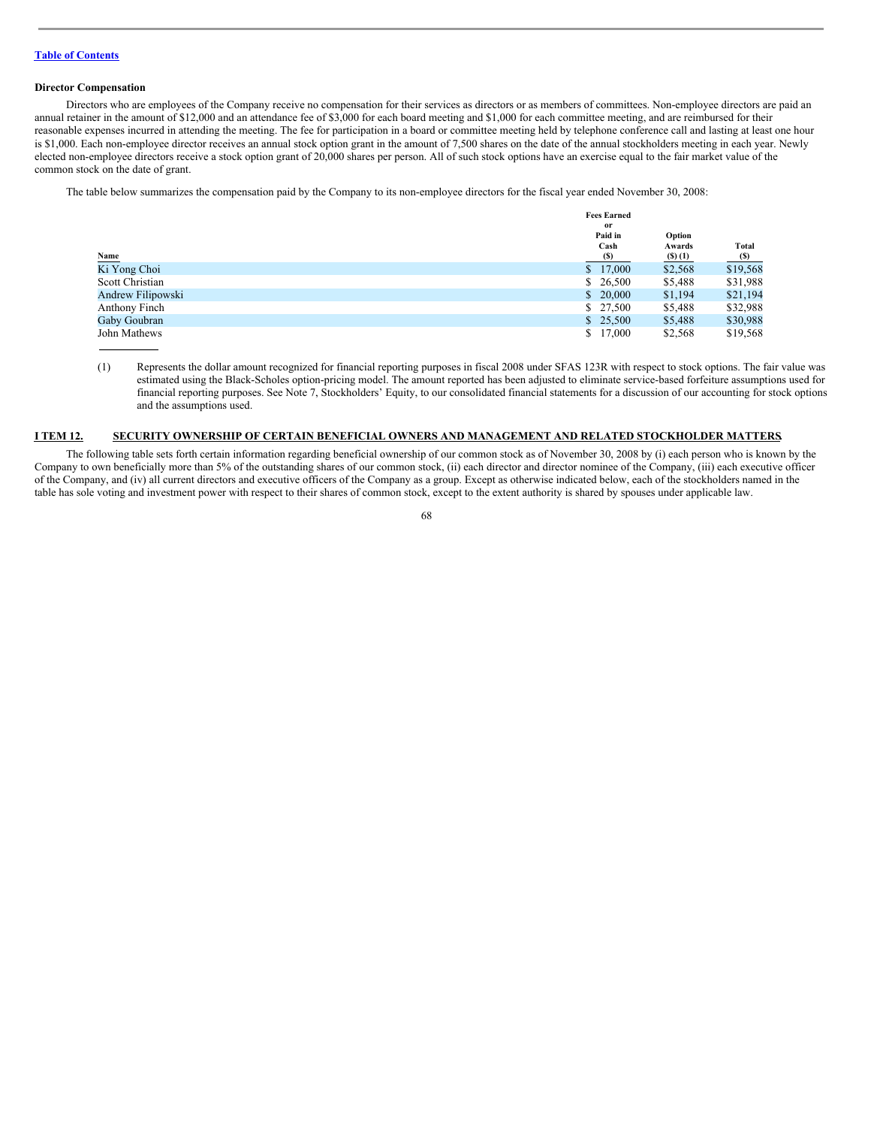### **Director Compensation**

Directors who are employees of the Company receive no compensation for their services as directors or as members of committees. Non-employee directors are paid an annual retainer in the amount of \$12,000 and an attendance fee of \$3,000 for each board meeting and \$1,000 for each committee meeting, and are reimbursed for their reasonable expenses incurred in attending the meeting. The fee for participation in a board or committee meeting held by telephone conference call and lasting at least one hour is \$1,000. Each non-employee director receives an annual stock option grant in the amount of 7,500 shares on the date of the annual stockholders meeting in each year. Newly elected non-employee directors receive a stock option grant of 20,000 shares per person. All of such stock options have an exercise equal to the fair market value of the common stock on the date of grant.

The table below summarizes the compensation paid by the Company to its non-employee directors for the fiscal year ended November 30, 2008:

|                   | <b>Fees Earned</b> |                     |               |  |  |
|-------------------|--------------------|---------------------|---------------|--|--|
|                   | <sub>or</sub>      |                     |               |  |  |
|                   | Paid in<br>Cash    | Option<br>Awards    | <b>Total</b>  |  |  |
| Name              | (S)                | $($ S $)$ $($ 1 $)$ | $\frac{1}{2}$ |  |  |
| Ki Yong Choi      | \$17,000           | \$2,568             | \$19,568      |  |  |
| Scott Christian   | \$26,500           | \$5,488             | \$31,988      |  |  |
| Andrew Filipowski | \$20,000           | \$1,194             | \$21,194      |  |  |
| Anthony Finch     | \$27,500           | \$5,488             | \$32,988      |  |  |
| Gaby Goubran      | \$25,500           | \$5,488             | \$30,988      |  |  |
| John Mathews      | \$17,000           | \$2,568             | \$19,568      |  |  |

(1) Represents the dollar amount recognized for financial reporting purposes in fiscal 2008 under SFAS 123R with respect to stock options. The fair value was estimated using the Black-Scholes option-pricing model. The amount reported has been adjusted to eliminate service-based forfeiture assumptions used for financial reporting purposes. See Note 7, Stockholders' Equity, to our consolidated financial statements for a discussion of our accounting for stock options and the assumptions used.

### **I TEM 12. SECURITY OWNERSHIP OF CERTAIN BENEFICIAL OWNERS AND MANAGEMENT AND RELATED STOCKHOLDER MATTERS.**

The following table sets forth certain information regarding beneficial ownership of our common stock as of November 30, 2008 by (i) each person who is known by the Company to own beneficially more than 5% of the outstanding shares of our common stock, (ii) each director and director nominee of the Company, (iii) each executive officer of the Company, and (iv) all current directors and executive officers of the Company as a group. Except as otherwise indicated below, each of the stockholders named in the table has sole voting and investment power with respect to their shares of common stock, except to the extent authority is shared by spouses under applicable law.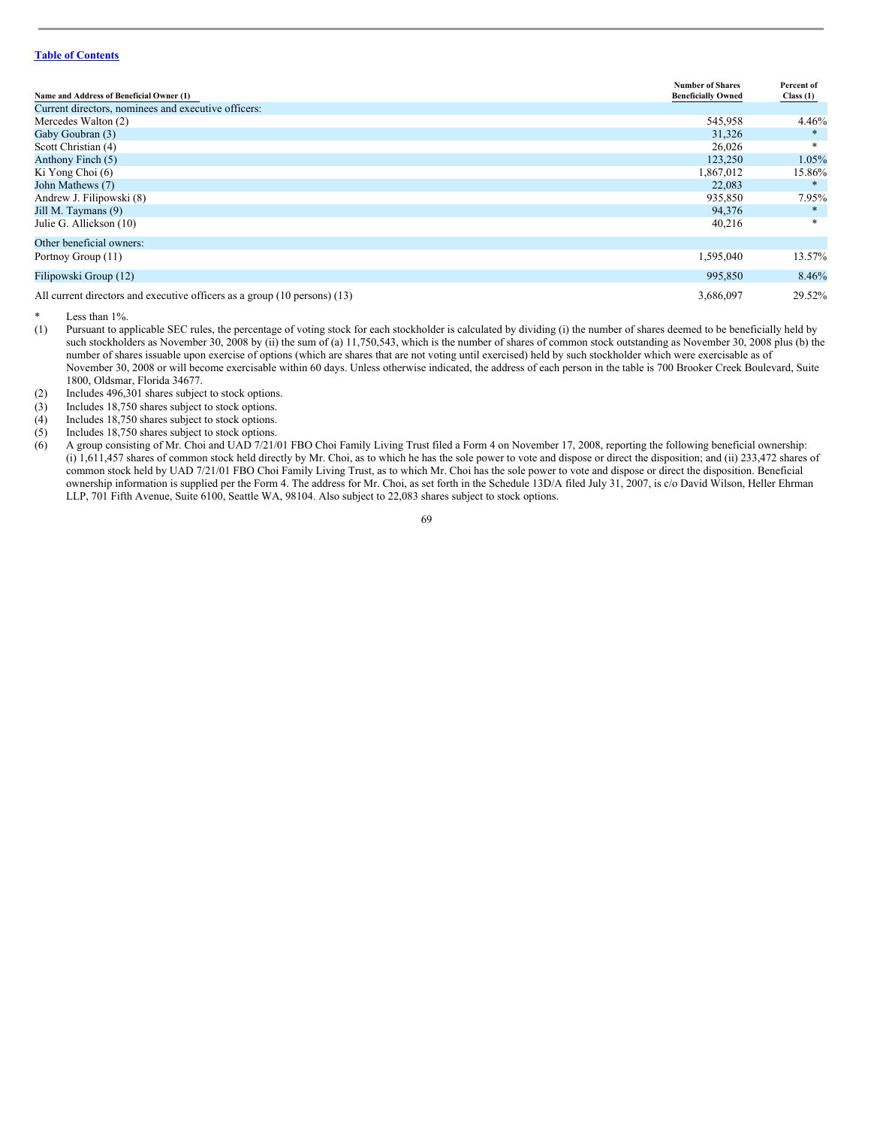| Name and Address of Beneficial Owner (1)                                  | <b>Beneficially Owned</b> | 1 CL CCIIL 01<br>Class $(1)$ |
|---------------------------------------------------------------------------|---------------------------|------------------------------|
| Current directors, nominees and executive officers:                       |                           |                              |
| Mercedes Walton (2)                                                       | 545,958                   | 4.46%                        |
| Gaby Goubran (3)                                                          | 31,326                    |                              |
| Scott Christian (4)                                                       | 26,026                    |                              |
| Anthony Finch (5)                                                         | 123,250                   | 1.05%                        |
| Ki Yong Choi (6)                                                          | 1,867,012                 | 15.86%                       |
| John Mathews (7)                                                          | 22,083                    |                              |
| Andrew J. Filipowski (8)                                                  | 935,850                   | 7.95%                        |
| Jill M. Taymans (9)                                                       | 94,376                    |                              |
| Julie G. Allickson (10)                                                   | 40,216                    | $\ast$                       |
| Other beneficial owners:                                                  |                           |                              |
| Portnoy Group (11)                                                        | 1,595,040                 | 13.57%                       |
| Filipowski Group (12)                                                     | 995,850                   | 8.46%                        |
| All current directors and executive officers as a group (10 persons) (13) | 3.686,097                 | 29.52%                       |

**Number of Shares**

**Percent of**

- (1) Pursuant to applicable SEC rules, the percentage of voting stock for each stockholder is calculated by dividing (i) the number of shares deemed to be beneficially held by such stockholders as November 30, 2008 by (ii) the sum of (a) 11,750,543, which is the number of shares of common stock outstanding as November 30, 2008 plus (b) the number of shares issuable upon exercise of options (which are shares that are not voting until exercised) held by such stockholder which were exercisable as of November 30, 2008 or will become exercisable within 60 days. Unless otherwise indicated, the address of each person in the table is 700 Brooker Creek Boulevard, Suite 1800, Oldsmar, Florida 34677.
- (2) Includes 496,301 shares subject to stock options.<br>(3) Includes 18,750 shares subject to stock options.
- Includes  $18,750$  shares subject to stock options.
- (4) Includes 18,750 shares subject to stock options.<br>(5) Includes 18,750 shares subject to stock options.
- (5) Includes 18,750 shares subject to stock options.<br>(6) A group consisting of Mr. Choi and UAD 7/21/
- A group consisting of Mr. Choi and UAD 7/21/01 FBO Choi Family Living Trust filed a Form 4 on November 17, 2008, reporting the following beneficial ownership: (i) 1,611,457 shares of common stock held directly by Mr. Choi, as to which he has the sole power to vote and dispose or direct the disposition; and (ii) 233,472 shares of common stock held by UAD 7/21/01 FBO Choi Family Living Trust, as to which Mr. Choi has the sole power to vote and dispose or direct the disposition. Beneficial ownership information is supplied per the Form 4. The address for Mr. Choi, as set forth in the Schedule 13D/A filed July 31, 2007, is c/o David Wilson, Heller Ehrman LLP, 701 Fifth Avenue, Suite 6100, Seattle WA, 98104. Also subject to 22,083 shares subject to stock options.

Less than  $1\%$ .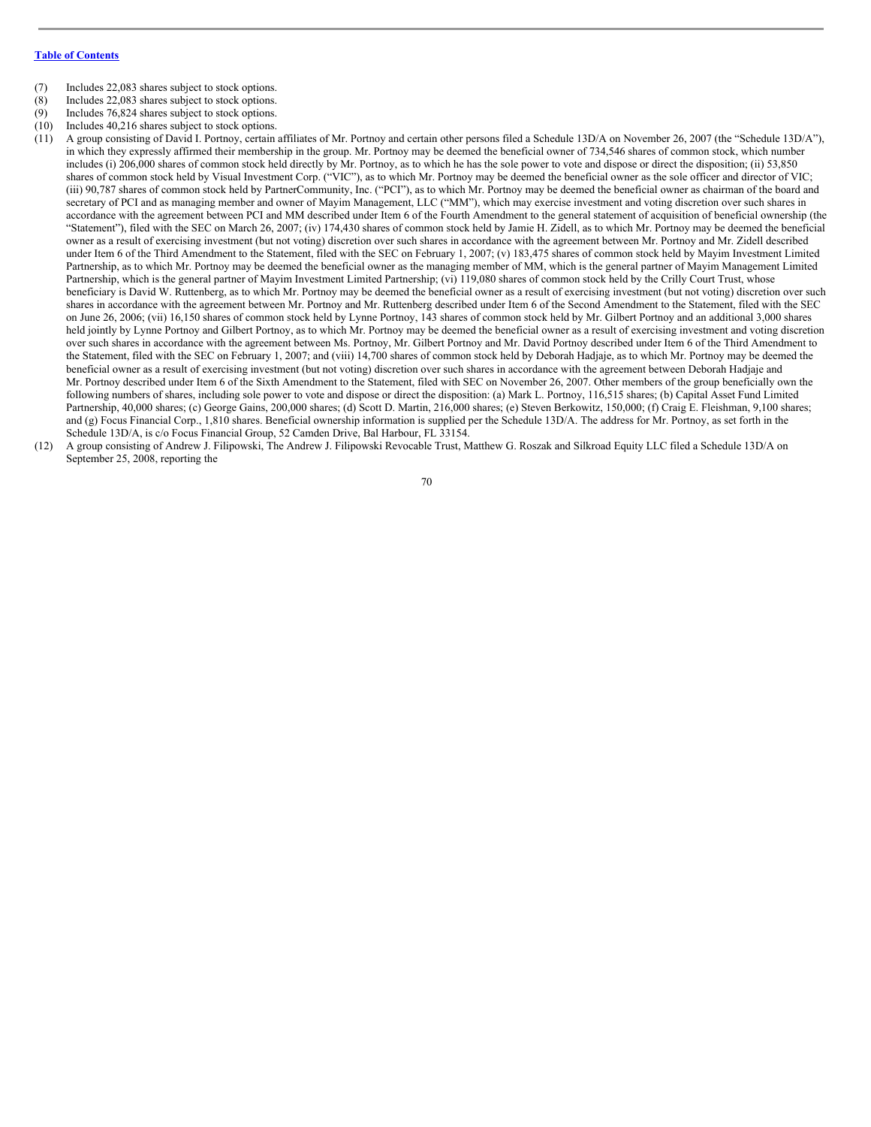- (7) Includes 22,083 shares subject to stock options.
- (8) Includes 22,083 shares subject to stock options.
- (9) Includes 76,824 shares subject to stock options.
- (10) Includes 40,216 shares subject to stock options.<br>(11) A group consisting of David I. Portnoy, certain
- (11) A group consisting of David I. Portnoy, certain affiliates of Mr. Portnoy and certain other persons filed a Schedule 13D/A on November 26, 2007 (the "Schedule 13D/A"), in which they expressly affirmed their membership in the group. Mr. Portnoy may be deemed the beneficial owner of 734,546 shares of common stock, which number includes (i) 206,000 shares of common stock held directly by Mr. Portnoy, as to which he has the sole power to vote and dispose or direct the disposition; (ii) 53,850 shares of common stock held by Visual Investment Corp. ("VIC"), as to which Mr. Portnoy may be deemed the beneficial owner as the sole officer and director of VIC; (iii) 90,787 shares of common stock held by PartnerCommunity, Inc. ("PCI"), as to which Mr. Portnoy may be deemed the beneficial owner as chairman of the board and secretary of PCI and as managing member and owner of Mayim Management, LLC ("MM"), which may exercise investment and voting discretion over such shares in accordance with the agreement between PCI and MM described under Item 6 of the Fourth Amendment to the general statement of acquisition of beneficial ownership (the "Statement"), filed with the SEC on March 26, 2007; (iv) 174,430 shares of common stock held by Jamie H. Zidell, as to which Mr. Portnoy may be deemed the beneficial owner as a result of exercising investment (but not voting) discretion over such shares in accordance with the agreement between Mr. Portnoy and Mr. Zidell described under Item 6 of the Third Amendment to the Statement, filed with the SEC on February 1, 2007; (v) 183,475 shares of common stock held by Mayim Investment Limited Partnership, as to which Mr. Portnoy may be deemed the beneficial owner as the managing member of MM, which is the general partner of Mayim Management Limited Partnership, which is the general partner of Mayim Investment Limited Partnership; (vi) 119,080 shares of common stock held by the Crilly Court Trust, whose beneficiary is David W. Ruttenberg, as to which Mr. Portnoy may be deemed the beneficial owner as a result of exercising investment (but not voting) discretion over such shares in accordance with the agreement between Mr. Portnoy and Mr. Ruttenberg described under Item 6 of the Second Amendment to the Statement, filed with the SEC on June 26, 2006; (vii) 16,150 shares of common stock held by Lynne Portnoy, 143 shares of common stock held by Mr. Gilbert Portnoy and an additional 3,000 shares held jointly by Lynne Portnoy and Gilbert Portnoy, as to which Mr. Portnoy may be deemed the beneficial owner as a result of exercising investment and voting discretion over such shares in accordance with the agreement between Ms. Portnoy, Mr. Gilbert Portnoy and Mr. David Portnoy described under Item 6 of the Third Amendment to the Statement, filed with the SEC on February 1, 2007; and (viii) 14,700 shares of common stock held by Deborah Hadjaje, as to which Mr. Portnoy may be deemed the beneficial owner as a result of exercising investment (but not voting) discretion over such shares in accordance with the agreement between Deborah Hadjaje and Mr. Portnoy described under Item 6 of the Sixth Amendment to the Statement, filed with SEC on November 26, 2007. Other members of the group beneficially own the following numbers of shares, including sole power to vote and dispose or direct the disposition: (a) Mark L. Portnoy, 116,515 shares; (b) Capital Asset Fund Limited Partnership, 40,000 shares; (c) George Gains, 200,000 shares; (d) Scott D. Martin, 216,000 shares; (e) Steven Berkowitz, 150,000; (f) Craig E. Fleishman, 9,100 shares; and (g) Focus Financial Corp., 1,810 shares. Beneficial ownership information is supplied per the Schedule 13D/A. The address for Mr. Portnoy, as set forth in the Schedule 13D/A, is c/o Focus Financial Group, 52 Camden Drive, Bal Harbour, FL 33154.
- (12) A group consisting of Andrew J. Filipowski, The Andrew J. Filipowski Revocable Trust, Matthew G. Roszak and Silkroad Equity LLC filed a Schedule 13D/A on September 25, 2008, reporting the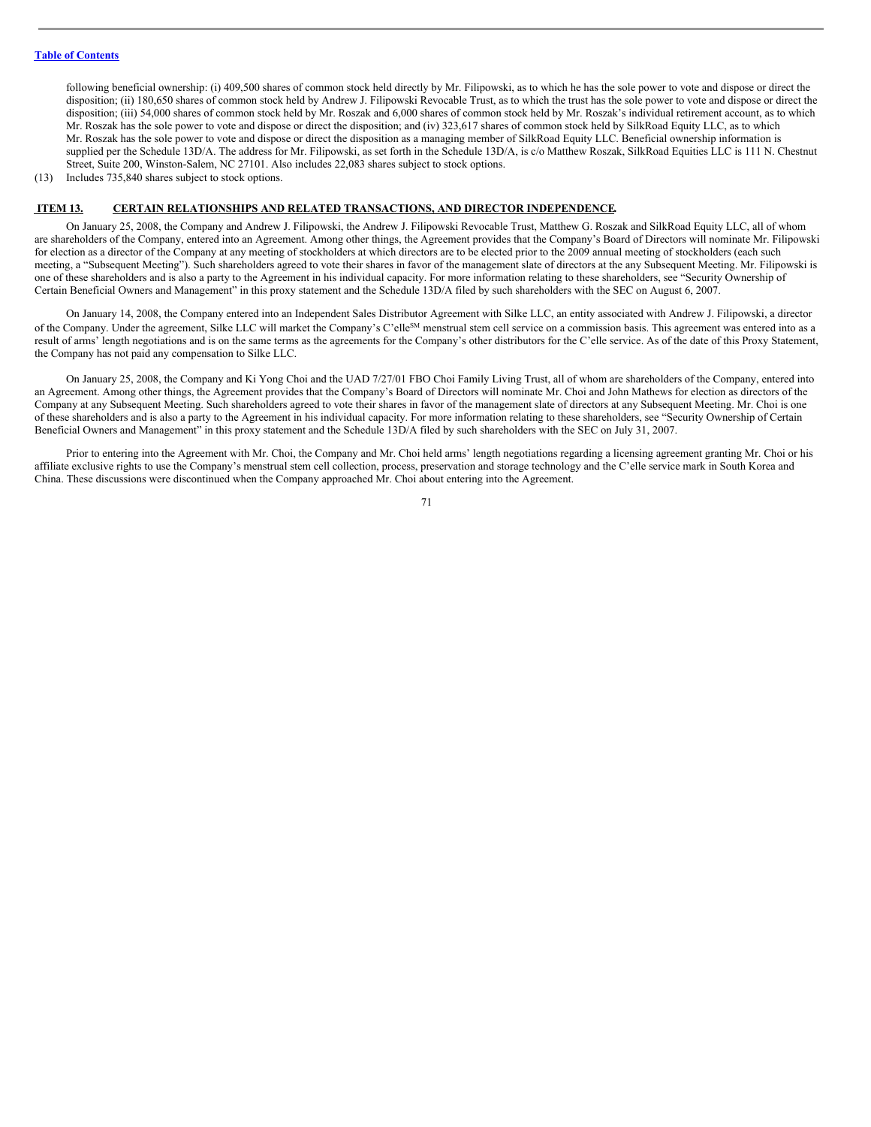following beneficial ownership: (i) 409,500 shares of common stock held directly by Mr. Filipowski, as to which he has the sole power to vote and dispose or direct the disposition; (ii) 180,650 shares of common stock held by Andrew J. Filipowski Revocable Trust, as to which the trust has the sole power to vote and dispose or direct the disposition; (iii) 54,000 shares of common stock held by Mr. Roszak and 6,000 shares of common stock held by Mr. Roszak's individual retirement account, as to which Mr. Roszak has the sole power to vote and dispose or direct the disposition; and (iv) 323,617 shares of common stock held by SilkRoad Equity LLC, as to which Mr. Roszak has the sole power to vote and dispose or direct the disposition as a managing member of SilkRoad Equity LLC. Beneficial ownership information is supplied per the Schedule 13D/A. The address for Mr. Filipowski, as set forth in the Schedule 13D/A, is c/o Matthew Roszak, SilkRoad Equities LLC is 111 N. Chestnut Street, Suite 200, Winston-Salem, NC 27101. Also includes 22,083 shares subject to stock options.

(13) Includes 735,840 shares subject to stock options.

# **ITEM 13. CERTAIN RELATIONSHIPS AND RELATED TRANSACTIONS, AND DIRECTOR INDEPENDENCE.**

On January 25, 2008, the Company and Andrew J. Filipowski, the Andrew J. Filipowski Revocable Trust, Matthew G. Roszak and SilkRoad Equity LLC, all of whom are shareholders of the Company, entered into an Agreement. Among other things, the Agreement provides that the Company's Board of Directors will nominate Mr. Filipowski for election as a director of the Company at any meeting of stockholders at which directors are to be elected prior to the 2009 annual meeting of stockholders (each such meeting, a "Subsequent Meeting"). Such shareholders agreed to vote their shares in favor of the management slate of directors at the any Subsequent Meeting. Mr. Filipowski is one of these shareholders and is also a party to the Agreement in his individual capacity. For more information relating to these shareholders, see "Security Ownership of Certain Beneficial Owners and Management" in this proxy statement and the Schedule 13D/A filed by such shareholders with the SEC on August 6, 2007.

On January 14, 2008, the Company entered into an Independent Sales Distributor Agreement with Silke LLC, an entity associated with Andrew J. Filipowski, a director of the Company. Under the agreement, Silke LLC will market the Company's C'elle<sup>SM</sup> menstrual stem cell service on a commission basis. This agreement was entered into as a result of arms' length negotiations and is on the same terms as the agreements for the Company's other distributors for the C'elle service. As of the date of this Proxy Statement, the Company has not paid any compensation to Silke LLC.

On January 25, 2008, the Company and Ki Yong Choi and the UAD 7/27/01 FBO Choi Family Living Trust, all of whom are shareholders of the Company, entered into an Agreement. Among other things, the Agreement provides that the Company's Board of Directors will nominate Mr. Choi and John Mathews for election as directors of the Company at any Subsequent Meeting. Such shareholders agreed to vote their shares in favor of the management slate of directors at any Subsequent Meeting. Mr. Choi is one of these shareholders and is also a party to the Agreement in his individual capacity. For more information relating to these shareholders, see "Security Ownership of Certain Beneficial Owners and Management" in this proxy statement and the Schedule 13D/A filed by such shareholders with the SEC on July 31, 2007.

Prior to entering into the Agreement with Mr. Choi, the Company and Mr. Choi held arms' length negotiations regarding a licensing agreement granting Mr. Choi or his affiliate exclusive rights to use the Company's menstrual stem cell collection, process, preservation and storage technology and the C'elle service mark in South Korea and China. These discussions were discontinued when the Company approached Mr. Choi about entering into the Agreement.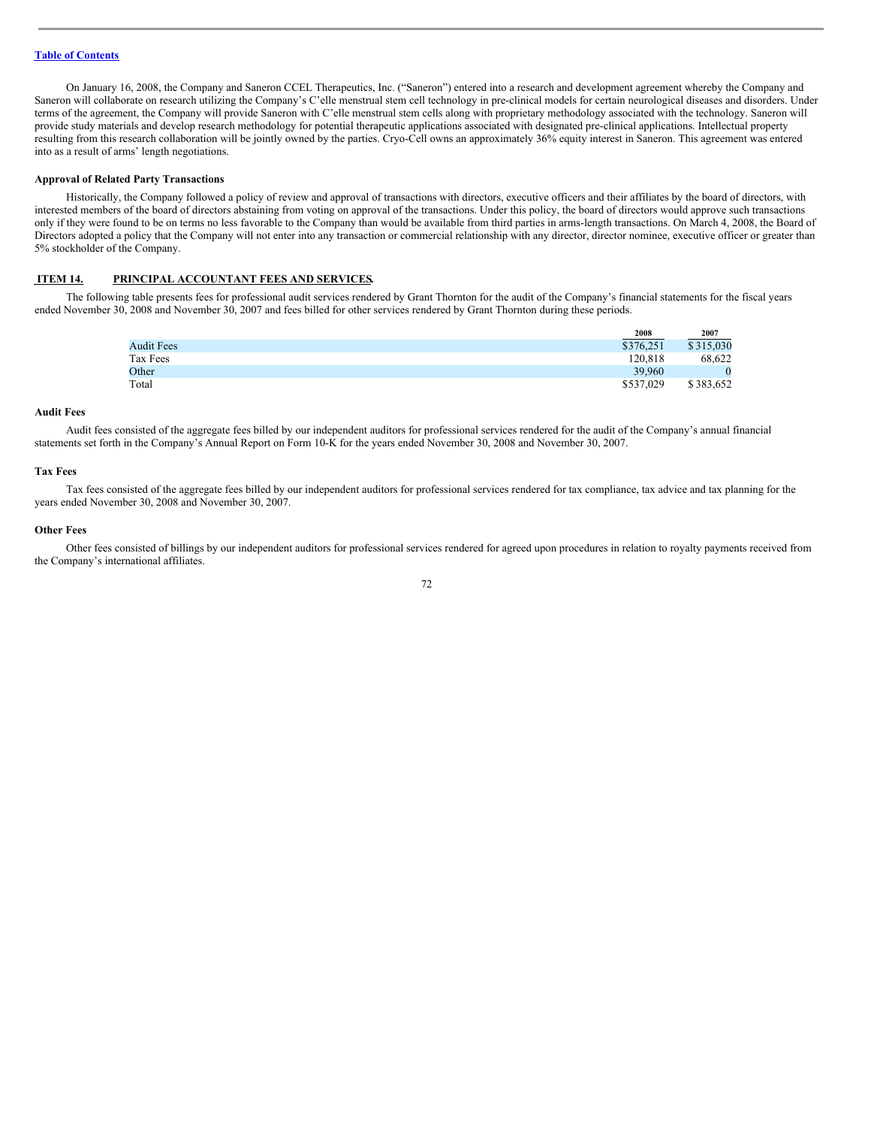On January 16, 2008, the Company and Saneron CCEL Therapeutics, Inc. ("Saneron") entered into a research and development agreement whereby the Company and Saneron will collaborate on research utilizing the Company's C'elle menstrual stem cell technology in pre-clinical models for certain neurological diseases and disorders. Under terms of the agreement, the Company will provide Saneron with C'elle menstrual stem cells along with proprietary methodology associated with the technology. Saneron will provide study materials and develop research methodology for potential therapeutic applications associated with designated pre-clinical applications. Intellectual property resulting from this research collaboration will be jointly owned by the parties. Cryo-Cell owns an approximately 36% equity interest in Saneron. This agreement was entered into as a result of arms' length negotiations.

### **Approval of Related Party Transactions**

Historically, the Company followed a policy of review and approval of transactions with directors, executive officers and their affiliates by the board of directors, with interested members of the board of directors abstaining from voting on approval of the transactions. Under this policy, the board of directors would approve such transactions only if they were found to be on terms no less favorable to the Company than would be available from third parties in arms-length transactions. On March 4, 2008, the Board of Directors adopted a policy that the Company will not enter into any transaction or commercial relationship with any director, director nominee, executive officer or greater than 5% stockholder of the Company.

# **ITEM 14. PRINCIPAL ACCOUNTANT FEES AND SERVICES.**

The following table presents fees for professional audit services rendered by Grant Thornton for the audit of the Company's financial statements for the fiscal years ended November 30, 2008 and November 30, 2007 and fees billed for other services rendered by Grant Thornton during these periods.

|                   | 2008      | 2007      |
|-------------------|-----------|-----------|
| <b>Audit Fees</b> | \$376.251 | \$315,030 |
| Tax Fees          | 120.818   | 68.622    |
| Other             | 39,960    | $\bf{0}$  |
| Total             | \$537,029 | \$383,652 |

### **Audit Fees**

Audit fees consisted of the aggregate fees billed by our independent auditors for professional services rendered for the audit of the Company's annual financial statements set forth in the Company's Annual Report on Form 10-K for the years ended November 30, 2008 and November 30, 2007.

#### **Tax Fees**

Tax fees consisted of the aggregate fees billed by our independent auditors for professional services rendered for tax compliance, tax advice and tax planning for the years ended November 30, 2008 and November 30, 2007.

### **Other Fees**

Other fees consisted of billings by our independent auditors for professional services rendered for agreed upon procedures in relation to royalty payments received from the Company's international affiliates.

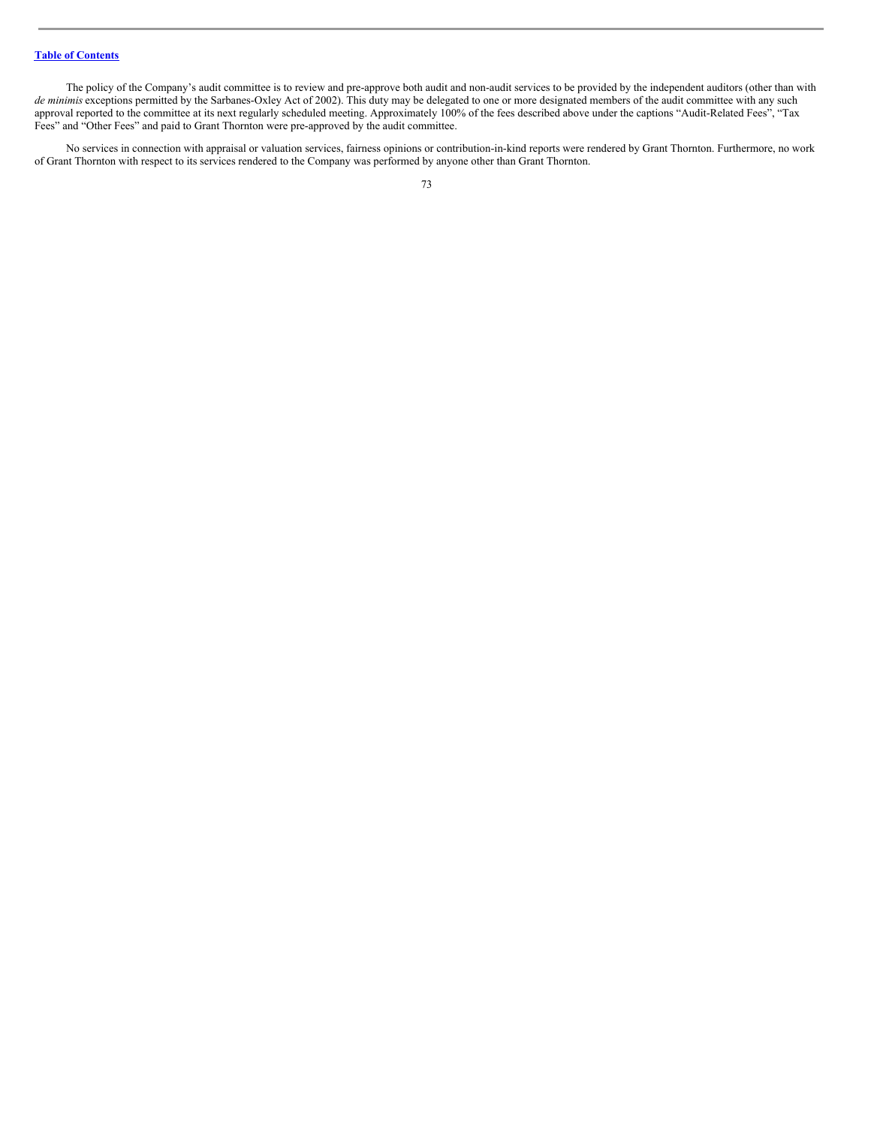### **Table of [Contents](#page-1-0)**

The policy of the Company's audit committee is to review and pre-approve both audit and non-audit services to be provided by the independent auditors (other than with *de minimis* exceptions permitted by the Sarbanes-Oxley Act of 2002). This duty may be delegated to one or more designated members of the audit committee with any such approval reported to the committee at its next regularly scheduled meeting. Approximately 100% of the fees described above under the captions "Audit-Related Fees", "Tax Fees" and "Other Fees" and paid to Grant Thornton were pre-approved by the audit committee.

No services in connection with appraisal or valuation services, fairness opinions or contribution-in-kind reports were rendered by Grant Thornton. Furthermore, no work of Grant Thornton with respect to its services rendered to the Company was performed by anyone other than Grant Thornton.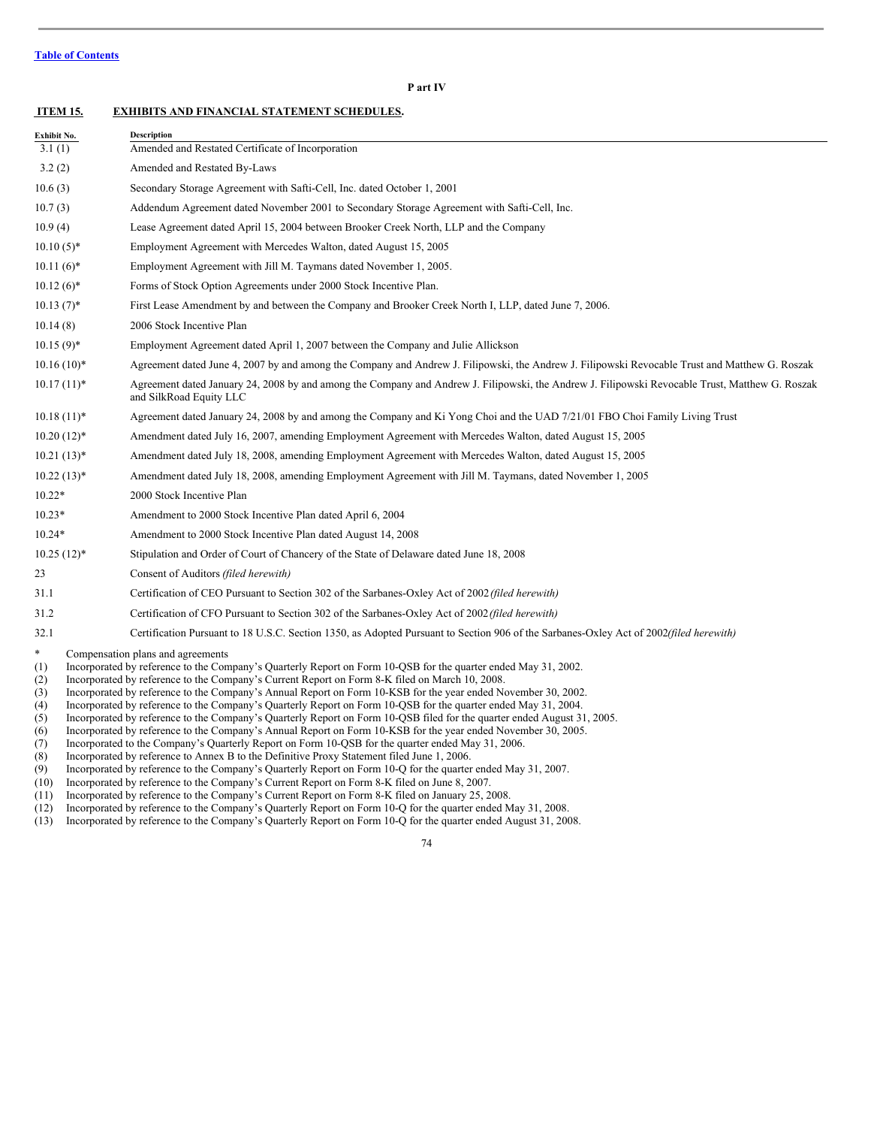**P art IV**

## **ITEM 15. EXHIBITS AND FINANCIAL STATEMENT SCHEDULES.**

| Exhibit No.                        | <b>Description</b>                                                                                                                                                                                                                                                                                                                                                                                                                                                                       |
|------------------------------------|------------------------------------------------------------------------------------------------------------------------------------------------------------------------------------------------------------------------------------------------------------------------------------------------------------------------------------------------------------------------------------------------------------------------------------------------------------------------------------------|
| 3.1(1)                             | Amended and Restated Certificate of Incorporation                                                                                                                                                                                                                                                                                                                                                                                                                                        |
| 3.2(2)                             | Amended and Restated By-Laws                                                                                                                                                                                                                                                                                                                                                                                                                                                             |
| 10.6(3)                            | Secondary Storage Agreement with Safti-Cell, Inc. dated October 1, 2001                                                                                                                                                                                                                                                                                                                                                                                                                  |
| 10.7(3)                            | Addendum Agreement dated November 2001 to Secondary Storage Agreement with Safti-Cell, Inc.                                                                                                                                                                                                                                                                                                                                                                                              |
| 10.9(4)                            | Lease Agreement dated April 15, 2004 between Brooker Creek North, LLP and the Company                                                                                                                                                                                                                                                                                                                                                                                                    |
| $10.10(5)$ *                       | Employment Agreement with Mercedes Walton, dated August 15, 2005                                                                                                                                                                                                                                                                                                                                                                                                                         |
| $10.11(6)$ *                       | Employment Agreement with Jill M. Taymans dated November 1, 2005.                                                                                                                                                                                                                                                                                                                                                                                                                        |
| $10.12(6)$ *                       | Forms of Stock Option Agreements under 2000 Stock Incentive Plan.                                                                                                                                                                                                                                                                                                                                                                                                                        |
| $10.13(7)$ *                       | First Lease Amendment by and between the Company and Brooker Creek North I, LLP, dated June 7, 2006.                                                                                                                                                                                                                                                                                                                                                                                     |
| 10.14(8)                           | 2006 Stock Incentive Plan                                                                                                                                                                                                                                                                                                                                                                                                                                                                |
| $10.15(9)*$                        | Employment Agreement dated April 1, 2007 between the Company and Julie Allickson                                                                                                                                                                                                                                                                                                                                                                                                         |
| $10.16(10)*$                       | Agreement dated June 4, 2007 by and among the Company and Andrew J. Filipowski, the Andrew J. Filipowski Revocable Trust and Matthew G. Roszak                                                                                                                                                                                                                                                                                                                                           |
| $10.17(11)*$                       | Agreement dated January 24, 2008 by and among the Company and Andrew J. Filipowski, the Andrew J. Filipowski Revocable Trust, Matthew G. Roszak<br>and SilkRoad Equity LLC                                                                                                                                                                                                                                                                                                               |
| $10.18(11)*$                       | Agreement dated January 24, 2008 by and among the Company and Ki Yong Choi and the UAD 7/21/01 FBO Choi Family Living Trust                                                                                                                                                                                                                                                                                                                                                              |
| $10.20(12)*$                       | Amendment dated July 16, 2007, amending Employment Agreement with Mercedes Walton, dated August 15, 2005                                                                                                                                                                                                                                                                                                                                                                                 |
| $10.21(13)*$                       | Amendment dated July 18, 2008, amending Employment Agreement with Mercedes Walton, dated August 15, 2005                                                                                                                                                                                                                                                                                                                                                                                 |
| $10.22(13)*$                       | Amendment dated July 18, 2008, amending Employment Agreement with Jill M. Taymans, dated November 1, 2005                                                                                                                                                                                                                                                                                                                                                                                |
| $10.22*$                           | 2000 Stock Incentive Plan                                                                                                                                                                                                                                                                                                                                                                                                                                                                |
| $10.23*$                           | Amendment to 2000 Stock Incentive Plan dated April 6, 2004                                                                                                                                                                                                                                                                                                                                                                                                                               |
| $10.24*$                           | Amendment to 2000 Stock Incentive Plan dated August 14, 2008                                                                                                                                                                                                                                                                                                                                                                                                                             |
| $10.25(12)*$                       | Stipulation and Order of Court of Chancery of the State of Delaware dated June 18, 2008                                                                                                                                                                                                                                                                                                                                                                                                  |
| 23                                 | Consent of Auditors (filed herewith)                                                                                                                                                                                                                                                                                                                                                                                                                                                     |
| 31.1                               | Certification of CEO Pursuant to Section 302 of the Sarbanes-Oxley Act of 2002 (filed herewith)                                                                                                                                                                                                                                                                                                                                                                                          |
| 31.2                               | Certification of CFO Pursuant to Section 302 of the Sarbanes-Oxley Act of 2002 (filed herewith)                                                                                                                                                                                                                                                                                                                                                                                          |
| 32.1                               | Certification Pursuant to 18 U.S.C. Section 1350, as Adopted Pursuant to Section 906 of the Sarbanes-Oxley Act of 2002(filed herewith)                                                                                                                                                                                                                                                                                                                                                   |
| $\ast$<br>(1)<br>(2)<br>(3)<br>(4) | Compensation plans and agreements<br>Incorporated by reference to the Company's Quarterly Report on Form 10-QSB for the quarter ended May 31, 2002.<br>Incorporated by reference to the Company's Current Report on Form 8-K filed on March 10, 2008.<br>Incorporated by reference to the Company's Annual Report on Form 10-KSB for the year ended November 30, 2002.<br>Incorporated by reference to the Company's Quarterly Report on Form 10-QSB for the quarter ended May 31, 2004. |

(5) Incorporated by reference to the Company's Quarterly Report on Form 10-QSB filed for the quarter ended August 31, 2005.

(6) Incorporated by reference to the Company's Annual Report on Form 10-KSB for the year ended November 30, 2005.<br>
(7) Incorporated to the Company's Quarterly Report on Form 10-QSB for the quarter ended May 31, 2006.

- (7) Incorporated to the Company's Quarterly Report on Form 10-QSB for the quarter ended May 31, 2006.
- Incorporated by reference to Annex B to the Definitive Proxy Statement filed June 1, 2006.
- (9) Incorporated by reference to the Company's Quarterly Report on Form 10-Q for the quarter ended May 31, 2007.<br>(10) Incorporated by reference to the Company's Current Report on Form 8-K filed on June 8, 2007.
- Incorporated by reference to the Company's Current Report on Form 8-K filed on June 8, 2007.
- 
- (11) Incorporated by reference to the Company's Current Report on Form 8-K filed on January 25, 2008. (12) Incorporated by reference to the Company's Quarterly Report on Form 10-Q for the quarter ended May 31, 2008.
- Incorporated by reference to the Company's Quarterly Report on Form 10-Q for the quarter ended August 31, 2008.

### 74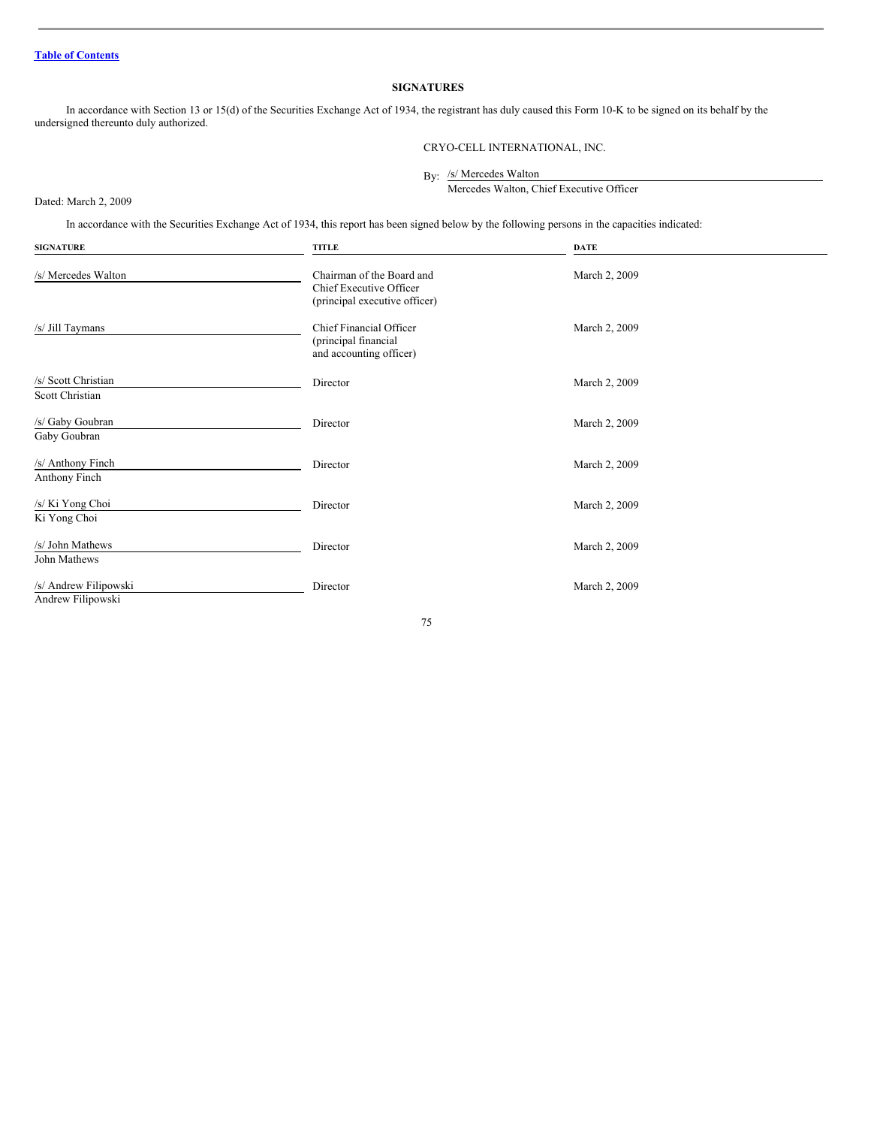## **SIGNATURES**

In accordance with Section 13 or 15(d) of the Securities Exchange Act of 1934, the registrant has duly caused this Form 10-K to be signed on its behalf by the undersigned thereunto duly authorized.

CRYO-CELL INTERNATIONAL, INC.

By: /s/ Mercedes Walton

Mercedes Walton, Chief Executive Officer

Dated: March 2, 2009

In accordance with the Securities Exchange Act of 1934, this report has been signed below by the following persons in the capacities indicated:

| <b>SIGNATURE</b>                           | <b>TITLE</b>                                                                          | <b>DATE</b>   |
|--------------------------------------------|---------------------------------------------------------------------------------------|---------------|
| /s/ Mercedes Walton                        | Chairman of the Board and<br>Chief Executive Officer<br>(principal executive officer) | March 2, 2009 |
| /s/ Jill Taymans                           | Chief Financial Officer<br>(principal financial<br>and accounting officer)            | March 2, 2009 |
| /s/ Scott Christian                        | Director                                                                              | March 2, 2009 |
| Scott Christian                            |                                                                                       |               |
| /s/ Gaby Goubran<br>Gaby Goubran           | Director                                                                              | March 2, 2009 |
| /s/ Anthony Finch<br>Anthony Finch         | Director                                                                              | March 2, 2009 |
| /s/ Ki Yong Choi<br>Ki Yong Choi           | Director                                                                              | March 2, 2009 |
| /s/ John Mathews<br>John Mathews           | Director                                                                              | March 2, 2009 |
| /s/ Andrew Filipowski<br>Andrew Filipowski | Director                                                                              | March 2, 2009 |

75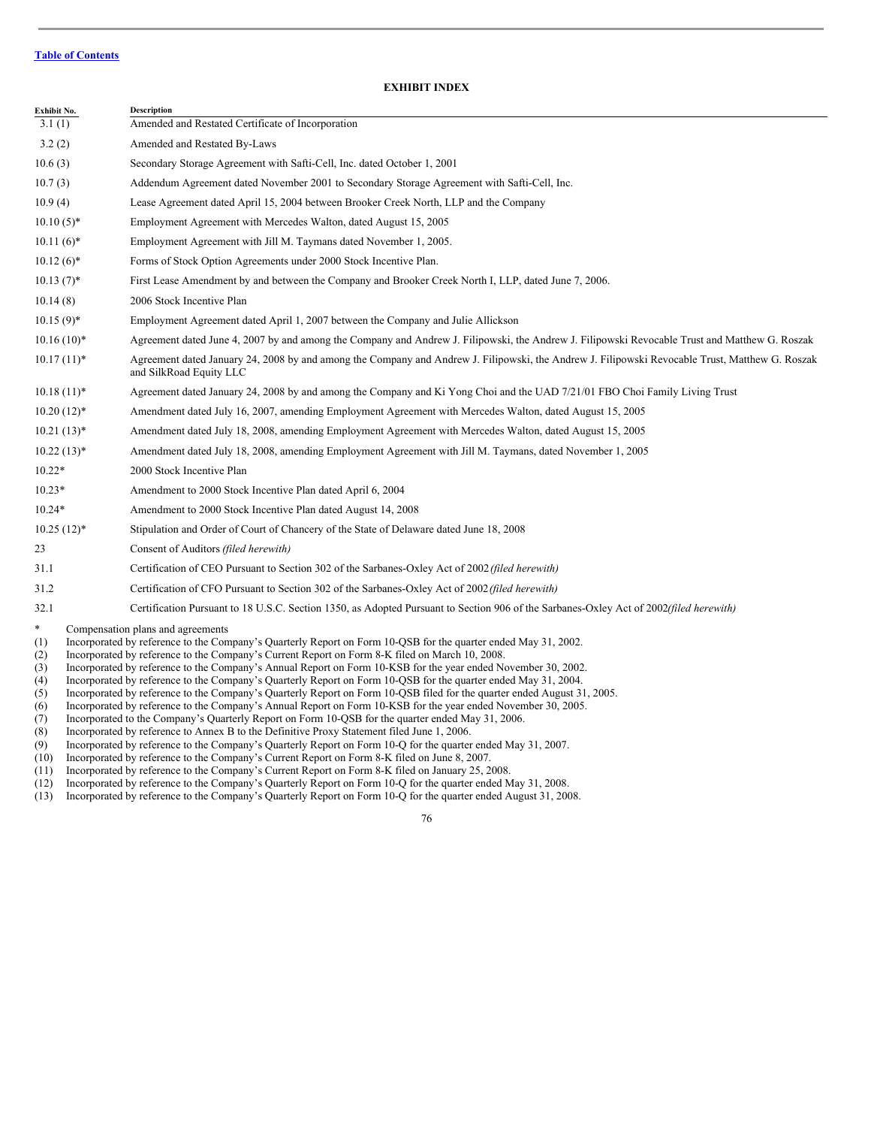# **EXHIBIT INDEX**

| Exhibit No.                                                                           | <b>Description</b>                                                                                                                                                                                                                                                                                                                                                                                                                                                                                                                                                                                                                                                                                                                                                                                                                                                                                                                                                                                                                                                                                                                                                                                                                                          |
|---------------------------------------------------------------------------------------|-------------------------------------------------------------------------------------------------------------------------------------------------------------------------------------------------------------------------------------------------------------------------------------------------------------------------------------------------------------------------------------------------------------------------------------------------------------------------------------------------------------------------------------------------------------------------------------------------------------------------------------------------------------------------------------------------------------------------------------------------------------------------------------------------------------------------------------------------------------------------------------------------------------------------------------------------------------------------------------------------------------------------------------------------------------------------------------------------------------------------------------------------------------------------------------------------------------------------------------------------------------|
| 3.1(1)                                                                                | Amended and Restated Certificate of Incorporation                                                                                                                                                                                                                                                                                                                                                                                                                                                                                                                                                                                                                                                                                                                                                                                                                                                                                                                                                                                                                                                                                                                                                                                                           |
| 3.2(2)                                                                                | Amended and Restated By-Laws                                                                                                                                                                                                                                                                                                                                                                                                                                                                                                                                                                                                                                                                                                                                                                                                                                                                                                                                                                                                                                                                                                                                                                                                                                |
| 10.6(3)                                                                               | Secondary Storage Agreement with Safti-Cell, Inc. dated October 1, 2001                                                                                                                                                                                                                                                                                                                                                                                                                                                                                                                                                                                                                                                                                                                                                                                                                                                                                                                                                                                                                                                                                                                                                                                     |
| 10.7(3)                                                                               | Addendum Agreement dated November 2001 to Secondary Storage Agreement with Safti-Cell, Inc.                                                                                                                                                                                                                                                                                                                                                                                                                                                                                                                                                                                                                                                                                                                                                                                                                                                                                                                                                                                                                                                                                                                                                                 |
| 10.9(4)                                                                               | Lease Agreement dated April 15, 2004 between Brooker Creek North, LLP and the Company                                                                                                                                                                                                                                                                                                                                                                                                                                                                                                                                                                                                                                                                                                                                                                                                                                                                                                                                                                                                                                                                                                                                                                       |
| $10.10(5)$ *                                                                          | Employment Agreement with Mercedes Walton, dated August 15, 2005                                                                                                                                                                                                                                                                                                                                                                                                                                                                                                                                                                                                                                                                                                                                                                                                                                                                                                                                                                                                                                                                                                                                                                                            |
| $10.11(6)$ *                                                                          | Employment Agreement with Jill M. Taymans dated November 1, 2005.                                                                                                                                                                                                                                                                                                                                                                                                                                                                                                                                                                                                                                                                                                                                                                                                                                                                                                                                                                                                                                                                                                                                                                                           |
| $10.12(6)$ *                                                                          | Forms of Stock Option Agreements under 2000 Stock Incentive Plan.                                                                                                                                                                                                                                                                                                                                                                                                                                                                                                                                                                                                                                                                                                                                                                                                                                                                                                                                                                                                                                                                                                                                                                                           |
| $10.13(7)$ *                                                                          | First Lease Amendment by and between the Company and Brooker Creek North I, LLP, dated June 7, 2006.                                                                                                                                                                                                                                                                                                                                                                                                                                                                                                                                                                                                                                                                                                                                                                                                                                                                                                                                                                                                                                                                                                                                                        |
| 10.14(8)                                                                              | 2006 Stock Incentive Plan                                                                                                                                                                                                                                                                                                                                                                                                                                                                                                                                                                                                                                                                                                                                                                                                                                                                                                                                                                                                                                                                                                                                                                                                                                   |
| $10.15(9)$ *                                                                          | Employment Agreement dated April 1, 2007 between the Company and Julie Allickson                                                                                                                                                                                                                                                                                                                                                                                                                                                                                                                                                                                                                                                                                                                                                                                                                                                                                                                                                                                                                                                                                                                                                                            |
| $10.16(10)*$                                                                          | Agreement dated June 4, 2007 by and among the Company and Andrew J. Filipowski, the Andrew J. Filipowski Revocable Trust and Matthew G. Roszak                                                                                                                                                                                                                                                                                                                                                                                                                                                                                                                                                                                                                                                                                                                                                                                                                                                                                                                                                                                                                                                                                                              |
| $10.17(11)^*$                                                                         | Agreement dated January 24, 2008 by and among the Company and Andrew J. Filipowski, the Andrew J. Filipowski Revocable Trust, Matthew G. Roszak<br>and SilkRoad Equity LLC                                                                                                                                                                                                                                                                                                                                                                                                                                                                                                                                                                                                                                                                                                                                                                                                                                                                                                                                                                                                                                                                                  |
| $10.18(11)*$                                                                          | Agreement dated January 24, 2008 by and among the Company and Ki Yong Choi and the UAD 7/21/01 FBO Choi Family Living Trust                                                                                                                                                                                                                                                                                                                                                                                                                                                                                                                                                                                                                                                                                                                                                                                                                                                                                                                                                                                                                                                                                                                                 |
| $10.20(12)*$                                                                          | Amendment dated July 16, 2007, amending Employment Agreement with Mercedes Walton, dated August 15, 2005                                                                                                                                                                                                                                                                                                                                                                                                                                                                                                                                                                                                                                                                                                                                                                                                                                                                                                                                                                                                                                                                                                                                                    |
| $10.21(13)*$                                                                          | Amendment dated July 18, 2008, amending Employment Agreement with Mercedes Walton, dated August 15, 2005                                                                                                                                                                                                                                                                                                                                                                                                                                                                                                                                                                                                                                                                                                                                                                                                                                                                                                                                                                                                                                                                                                                                                    |
| $10.22(13)*$                                                                          | Amendment dated July 18, 2008, amending Employment Agreement with Jill M. Taymans, dated November 1, 2005                                                                                                                                                                                                                                                                                                                                                                                                                                                                                                                                                                                                                                                                                                                                                                                                                                                                                                                                                                                                                                                                                                                                                   |
| $10.22*$                                                                              | 2000 Stock Incentive Plan                                                                                                                                                                                                                                                                                                                                                                                                                                                                                                                                                                                                                                                                                                                                                                                                                                                                                                                                                                                                                                                                                                                                                                                                                                   |
| $10.23*$                                                                              | Amendment to 2000 Stock Incentive Plan dated April 6, 2004                                                                                                                                                                                                                                                                                                                                                                                                                                                                                                                                                                                                                                                                                                                                                                                                                                                                                                                                                                                                                                                                                                                                                                                                  |
| $10.24*$                                                                              | Amendment to 2000 Stock Incentive Plan dated August 14, 2008                                                                                                                                                                                                                                                                                                                                                                                                                                                                                                                                                                                                                                                                                                                                                                                                                                                                                                                                                                                                                                                                                                                                                                                                |
| $10.25(12)^*$                                                                         | Stipulation and Order of Court of Chancery of the State of Delaware dated June 18, 2008                                                                                                                                                                                                                                                                                                                                                                                                                                                                                                                                                                                                                                                                                                                                                                                                                                                                                                                                                                                                                                                                                                                                                                     |
| 23                                                                                    | Consent of Auditors (filed herewith)                                                                                                                                                                                                                                                                                                                                                                                                                                                                                                                                                                                                                                                                                                                                                                                                                                                                                                                                                                                                                                                                                                                                                                                                                        |
| 31.1                                                                                  | Certification of CEO Pursuant to Section 302 of the Sarbanes-Oxley Act of 2002 (filed herewith)                                                                                                                                                                                                                                                                                                                                                                                                                                                                                                                                                                                                                                                                                                                                                                                                                                                                                                                                                                                                                                                                                                                                                             |
| 31.2                                                                                  | Certification of CFO Pursuant to Section 302 of the Sarbanes-Oxley Act of 2002 (filed herewith)                                                                                                                                                                                                                                                                                                                                                                                                                                                                                                                                                                                                                                                                                                                                                                                                                                                                                                                                                                                                                                                                                                                                                             |
| 32.1                                                                                  | Certification Pursuant to 18 U.S.C. Section 1350, as Adopted Pursuant to Section 906 of the Sarbanes-Oxley Act of 2002(filed herewith)                                                                                                                                                                                                                                                                                                                                                                                                                                                                                                                                                                                                                                                                                                                                                                                                                                                                                                                                                                                                                                                                                                                      |
| $\ast$<br>(1)<br>(2)<br>(3)<br>(4)<br>(5)<br>(6)<br>(7)<br>(8)<br>(9)<br>(10)<br>(11) | Compensation plans and agreements<br>Incorporated by reference to the Company's Quarterly Report on Form 10-QSB for the quarter ended May 31, 2002.<br>Incorporated by reference to the Company's Current Report on Form 8-K filed on March 10, 2008.<br>Incorporated by reference to the Company's Annual Report on Form 10-KSB for the year ended November 30, 2002.<br>Incorporated by reference to the Company's Quarterly Report on Form 10-QSB for the quarter ended May 31, 2004.<br>Incorporated by reference to the Company's Quarterly Report on Form 10-QSB filed for the quarter ended August 31, 2005.<br>Incorporated by reference to the Company's Annual Report on Form 10-KSB for the year ended November 30, 2005.<br>Incorporated to the Company's Quarterly Report on Form 10-QSB for the quarter ended May 31, 2006.<br>Incorporated by reference to Annex B to the Definitive Proxy Statement filed June 1, 2006.<br>Incorporated by reference to the Company's Quarterly Report on Form 10-Q for the quarter ended May 31, 2007.<br>Incorporated by reference to the Company's Current Report on Form 8-K filed on June 8, 2007.<br>Incorporated by reference to the Company's Current Report on Form 8-K filed on January 25, 2008. |

- (12) Incorporated by reference to the Company's Quarterly Report on Form 10-Q for the quarter ended May 31, 2008.
- (13) Incorporated by reference to the Company's Quarterly Report on Form 10-Q for the quarter ended August 31, 2008.

76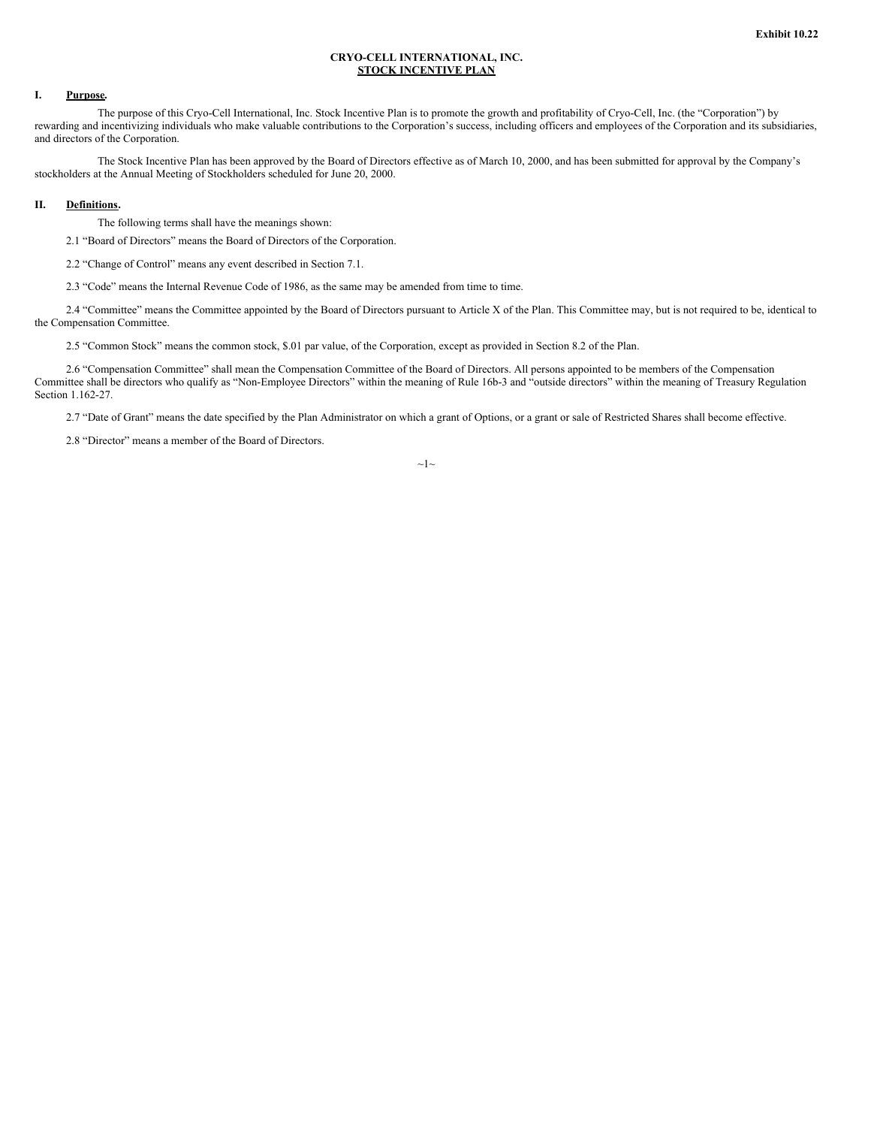#### **CRYO-CELL INTERNATIONAL, INC. STOCK INCENTIVE PLAN**

### **I. Purpose.**

The purpose of this Cryo-Cell International, Inc. Stock Incentive Plan is to promote the growth and profitability of Cryo-Cell, Inc. (the "Corporation") by rewarding and incentivizing individuals who make valuable contributions to the Corporation's success, including officers and employees of the Corporation and its subsidiaries, and directors of the Corporation.

The Stock Incentive Plan has been approved by the Board of Directors effective as of March 10, 2000, and has been submitted for approval by the Company's stockholders at the Annual Meeting of Stockholders scheduled for June 20, 2000.

#### **II. Definitions.**

The following terms shall have the meanings shown:

2.1 "Board of Directors" means the Board of Directors of the Corporation.

2.2 "Change of Control" means any event described in Section 7.1.

2.3 "Code" means the Internal Revenue Code of 1986, as the same may be amended from time to time.

2.4 "Committee" means the Committee appointed by the Board of Directors pursuant to Article X of the Plan. This Committee may, but is not required to be, identical to the Compensation Committee.

2.5 "Common Stock" means the common stock, \$.01 par value, of the Corporation, except as provided in Section 8.2 of the Plan.

2.6 "Compensation Committee" shall mean the Compensation Committee of the Board of Directors. All persons appointed to be members of the Compensation Committee shall be directors who qualify as "Non-Employee Directors" within the meaning of Rule 16b-3 and "outside directors" within the meaning of Treasury Regulation Section 1.162-27.

2.7 "Date of Grant" means the date specified by the Plan Administrator on which a grant of Options, or a grant or sale of Restricted Shares shall become effective.

2.8 "Director" means a member of the Board of Directors.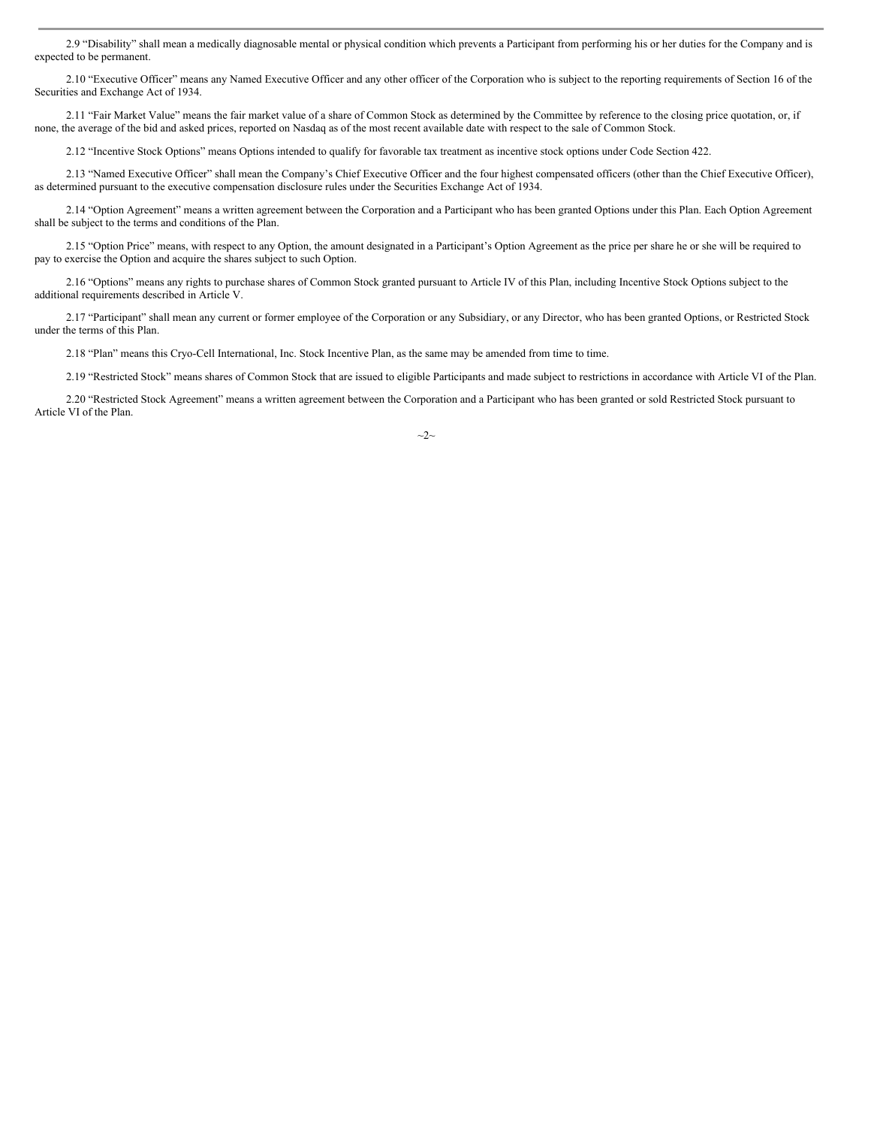2.9 "Disability" shall mean a medically diagnosable mental or physical condition which prevents a Participant from performing his or her duties for the Company and is expected to be permanent.

2.10 "Executive Officer" means any Named Executive Officer and any other officer of the Corporation who is subject to the reporting requirements of Section 16 of the Securities and Exchange Act of 1934.

2.11 "Fair Market Value" means the fair market value of a share of Common Stock as determined by the Committee by reference to the closing price quotation, or, if none, the average of the bid and asked prices, reported on Nasdaq as of the most recent available date with respect to the sale of Common Stock.

2.12 "Incentive Stock Options" means Options intended to qualify for favorable tax treatment as incentive stock options under Code Section 422.

2.13 "Named Executive Officer" shall mean the Company's Chief Executive Officer and the four highest compensated officers (other than the Chief Executive Officer), as determined pursuant to the executive compensation disclosure rules under the Securities Exchange Act of 1934.

2.14 "Option Agreement" means a written agreement between the Corporation and a Participant who has been granted Options under this Plan. Each Option Agreement shall be subject to the terms and conditions of the Plan.

2.15 "Option Price" means, with respect to any Option, the amount designated in a Participant's Option Agreement as the price per share he or she will be required to pay to exercise the Option and acquire the shares subject to such Option.

2.16 "Options" means any rights to purchase shares of Common Stock granted pursuant to Article IV of this Plan, including Incentive Stock Options subject to the additional requirements described in Article V.

2.17 "Participant" shall mean any current or former employee of the Corporation or any Subsidiary, or any Director, who has been granted Options, or Restricted Stock under the terms of this Plan.

2.18 "Plan" means this Cryo-Cell International, Inc. Stock Incentive Plan, as the same may be amended from time to time.

2.19 "Restricted Stock" means shares of Common Stock that are issued to eligible Participants and made subject to restrictions in accordance with Article VI of the Plan.

2.20 "Restricted Stock Agreement" means a written agreement between the Corporation and a Participant who has been granted or sold Restricted Stock pursuant to Article VI of the Plan.

 $\sim$ 2 $\sim$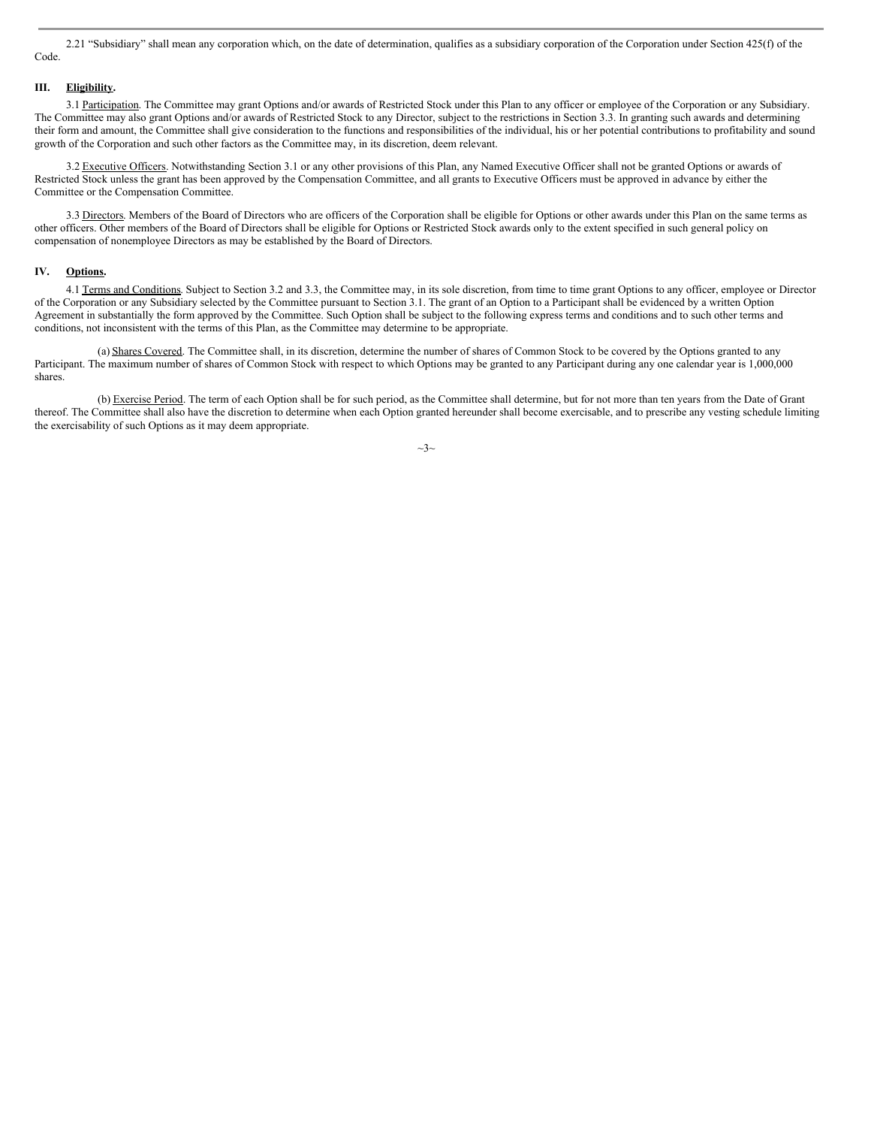2.21 "Subsidiary" shall mean any corporation which, on the date of determination, qualifies as a subsidiary corporation of the Corporation under Section 425(f) of the Code.

## **III. Eligibility.**

3.1 Participation. The Committee may grant Options and/or awards of Restricted Stock under this Plan to any officer or employee of the Corporation or any Subsidiary. The Committee may also grant Options and/or awards of Restricted Stock to any Director, subject to the restrictions in Section 3.3. In granting such awards and determining their form and amount, the Committee shall give consideration to the functions and responsibilities of the individual, his or her potential contributions to profitability and sound growth of the Corporation and such other factors as the Committee may, in its discretion, deem relevant.

3.2 Executive Officers. Notwithstanding Section 3.1 or any other provisions of this Plan, any Named Executive Officer shall not be granted Options or awards of Restricted Stock unless the grant has been approved by the Compensation Committee, and all grants to Executive Officers must be approved in advance by either the Committee or the Compensation Committee.

3.3 Directors. Members of the Board of Directors who are officers of the Corporation shall be eligible for Options or other awards under this Plan on the same terms as other officers. Other members of the Board of Directors shall be eligible for Options or Restricted Stock awards only to the extent specified in such general policy on compensation of nonemployee Directors as may be established by the Board of Directors.

### **IV. Options.**

4.1 Terms and Conditions. Subject to Section 3.2 and 3.3, the Committee may, in its sole discretion, from time to time grant Options to any officer, employee or Director of the Corporation or any Subsidiary selected by the Committee pursuant to Section 3.1. The grant of an Option to a Participant shall be evidenced by a written Option Agreement in substantially the form approved by the Committee. Such Option shall be subject to the following express terms and conditions and to such other terms and conditions, not inconsistent with the terms of this Plan, as the Committee may determine to be appropriate.

(a) Shares Covered. The Committee shall, in its discretion, determine the number of shares of Common Stock to be covered by the Options granted to any Participant. The maximum number of shares of Common Stock with respect to which Options may be granted to any Participant during any one calendar year is 1,000,000 shares.

(b) Exercise Period. The term of each Option shall be for such period, as the Committee shall determine, but for not more than ten years from the Date of Grant thereof. The Committee shall also have the discretion to determine when each Option granted hereunder shall become exercisable, and to prescribe any vesting schedule limiting the exercisability of such Options as it may deem appropriate.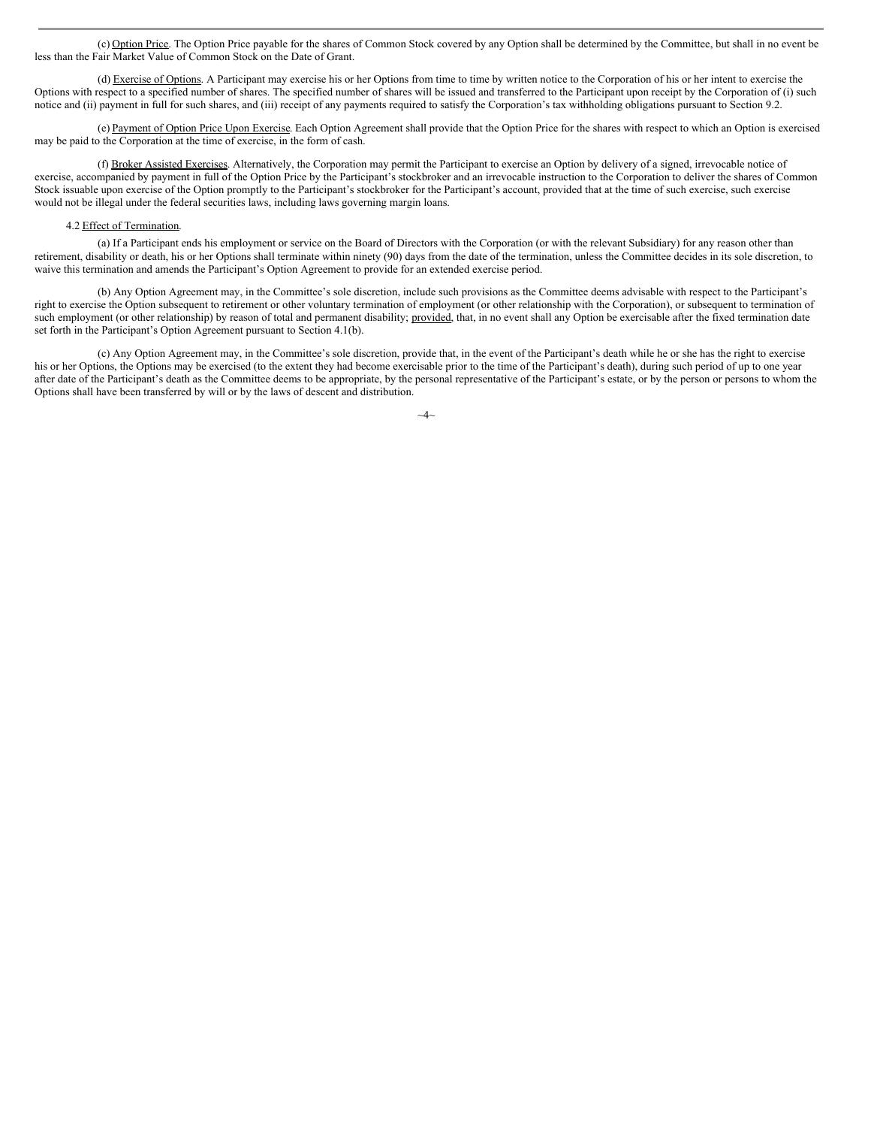(c) Option Price. The Option Price payable for the shares of Common Stock covered by any Option shall be determined by the Committee, but shall in no event be less than the Fair Market Value of Common Stock on the Date of Grant.

(d) Exercise of Options. A Participant may exercise his or her Options from time to time by written notice to the Corporation of his or her intent to exercise the Options with respect to a specified number of shares. The specified number of shares will be issued and transferred to the Participant upon receipt by the Corporation of (i) such notice and (ii) payment in full for such shares, and (iii) receipt of any payments required to satisfy the Corporation's tax withholding obligations pursuant to Section 9.2.

(e) Payment of Option Price Upon Exercise. Each Option Agreement shall provide that the Option Price for the shares with respect to which an Option is exercised may be paid to the Corporation at the time of exercise, in the form of cash.

(f) Broker Assisted Exercises. Alternatively, the Corporation may permit the Participant to exercise an Option by delivery of a signed, irrevocable notice of exercise, accompanied by payment in full of the Option Price by the Participant's stockbroker and an irrevocable instruction to the Corporation to deliver the shares of Common Stock issuable upon exercise of the Option promptly to the Participant's stockbroker for the Participant's account, provided that at the time of such exercise, such exercise would not be illegal under the federal securities laws, including laws governing margin loans.

### 4.2 Effect of Termination.

(a) If a Participant ends his employment or service on the Board of Directors with the Corporation (or with the relevant Subsidiary) for any reason other than retirement, disability or death, his or her Options shall terminate within ninety (90) days from the date of the termination, unless the Committee decides in its sole discretion, to waive this termination and amends the Participant's Option Agreement to provide for an extended exercise period.

(b) Any Option Agreement may, in the Committee's sole discretion, include such provisions as the Committee deems advisable with respect to the Participant's right to exercise the Option subsequent to retirement or other voluntary termination of employment (or other relationship with the Corporation), or subsequent to termination of such employment (or other relationship) by reason of total and permanent disability; provided, that, in no event shall any Option be exercisable after the fixed termination date set forth in the Participant's Option Agreement pursuant to Section 4.1(b).

(c) Any Option Agreement may, in the Committee's sole discretion, provide that, in the event of the Participant's death while he or she has the right to exercise his or her Options, the Options may be exercised (to the extent they had become exercisable prior to the time of the Participant's death), during such period of up to one year after date of the Participant's death as the Committee deems to be appropriate, by the personal representative of the Participant's estate, or by the person or persons to whom the Options shall have been transferred by will or by the laws of descent and distribution.

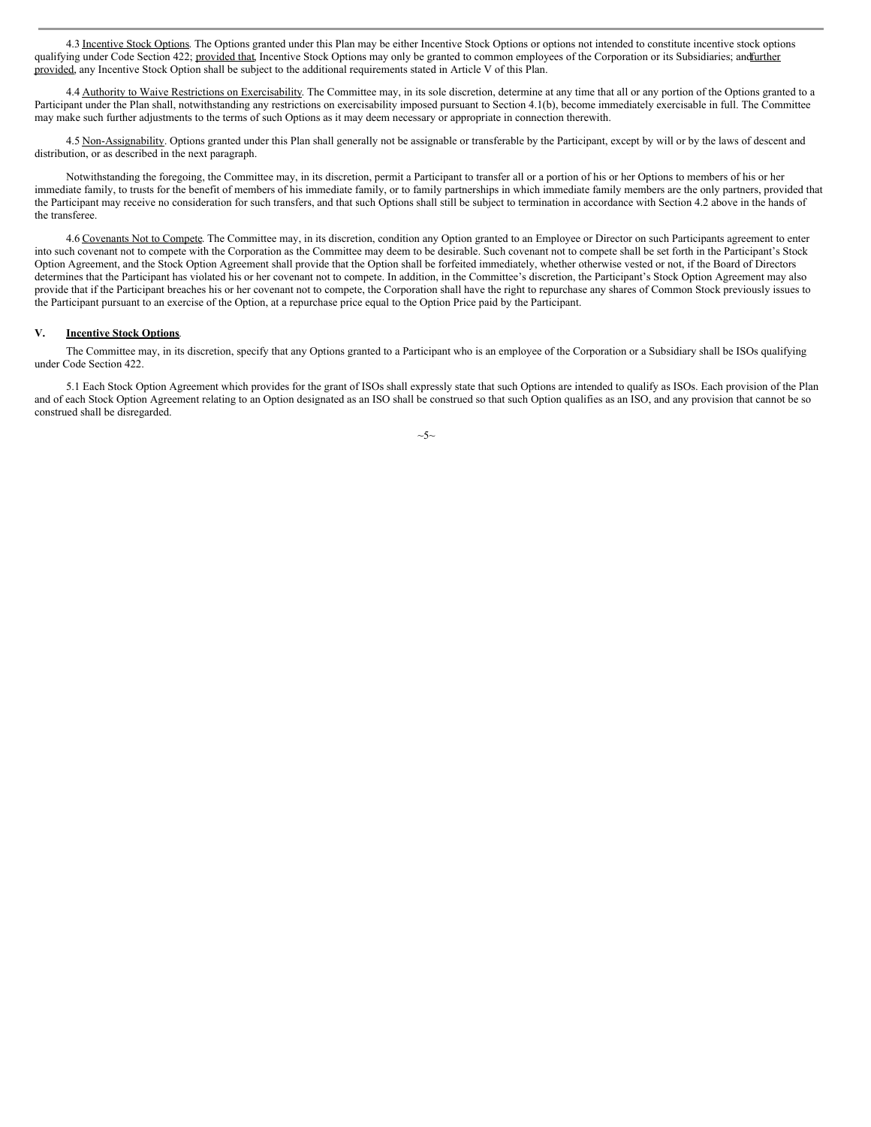4.3 Incentive Stock Options. The Options granted under this Plan may be either Incentive Stock Options or options not intended to constitute incentive stock options qualifying under Code Section 422; provided that, Incentive Stock Options may only be granted to common employees of the Corporation or its Subsidiaries; and further provided, any Incentive Stock Option shall be subject to the additional requirements stated in Article V of this Plan.

4.4 Authority to Waive Restrictions on Exercisability. The Committee may, in its sole discretion, determine at any time that all or any portion of the Options granted to a Participant under the Plan shall, notwithstanding any restrictions on exercisability imposed pursuant to Section 4.1(b), become immediately exercisable in full. The Committee may make such further adjustments to the terms of such Options as it may deem necessary or appropriate in connection therewith.

4.5 Non-Assignability. Options granted under this Plan shall generally not be assignable or transferable by the Participant, except by will or by the laws of descent and distribution, or as described in the next paragraph.

Notwithstanding the foregoing, the Committee may, in its discretion, permit a Participant to transfer all or a portion of his or her Options to members of his or her immediate family, to trusts for the benefit of members of his immediate family, or to family partnerships in which immediate family members are the only partners, provided that the Participant may receive no consideration for such transfers, and that such Options shall still be subject to termination in accordance with Section 4.2 above in the hands of the transferee.

4.6 Covenants Not to Compete. The Committee may, in its discretion, condition any Option granted to an Employee or Director on such Participants agreement to enter into such covenant not to compete with the Corporation as the Committee may deem to be desirable. Such covenant not to compete shall be set forth in the Participant's Stock Option Agreement, and the Stock Option Agreement shall provide that the Option shall be forfeited immediately, whether otherwise vested or not, if the Board of Directors determines that the Participant has violated his or her covenant not to compete. In addition, in the Committee's discretion, the Participant's Stock Option Agreement may also provide that if the Participant breaches his or her covenant not to compete, the Corporation shall have the right to repurchase any shares of Common Stock previously issues to the Participant pursuant to an exercise of the Option, at a repurchase price equal to the Option Price paid by the Participant.

#### **V. Incentive Stock Options**.

The Committee may, in its discretion, specify that any Options granted to a Participant who is an employee of the Corporation or a Subsidiary shall be ISOs qualifying under Code Section 422.

5.1 Each Stock Option Agreement which provides for the grant of ISOs shall expressly state that such Options are intended to qualify as ISOs. Each provision of the Plan and of each Stock Option Agreement relating to an Option designated as an ISO shall be construed so that such Option qualifies as an ISO, and any provision that cannot be so construed shall be disregarded.

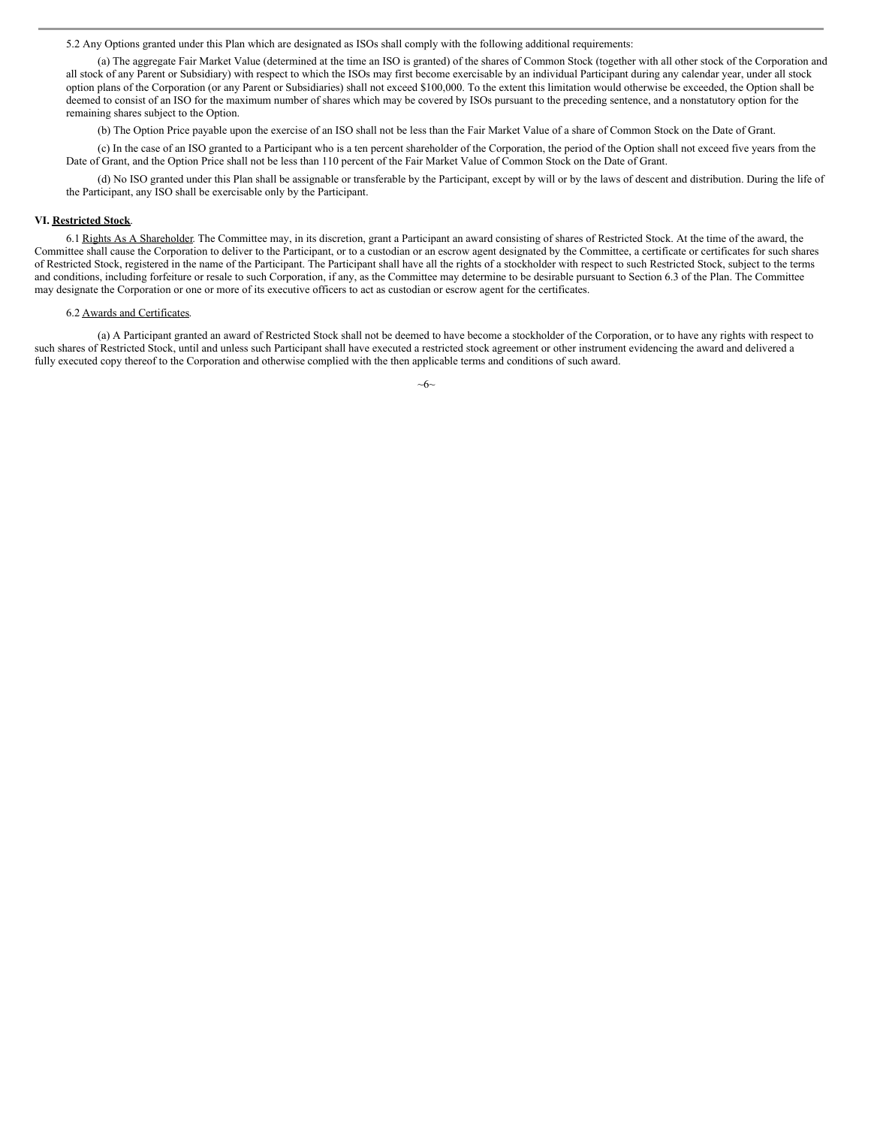5.2 Any Options granted under this Plan which are designated as ISOs shall comply with the following additional requirements:

(a) The aggregate Fair Market Value (determined at the time an ISO is granted) of the shares of Common Stock (together with all other stock of the Corporation and all stock of any Parent or Subsidiary) with respect to which the ISOs may first become exercisable by an individual Participant during any calendar year, under all stock option plans of the Corporation (or any Parent or Subsidiaries) shall not exceed \$100,000. To the extent this limitation would otherwise be exceeded, the Option shall be deemed to consist of an ISO for the maximum number of shares which may be covered by ISOs pursuant to the preceding sentence, and a nonstatutory option for the remaining shares subject to the Option.

(b) The Option Price payable upon the exercise of an ISO shall not be less than the Fair Market Value of a share of Common Stock on the Date of Grant.

(c) In the case of an ISO granted to a Participant who is a ten percent shareholder of the Corporation, the period of the Option shall not exceed five years from the Date of Grant, and the Option Price shall not be less than 110 percent of the Fair Market Value of Common Stock on the Date of Grant.

(d) No ISO granted under this Plan shall be assignable or transferable by the Participant, except by will or by the laws of descent and distribution. During the life of the Participant, any ISO shall be exercisable only by the Participant.

#### **VI. Restricted Stock**.

6.1 Rights As A Shareholder. The Committee may, in its discretion, grant a Participant an award consisting of shares of Restricted Stock. At the time of the award, the Committee shall cause the Corporation to deliver to the Participant, or to a custodian or an escrow agent designated by the Committee, a certificate or certificates for such shares of Restricted Stock, registered in the name of the Participant. The Participant shall have all the rights of a stockholder with respect to such Restricted Stock, subject to the terms and conditions, including forfeiture or resale to such Corporation, if any, as the Committee may determine to be desirable pursuant to Section 6.3 of the Plan. The Committee may designate the Corporation or one or more of its executive officers to act as custodian or escrow agent for the certificates.

#### 6.2 Awards and Certificates.

(a) A Participant granted an award of Restricted Stock shall not be deemed to have become a stockholder of the Corporation, or to have any rights with respect to such shares of Restricted Stock, until and unless such Participant shall have executed a restricted stock agreement or other instrument evidencing the award and delivered a fully executed copy thereof to the Corporation and otherwise complied with the then applicable terms and conditions of such award.

 $~10~$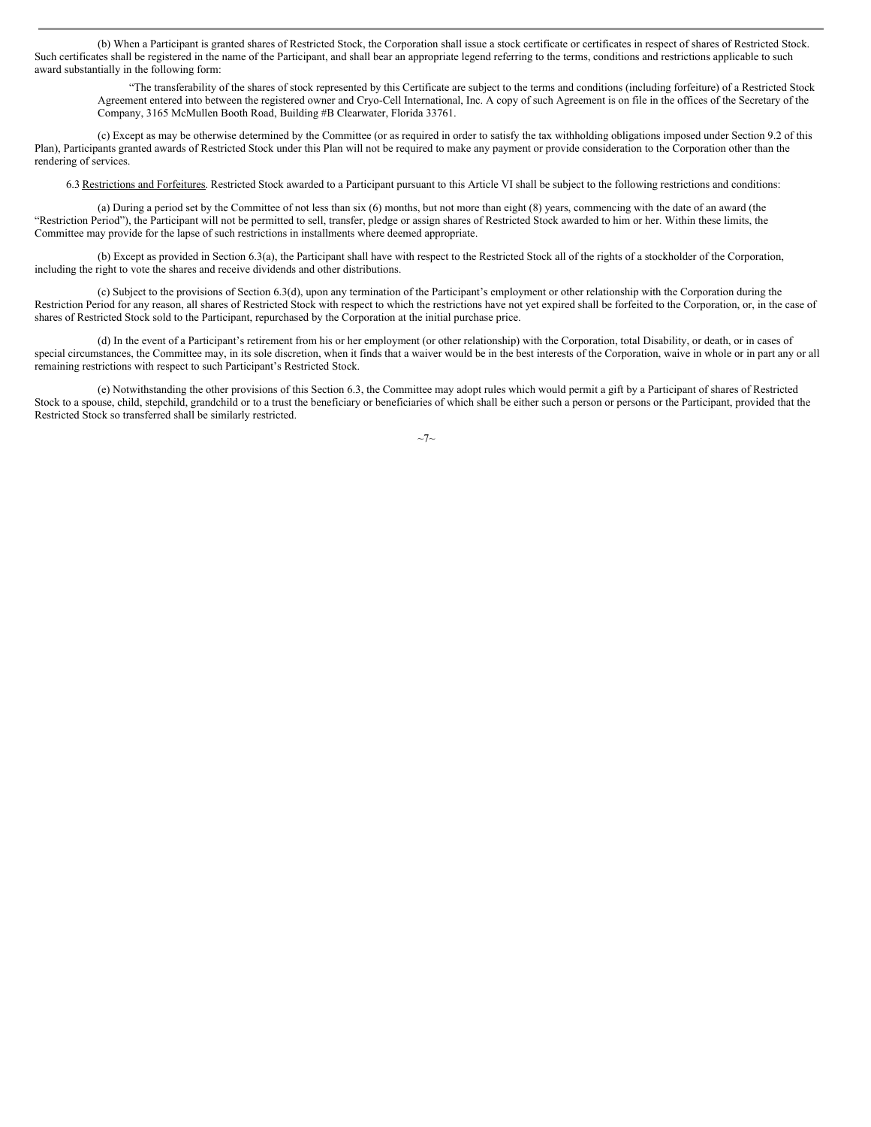(b) When a Participant is granted shares of Restricted Stock, the Corporation shall issue a stock certificate or certificates in respect of shares of Restricted Stock. Such certificates shall be registered in the name of the Participant, and shall bear an appropriate legend referring to the terms, conditions and restrictions applicable to such award substantially in the following form:

"The transferability of the shares of stock represented by this Certificate are subject to the terms and conditions (including forfeiture) of a Restricted Stock Agreement entered into between the registered owner and Cryo-Cell International, Inc. A copy of such Agreement is on file in the offices of the Secretary of the Company, 3165 McMullen Booth Road, Building #B Clearwater, Florida 33761.

(c) Except as may be otherwise determined by the Committee (or as required in order to satisfy the tax withholding obligations imposed under Section 9.2 of this Plan), Participants granted awards of Restricted Stock under this Plan will not be required to make any payment or provide consideration to the Corporation other than the rendering of services.

6.3 Restrictions and Forfeitures. Restricted Stock awarded to a Participant pursuant to this Article VI shall be subject to the following restrictions and conditions:

(a) During a period set by the Committee of not less than six (6) months, but not more than eight (8) years, commencing with the date of an award (the "Restriction Period"), the Participant will not be permitted to sell, transfer, pledge or assign shares of Restricted Stock awarded to him or her. Within these limits, the Committee may provide for the lapse of such restrictions in installments where deemed appropriate.

(b) Except as provided in Section 6.3(a), the Participant shall have with respect to the Restricted Stock all of the rights of a stockholder of the Corporation, including the right to vote the shares and receive dividends and other distributions.

(c) Subject to the provisions of Section 6.3(d), upon any termination of the Participant's employment or other relationship with the Corporation during the Restriction Period for any reason, all shares of Restricted Stock with respect to which the restrictions have not yet expired shall be forfeited to the Corporation, or, in the case of shares of Restricted Stock sold to the Participant, repurchased by the Corporation at the initial purchase price.

(d) In the event of a Participant's retirement from his or her employment (or other relationship) with the Corporation, total Disability, or death, or in cases of special circumstances, the Committee may, in its sole discretion, when it finds that a waiver would be in the best interests of the Corporation, waive in whole or in part any or all remaining restrictions with respect to such Participant's Restricted Stock.

(e) Notwithstanding the other provisions of this Section 6.3, the Committee may adopt rules which would permit a gift by a Participant of shares of Restricted Stock to a spouse, child, stepchild, grandchild or to a trust the beneficiary or beneficiaries of which shall be either such a person or persons or the Participant, provided that the Restricted Stock so transferred shall be similarly restricted.

 $~1~$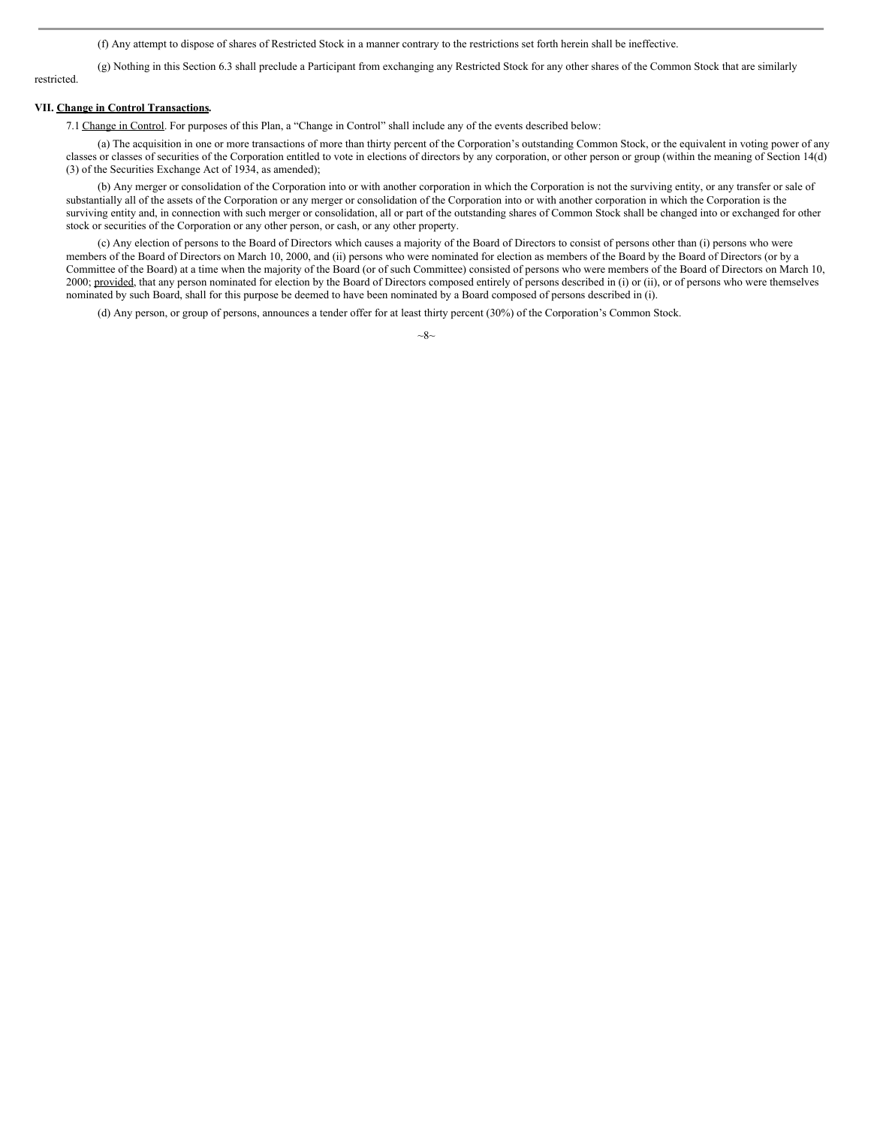(f) Any attempt to dispose of shares of Restricted Stock in a manner contrary to the restrictions set forth herein shall be ineffective.

(g) Nothing in this Section 6.3 shall preclude a Participant from exchanging any Restricted Stock for any other shares of the Common Stock that are similarly restricted.

### **VII. Change in Control Transactions.**

7.1 Change in Control. For purposes of this Plan, a "Change in Control" shall include any of the events described below:

(a) The acquisition in one or more transactions of more than thirty percent of the Corporation's outstanding Common Stock, or the equivalent in voting power of any classes or classes of securities of the Corporation entitled to vote in elections of directors by any corporation, or other person or group (within the meaning of Section 14(d) (3) of the Securities Exchange Act of 1934, as amended);

(b) Any merger or consolidation of the Corporation into or with another corporation in which the Corporation is not the surviving entity, or any transfer or sale of substantially all of the assets of the Corporation or any merger or consolidation of the Corporation into or with another corporation in which the Corporation is the surviving entity and, in connection with such merger or consolidation, all or part of the outstanding shares of Common Stock shall be changed into or exchanged for other stock or securities of the Corporation or any other person, or cash, or any other property.

(c) Any election of persons to the Board of Directors which causes a majority of the Board of Directors to consist of persons other than (i) persons who were members of the Board of Directors on March 10, 2000, and (ii) persons who were nominated for election as members of the Board by the Board of Directors (or by a Committee of the Board) at a time when the majority of the Board (or of such Committee) consisted of persons who were members of the Board of Directors on March 10, 2000; provided, that any person nominated for election by the Board of Directors composed entirely of persons described in (i) or (ii), or of persons who were themselves nominated by such Board, shall for this purpose be deemed to have been nominated by a Board composed of persons described in (i).

(d) Any person, or group of persons, announces a tender offer for at least thirty percent (30%) of the Corporation's Common Stock.

 $~8~~$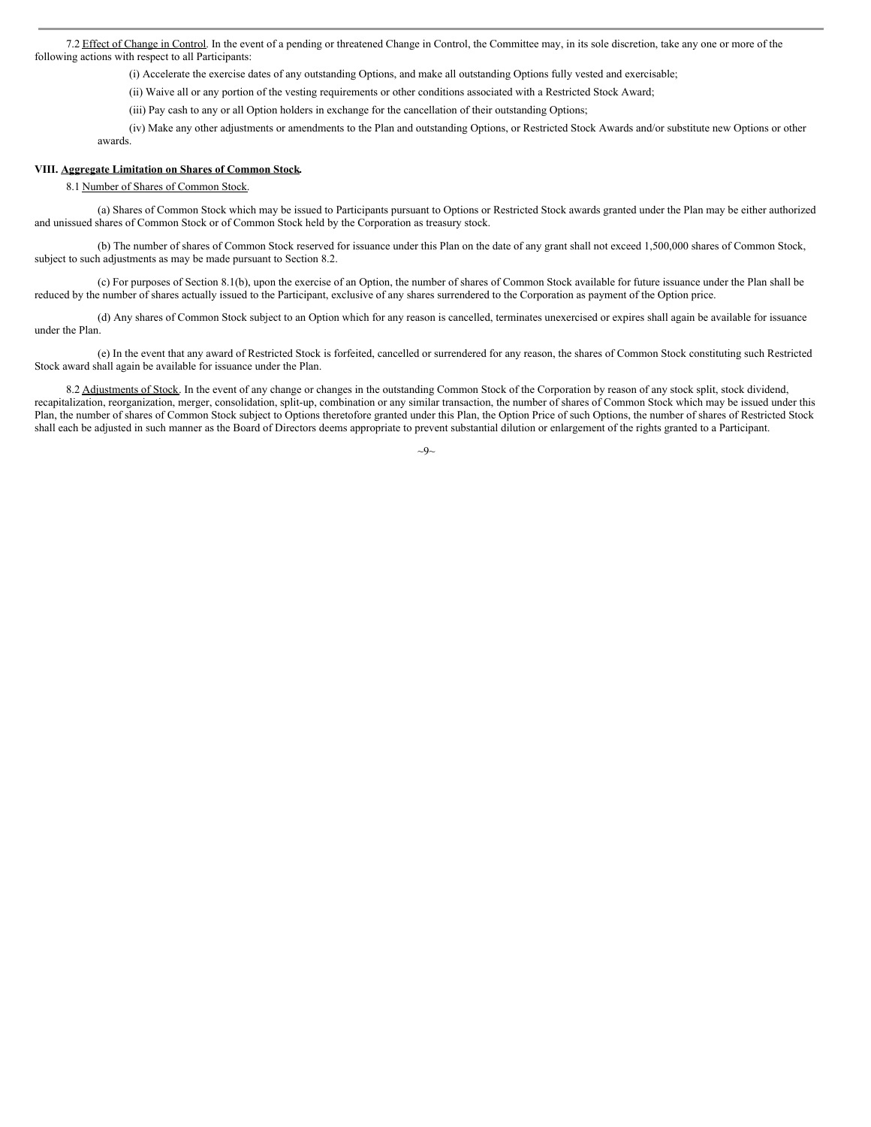7.2 Effect of Change in Control. In the event of a pending or threatened Change in Control, the Committee may, in its sole discretion, take any one or more of the following actions with respect to all Participants:

(i) Accelerate the exercise dates of any outstanding Options, and make all outstanding Options fully vested and exercisable;

(ii) Waive all or any portion of the vesting requirements or other conditions associated with a Restricted Stock Award;

(iii) Pay cash to any or all Option holders in exchange for the cancellation of their outstanding Options;

(iv) Make any other adjustments or amendments to the Plan and outstanding Options, or Restricted Stock Awards and/or substitute new Options or other awards.

## **VIII. Aggregate Limitation on Shares of Common Stock.**

### 8.1 Number of Shares of Common Stock.

(a) Shares of Common Stock which may be issued to Participants pursuant to Options or Restricted Stock awards granted under the Plan may be either authorized and unissued shares of Common Stock or of Common Stock held by the Corporation as treasury stock.

(b) The number of shares of Common Stock reserved for issuance under this Plan on the date of any grant shall not exceed 1,500,000 shares of Common Stock, subject to such adjustments as may be made pursuant to Section 8.2.

(c) For purposes of Section 8.1(b), upon the exercise of an Option, the number of shares of Common Stock available for future issuance under the Plan shall be reduced by the number of shares actually issued to the Participant, exclusive of any shares surrendered to the Corporation as payment of the Option price.

(d) Any shares of Common Stock subject to an Option which for any reason is cancelled, terminates unexercised or expires shall again be available for issuance under the Plan.

(e) In the event that any award of Restricted Stock is forfeited, cancelled or surrendered for any reason, the shares of Common Stock constituting such Restricted Stock award shall again be available for issuance under the Plan.

8.2 Adjustments of Stock. In the event of any change or changes in the outstanding Common Stock of the Corporation by reason of any stock split, stock dividend, recapitalization, reorganization, merger, consolidation, split-up, combination or any similar transaction, the number of shares of Common Stock which may be issued under this Plan, the number of shares of Common Stock subject to Options theretofore granted under this Plan, the Option Price of such Options, the number of shares of Restricted Stock shall each be adjusted in such manner as the Board of Directors deems appropriate to prevent substantial dilution or enlargement of the rights granted to a Participant.

#### $\sim 9$ ~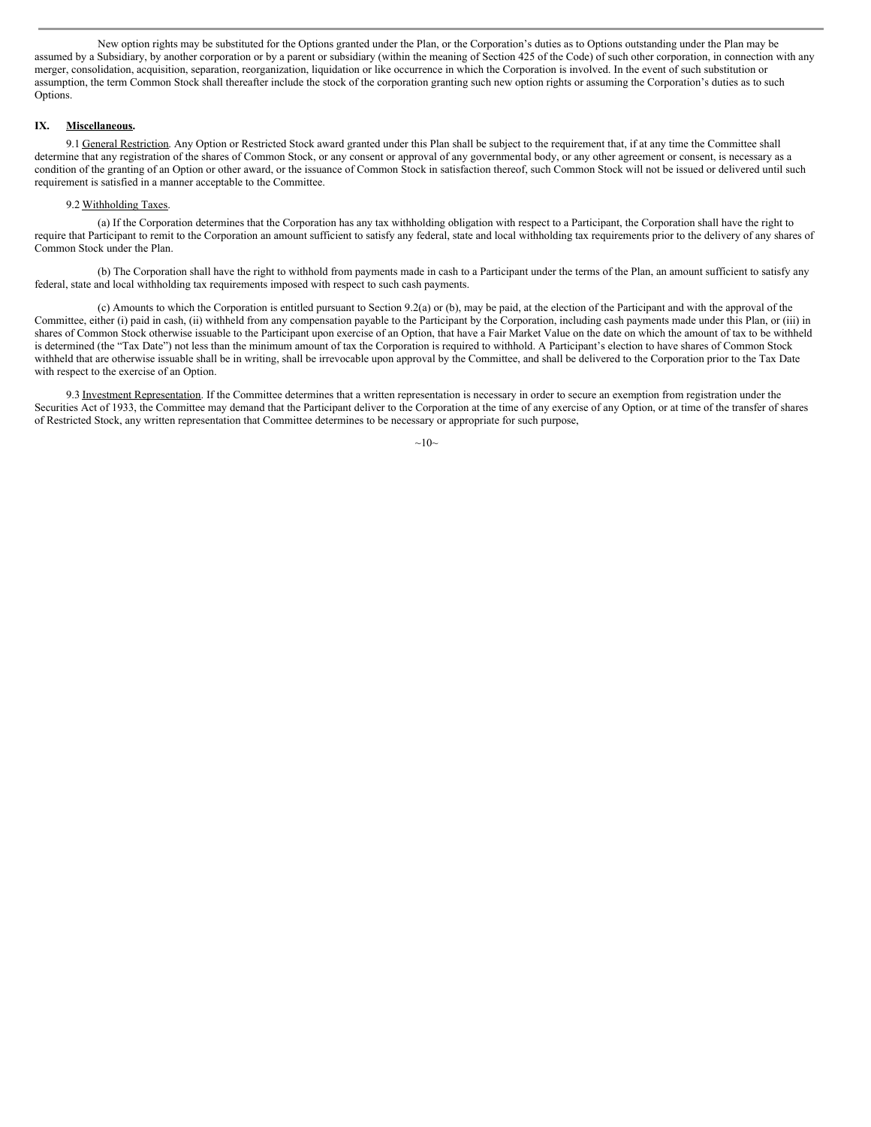New option rights may be substituted for the Options granted under the Plan, or the Corporation's duties as to Options outstanding under the Plan may be assumed by a Subsidiary, by another corporation or by a parent or subsidiary (within the meaning of Section 425 of the Code) of such other corporation, in connection with any merger, consolidation, acquisition, separation, reorganization, liquidation or like occurrence in which the Corporation is involved. In the event of such substitution or assumption, the term Common Stock shall thereafter include the stock of the corporation granting such new option rights or assuming the Corporation's duties as to such Options.

### **IX. Miscellaneous.**

9.1 General Restriction. Any Option or Restricted Stock award granted under this Plan shall be subject to the requirement that, if at any time the Committee shall determine that any registration of the shares of Common Stock, or any consent or approval of any governmental body, or any other agreement or consent, is necessary as a condition of the granting of an Option or other award, or the issuance of Common Stock in satisfaction thereof, such Common Stock will not be issued or delivered until such requirement is satisfied in a manner acceptable to the Committee.

#### 9.2 Withholding Taxes.

(a) If the Corporation determines that the Corporation has any tax withholding obligation with respect to a Participant, the Corporation shall have the right to require that Participant to remit to the Corporation an amount sufficient to satisfy any federal, state and local withholding tax requirements prior to the delivery of any shares of Common Stock under the Plan.

(b) The Corporation shall have the right to withhold from payments made in cash to a Participant under the terms of the Plan, an amount sufficient to satisfy any federal, state and local withholding tax requirements imposed with respect to such cash payments.

(c) Amounts to which the Corporation is entitled pursuant to Section 9.2(a) or (b), may be paid, at the election of the Participant and with the approval of the Committee, either (i) paid in cash, (ii) withheld from any compensation payable to the Participant by the Corporation, including cash payments made under this Plan, or (iii) in shares of Common Stock otherwise issuable to the Participant upon exercise of an Option, that have a Fair Market Value on the date on which the amount of tax to be withheld is determined (the "Tax Date") not less than the minimum amount of tax the Corporation is required to withhold. A Participant's election to have shares of Common Stock withheld that are otherwise issuable shall be in writing, shall be irrevocable upon approval by the Committee, and shall be delivered to the Corporation prior to the Tax Date with respect to the exercise of an Option.

9.3 Investment Representation. If the Committee determines that a written representation is necessary in order to secure an exemption from registration under the Securities Act of 1933, the Committee may demand that the Participant deliver to the Corporation at the time of any exercise of any Option, or at time of the transfer of shares of Restricted Stock, any written representation that Committee determines to be necessary or appropriate for such purpose,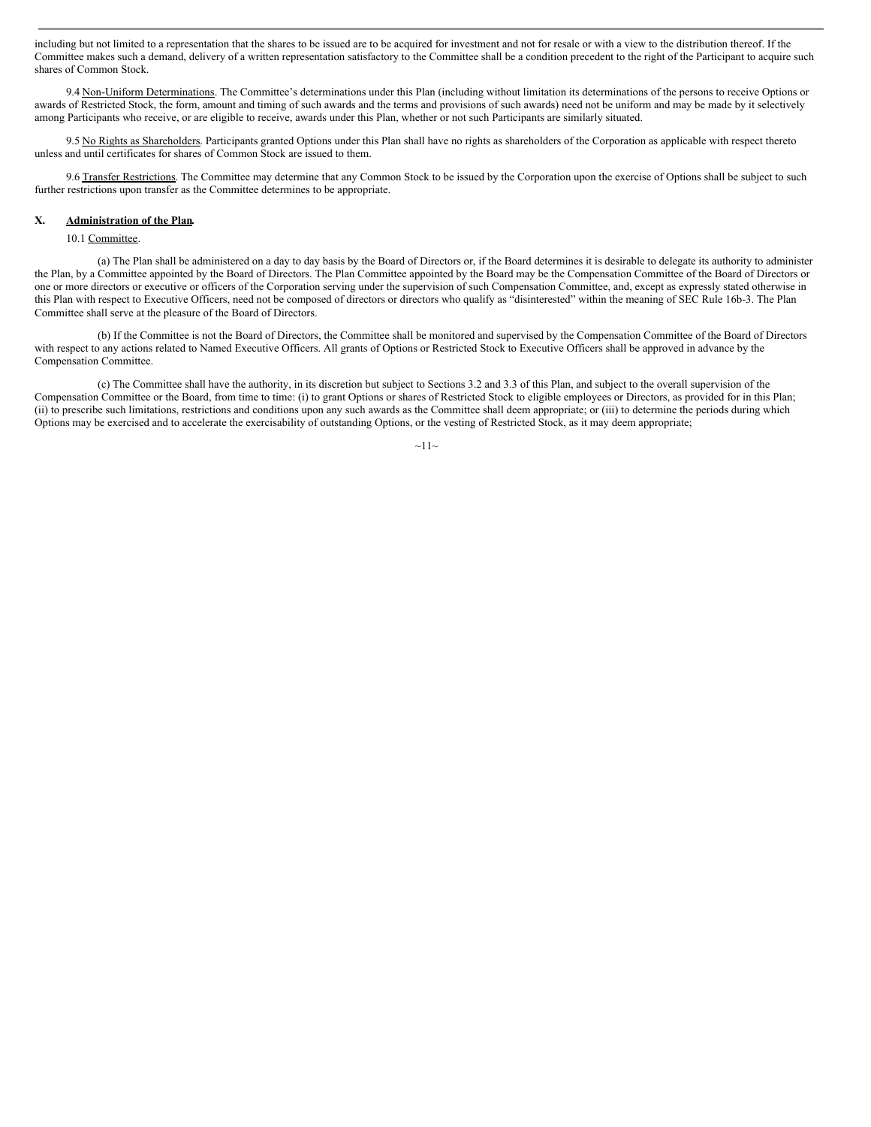including but not limited to a representation that the shares to be issued are to be acquired for investment and not for resale or with a view to the distribution thereof. If the Committee makes such a demand, delivery of a written representation satisfactory to the Committee shall be a condition precedent to the right of the Participant to acquire such shares of Common Stock.

9.4 Non-Uniform Determinations. The Committee's determinations under this Plan (including without limitation its determinations of the persons to receive Options or awards of Restricted Stock, the form, amount and timing of such awards and the terms and provisions of such awards) need not be uniform and may be made by it selectively among Participants who receive, or are eligible to receive, awards under this Plan, whether or not such Participants are similarly situated.

9.5 No Rights as Shareholders. Participants granted Options under this Plan shall have no rights as shareholders of the Corporation as applicable with respect thereto unless and until certificates for shares of Common Stock are issued to them.

9.6 Transfer Restrictions. The Committee may determine that any Common Stock to be issued by the Corporation upon the exercise of Options shall be subject to such further restrictions upon transfer as the Committee determines to be appropriate.

#### **X. Administration of the Plan.**

#### 10.1 Committee.

(a) The Plan shall be administered on a day to day basis by the Board of Directors or, if the Board determines it is desirable to delegate its authority to administer the Plan, by a Committee appointed by the Board of Directors. The Plan Committee appointed by the Board may be the Compensation Committee of the Board of Directors or one or more directors or executive or officers of the Corporation serving under the supervision of such Compensation Committee, and, except as expressly stated otherwise in this Plan with respect to Executive Officers, need not be composed of directors or directors who qualify as "disinterested" within the meaning of SEC Rule 16b-3. The Plan Committee shall serve at the pleasure of the Board of Directors.

(b) If the Committee is not the Board of Directors, the Committee shall be monitored and supervised by the Compensation Committee of the Board of Directors with respect to any actions related to Named Executive Officers. All grants of Options or Restricted Stock to Executive Officers shall be approved in advance by the Compensation Committee.

(c) The Committee shall have the authority, in its discretion but subject to Sections 3.2 and 3.3 of this Plan, and subject to the overall supervision of the Compensation Committee or the Board, from time to time: (i) to grant Options or shares of Restricted Stock to eligible employees or Directors, as provided for in this Plan; (ii) to prescribe such limitations, restrictions and conditions upon any such awards as the Committee shall deem appropriate; or (iii) to determine the periods during which Options may be exercised and to accelerate the exercisability of outstanding Options, or the vesting of Restricted Stock, as it may deem appropriate;

#### $~11~$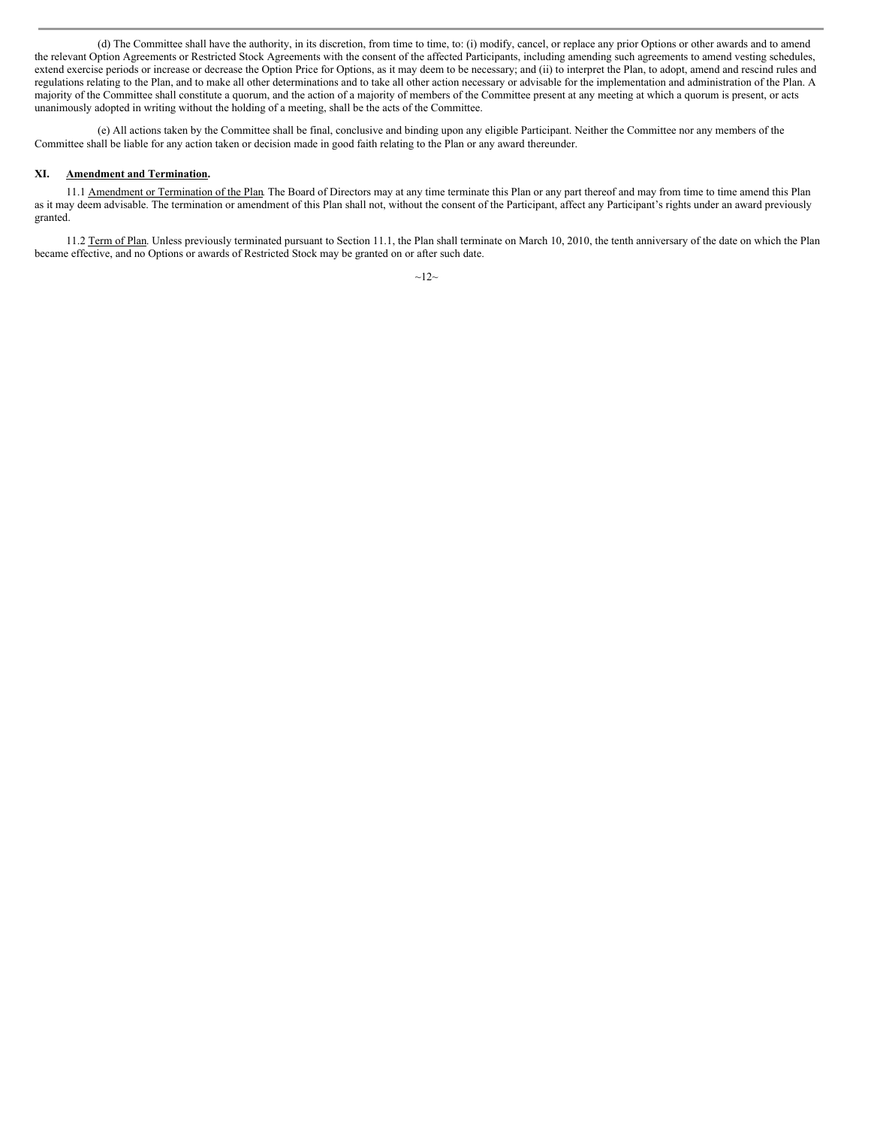(d) The Committee shall have the authority, in its discretion, from time to time, to: (i) modify, cancel, or replace any prior Options or other awards and to amend the relevant Option Agreements or Restricted Stock Agreements with the consent of the affected Participants, including amending such agreements to amend vesting schedules, extend exercise periods or increase or decrease the Option Price for Options, as it may deem to be necessary; and (ii) to interpret the Plan, to adopt, amend and rescind rules and regulations relating to the Plan, and to make all other determinations and to take all other action necessary or advisable for the implementation and administration of the Plan. A majority of the Committee shall constitute a quorum, and the action of a majority of members of the Committee present at any meeting at which a quorum is present, or acts unanimously adopted in writing without the holding of a meeting, shall be the acts of the Committee.

(e) All actions taken by the Committee shall be final, conclusive and binding upon any eligible Participant. Neither the Committee nor any members of the Committee shall be liable for any action taken or decision made in good faith relating to the Plan or any award thereunder.

#### **XI. Amendment and Termination.**

11.1 Amendment or Termination of the Plan. The Board of Directors may at any time terminate this Plan or any part thereof and may from time to time amend this Plan as it may deem advisable. The termination or amendment of this Plan shall not, without the consent of the Participant, affect any Participant's rights under an award previously granted.

11.2 Term of Plan. Unless previously terminated pursuant to Section 11.1, the Plan shall terminate on March 10, 2010, the tenth anniversary of the date on which the Plan became effective, and no Options or awards of Restricted Stock may be granted on or after such date.

 $~12~$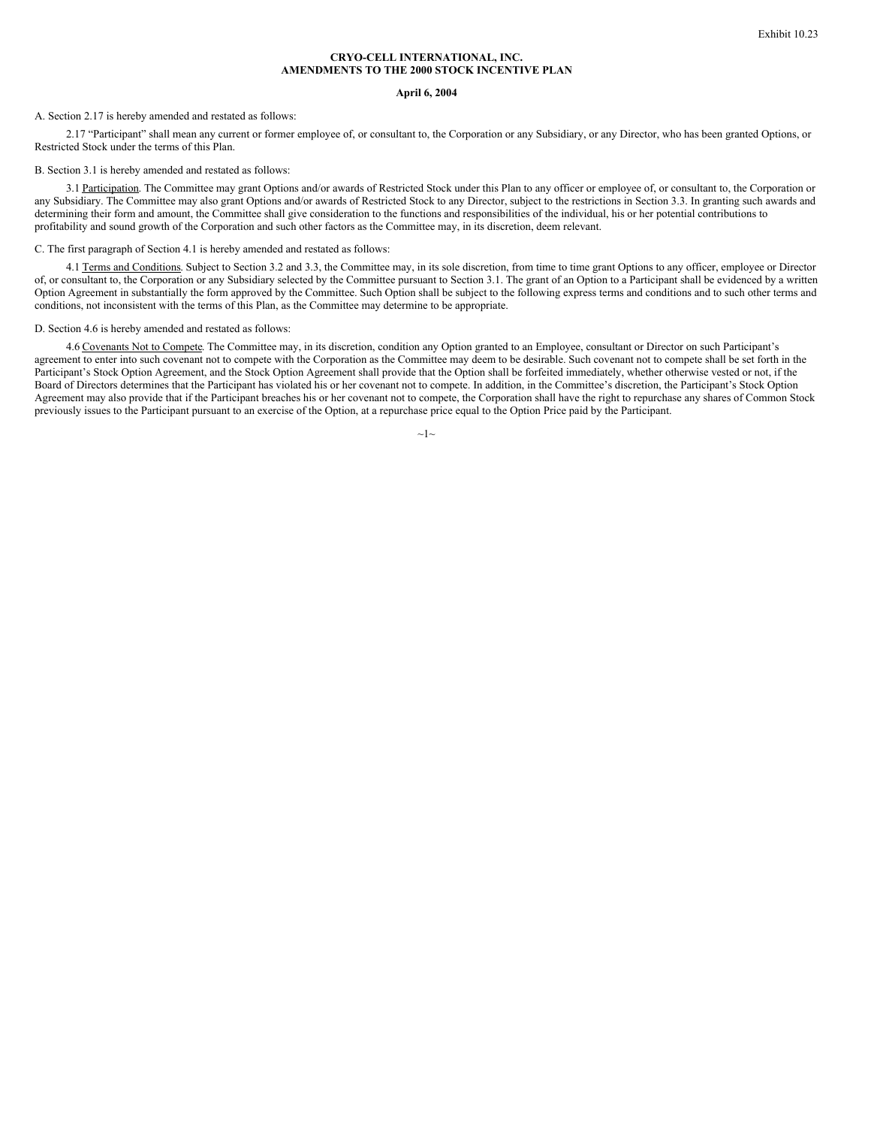#### **CRYO-CELL INTERNATIONAL, INC. AMENDMENTS TO THE 2000 STOCK INCENTIVE PLAN**

#### **April 6, 2004**

#### A. Section 2.17 is hereby amended and restated as follows:

2.17 "Participant" shall mean any current or former employee of, or consultant to, the Corporation or any Subsidiary, or any Director, who has been granted Options, or Restricted Stock under the terms of this Plan.

#### B. Section 3.1 is hereby amended and restated as follows:

3.1 Participation. The Committee may grant Options and/or awards of Restricted Stock under this Plan to any officer or employee of, or consultant to, the Corporation or any Subsidiary. The Committee may also grant Options and/or awards of Restricted Stock to any Director, subject to the restrictions in Section 3.3. In granting such awards and determining their form and amount, the Committee shall give consideration to the functions and responsibilities of the individual, his or her potential contributions to profitability and sound growth of the Corporation and such other factors as the Committee may, in its discretion, deem relevant.

#### C. The first paragraph of Section 4.1 is hereby amended and restated as follows:

4.1 Terms and Conditions. Subject to Section 3.2 and 3.3, the Committee may, in its sole discretion, from time to time grant Options to any officer, employee or Director of, or consultant to, the Corporation or any Subsidiary selected by the Committee pursuant to Section 3.1. The grant of an Option to a Participant shall be evidenced by a written Option Agreement in substantially the form approved by the Committee. Such Option shall be subject to the following express terms and conditions and to such other terms and conditions, not inconsistent with the terms of this Plan, as the Committee may determine to be appropriate.

#### D. Section 4.6 is hereby amended and restated as follows:

4.6 Covenants Not to Compete. The Committee may, in its discretion, condition any Option granted to an Employee, consultant or Director on such Participant's agreement to enter into such covenant not to compete with the Corporation as the Committee may deem to be desirable. Such covenant not to compete shall be set forth in the Participant's Stock Option Agreement, and the Stock Option Agreement shall provide that the Option shall be forfeited immediately, whether otherwise vested or not, if the Board of Directors determines that the Participant has violated his or her covenant not to compete. In addition, in the Committee's discretion, the Participant's Stock Option Agreement may also provide that if the Participant breaches his or her covenant not to compete, the Corporation shall have the right to repurchase any shares of Common Stock previously issues to the Participant pursuant to an exercise of the Option, at a repurchase price equal to the Option Price paid by the Participant.

 $\sim1$ ~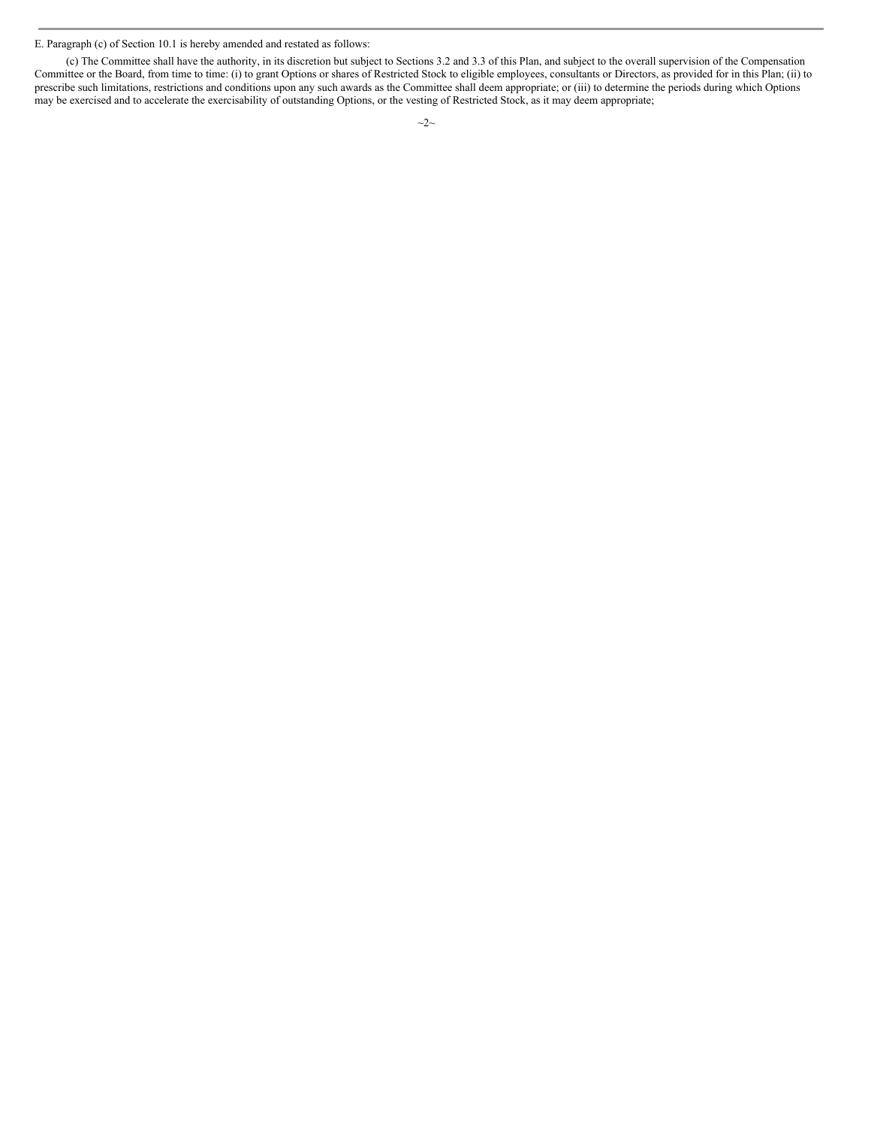(c) The Committee shall have the authority, in its discretion but subject to Sections 3.2 and 3.3 of this Plan, and subject to the overall supervision of the Compensation Committee or the Board, from time to time: (i) to grant Options or shares of Restricted Stock to eligible employees, consultants or Directors, as provided for in this Plan; (ii) to prescribe such limitations, restrictions and conditions upon any such awards as the Committee shall deem appropriate; or (iii) to determine the periods during which Options may be exercised and to accelerate the exercisability of outstanding Options, or the vesting of Restricted Stock, as it may deem appropriate;

E. Paragraph (c) of Section 10.1 is hereby amended and restated as follows: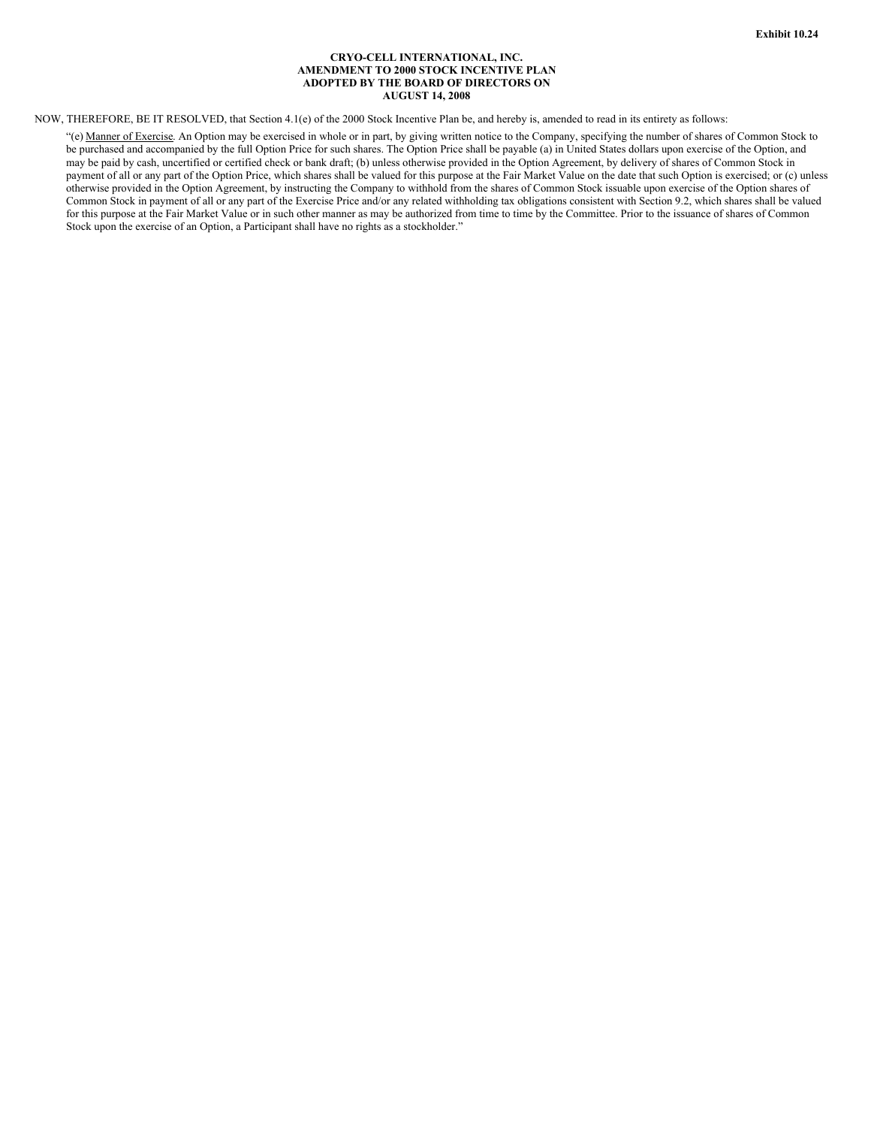### **CRYO-CELL INTERNATIONAL, INC. AMENDMENT TO 2000 STOCK INCENTIVE PLAN ADOPTED BY THE BOARD OF DIRECTORS ON AUGUST 14, 2008**

NOW, THEREFORE, BE IT RESOLVED, that Section 4.1(e) of the 2000 Stock Incentive Plan be, and hereby is, amended to read in its entirety as follows:

"(e) Manner of Exercise. An Option may be exercised in whole or in part, by giving written notice to the Company, specifying the number of shares of Common Stock to be purchased and accompanied by the full Option Price for such shares. The Option Price shall be payable (a) in United States dollars upon exercise of the Option, and may be paid by cash, uncertified or certified check or bank draft; (b) unless otherwise provided in the Option Agreement, by delivery of shares of Common Stock in payment of all or any part of the Option Price, which shares shall be valued for this purpose at the Fair Market Value on the date that such Option is exercised; or (c) unless otherwise provided in the Option Agreement, by instructing the Company to withhold from the shares of Common Stock issuable upon exercise of the Option shares of Common Stock in payment of all or any part of the Exercise Price and/or any related withholding tax obligations consistent with Section 9.2, which shares shall be valued for this purpose at the Fair Market Value or in such other manner as may be authorized from time to time by the Committee. Prior to the issuance of shares of Common Stock upon the exercise of an Option, a Participant shall have no rights as a stockholder."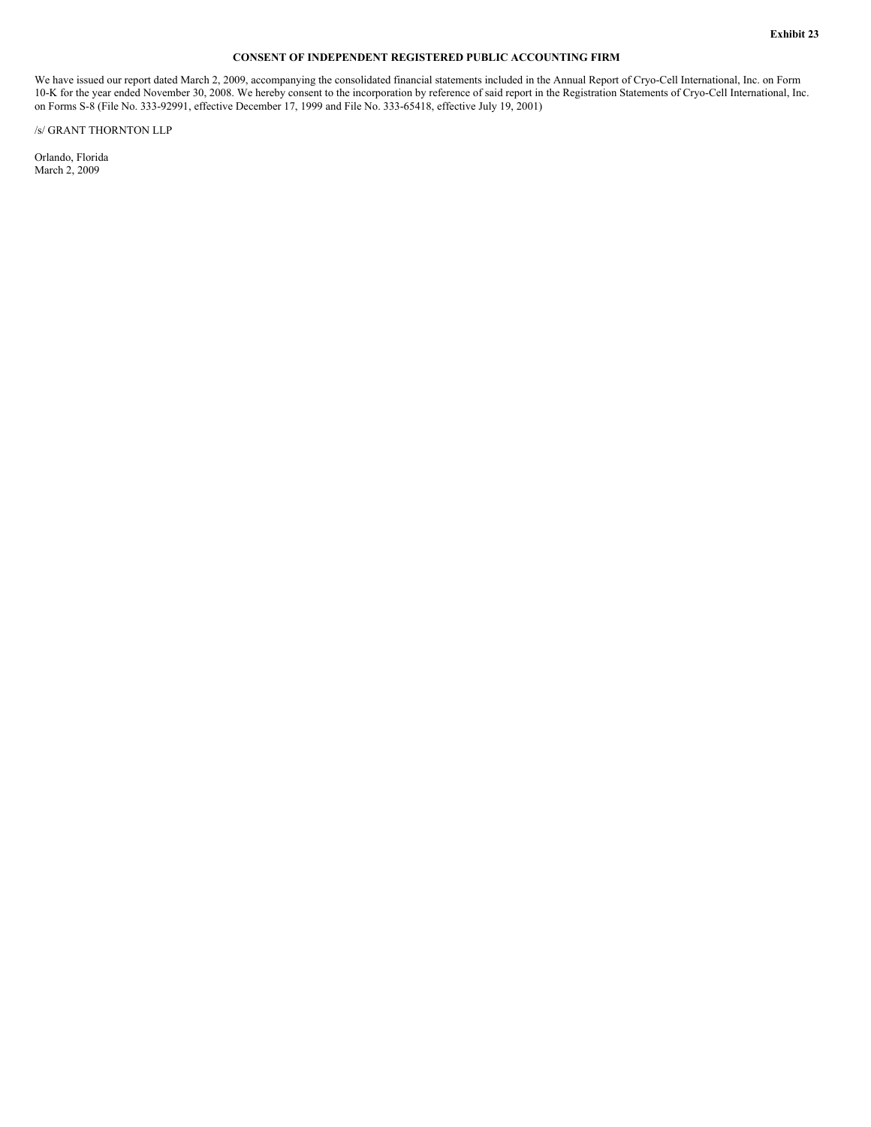## **CONSENT OF INDEPENDENT REGISTERED PUBLIC ACCOUNTING FIRM**

We have issued our report dated March 2, 2009, accompanying the consolidated financial statements included in the Annual Report of Cryo-Cell International, Inc. on Form 10-K for the year ended November 30, 2008. We hereby consent to the incorporation by reference of said report in the Registration Statements of Cryo-Cell International, Inc. on Forms S-8 (File No. 333-92991, effective December 17, 1999 and File No. 333-65418, effective July 19, 2001)

/s/ GRANT THORNTON LLP

Orlando, Florida March 2, 2009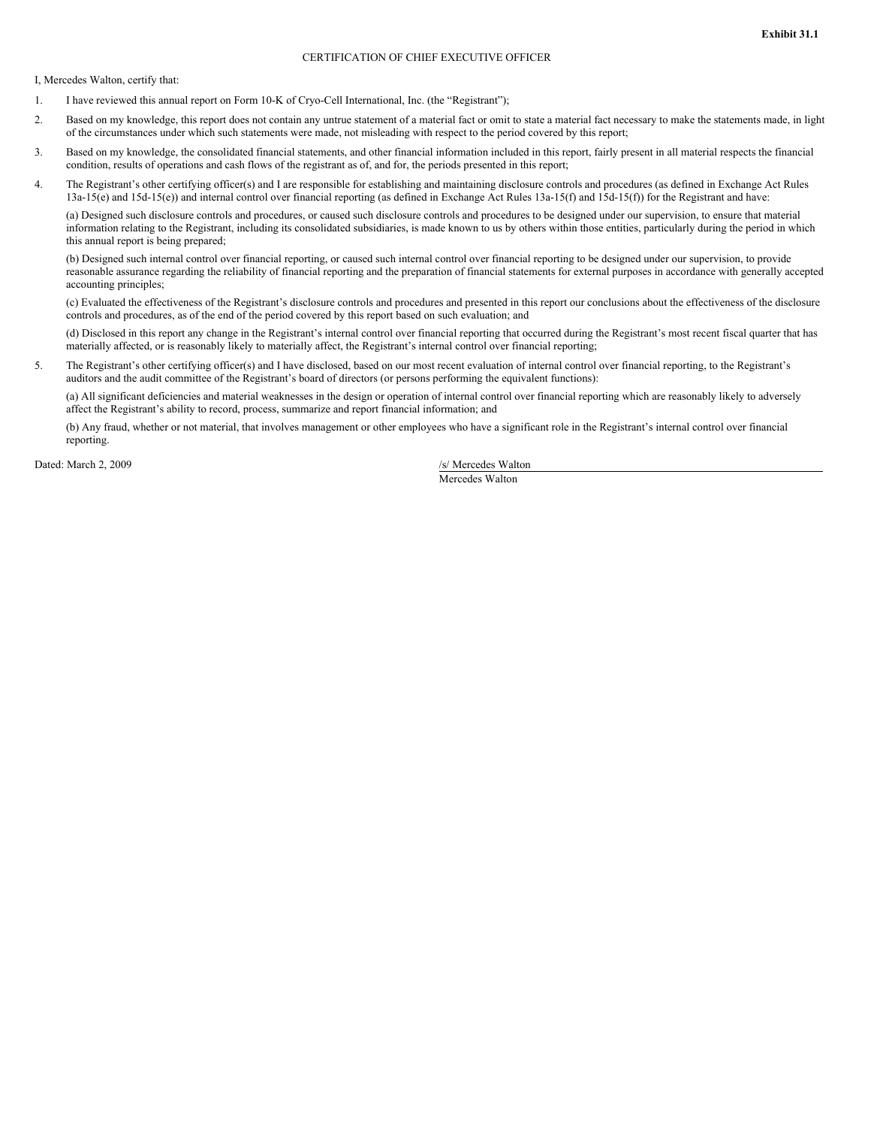### CERTIFICATION OF CHIEF EXECUTIVE OFFICER

I, Mercedes Walton, certify that:

- 1. I have reviewed this annual report on Form 10-K of Cryo-Cell International, Inc. (the "Registrant");
- 2. Based on my knowledge, this report does not contain any untrue statement of a material fact or omit to state a material fact necessary to make the statements made, in light of the circumstances under which such statements were made, not misleading with respect to the period covered by this report;
- 3. Based on my knowledge, the consolidated financial statements, and other financial information included in this report, fairly present in all material respects the financial condition, results of operations and cash flows of the registrant as of, and for, the periods presented in this report;
- 4. The Registrant's other certifying officer(s) and I are responsible for establishing and maintaining disclosure controls and procedures (as defined in Exchange Act Rules 13a-15(e) and 15d-15(e)) and internal control over financial reporting (as defined in Exchange Act Rules 13a-15(f) and 15d-15(f)) for the Registrant and have:

(a) Designed such disclosure controls and procedures, or caused such disclosure controls and procedures to be designed under our supervision, to ensure that material information relating to the Registrant, including its consolidated subsidiaries, is made known to us by others within those entities, particularly during the period in which this annual report is being prepared;

(b) Designed such internal control over financial reporting, or caused such internal control over financial reporting to be designed under our supervision, to provide reasonable assurance regarding the reliability of financial reporting and the preparation of financial statements for external purposes in accordance with generally accepted accounting principles;

(c) Evaluated the effectiveness of the Registrant's disclosure controls and procedures and presented in this report our conclusions about the effectiveness of the disclosure controls and procedures, as of the end of the period covered by this report based on such evaluation; and

(d) Disclosed in this report any change in the Registrant's internal control over financial reporting that occurred during the Registrant's most recent fiscal quarter that has materially affected, or is reasonably likely to materially affect, the Registrant's internal control over financial reporting;

5. The Registrant's other certifying officer(s) and I have disclosed, based on our most recent evaluation of internal control over financial reporting, to the Registrant's auditors and the audit committee of the Registrant's board of directors (or persons performing the equivalent functions):

(a) All significant deficiencies and material weaknesses in the design or operation of internal control over financial reporting which are reasonably likely to adversely affect the Registrant's ability to record, process, summarize and report financial information; and

(b) Any fraud, whether or not material, that involves management or other employees who have a significant role in the Registrant's internal control over financial reporting.

Dated: March 2, 2009 /s/ Mercedes Walton

Mercedes Walton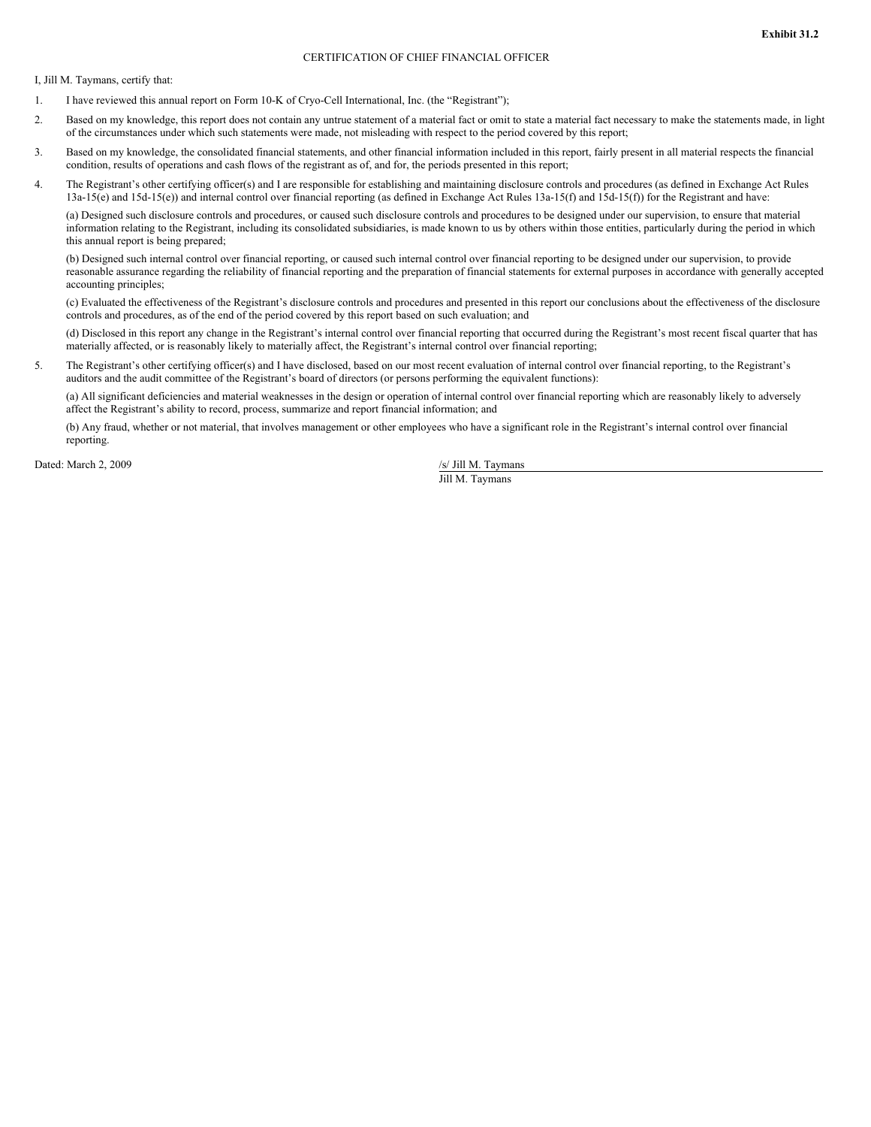### CERTIFICATION OF CHIEF FINANCIAL OFFICER

I, Jill M. Taymans, certify that:

- 1. I have reviewed this annual report on Form 10-K of Cryo-Cell International, Inc. (the "Registrant");
- 2. Based on my knowledge, this report does not contain any untrue statement of a material fact or omit to state a material fact necessary to make the statements made, in light of the circumstances under which such statements were made, not misleading with respect to the period covered by this report;
- 3. Based on my knowledge, the consolidated financial statements, and other financial information included in this report, fairly present in all material respects the financial condition, results of operations and cash flows of the registrant as of, and for, the periods presented in this report;
- 4. The Registrant's other certifying officer(s) and I are responsible for establishing and maintaining disclosure controls and procedures (as defined in Exchange Act Rules 13a-15(e) and 15d-15(e)) and internal control over financial reporting (as defined in Exchange Act Rules 13a-15(f) and 15d-15(f)) for the Registrant and have:

(a) Designed such disclosure controls and procedures, or caused such disclosure controls and procedures to be designed under our supervision, to ensure that material information relating to the Registrant, including its consolidated subsidiaries, is made known to us by others within those entities, particularly during the period in which this annual report is being prepared;

(b) Designed such internal control over financial reporting, or caused such internal control over financial reporting to be designed under our supervision, to provide reasonable assurance regarding the reliability of financial reporting and the preparation of financial statements for external purposes in accordance with generally accepted accounting principles;

(c) Evaluated the effectiveness of the Registrant's disclosure controls and procedures and presented in this report our conclusions about the effectiveness of the disclosure controls and procedures, as of the end of the period covered by this report based on such evaluation; and

(d) Disclosed in this report any change in the Registrant's internal control over financial reporting that occurred during the Registrant's most recent fiscal quarter that has materially affected, or is reasonably likely to materially affect, the Registrant's internal control over financial reporting;

5. The Registrant's other certifying officer(s) and I have disclosed, based on our most recent evaluation of internal control over financial reporting, to the Registrant's auditors and the audit committee of the Registrant's board of directors (or persons performing the equivalent functions):

(a) All significant deficiencies and material weaknesses in the design or operation of internal control over financial reporting which are reasonably likely to adversely affect the Registrant's ability to record, process, summarize and report financial information; and

(b) Any fraud, whether or not material, that involves management or other employees who have a significant role in the Registrant's internal control over financial reporting.

Dated: March 2, 2009 /s/ Jill M. Taymans

Jill M. Taymans